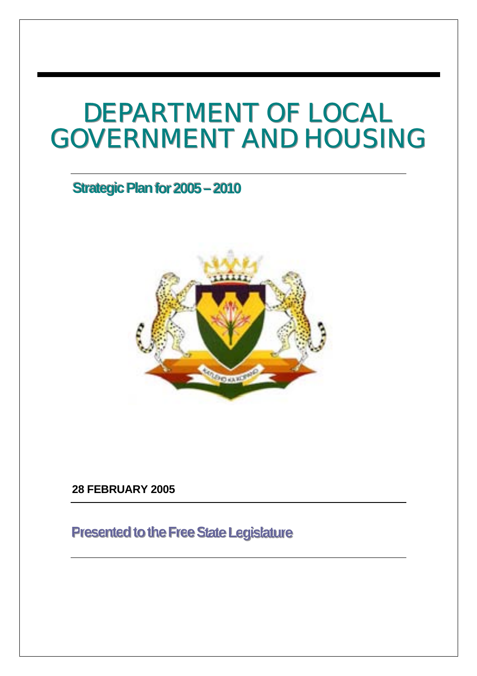# DEPARTMENT OF LOCAL<br>GOVERNMENT AND HOUSING

# **Strategic Plan for 2005–2010**



**28 FEBRUARY 2005** 

# **Presented to the Free State Legislature**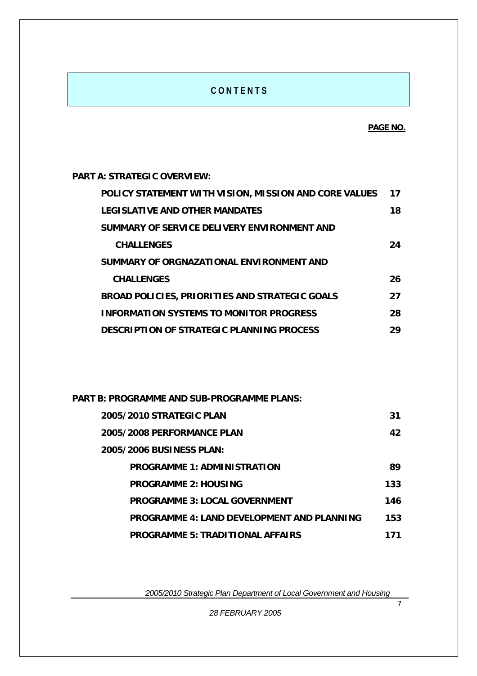#### **C O N T E N T S**

**PART A: STRATEGIC OVERVIEW:** 

| POLICY STATEMENT WITH VISION, MISSION AND CORE VALUES | 17  |
|-------------------------------------------------------|-----|
| <b>LEGISLATIVE AND OTHER MANDATES</b>                 | 18  |
| SUMMARY OF SERVICE DELIVERY ENVIRONMENT AND           |     |
| <b>CHALLENGES</b>                                     | 24  |
| SUMMARY OF ORGNAZATIONAL ENVIRONMENT AND              |     |
| <b>CHALLENGES</b>                                     | 26. |
| <b>BROAD POLICIES, PRIORITIES AND STRATEGIC GOALS</b> | 27  |
| <b>INFORMATION SYSTEMS TO MONITOR PROGRESS</b>        | 28  |
| <b>DESCRIPTION OF STRATEGIC PLANNING PROCESS</b>      | 29  |

| PART B: PROGRAMME AND SUB-PROGRAMME PLANS:        |     |  |  |
|---------------------------------------------------|-----|--|--|
| 2005/2010 STRATEGIC PLAN                          | 31  |  |  |
| 2005/2008 PERFORMANCE PLAN                        | 42  |  |  |
| 2005/2006 BUSINESS PLAN:                          |     |  |  |
| <b>PROGRAMME 1: ADMINISTRATION</b>                | 89  |  |  |
| <b>PROGRAMME 2: HOUSING</b>                       | 133 |  |  |
| <b>PROGRAMME 3: LOCAL GOVERNMENT</b>              | 146 |  |  |
| <b>PROGRAMME 4: LAND DEVELOPMENT AND PLANNING</b> | 153 |  |  |
| <b>PROGRAMME 5: TRADITIONAL AFFAIRS</b>           | 171 |  |  |

*2005/2010 Strategic Plan Department of Local Government and Housing* 

*28 FEBRUARY 2005* 

*7 7 <i>7 7 7 7 7 7 7 7 7 7 7 7 7 7 7 7 7 7 7 7 7 7 7 7 7 7 7 7 7 7 7 7 7 7 7*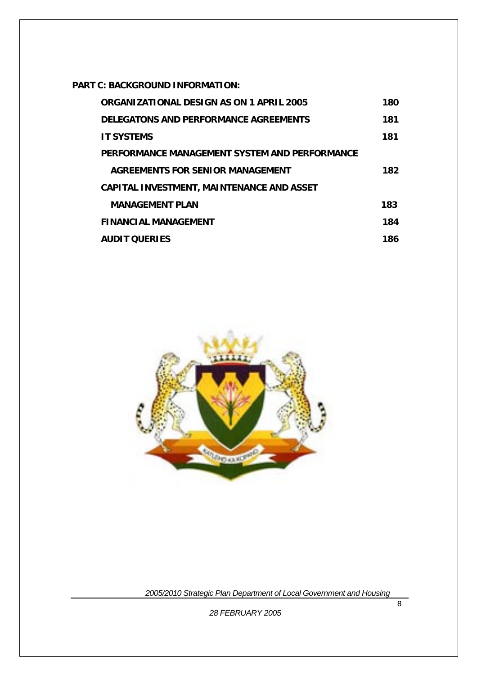**PART C: BACKGROUND INFORMATION:** 

| ORGANIZATIONAL DESIGN AS ON 1 APRIL 2005         | 180 |
|--------------------------------------------------|-----|
| DELEGATONS AND PERFORMANCE AGREEMENTS            | 181 |
| <b>IT SYSTEMS</b>                                | 181 |
| PERFORMANCE MANAGEMENT SYSTEM AND PERFORMANCE    |     |
| AGREEMENTS FOR SENIOR MANAGEMENT                 | 182 |
| <b>CAPITAL INVESTMENT, MAINTENANCE AND ASSET</b> |     |
| <b>MANAGEMENT PLAN</b>                           | 183 |
| <b>FINANCIAL MANAGEMENT</b>                      | 184 |
| <b>AUDIT OUFRIES</b>                             | 186 |



*2005/2010 Strategic Plan Department of Local Government and Housing*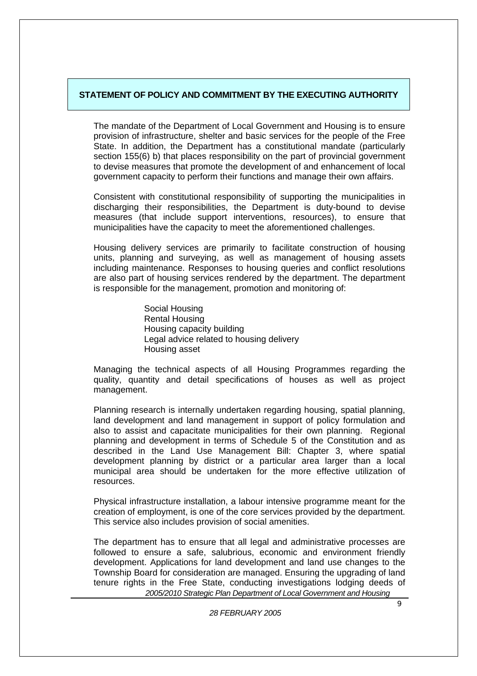#### **STATEMENT OF POLICY AND COMMITMENT BY THE EXECUTING AUTHORITY**

The mandate of the Department of Local Government and Housing is to ensure provision of infrastructure, shelter and basic services for the people of the Free State. In addition, the Department has a constitutional mandate (particularly section 155(6) b) that places responsibility on the part of provincial government to devise measures that promote the development of and enhancement of local government capacity to perform their functions and manage their own affairs.

Consistent with constitutional responsibility of supporting the municipalities in discharging their responsibilities, the Department is duty-bound to devise measures (that include support interventions, resources), to ensure that municipalities have the capacity to meet the aforementioned challenges.

Housing delivery services are primarily to facilitate construction of housing units, planning and surveying, as well as management of housing assets including maintenance. Responses to housing queries and conflict resolutions are also part of housing services rendered by the department. The department is responsible for the management, promotion and monitoring of:

> Social Housing Rental Housing Housing capacity building Legal advice related to housing delivery Housing asset

Managing the technical aspects of all Housing Programmes regarding the quality, quantity and detail specifications of houses as well as project management.

Planning research is internally undertaken regarding housing, spatial planning, land development and land management in support of policy formulation and also to assist and capacitate municipalities for their own planning. Regional planning and development in terms of Schedule 5 of the Constitution and as described in the Land Use Management Bill: Chapter 3, where spatial development planning by district or a particular area larger than a local municipal area should be undertaken for the more effective utilization of resources.

Physical infrastructure installation, a labour intensive programme meant for the creation of employment, is one of the core services provided by the department. This service also includes provision of social amenities.

 *2005/2010 Strategic Plan Department of Local Government and Housing*  The department has to ensure that all legal and administrative processes are followed to ensure a safe, salubrious, economic and environment friendly development. Applications for land development and land use changes to the Township Board for consideration are managed. Ensuring the upgrading of land tenure rights in the Free State, conducting investigations lodging deeds of

**1992 1993 1994 1995 1995 1995 1995 1995 1995**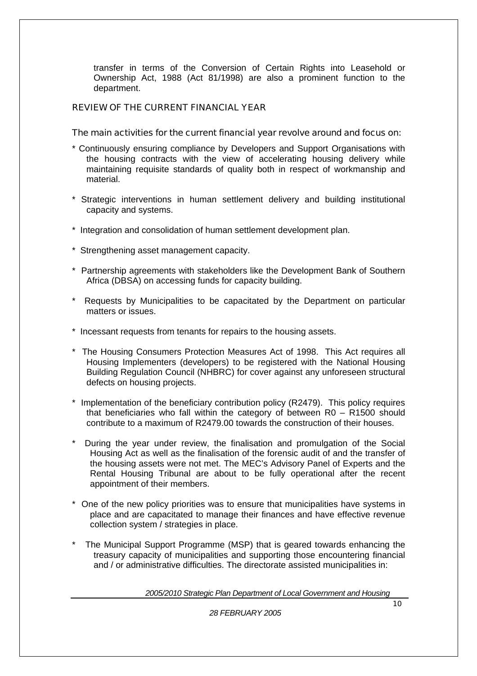transfer in terms of the Conversion of Certain Rights into Leasehold or Ownership Act, 1988 (Act 81/1998) are also a prominent function to the department.

#### REVIEW OF THE CURRENT FINANCIAL YEAR

#### The main activities for the current financial year revolve around and focus on:

- \* Continuously ensuring compliance by Developers and Support Organisations with the housing contracts with the view of accelerating housing delivery while maintaining requisite standards of quality both in respect of workmanship and material.
- \* Strategic interventions in human settlement delivery and building institutional capacity and systems.
- \* Integration and consolidation of human settlement development plan.
- \* Strengthening asset management capacity.
- \* Partnership agreements with stakeholders like the Development Bank of Southern Africa (DBSA) on accessing funds for capacity building.
- \* Requests by Municipalities to be capacitated by the Department on particular matters or issues.
- \* Incessant requests from tenants for repairs to the housing assets.
- \* The Housing Consumers Protection Measures Act of 1998. This Act requires all Housing Implementers (developers) to be registered with the National Housing Building Regulation Council (NHBRC) for cover against any unforeseen structural defects on housing projects.
- \* Implementation of the beneficiary contribution policy (R2479). This policy requires that beneficiaries who fall within the category of between R0 – R1500 should contribute to a maximum of R2479.00 towards the construction of their houses.
- During the year under review, the finalisation and promulgation of the Social Housing Act as well as the finalisation of the forensic audit of and the transfer of the housing assets were not met. The MEC's Advisory Panel of Experts and the Rental Housing Tribunal are about to be fully operational after the recent appointment of their members.
- \* One of the new policy priorities was to ensure that municipalities have systems in place and are capacitated to manage their finances and have effective revenue collection system / strategies in place.
- The Municipal Support Programme (MSP) that is geared towards enhancing the treasury capacity of municipalities and supporting those encountering financial and / or administrative difficulties. The directorate assisted municipalities in:

*2005/2010 Strategic Plan Department of Local Government and Housing*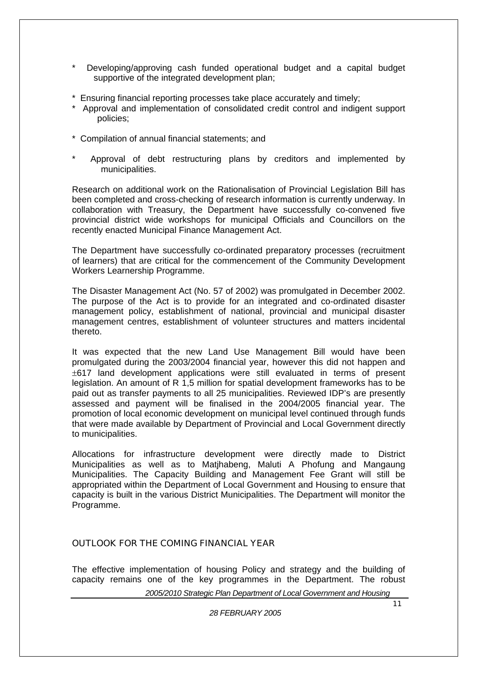- Developing/approving cash funded operational budget and a capital budget supportive of the integrated development plan;
- \* Ensuring financial reporting processes take place accurately and timely;
- \* Approval and implementation of consolidated credit control and indigent support policies;
- \* Compilation of annual financial statements; and
- Approval of debt restructuring plans by creditors and implemented by municipalities.

Research on additional work on the Rationalisation of Provincial Legislation Bill has been completed and cross-checking of research information is currently underway. In collaboration with Treasury, the Department have successfully co-convened five provincial district wide workshops for municipal Officials and Councillors on the recently enacted Municipal Finance Management Act.

The Department have successfully co-ordinated preparatory processes (recruitment of learners) that are critical for the commencement of the Community Development Workers Learnership Programme.

The Disaster Management Act (No. 57 of 2002) was promulgated in December 2002. The purpose of the Act is to provide for an integrated and co-ordinated disaster management policy, establishment of national, provincial and municipal disaster management centres, establishment of volunteer structures and matters incidental thereto.

It was expected that the new Land Use Management Bill would have been promulgated during the 2003/2004 financial year, however this did not happen and ±617 land development applications were still evaluated in terms of present legislation. An amount of R 1,5 million for spatial development frameworks has to be paid out as transfer payments to all 25 municipalities. Reviewed IDP's are presently assessed and payment will be finalised in the 2004/2005 financial year. The promotion of local economic development on municipal level continued through funds that were made available by Department of Provincial and Local Government directly to municipalities.

Allocations for infrastructure development were directly made to District Municipalities as well as to Matjhabeng, Maluti A Phofung and Mangaung Municipalities. The Capacity Building and Management Fee Grant will still be appropriated within the Department of Local Government and Housing to ensure that capacity is built in the various District Municipalities. The Department will monitor the Programme.

#### OUTLOOK FOR THE COMING FINANCIAL YEAR

The effective implementation of housing Policy and strategy and the building of capacity remains one of the key programmes in the Department. The robust

*2005/2010 Strategic Plan Department of Local Government and Housing*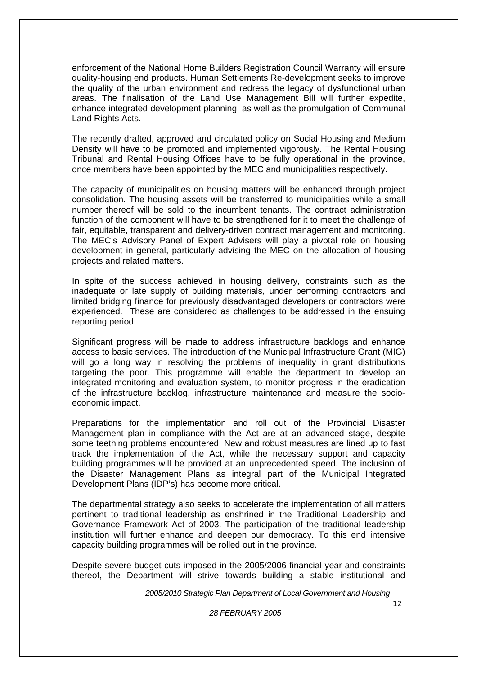enforcement of the National Home Builders Registration Council Warranty will ensure quality-housing end products. Human Settlements Re-development seeks to improve the quality of the urban environment and redress the legacy of dysfunctional urban areas. The finalisation of the Land Use Management Bill will further expedite, enhance integrated development planning, as well as the promulgation of Communal Land Rights Acts.

The recently drafted, approved and circulated policy on Social Housing and Medium Density will have to be promoted and implemented vigorously. The Rental Housing Tribunal and Rental Housing Offices have to be fully operational in the province, once members have been appointed by the MEC and municipalities respectively.

The capacity of municipalities on housing matters will be enhanced through project consolidation. The housing assets will be transferred to municipalities while a small number thereof will be sold to the incumbent tenants. The contract administration function of the component will have to be strengthened for it to meet the challenge of fair, equitable, transparent and delivery-driven contract management and monitoring. The MEC's Advisory Panel of Expert Advisers will play a pivotal role on housing development in general, particularly advising the MEC on the allocation of housing projects and related matters.

In spite of the success achieved in housing delivery, constraints such as the inadequate or late supply of building materials, under performing contractors and limited bridging finance for previously disadvantaged developers or contractors were experienced. These are considered as challenges to be addressed in the ensuing reporting period.

Significant progress will be made to address infrastructure backlogs and enhance access to basic services. The introduction of the Municipal Infrastructure Grant (MIG) will go a long way in resolving the problems of inequality in grant distributions targeting the poor. This programme will enable the department to develop an integrated monitoring and evaluation system, to monitor progress in the eradication of the infrastructure backlog, infrastructure maintenance and measure the socioeconomic impact.

Preparations for the implementation and roll out of the Provincial Disaster Management plan in compliance with the Act are at an advanced stage, despite some teething problems encountered. New and robust measures are lined up to fast track the implementation of the Act, while the necessary support and capacity building programmes will be provided at an unprecedented speed. The inclusion of the Disaster Management Plans as integral part of the Municipal Integrated Development Plans (IDP's) has become more critical.

The departmental strategy also seeks to accelerate the implementation of all matters pertinent to traditional leadership as enshrined in the Traditional Leadership and Governance Framework Act of 2003. The participation of the traditional leadership institution will further enhance and deepen our democracy. To this end intensive capacity building programmes will be rolled out in the province.

Despite severe budget cuts imposed in the 2005/2006 financial year and constraints thereof, the Department will strive towards building a stable institutional and

*2005/2010 Strategic Plan Department of Local Government and Housing*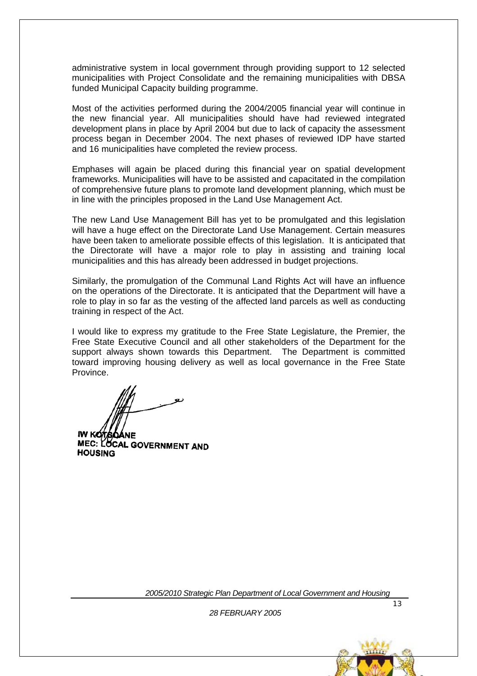administrative system in local government through providing support to 12 selected municipalities with Project Consolidate and the remaining municipalities with DBSA funded Municipal Capacity building programme.

Most of the activities performed during the 2004/2005 financial year will continue in the new financial year. All municipalities should have had reviewed integrated development plans in place by April 2004 but due to lack of capacity the assessment process began in December 2004. The next phases of reviewed IDP have started and 16 municipalities have completed the review process.

Emphases will again be placed during this financial year on spatial development frameworks. Municipalities will have to be assisted and capacitated in the compilation of comprehensive future plans to promote land development planning, which must be in line with the principles proposed in the Land Use Management Act.

The new Land Use Management Bill has yet to be promulgated and this legislation will have a huge effect on the Directorate Land Use Management. Certain measures have been taken to ameliorate possible effects of this legislation. It is anticipated that the Directorate will have a major role to play in assisting and training local municipalities and this has already been addressed in budget projections.

Similarly, the promulgation of the Communal Land Rights Act will have an influence on the operations of the Directorate. It is anticipated that the Department will have a role to play in so far as the vesting of the affected land parcels as well as conducting training in respect of the Act.

I would like to express my gratitude to the Free State Legislature, the Premier, the Free State Executive Council and all other stakeholders of the Department for the support always shown towards this Department. The Department is committed toward improving housing delivery as well as local governance in the Free State Province.

MEC: LOCAL GOVERNMENT AND **HOUSING** 

*2005/2010 Strategic Plan Department of Local Government and Housing* 

13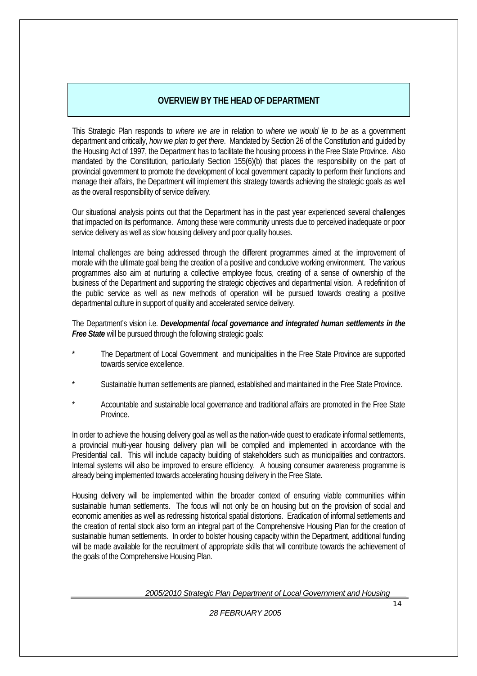#### **OVERVIEW BY THE HEAD OF DEPARTMENT**

This Strategic Plan responds to *where we are* in relation to *where we would lie to be* as a government department and critically, *how we plan to get there*. Mandated by Section 26 of the Constitution and guided by the Housing Act of 1997, the Department has to facilitate the housing process in the Free State Province. Also mandated by the Constitution, particularly Section 155(6)(b) that places the responsibility on the part of provincial government to promote the development of local government capacity to perform their functions and manage their affairs, the Department will implement this strategy towards achieving the strategic goals as well as the overall responsibility of service delivery.

Our situational analysis points out that the Department has in the past year experienced several challenges that impacted on its performance. Among these were community unrests due to perceived inadequate or poor service delivery as well as slow housing delivery and poor quality houses.

Internal challenges are being addressed through the different programmes aimed at the improvement of morale with the ultimate goal being the creation of a positive and conducive working environment. The various programmes also aim at nurturing a collective employee focus, creating of a sense of ownership of the business of the Department and supporting the strategic objectives and departmental vision. A redefinition of the public service as well as new methods of operation will be pursued towards creating a positive departmental culture in support of quality and accelerated service delivery.

The Department's vision i.e. *Developmental local governance and integrated human settlements in the Free State* will be pursued through the following strategic goals:

- The Department of Local Government and municipalities in the Free State Province are supported towards service excellence.
- Sustainable human settlements are planned, established and maintained in the Free State Province.
- Accountable and sustainable local governance and traditional affairs are promoted in the Free State Province.

In order to achieve the housing delivery goal as well as the nation-wide quest to eradicate informal settlements, a provincial multi-year housing delivery plan will be compiled and implemented in accordance with the Presidential call. This will include capacity building of stakeholders such as municipalities and contractors. Internal systems will also be improved to ensure efficiency. A housing consumer awareness programme is already being implemented towards accelerating housing delivery in the Free State.

Housing delivery will be implemented within the broader context of ensuring viable communities within sustainable human settlements. The focus will not only be on housing but on the provision of social and economic amenities as well as redressing historical spatial distortions. Eradication of informal settlements and the creation of rental stock also form an integral part of the Comprehensive Housing Plan for the creation of sustainable human settlements. In order to bolster housing capacity within the Department, additional funding will be made available for the recruitment of appropriate skills that will contribute towards the achievement of the goals of the Comprehensive Housing Plan.

*2005/2010 Strategic Plan Department of Local Government and Housing*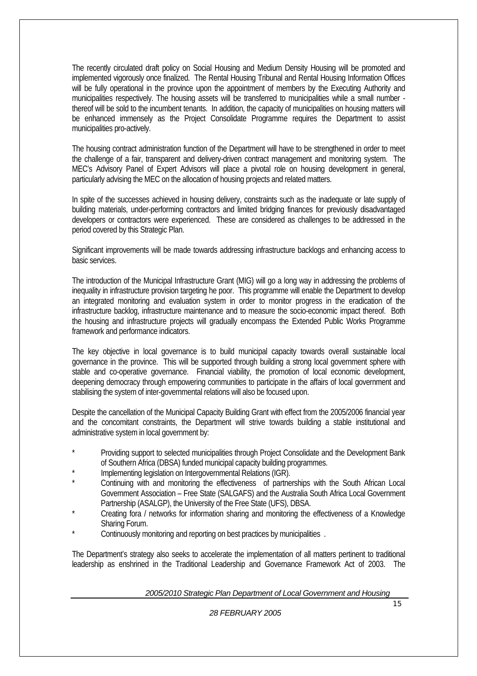The recently circulated draft policy on Social Housing and Medium Density Housing will be promoted and implemented vigorously once finalized. The Rental Housing Tribunal and Rental Housing Information Offices will be fully operational in the province upon the appointment of members by the Executing Authority and municipalities respectively. The housing assets will be transferred to municipalities while a small number thereof will be sold to the incumbent tenants. In addition, the capacity of municipalities on housing matters will be enhanced immensely as the Project Consolidate Programme requires the Department to assist municipalities pro-actively.

The housing contract administration function of the Department will have to be strengthened in order to meet the challenge of a fair, transparent and delivery-driven contract management and monitoring system. The MEC's Advisory Panel of Expert Advisors will place a pivotal role on housing development in general, particularly advising the MEC on the allocation of housing projects and related matters.

In spite of the successes achieved in housing delivery, constraints such as the inadequate or late supply of building materials, under-performing contractors and limited bridging finances for previously disadvantaged developers or contractors were experienced. These are considered as challenges to be addressed in the period covered by this Strategic Plan.

Significant improvements will be made towards addressing infrastructure backlogs and enhancing access to basic services.

The introduction of the Municipal Infrastructure Grant (MIG) will go a long way in addressing the problems of inequality in infrastructure provision targeting he poor. This programme will enable the Department to develop an integrated monitoring and evaluation system in order to monitor progress in the eradication of the infrastructure backlog, infrastructure maintenance and to measure the socio-economic impact thereof. Both the housing and infrastructure projects will gradually encompass the Extended Public Works Programme framework and performance indicators.

The key objective in local governance is to build municipal capacity towards overall sustainable local governance in the province. This will be supported through building a strong local government sphere with stable and co-operative governance. Financial viability, the promotion of local economic development, deepening democracy through empowering communities to participate in the affairs of local government and stabilising the system of inter-governmental relations will also be focused upon.

Despite the cancellation of the Municipal Capacity Building Grant with effect from the 2005/2006 financial year and the concomitant constraints, the Department will strive towards building a stable institutional and administrative system in local government by:

- Providing support to selected municipalities through Project Consolidate and the Development Bank of Southern Africa (DBSA) funded municipal capacity building programmes.
- Implementing legislation on Intergovernmental Relations (IGR).
- Continuing with and monitoring the effectiveness of partnerships with the South African Local Government Association – Free State (SALGAFS) and the Australia South Africa Local Government Partnership (ASALGP), the University of the Free State (UFS), DBSA.
- Creating fora / networks for information sharing and monitoring the effectiveness of a Knowledge Sharing Forum.
- . Continuously monitoring and reporting on best practices by municipalities .

The Department's strategy also seeks to accelerate the implementation of all matters pertinent to traditional leadership as enshrined in the Traditional Leadership and Governance Framework Act of 2003. The

*2005/2010 Strategic Plan Department of Local Government and Housing*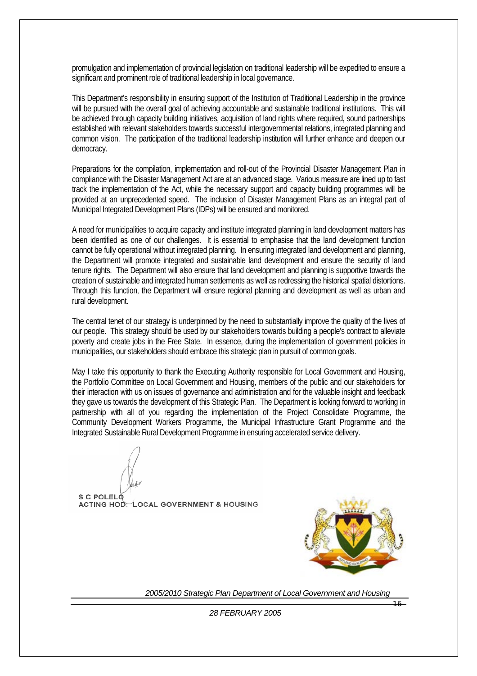promulgation and implementation of provincial legislation on traditional leadership will be expedited to ensure a significant and prominent role of traditional leadership in local governance.

This Department's responsibility in ensuring support of the Institution of Traditional Leadership in the province will be pursued with the overall goal of achieving accountable and sustainable traditional institutions. This will be achieved through capacity building initiatives, acquisition of land rights where required, sound partnerships established with relevant stakeholders towards successful intergovernmental relations, integrated planning and common vision. The participation of the traditional leadership institution will further enhance and deepen our democracy.

Preparations for the compilation, implementation and roll-out of the Provincial Disaster Management Plan in compliance with the Disaster Management Act are at an advanced stage. Various measure are lined up to fast track the implementation of the Act, while the necessary support and capacity building programmes will be provided at an unprecedented speed. The inclusion of Disaster Management Plans as an integral part of Municipal Integrated Development Plans (IDPs) will be ensured and monitored.

A need for municipalities to acquire capacity and institute integrated planning in land development matters has been identified as one of our challenges. It is essential to emphasise that the land development function cannot be fully operational without integrated planning. In ensuring integrated land development and planning, the Department will promote integrated and sustainable land development and ensure the security of land tenure rights. The Department will also ensure that land development and planning is supportive towards the creation of sustainable and integrated human settlements as well as redressing the historical spatial distortions. Through this function, the Department will ensure regional planning and development as well as urban and rural development.

The central tenet of our strategy is underpinned by the need to substantially improve the quality of the lives of our people. This strategy should be used by our stakeholders towards building a people's contract to alleviate poverty and create jobs in the Free State. In essence, during the implementation of government policies in municipalities, our stakeholders should embrace this strategic plan in pursuit of common goals.

May I take this opportunity to thank the Executing Authority responsible for Local Government and Housing, the Portfolio Committee on Local Government and Housing, members of the public and our stakeholders for their interaction with us on issues of governance and administration and for the valuable insight and feedback they gave us towards the development of this Strategic Plan. The Department is looking forward to working in partnership with all of you regarding the implementation of the Project Consolidate Programme, the Community Development Workers Programme, the Municipal Infrastructure Grant Programme and the Integrated Sustainable Rural Development Programme in ensuring accelerated service delivery.

 $S$  C POLEL<sub>Q</sub> ACTING HOD: LOCAL GOVERNMENT & HOUSING



*2005/2010 Strategic Plan Department of Local Government and Housing* 

*28 FEBRUARY 2005* 

16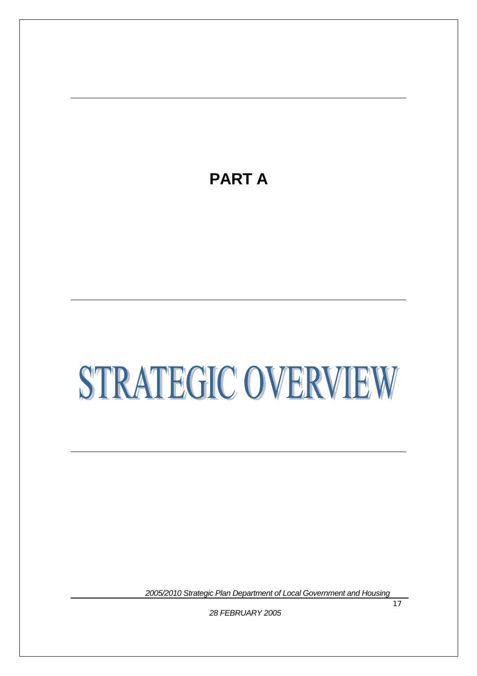# **PART A**

# STRATEGIC OVERVIEW

*2005/2010 Strategic Plan Department of Local Government and Housing*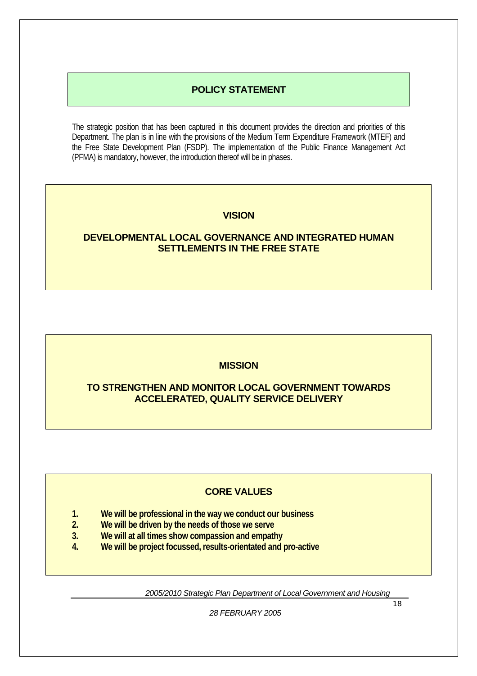#### **POLICY STATEMENT**

The strategic position that has been captured in this document provides the direction and priorities of this Department. The plan is in line with the provisions of the Medium Term Expenditure Framework (MTEF) and the Free State Development Plan (FSDP). The implementation of the Public Finance Management Act (PFMA) is mandatory, however, the introduction thereof will be in phases.

#### **VISION**

#### **DEVELOPMENTAL LOCAL GOVERNANCE AND INTEGRATED HUMAN SETTLEMENTS IN THE FREE STATE**

#### **MISSION**

#### **TO STRENGTHEN AND MONITOR LOCAL GOVERNMENT TOWARDS ACCELERATED, QUALITY SERVICE DELIVERY**

#### **CORE VALUES**

- **1. We will be professional in the way we conduct our business**
- **2. We will be driven by the needs of those we serve**
- **3. We will at all times show compassion and empathy**
- **4. We will be project focussed, results-orientated and pro-active**

*2005/2010 Strategic Plan Department of Local Government and Housing*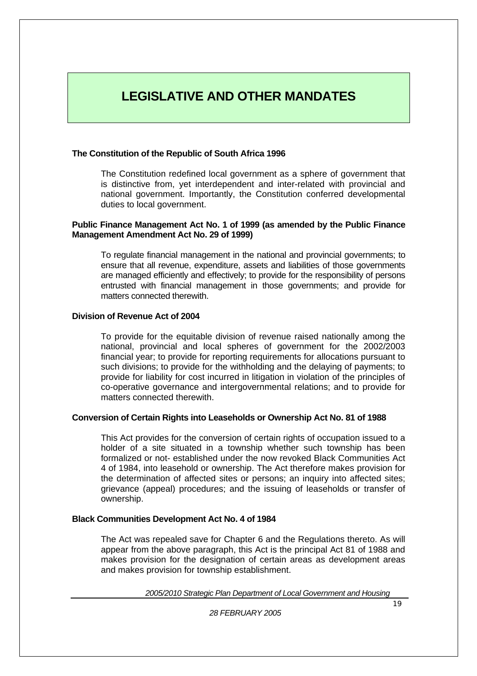# **LEGISLATIVE AND OTHER MANDATES**

#### **The Constitution of the Republic of South Africa 1996**

The Constitution redefined local government as a sphere of government that is distinctive from, yet interdependent and inter-related with provincial and national government. Importantly, the Constitution conferred developmental duties to local government.

#### **Public Finance Management Act No. 1 of 1999 (as amended by the Public Finance Management Amendment Act No. 29 of 1999)**

To regulate financial management in the national and provincial governments; to ensure that all revenue, expenditure, assets and liabilities of those governments are managed efficiently and effectively; to provide for the responsibility of persons entrusted with financial management in those governments; and provide for matters connected therewith

#### **Division of Revenue Act of 2004**

To provide for the equitable division of revenue raised nationally among the national, provincial and local spheres of government for the 2002/2003 financial year; to provide for reporting requirements for allocations pursuant to such divisions; to provide for the withholding and the delaying of payments; to provide for liability for cost incurred in litigation in violation of the principles of co-operative governance and intergovernmental relations; and to provide for matters connected therewith.

#### **Conversion of Certain Rights into Leaseholds or Ownership Act No. 81 of 1988**

This Act provides for the conversion of certain rights of occupation issued to a holder of a site situated in a township whether such township has been formalized or not- established under the now revoked Black Communities Act 4 of 1984, into leasehold or ownership. The Act therefore makes provision for the determination of affected sites or persons; an inquiry into affected sites; grievance (appeal) procedures; and the issuing of leaseholds or transfer of ownership.

#### **Black Communities Development Act No. 4 of 1984**

The Act was repealed save for Chapter 6 and the Regulations thereto. As will appear from the above paragraph, this Act is the principal Act 81 of 1988 and makes provision for the designation of certain areas as development areas and makes provision for township establishment.

*2005/2010 Strategic Plan Department of Local Government and Housing*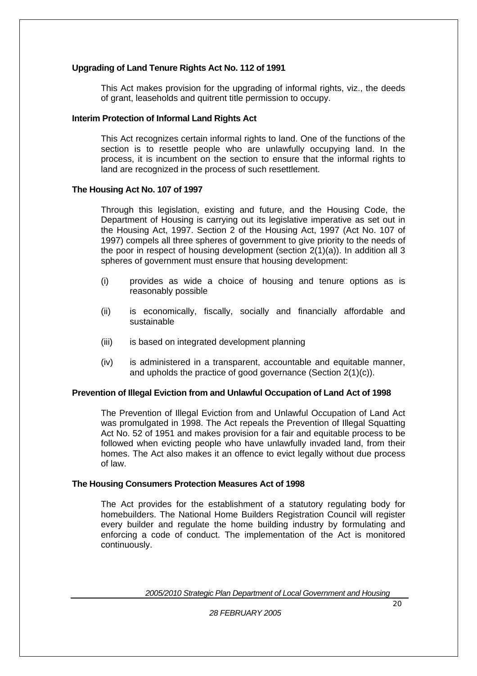#### **Upgrading of Land Tenure Rights Act No. 112 of 1991**

This Act makes provision for the upgrading of informal rights, viz., the deeds of grant, leaseholds and quitrent title permission to occupy.

#### **Interim Protection of Informal Land Rights Act**

This Act recognizes certain informal rights to land. One of the functions of the section is to resettle people who are unlawfully occupying land. In the process, it is incumbent on the section to ensure that the informal rights to land are recognized in the process of such resettlement.

#### **The Housing Act No. 107 of 1997**

Through this legislation, existing and future, and the Housing Code, the Department of Housing is carrying out its legislative imperative as set out in the Housing Act, 1997. Section 2 of the Housing Act, 1997 (Act No. 107 of 1997) compels all three spheres of government to give priority to the needs of the poor in respect of housing development (section 2(1)(a)). In addition all 3 spheres of government must ensure that housing development:

- (i) provides as wide a choice of housing and tenure options as is reasonably possible
- (ii) is economically, fiscally, socially and financially affordable and sustainable
- (iii) is based on integrated development planning
- (iv) is administered in a transparent, accountable and equitable manner, and upholds the practice of good governance (Section 2(1)(c)).

#### **Prevention of Illegal Eviction from and Unlawful Occupation of Land Act of 1998**

The Prevention of Illegal Eviction from and Unlawful Occupation of Land Act was promulgated in 1998. The Act repeals the Prevention of Illegal Squatting Act No. 52 of 1951 and makes provision for a fair and equitable process to be followed when evicting people who have unlawfully invaded land, from their homes. The Act also makes it an offence to evict legally without due process of law.

#### **The Housing Consumers Protection Measures Act of 1998**

The Act provides for the establishment of a statutory regulating body for homebuilders. The National Home Builders Registration Council will register every builder and regulate the home building industry by formulating and enforcing a code of conduct. The implementation of the Act is monitored continuously.

*2005/2010 Strategic Plan Department of Local Government and Housing*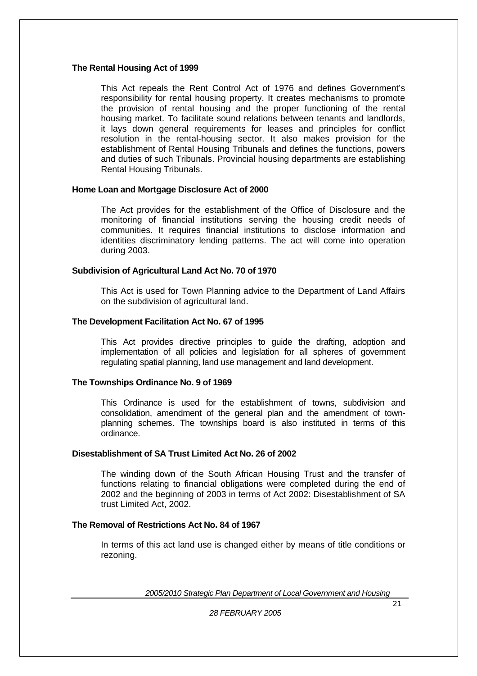#### **The Rental Housing Act of 1999**

This Act repeals the Rent Control Act of 1976 and defines Government's responsibility for rental housing property. It creates mechanisms to promote the provision of rental housing and the proper functioning of the rental housing market. To facilitate sound relations between tenants and landlords, it lays down general requirements for leases and principles for conflict resolution in the rental-housing sector. It also makes provision for the establishment of Rental Housing Tribunals and defines the functions, powers and duties of such Tribunals. Provincial housing departments are establishing Rental Housing Tribunals.

#### **Home Loan and Mortgage Disclosure Act of 2000**

The Act provides for the establishment of the Office of Disclosure and the monitoring of financial institutions serving the housing credit needs of communities. It requires financial institutions to disclose information and identities discriminatory lending patterns. The act will come into operation during 2003.

#### **Subdivision of Agricultural Land Act No. 70 of 1970**

This Act is used for Town Planning advice to the Department of Land Affairs on the subdivision of agricultural land.

#### **The Development Facilitation Act No. 67 of 1995**

This Act provides directive principles to guide the drafting, adoption and implementation of all policies and legislation for all spheres of government regulating spatial planning, land use management and land development.

#### **The Townships Ordinance No. 9 of 1969**

This Ordinance is used for the establishment of towns, subdivision and consolidation, amendment of the general plan and the amendment of townplanning schemes. The townships board is also instituted in terms of this ordinance.

#### **Disestablishment of SA Trust Limited Act No. 26 of 2002**

The winding down of the South African Housing Trust and the transfer of functions relating to financial obligations were completed during the end of 2002 and the beginning of 2003 in terms of Act 2002: Disestablishment of SA trust Limited Act, 2002.

#### **The Removal of Restrictions Act No. 84 of 1967**

In terms of this act land use is changed either by means of title conditions or rezoning.

*2005/2010 Strategic Plan Department of Local Government and Housing*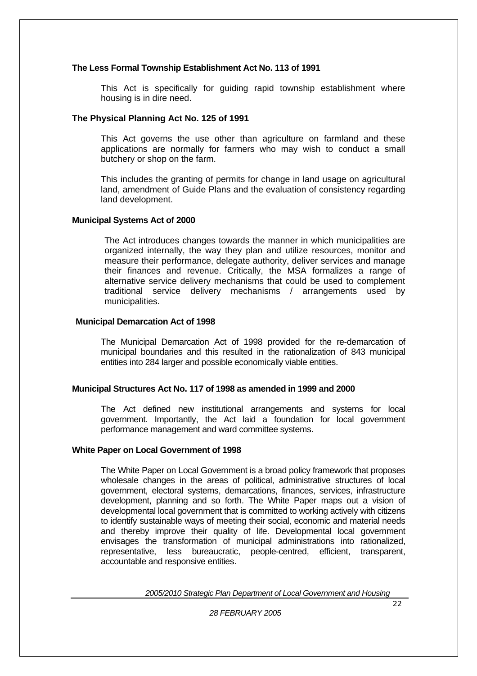#### **The Less Formal Township Establishment Act No. 113 of 1991**

This Act is specifically for guiding rapid township establishment where housing is in dire need.

#### **The Physical Planning Act No. 125 of 1991**

This Act governs the use other than agriculture on farmland and these applications are normally for farmers who may wish to conduct a small butchery or shop on the farm.

This includes the granting of permits for change in land usage on agricultural land, amendment of Guide Plans and the evaluation of consistency regarding land development.

#### **Municipal Systems Act of 2000**

 The Act introduces changes towards the manner in which municipalities are organized internally, the way they plan and utilize resources, monitor and measure their performance, delegate authority, deliver services and manage their finances and revenue. Critically, the MSA formalizes a range of alternative service delivery mechanisms that could be used to complement traditional service delivery mechanisms / arrangements used by municipalities.

#### **Municipal Demarcation Act of 1998**

The Municipal Demarcation Act of 1998 provided for the re-demarcation of municipal boundaries and this resulted in the rationalization of 843 municipal entities into 284 larger and possible economically viable entities.

#### **Municipal Structures Act No. 117 of 1998 as amended in 1999 and 2000**

The Act defined new institutional arrangements and systems for local government. Importantly, the Act laid a foundation for local government performance management and ward committee systems.

#### **White Paper on Local Government of 1998**

The White Paper on Local Government is a broad policy framework that proposes wholesale changes in the areas of political, administrative structures of local government, electoral systems, demarcations, finances, services, infrastructure development, planning and so forth. The White Paper maps out a vision of developmental local government that is committed to working actively with citizens to identify sustainable ways of meeting their social, economic and material needs and thereby improve their quality of life. Developmental local government envisages the transformation of municipal administrations into rationalized, representative, less bureaucratic, people-centred, efficient, transparent, accountable and responsive entities.

*2005/2010 Strategic Plan Department of Local Government and Housing*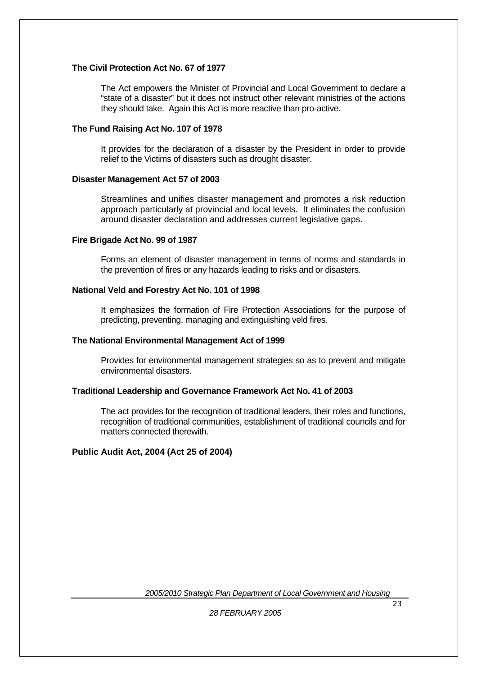#### **The Civil Protection Act No. 67 of 1977**

The Act empowers the Minister of Provincial and Local Government to declare a "state of a disaster" but it does not instruct other relevant ministries of the actions they should take.Again this Act is more reactive than pro-active*.* 

#### **The Fund Raising Act No. 107 of 1978**

It provides for the declaration of a disaster by the President in order to provide relief to the Victims of disasters such as drought disaster.

#### **Disaster Management Act 57 of 2003**

Streamlines and unifies disaster management and promotes a risk reduction approach particularly at provincial and local levels. It eliminates the confusion around disaster declaration and addresses current legislative gaps.

#### **Fire Brigade Act No. 99 of 1987**

Forms an element of disaster management in terms of norms and standards in the prevention of fires or any hazards leading to risks and or disasters.

#### **National Veld and Forestry Act No. 101 of 1998**

It emphasizes the formation of Fire Protection Associations for the purpose of predicting, preventing, managing and extinguishing veld fires.

#### **The National Environmental Management Act of 1999**

Provides for environmental management strategies so as to prevent and mitigate environmental disasters.

#### **Traditional Leadership and Governance Framework Act No. 41 of 2003**

The act provides for the recognition of traditional leaders, their roles and functions, recognition of traditional communities, establishment of traditional councils and for matters connected therewith.

#### **Public Audit Act, 2004 (Act 25 of 2004)**

*2005/2010 Strategic Plan Department of Local Government and Housing*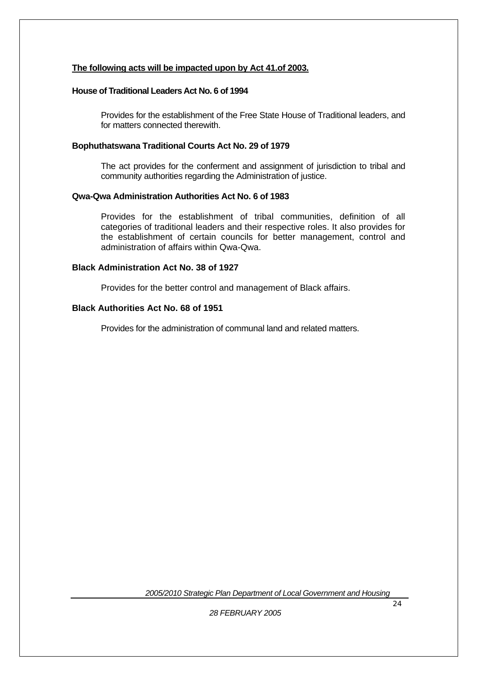#### **The following acts will be impacted upon by Act 41.of 2003.**

#### **House of Traditional Leaders Act No. 6 of 1994**

Provides for the establishment of the Free State House of Traditional leaders, and for matters connected therewith.

#### **Bophuthatswana Traditional Courts Act No. 29 of 1979**

The act provides for the conferment and assignment of jurisdiction to tribal and community authorities regarding the Administration of justice.

#### **Qwa-Qwa Administration Authorities Act No. 6 of 1983**

Provides for the establishment of tribal communities, definition of all categories of traditional leaders and their respective roles. It also provides for the establishment of certain councils for better management, control and administration of affairs within Qwa-Qwa.

#### **Black Administration Act No. 38 of 1927**

Provides for the better control and management of Black affairs.

#### **Black Authorities Act No. 68 of 1951**

Provides for the administration of communal land and related matters.

*2005/2010 Strategic Plan Department of Local Government and Housing*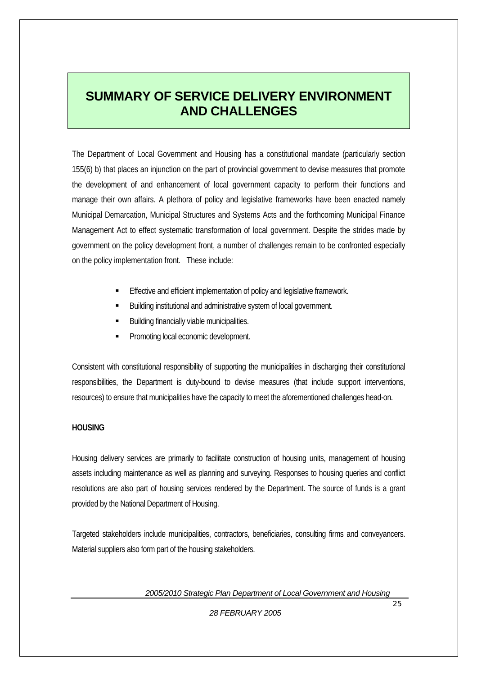# **SUMMARY OF SERVICE DELIVERY ENVIRONMENT AND CHALLENGES**

The Department of Local Government and Housing has a constitutional mandate (particularly section 155(6) b) that places an injunction on the part of provincial government to devise measures that promote the development of and enhancement of local government capacity to perform their functions and manage their own affairs. A plethora of policy and legislative frameworks have been enacted namely Municipal Demarcation, Municipal Structures and Systems Acts and the forthcoming Municipal Finance Management Act to effect systematic transformation of local government. Despite the strides made by government on the policy development front, a number of challenges remain to be confronted especially on the policy implementation front. These include:

- Effective and efficient implementation of policy and legislative framework.
- Building institutional and administrative system of local government.
- Building financially viable municipalities.
- Promoting local economic development.

Consistent with constitutional responsibility of supporting the municipalities in discharging their constitutional responsibilities, the Department is duty-bound to devise measures (that include support interventions, resources) to ensure that municipalities have the capacity to meet the aforementioned challenges head-on.

#### **HOUSING**

Housing delivery services are primarily to facilitate construction of housing units, management of housing assets including maintenance as well as planning and surveying. Responses to housing queries and conflict resolutions are also part of housing services rendered by the Department. The source of funds is a grant provided by the National Department of Housing.

Targeted stakeholders include municipalities, contractors, beneficiaries, consulting firms and conveyancers. Material suppliers also form part of the housing stakeholders.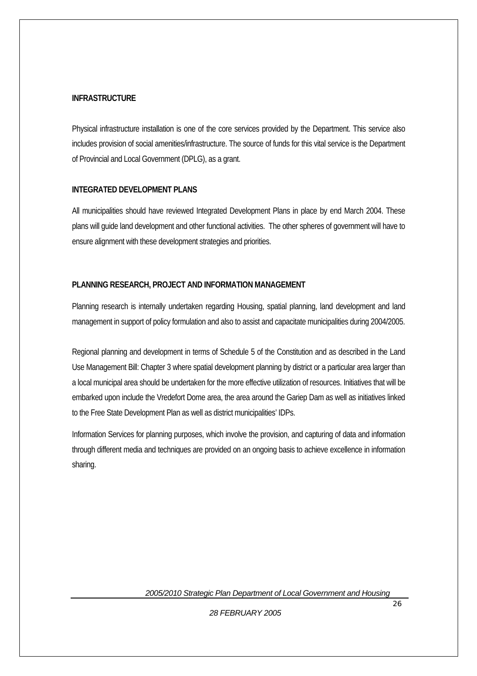#### **INFRASTRUCTURE**

Physical infrastructure installation is one of the core services provided by the Department. This service also includes provision of social amenities/infrastructure. The source of funds for this vital service is the Department of Provincial and Local Government (DPLG), as a grant.

#### **INTEGRATED DEVELOPMENT PLANS**

All municipalities should have reviewed Integrated Development Plans in place by end March 2004. These plans will guide land development and other functional activities. The other spheres of government will have to ensure alignment with these development strategies and priorities.

#### **PLANNING RESEARCH, PROJECT AND INFORMATION MANAGEMENT**

Planning research is internally undertaken regarding Housing, spatial planning, land development and land management in support of policy formulation and also to assist and capacitate municipalities during 2004/2005.

Regional planning and development in terms of Schedule 5 of the Constitution and as described in the Land Use Management Bill: Chapter 3 where spatial development planning by district or a particular area larger than a local municipal area should be undertaken for the more effective utilization of resources. Initiatives that will be embarked upon include the Vredefort Dome area, the area around the Gariep Dam as well as initiatives linked to the Free State Development Plan as well as district municipalities' IDPs.

Information Services for planning purposes, which involve the provision, and capturing of data and information through different media and techniques are provided on an ongoing basis to achieve excellence in information sharing.

*2005/2010 Strategic Plan Department of Local Government and Housing*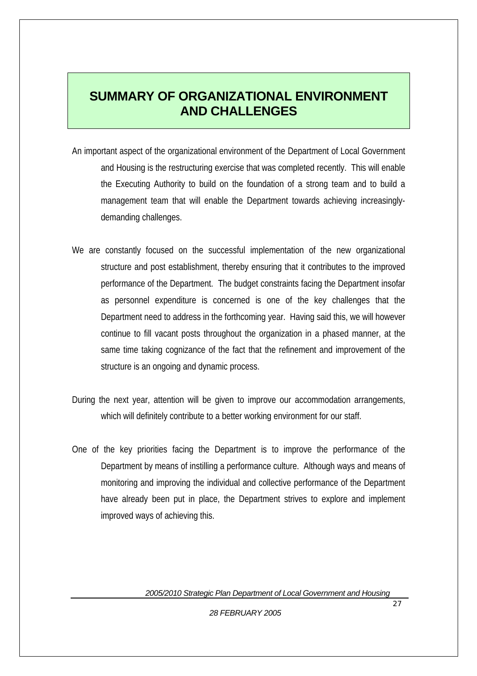# **SUMMARY OF ORGANIZATIONAL ENVIRONMENT AND CHALLENGES**

- An important aspect of the organizational environment of the Department of Local Government and Housing is the restructuring exercise that was completed recently. This will enable the Executing Authority to build on the foundation of a strong team and to build a management team that will enable the Department towards achieving increasinglydemanding challenges.
- We are constantly focused on the successful implementation of the new organizational structure and post establishment, thereby ensuring that it contributes to the improved performance of the Department. The budget constraints facing the Department insofar as personnel expenditure is concerned is one of the key challenges that the Department need to address in the forthcoming year. Having said this, we will however continue to fill vacant posts throughout the organization in a phased manner, at the same time taking cognizance of the fact that the refinement and improvement of the structure is an ongoing and dynamic process.
- During the next year, attention will be given to improve our accommodation arrangements, which will definitely contribute to a better working environment for our staff.
- One of the key priorities facing the Department is to improve the performance of the Department by means of instilling a performance culture. Although ways and means of monitoring and improving the individual and collective performance of the Department have already been put in place, the Department strives to explore and implement improved ways of achieving this.

*2005/2010 Strategic Plan Department of Local Government and Housing*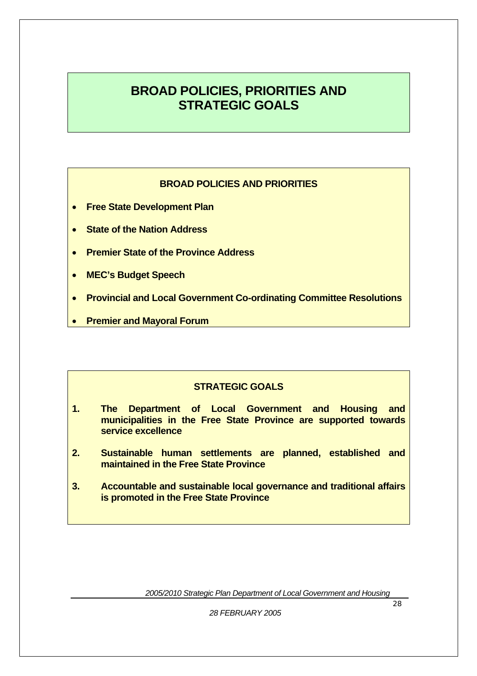# **BROAD POLICIES, PRIORITIES AND STRATEGIC GOALS**

#### **BROAD POLICIES AND PRIORITIES**

- **Free State Development Plan**
- **State of the Nation Address**
- **Premier State of the Province Address**
- **MEC's Budget Speech**
- **Provincial and Local Government Co-ordinating Committee Resolutions**
- **Premier and Mayoral Forum**

#### **STRATEGIC GOALS**

- **1. The Department of Local Government and Housing and municipalities in the Free State Province are supported towards service excellence**
- **2. Sustainable human settlements are planned, established and maintained in the Free State Province**
- **3. Accountable and sustainable local governance and traditional affairs is promoted in the Free State Province**

*2005/2010 Strategic Plan Department of Local Government and Housing*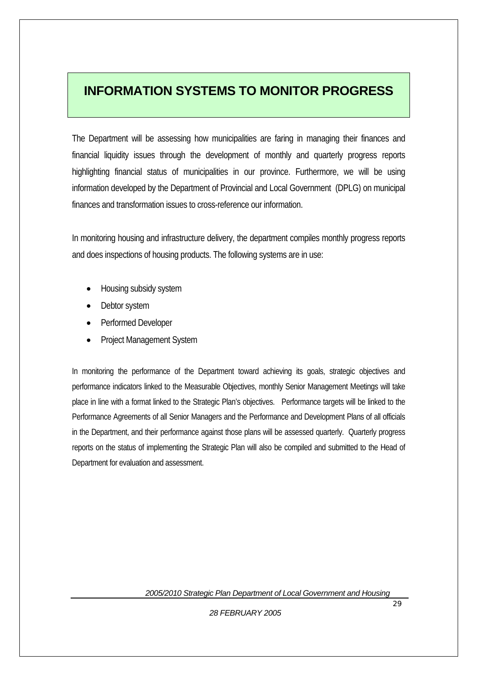# **INFORMATION SYSTEMS TO MONITOR PROGRESS**

The Department will be assessing how municipalities are faring in managing their finances and financial liquidity issues through the development of monthly and quarterly progress reports highlighting financial status of municipalities in our province. Furthermore, we will be using information developed by the Department of Provincial and Local Government (DPLG) on municipal finances and transformation issues to cross-reference our information.

In monitoring housing and infrastructure delivery, the department compiles monthly progress reports and does inspections of housing products. The following systems are in use:

- Housing subsidy system
- Debtor system
- Performed Developer
- Project Management System

In monitoring the performance of the Department toward achieving its goals, strategic objectives and performance indicators linked to the Measurable Objectives, monthly Senior Management Meetings will take place in line with a format linked to the Strategic Plan's objectives. Performance targets will be linked to the Performance Agreements of all Senior Managers and the Performance and Development Plans of all officials in the Department, and their performance against those plans will be assessed quarterly. Quarterly progress reports on the status of implementing the Strategic Plan will also be compiled and submitted to the Head of Department for evaluation and assessment.

*2005/2010 Strategic Plan Department of Local Government and Housing*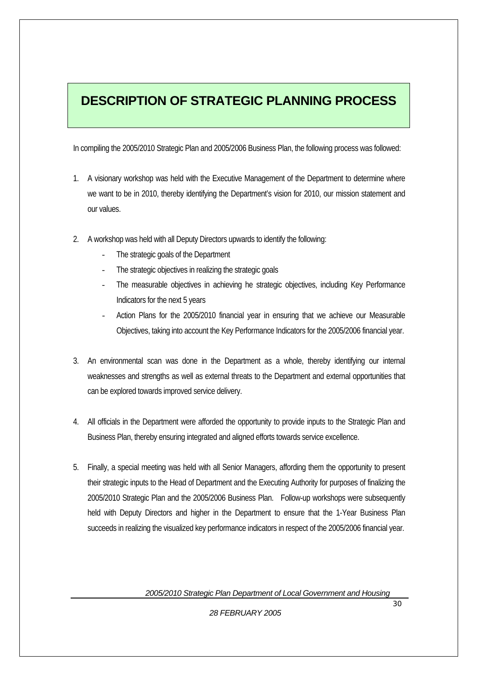# **DESCRIPTION OF STRATEGIC PLANNING PROCESS**

In compiling the 2005/2010 Strategic Plan and 2005/2006 Business Plan, the following process was followed:

- 1. A visionary workshop was held with the Executive Management of the Department to determine where we want to be in 2010, thereby identifying the Department's vision for 2010, our mission statement and our values.
- 2. A workshop was held with all Deputy Directors upwards to identify the following:
	- The strategic goals of the Department
	- The strategic objectives in realizing the strategic goals
	- The measurable objectives in achieving he strategic objectives, including Key Performance Indicators for the next 5 years
	- Action Plans for the 2005/2010 financial year in ensuring that we achieve our Measurable Objectives, taking into account the Key Performance Indicators for the 2005/2006 financial year.
- 3. An environmental scan was done in the Department as a whole, thereby identifying our internal weaknesses and strengths as well as external threats to the Department and external opportunities that can be explored towards improved service delivery.
- 4. All officials in the Department were afforded the opportunity to provide inputs to the Strategic Plan and Business Plan, thereby ensuring integrated and aligned efforts towards service excellence.
- 5. Finally, a special meeting was held with all Senior Managers, affording them the opportunity to present their strategic inputs to the Head of Department and the Executing Authority for purposes of finalizing the 2005/2010 Strategic Plan and the 2005/2006 Business Plan. Follow-up workshops were subsequently held with Deputy Directors and higher in the Department to ensure that the 1-Year Business Plan succeeds in realizing the visualized key performance indicators in respect of the 2005/2006 financial year.

*2005/2010 Strategic Plan Department of Local Government and Housing*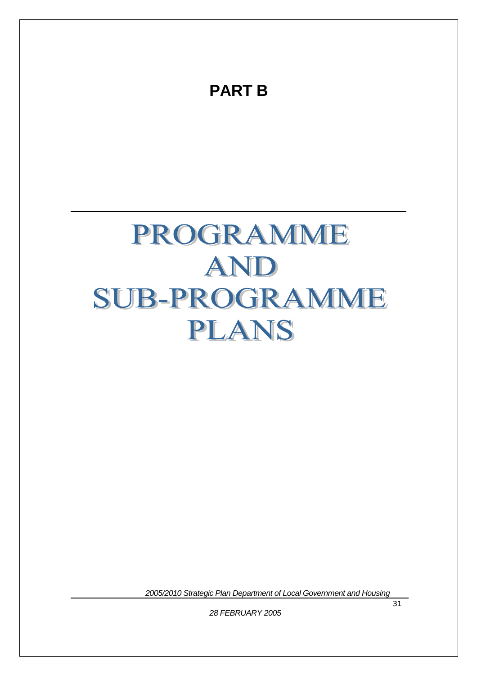# **PART B** PROGRAMME AND SUB-PROGRAMME PLANS

*2005/2010 Strategic Plan Department of Local Government and Housing*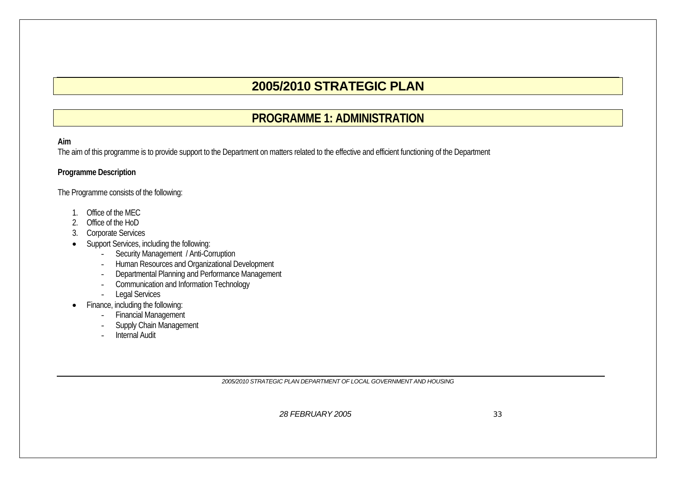# **2005/2010 STRATEGIC PLAN**

### **PROGRAMME 1: ADMINISTRATION**

#### **Aim**

The aim of this programme is to provide support to the Department on matters related to the effective and efficient functioning of the Department

#### **Programme Description**

The Programme consists of the following:

- 1. Office of the MEC
- 2. Office of the HoD
- 3. Corporate Services
- • Support Services, including the following:
	- -Security Management / Anti-Corruption
	- -Human Resources and Organizational Development
	- -Departmental Planning and Performance Management
	- Communication and Information Technology
	- -Legal Services
- • Finance, including the following:
	- -Financial Management
	- Supply Chain Management
	- -Internal Audit

*2005/2010 STRATEGIC PLAN DEPARTMENT OF LOCAL GOVERNMENT AND HOUSING*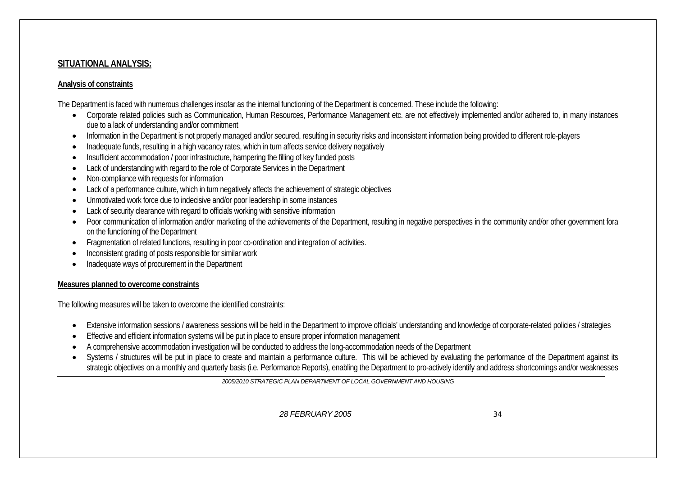#### **SITUATIONAL ANALYSIS:**

#### **Analysis of constraints**

The Department is faced with numerous challenges insofar as the internal functioning of the Department is concerned. These include the following:

- Corporate related policies such as Communication, Human Resources, Performance Management etc. are not effectively implemented and/or adhered to, in many instances due to a lack of understanding and/or commitment
- •Information in the Department is not properly managed and/or secured, resulting in security risks and inconsistent information being provided to different role-players
- •Inadequate funds, resulting in a high vacancy rates, which in turn affects service delivery negatively
- •Insufficient accommodation / poor infrastructure, hampering the filling of key funded posts
- •Lack of understanding with regard to the role of Corporate Services in the Department
- •Non-compliance with requests for information
- •Lack of a performance culture, which in turn negatively affects the achievement of strategic objectives
- •Unmotivated work force due to indecisive and/or poor leadership in some instances
- •Lack of security clearance with regard to officials working with sensitive information
- •Poor communication of information and/or marketing of the achievements of the Department, resulting in negative perspectives in the community and/or other government fora on the functioning of the Department
- •Fragmentation of related functions, resulting in poor co-ordination and integration of activities.
- •Inconsistent grading of posts responsible for similar work
- •Inadequate ways of procurement in the Department

#### **Measures planned to overcome constraints**

The following measures will be taken to overcome the identified constraints:

- •Extensive information sessions / awareness sessions will be held in the Department to improve officials' understanding and knowledge of corporate-related policies / strategies
- •Effective and efficient information systems will be put in place to ensure proper information management
- •A comprehensive accommodation investigation will be conducted to address the long-accommodation needs of the Department
- •Systems / structures will be put in place to create and maintain a performance culture. This will be achieved by evaluating the performance of the Department against its strategic objectives on a monthly and quarterly basis (i.e. Performance Reports), enabling the Department to pro-actively identify and address shortcomings and/or weaknesses

*2005/2010 STRATEGIC PLAN DEPARTMENT OF LOCAL GOVERNMENT AND HOUSING*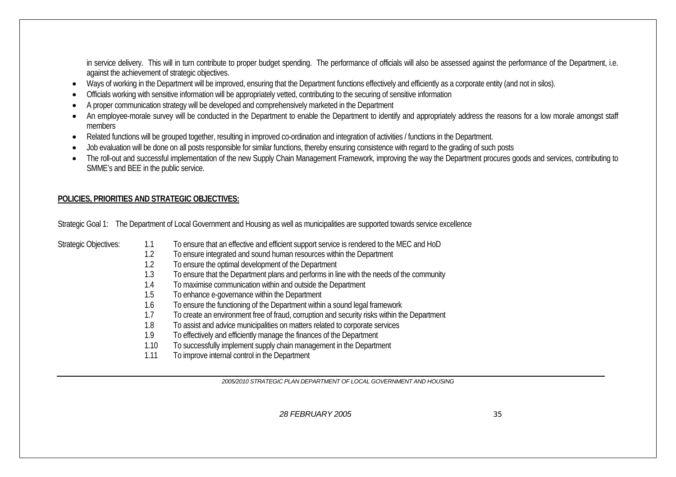in service delivery. This will in turn contribute to proper budget spending. The performance of officials will also be assessed against the performance of the Department, i.e. against the achievement of strategic objectives.

- Ways of working in the Department will be improved, ensuring that the Department functions effectively and efficiently as a corporate entity (and not in silos).
- •Officials working with sensitive information will be appropriately vetted, contributing to the securing of sensitive information
- •A proper communication strategy will be developed and comprehensively marketed in the Department
- •An employee-morale survey will be conducted in the Department to enable the Department to identify and appropriately address the reasons for a low morale amongst staff members
- Related functions will be grouped together, resulting in improved co-ordination and integration of activities / functions in the Department.
- •Job evaluation will be done on all posts responsible for similar functions, thereby ensuring consistence with regard to the grading of such posts
- • The roll-out and successful implementation of the new Supply Chain Management Framework, improving the way the Department procures goods and services, contributing to SMME's and BEE in the public service.

#### **POLICIES, PRIORITIES AND STRATEGIC OBJECTIVES:**

Strategic Goal 1: The Department of Local Government and Housing as well as municipalities are supported towards service excellence

| <b>Strategic Objectives:</b> | 1.1<br>1.2<br>1.2<br>1.3<br>1.4<br>1.5<br>1.6<br>1.7<br>1.8<br>1.9 | To ensure that an effective and efficient support service is rendered to the MEC and HoD<br>To ensure integrated and sound human resources within the Department<br>To ensure the optimal development of the Department<br>To ensure that the Department plans and performs in line with the needs of the community<br>To maximise communication within and outside the Department<br>To enhance e-governance within the Department<br>To ensure the functioning of the Department within a sound legal framework<br>To create an environment free of fraud, corruption and security risks within the Department<br>To assist and advice municipalities on matters related to corporate services<br>To effectively and efficiently manage the finances of the Department |
|------------------------------|--------------------------------------------------------------------|--------------------------------------------------------------------------------------------------------------------------------------------------------------------------------------------------------------------------------------------------------------------------------------------------------------------------------------------------------------------------------------------------------------------------------------------------------------------------------------------------------------------------------------------------------------------------------------------------------------------------------------------------------------------------------------------------------------------------------------------------------------------------|
|                              | 1.10<br>1.11                                                       | To successfully implement supply chain management in the Department<br>To improve internal control in the Department                                                                                                                                                                                                                                                                                                                                                                                                                                                                                                                                                                                                                                                     |
|                              |                                                                    |                                                                                                                                                                                                                                                                                                                                                                                                                                                                                                                                                                                                                                                                                                                                                                          |

*2005/2010 STRATEGIC PLAN DEPARTMENT OF LOCAL GOVERNMENT AND HOUSING*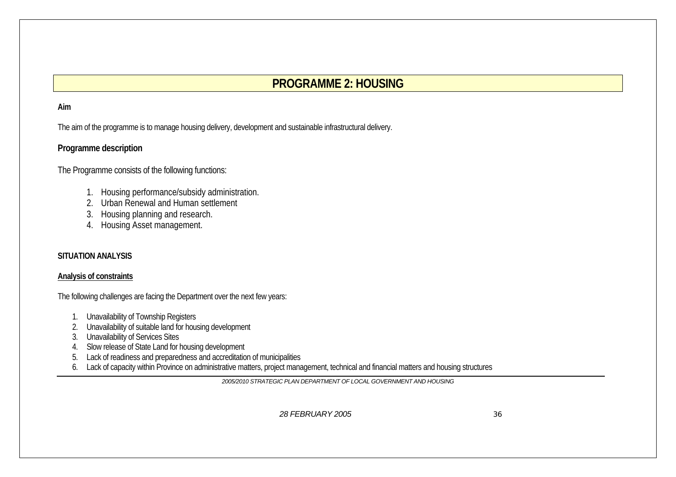### **PROGRAMME 2: HOUSING**

#### **Aim**

The aim of the programme is to manage housing delivery, development and sustainable infrastructural delivery.

#### **Programme description**

The Programme consists of the following functions:

- 1. Housing performance/subsidy administration.
- 2. Urban Renewal and Human settlement
- 3. Housing planning and research.
- 4. Housing Asset management.

#### **SITUATION ANALYSIS**

#### **Analysis of constraints**

The following challenges are facing the Department over the next few years:

- 1. Unavailability of Township Registers
- 2. Unavailability of suitable land for housing development
- 3. Unavailability of Services Sites
- 4. Slow release of State Land for housing development
- 5. Lack of readiness and preparedness and accreditation of municipalities
- 6. Lack of capacity within Province on administrative matters, project management, technical and financial matters and housing structures

*2005/2010 STRATEGIC PLAN DEPARTMENT OF LOCAL GOVERNMENT AND HOUSING*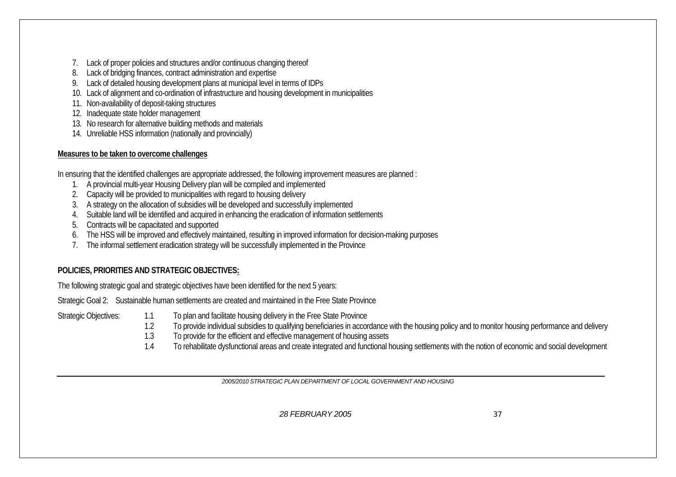- 7. Lack of proper policies and structures and/or continuous changing thereof
- 8. Lack of bridging finances, contract administration and expertise
- 9. Lack of detailed housing development plans at municipal level in terms of IDPs
- 10. Lack of alignment and co-ordination of infrastructure and housing development in municipalities
- 11. Non-availability of deposit-taking structures
- 12. Inadequate state holder management
- 13. No research for alternative building methods and materials
- 14. Unreliable HSS information (nationally and provincially)

#### **Measures to be taken to overcome challenges**

In ensuring that the identified challenges are appropriate addressed, the following improvement measures are planned :

- 1. A provincial multi-year Housing Delivery plan will be compiled and implemented
- 2. Capacity will be provided to municipalities with regard to housing delivery
- 3. A strategy on the allocation of subsidies will be developed and successfully implemented
- 4. Suitable land will be identified and acquired in enhancing the eradication of information settlements
- 5. Contracts will be capacitated and supported
- 6. The HSS will be improved and effectively maintained, resulting in improved information for decision-making purposes
- 7. The informal settlement eradication strategy will be successfully implemented in the Province

#### **POLICIES, PRIORITIES AND STRATEGIC OBJECTIVES:**

The following strategic goal and strategic objectives have been identified for the next 5 years:

Strategic Goal 2: Sustainable human settlements are created and maintained in the Free State Province

- Strategic Objectives: 1.1 To plan and facilitate housing delivery in the Free State Province
	- 1.2 To provide individual subsidies to qualifying beneficiaries in accordance with the housing policy and to monitor housing performance and delivery
	- 1.3 To provide for the efficient and effective management of housing assets
	- 1.4 To rehabilitate dysfunctional areas and create integrated and functional housing settlements with the notion of economic and social development

*2005/2010 STRATEGIC PLAN DEPARTMENT OF LOCAL GOVERNMENT AND HOUSING*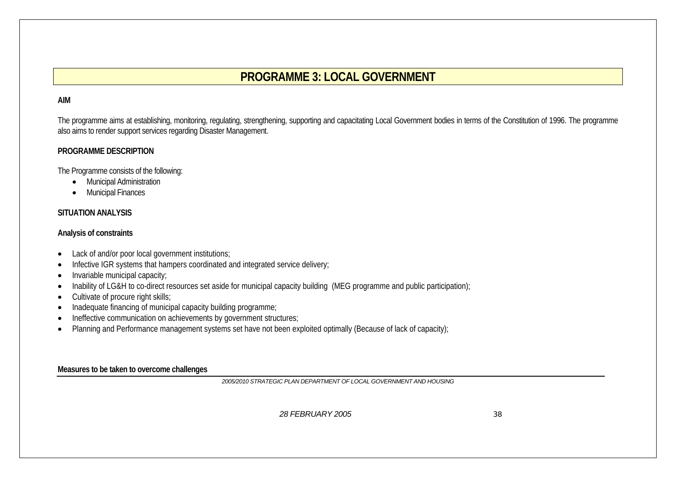# **PROGRAMME 3: LOCAL GOVERNMENT**

#### **AIM**

The programme aims at establishing, monitoring, regulating, strengthening, supporting and capacitating Local Government bodies in terms of the Constitution of 1996. The programme also aims to render support services regarding Disaster Management.

#### **PROGRAMME DESCRIPTION**

The Programme consists of the following:

- Municipal Administration
- •Municipal Finances

#### **SITUATION ANALYSIS**

#### **Analysis of constraints**

- •Lack of and/or poor local government institutions;
- •Infective IGR systems that hampers coordinated and integrated service delivery;
- •Invariable municipal capacity;
- •Inability of LG&H to co-direct resources set aside for municipal capacity building (MEG programme and public participation);
- •Cultivate of procure right skills;
- •Inadequate financing of municipal capacity building programme;
- •Ineffective communication on achievements by government structures;
- •Planning and Performance management systems set have not been exploited optimally (Because of lack of capacity);

#### **Measures to be taken to overcome challenges**

*2005/2010 STRATEGIC PLAN DEPARTMENT OF LOCAL GOVERNMENT AND HOUSING*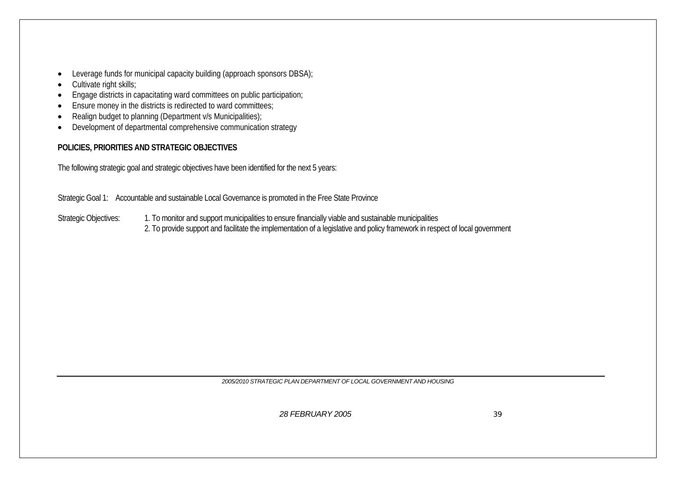- •Leverage funds for municipal capacity building (approach sponsors DBSA);
- •Cultivate right skills;
- •Engage districts in capacitating ward committees on public participation;
- •Ensure money in the districts is redirected to ward committees;
- •Realign budget to planning (Department v/s Municipalities);
- •Development of departmental comprehensive communication strategy

#### **POLICIES, PRIORITIES AND STRATEGIC OBJECTIVES**

The following strategic goal and strategic objectives have been identified for the next 5 years:

Strategic Goal 1: Accountable and sustainable Local Governance is promoted in the Free State Province

Strategic Objectives: 1. To monitor and support municipalities to ensure financially viable and sustainable municipalities 2. To provide support and facilitate the implementation of a legislative and policy framework in respect of local government

*2005/2010 STRATEGIC PLAN DEPARTMENT OF LOCAL GOVERNMENT AND HOUSING*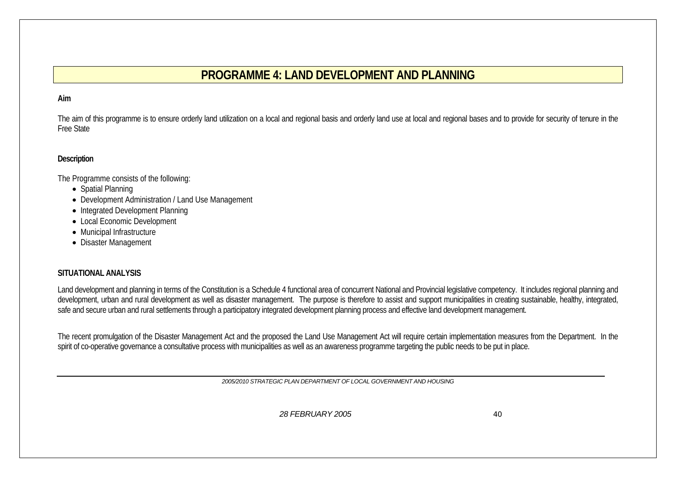# **PROGRAMME 4: LAND DEVELOPMENT AND PLANNING**

#### **Aim**

The aim of this programme is to ensure orderly land utilization on a local and regional basis and orderly land use at local and regional bases and to provide for security of tenure in the Free State

#### **Description**

The Programme consists of the following:

- Spatial Planning
- Development Administration / Land Use Management
- Integrated Development Planning
- Local Economic Development
- Municipal Infrastructure
- Disaster Management

#### **SITUATIONAL ANALYSIS**

Land development and planning in terms of the Constitution is a Schedule 4 functional area of concurrent National and Provincial legislative competency. It includes regional planning and development, urban and rural development as well as disaster management. The purpose is therefore to assist and support municipalities in creating sustainable, healthy, integrated, safe and secure urban and rural settlements through a participatory integrated development planning process and effective land development management.

The recent promulgation of the Disaster Management Act and the proposed the Land Use Management Act will require certain implementation measures from the Department. In the spirit of co-operative governance a consultative process with municipalities as well as an awareness programme targeting the public needs to be put in place.

*2005/2010 STRATEGIC PLAN DEPARTMENT OF LOCAL GOVERNMENT AND HOUSING*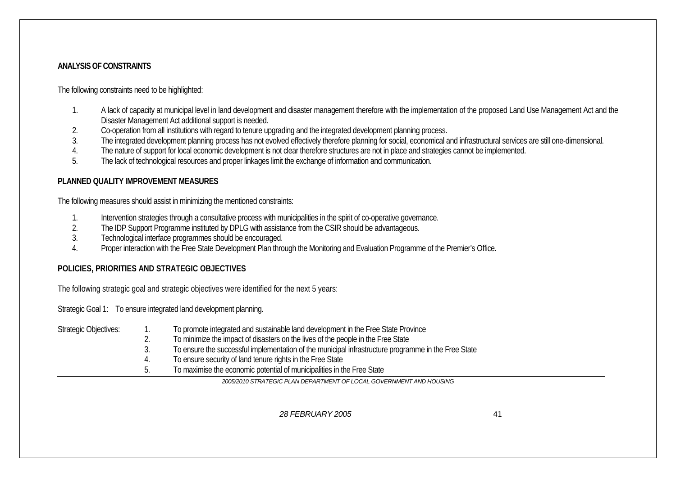#### **ANALYSIS OF CONSTRAINTS**

The following constraints need to be highlighted:

- 1. A lack of capacity at municipal level in land development and disaster management therefore with the implementation of the proposed Land Use Management Act and the Disaster Management Act additional support is needed.
- 2.Co-operation from all institutions with regard to tenure upgrading and the integrated development planning process.
- 3.The integrated development planning process has not evolved effectively therefore planning for social, economical and infrastructural services are still one-dimensional.
- 4.The nature of support for local economic development is not clear therefore structures are not in place and strategies cannot be implemented.
- 5.The lack of technological resources and proper linkages limit the exchange of information and communication.

#### **PLANNED QUALITY IMPROVEMENT MEASURES**

The following measures should assist in minimizing the mentioned constraints:

- 1.Intervention strategies through a consultative process with municipalities in the spirit of co-operative governance.
- 2.The IDP Support Programme instituted by DPLG with assistance from the CSIR should be advantageous.
- 3.Technological interface programmes should be encouraged.
- 4.Proper interaction with the Free State Development Plan through the Monitoring and Evaluation Programme of the Premier's Office.

#### **POLICIES, PRIORITIES AND STRATEGIC OBJECTIVES**

The following strategic goal and strategic objectives were identified for the next 5 years:

Strategic Goal 1: To ensure integrated land development planning.

- Strategic Objectives: 1. To promote integrated and sustainable land development in the Free State Province 2. To minimize the impact of disasters on the lives of the people in the Free State
	- 3. To ensure the successful implementation of the municipal infrastructure programme in the Free State
	- 4. To ensure security of land tenure rights in the Free State
	- 5. To maximise the economic potential of municipalities in the Free State

*2005/2010 STRATEGIC PLAN DEPARTMENT OF LOCAL GOVERNMENT AND HOUSING*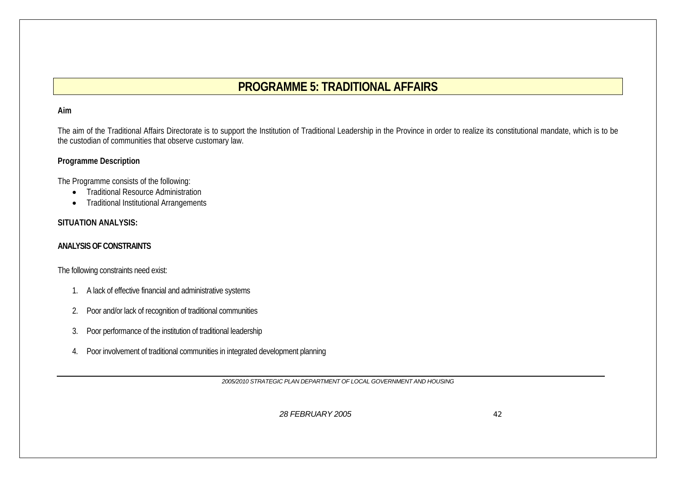# **PROGRAMME 5: TRADITIONAL AFFAIRS**

### **Aim**

The aim of the Traditional Affairs Directorate is to support the Institution of Traditional Leadership in the Province in order to realize its constitutional mandate, which is to be the custodian of communities that observe customary law.

### **Programme Description**

The Programme consists of the following:

- Traditional Resource Administration
- •Traditional Institutional Arrangements

## **SITUATION ANALYSIS:**

### **ANALYSIS OF CONSTRAINTS**

The following constraints need exist:

- 1. A lack of effective financial and administrative systems
- 2.Poor and/or lack of recognition of traditional communities
- 3.Poor performance of the institution of traditional leadership
- 4. Poor involvement of traditional communities in integrated development planning

*2005/2010 STRATEGIC PLAN DEPARTMENT OF LOCAL GOVERNMENT AND HOUSING*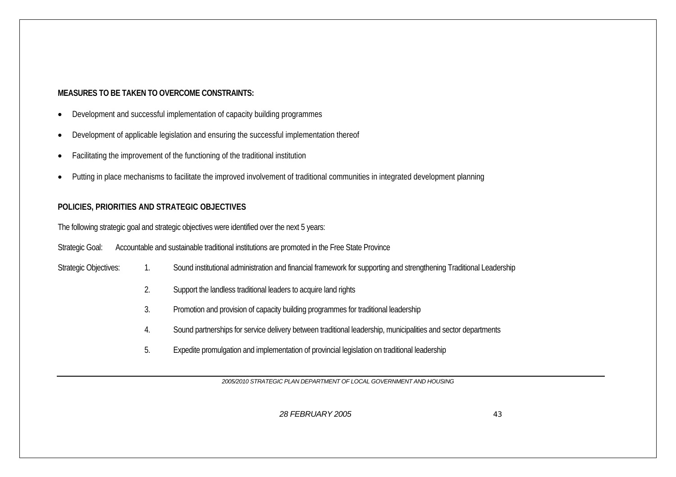## **MEASURES TO BE TAKEN TO OVERCOME CONSTRAINTS:**

- •Development and successful implementation of capacity building programmes
- •Development of applicable legislation and ensuring the successful implementation thereof
- •Facilitating the improvement of the functioning of the traditional institution
- •Putting in place mechanisms to facilitate the improved involvement of traditional communities in integrated development planning

## **POLICIES, PRIORITIES AND STRATEGIC OBJECTIVES**

The following strategic goal and strategic objectives were identified over the next 5 years:

Strategic Goal: Accountable and sustainable traditional institutions are promoted in the Free State Province

Strategic Objectives: 1. Sound institutional administration and financial framework for supporting and strengthening Traditional Leadership

- 2. Support the landless traditional leaders to acquire land rights
- 3. Promotion and provision of capacity building programmes for traditional leadership
- 4. Sound partnerships for service delivery between traditional leadership, municipalities and sector departments
- 5. Expedite promulgation and implementation of provincial legislation on traditional leadership

*2005/2010 STRATEGIC PLAN DEPARTMENT OF LOCAL GOVERNMENT AND HOUSING*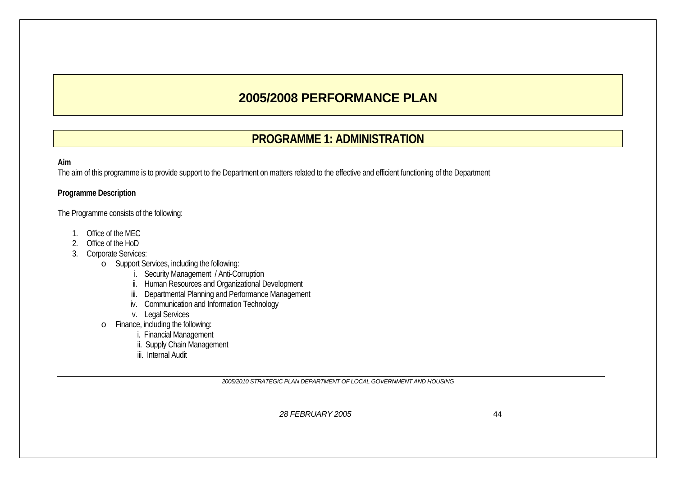# **2005/2008 PERFORMANCE PLAN**

# **PROGRAMME 1: ADMINISTRATION**

#### **Aim**

The aim of this programme is to provide support to the Department on matters related to the effective and efficient functioning of the Department

#### **Programme Description**

The Programme consists of the following:

- 1. Office of the MEC
- 2. Office of the HoD
- 3. Corporate Services:
	- o Support Services, including the following:
		- i. Security Management / Anti-Corruption
		- ii. Human Resources and Organizational Development
		- iii. Departmental Planning and Performance Management
		- iv. Communication and Information Technology
		- v. Legal Services
	- o Finance, including the following:
		- i. Financial Management
			- ii. Supply Chain Management
			- iii. Internal Audit

*2005/2010 STRATEGIC PLAN DEPARTMENT OF LOCAL GOVERNMENT AND HOUSING*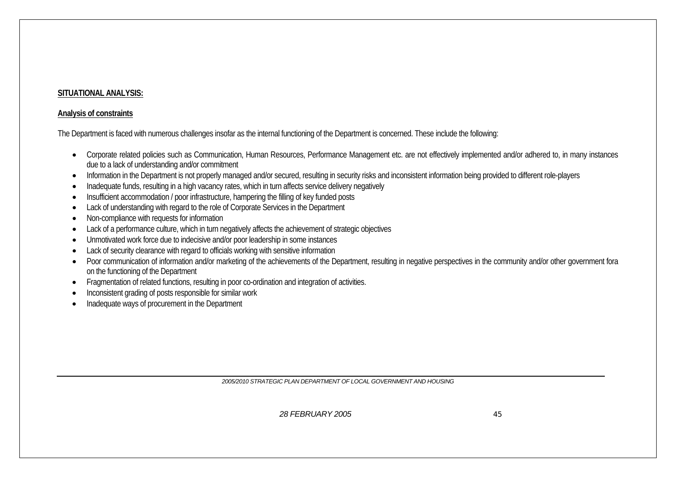### **SITUATIONAL ANALYSIS:**

#### **Analysis of constraints**

The Department is faced with numerous challenges insofar as the internal functioning of the Department is concerned. These include the following:

- Corporate related policies such as Communication, Human Resources, Performance Management etc. are not effectively implemented and/or adhered to, in many instances due to a lack of understanding and/or commitment
- •Information in the Department is not properly managed and/or secured, resulting in security risks and inconsistent information being provided to different role-players
- •Inadequate funds, resulting in a high vacancy rates, which in turn affects service delivery negatively
- •Insufficient accommodation / poor infrastructure, hampering the filling of key funded posts
- Lack of understanding with regard to the role of Corporate Services in the Department
- •Non-compliance with requests for information
- •Lack of a performance culture, which in turn negatively affects the achievement of strategic objectives
- •Unmotivated work force due to indecisive and/or poor leadership in some instances
- •Lack of security clearance with regard to officials working with sensitive information
- •Poor communication of information and/or marketing of the achievements of the Department, resulting in negative perspectives in the community and/or other government fora on the functioning of the Department
- Fragmentation of related functions, resulting in poor co-ordination and integration of activities.
- •Inconsistent grading of posts responsible for similar work
- •Inadequate ways of procurement in the Department

*2005/2010 STRATEGIC PLAN DEPARTMENT OF LOCAL GOVERNMENT AND HOUSING*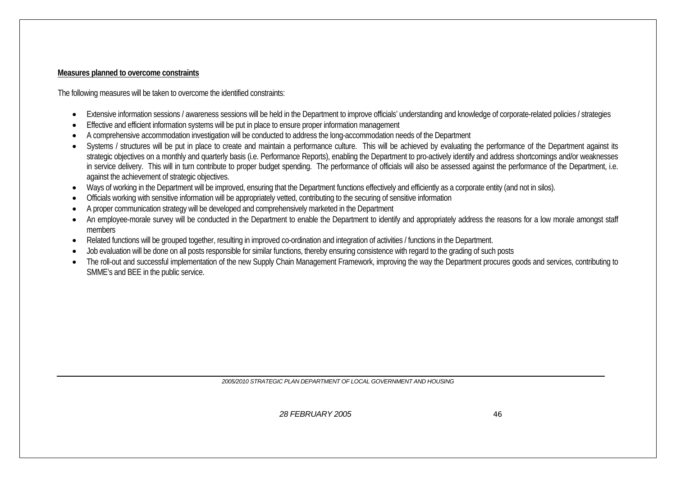#### **Measures planned to overcome constraints**

The following measures will be taken to overcome the identified constraints:

- •Extensive information sessions / awareness sessions will be held in the Department to improve officials' understanding and knowledge of corporate-related policies / strategies
- •Effective and efficient information systems will be put in place to ensure proper information management
- •A comprehensive accommodation investigation will be conducted to address the long-accommodation needs of the Department
- •Systems / structures will be put in place to create and maintain a performance culture. This will be achieved by evaluating the performance of the Department against its strategic objectives on a monthly and quarterly basis (i.e. Performance Reports), enabling the Department to pro-actively identify and address shortcomings and/or weaknesses in service delivery. This will in turn contribute to proper budget spending. The performance of officials will also be assessed against the performance of the Department, i.e. against the achievement of strategic objectives.
- •Ways of working in the Department will be improved, ensuring that the Department functions effectively and efficiently as a corporate entity (and not in silos).
- •Officials working with sensitive information will be appropriately vetted, contributing to the securing of sensitive information
- •A proper communication strategy will be developed and comprehensively marketed in the Department
- •An employee-morale survey will be conducted in the Department to enable the Department to identify and appropriately address the reasons for a low morale amongst staff members
- •Related functions will be grouped together, resulting in improved co-ordination and integration of activities / functions in the Department.
- •Job evaluation will be done on all posts responsible for similar functions, thereby ensuring consistence with regard to the grading of such posts
- • The roll-out and successful implementation of the new Supply Chain Management Framework, improving the way the Department procures goods and services, contributing to SMME's and BEE in the public service.

*2005/2010 STRATEGIC PLAN DEPARTMENT OF LOCAL GOVERNMENT AND HOUSING*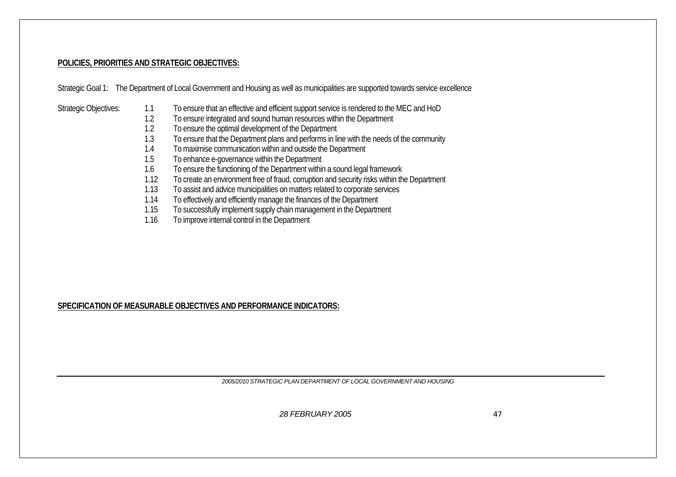#### **POLICIES, PRIORITIES AND STRATEGIC OBJECTIVES:**

Strategic Goal 1: The Department of Local Government and Housing as well as municipalities are supported towards service excellence

- Strategic Objectives: 1.1 To ensure that an effective and efficient support service is rendered to the MEC and HoD
	- 1.2 To ensure integrated and sound human resources within the Department
	- 1.2 To ensure the optimal development of the Department
	- 1.3 To ensure that the Department plans and performs in line with the needs of the community
	- 1.4 To maximise communication within and outside the Department
	- 1.5 To enhance e-governance within the Department
	- 1.6 To ensure the functioning of the Department within a sound legal framework
	- 1.12To create an environment free of fraud, corruption and security risks within the Department
	- 1.13To assist and advice municipalities on matters related to corporate services
	- 1.14To effectively and efficiently manage the finances of the Department
	- 1.15To successfully implement supply chain management in the Department
	- 1.16To improve internal control in the Department

#### **SPECIFICATION OF MEASURABLE OBJECTIVES AND PERFORMANCE INDICATORS:**

*2005/2010 STRATEGIC PLAN DEPARTMENT OF LOCAL GOVERNMENT AND HOUSING*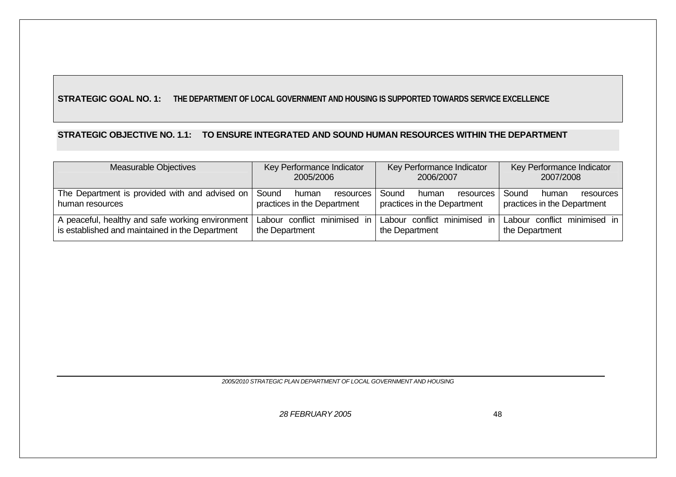## **STRATEGIC GOAL NO. 1: THE DEPARTMENT OF LOCAL GOVERNMENT AND HOUSING IS SUPPORTED TOWARDS SERVICE EXCELLENCE**

### **STRATEGIC OBJECTIVE NO. 1.1: TO ENSURE INTEGRATED AND SOUND HUMAN RESOURCES WITHIN THE DEPARTMENT**

| Measurable Objectives                                                                               | Key Performance Indicator<br>2005/2006                     | Key Performance Indicator<br>2006/2007                     | Key Performance Indicator<br>2007/2008                     |  |
|-----------------------------------------------------------------------------------------------------|------------------------------------------------------------|------------------------------------------------------------|------------------------------------------------------------|--|
| The Department is provided with and advised on<br>human resources                                   | Sound<br>resources<br>human<br>practices in the Department | Sound<br>resources<br>human<br>practices in the Department | Sound<br>resources<br>human<br>practices in the Department |  |
| A peaceful, healthy and safe working environment<br>is established and maintained in the Department | Labour conflict minimised in<br>the Department             | Labour conflict minimised<br>ın<br>the Department          | Labour conflict minimised in<br>the Department             |  |

*2005/2010 STRATEGIC PLAN DEPARTMENT OF LOCAL GOVERNMENT AND HOUSING*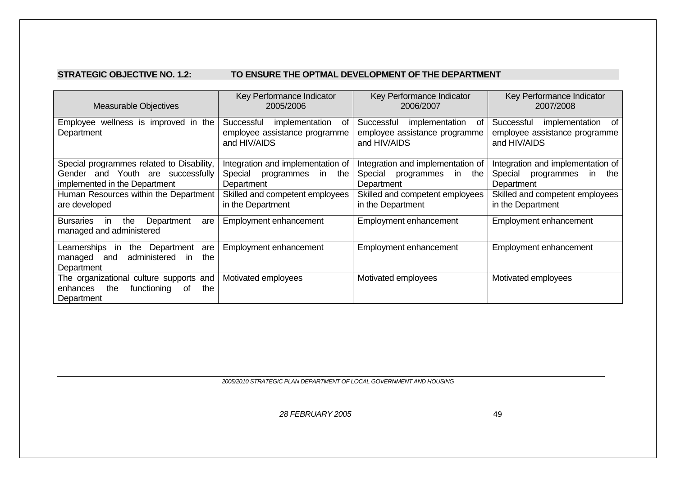#### **STRATEGIC OBJECTIVE NO. 1.2: TO ENSURE THE OPTMAL DEVELOPMENT OF THE DEPARTMENT**

| <b>Measurable Objectives</b>                                                                                                                                              | Key Performance Indicator<br>Key Performance Indicator<br>2005/2006<br>2006/2007                                                                                           |                                                                                                                                            | Key Performance Indicator<br>2007/2008                                                                                                        |  |
|---------------------------------------------------------------------------------------------------------------------------------------------------------------------------|----------------------------------------------------------------------------------------------------------------------------------------------------------------------------|--------------------------------------------------------------------------------------------------------------------------------------------|-----------------------------------------------------------------------------------------------------------------------------------------------|--|
| Employee wellness is improved in the<br>Department                                                                                                                        | Successful<br>implementation<br>of<br>Successful<br>implementation<br>of<br>employee assistance programme<br>employee assistance programme<br>and HIV/AIDS<br>and HIV/AIDS |                                                                                                                                            | Successful<br>implementation<br>of<br>employee assistance programme<br>and HIV/AIDS                                                           |  |
| Special programmes related to Disability,<br>Gender and Youth are successfully<br>implemented in the Department<br>Human Resources within the Department<br>are developed | Integration and implementation of<br>Special<br>programmes<br>in<br>the<br>Department<br>Skilled and competent employees<br>in the Department                              | Integration and implementation of<br>Special<br>programmes in<br>the<br>Department<br>Skilled and competent employees<br>in the Department | Integration and implementation of<br>Special<br>programmes<br>in<br>the<br>Department<br>Skilled and competent employees<br>in the Department |  |
| Department<br><b>Bursaries</b><br>the<br>in<br>are<br>managed and administered                                                                                            | Employment enhancement                                                                                                                                                     | Employment enhancement                                                                                                                     | Employment enhancement                                                                                                                        |  |
| Department<br>Learnerships<br>the<br>are<br>in<br>the<br>administered<br>and<br>managed<br><i>in</i><br>Department                                                        | Employment enhancement<br>Employment enhancement                                                                                                                           |                                                                                                                                            | Employment enhancement                                                                                                                        |  |
| The organizational culture supports and<br>the<br>enhances<br>functioning<br>0f<br>the<br>Department                                                                      | Motivated employees                                                                                                                                                        | Motivated employees                                                                                                                        | Motivated employees                                                                                                                           |  |

*2005/2010 STRATEGIC PLAN DEPARTMENT OF LOCAL GOVERNMENT AND HOUSING*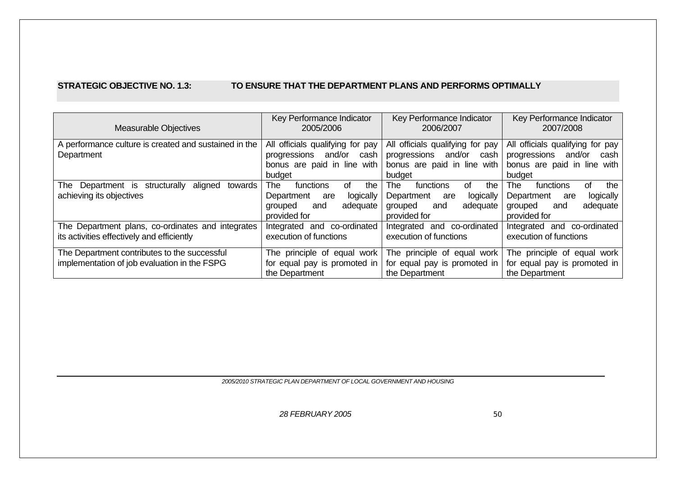#### **STRATEGIC OBJECTIVE NO. 1.3: TO ENSURE THAT THE DEPARTMENT PLANS AND PERFORMS OPTIMALLY**

| <b>Measurable Objectives</b>                                                                    | Key Performance Indicator<br>2005/2006                                                                               | Key Performance Indicator<br>2006/2007                                                                        | Key Performance Indicator<br>2007/2008                                                                        |
|-------------------------------------------------------------------------------------------------|----------------------------------------------------------------------------------------------------------------------|---------------------------------------------------------------------------------------------------------------|---------------------------------------------------------------------------------------------------------------|
| A performance culture is created and sustained in the<br>Department                             | All officials qualifying for pay<br>and/or<br>progressions<br>cash<br>bonus are paid in line with<br>budget          | All officials qualifying for pay<br>progressions<br>and/or<br>cash<br>bonus are paid in line with<br>budget   | All officials qualifying for pay<br>progressions<br>and/or<br>cash<br>bonus are paid in line with<br>budget   |
| aligned<br>The Department is structurally<br>towards<br>achieving its objectives                | <b>The</b><br>the<br>functions<br>of<br>Department<br>logically<br>are<br>adequate<br>grouped<br>and<br>provided for | The<br>functions<br>the<br>0f<br>Department<br>logically<br>are<br>adequate<br>grouped<br>and<br>provided for | The<br>functions<br>of<br>the<br>logically<br>Department<br>are<br>adequate<br>grouped<br>and<br>provided for |
| The Department plans, co-ordinates and integrates<br>its activities effectively and efficiently | co-ordinated<br>Integrated and<br>execution of functions                                                             | Integrated and co-ordinated<br>execution of functions                                                         | Integrated and co-ordinated<br>execution of functions                                                         |
| The Department contributes to the successful<br>implementation of job evaluation in the FSPG    | The principle of equal work<br>for equal pay is promoted in<br>the Department                                        | The principle of equal work<br>for equal pay is promoted in<br>the Department                                 | The principle of equal work<br>for equal pay is promoted in<br>the Department                                 |

*2005/2010 STRATEGIC PLAN DEPARTMENT OF LOCAL GOVERNMENT AND HOUSING*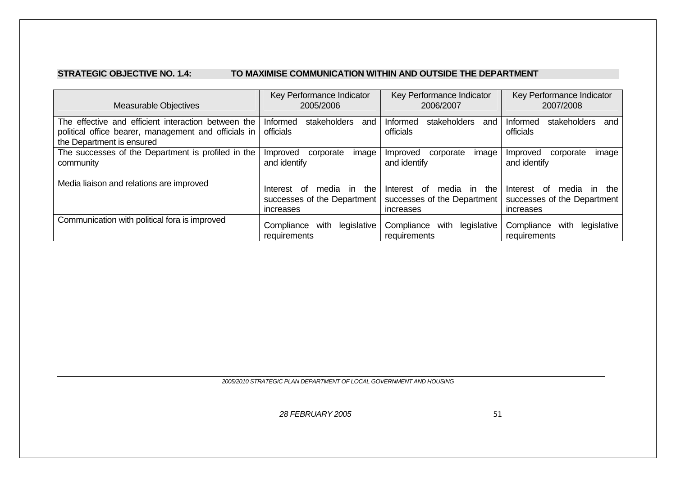#### **STRATEGIC OBJECTIVE NO. 1.4: TO MAXIMISE COMMUNICATION WITHIN AND OUTSIDE THE DEPARTMENT**

| <b>Measurable Objectives</b>                                                                                                             | Key Performance Indicator<br>2005/2006                                        | Key Performance Indicator<br>2006/2007                                     | Key Performance Indicator<br>2007/2008                                  |
|------------------------------------------------------------------------------------------------------------------------------------------|-------------------------------------------------------------------------------|----------------------------------------------------------------------------|-------------------------------------------------------------------------|
| The effective and efficient interaction between the<br>political office bearer, management and officials in<br>the Department is ensured | Informed<br>stakeholders<br>and<br>officials                                  | Informed<br>stakeholders<br>and<br>officials                               | Informed<br>stakeholders<br>and<br>officials                            |
| The successes of the Department is profiled in the<br>community                                                                          | Improved<br>corporate<br>image<br>and identify                                | corporate<br>image<br>Improved<br>and identify                             | image<br>Improved<br>corporate<br>and identify                          |
| Media liaison and relations are improved                                                                                                 | the<br>media in<br>Interest<br>of<br>successes of the Department<br>increases | of<br>media in the<br>Interest<br>successes of the Department<br>increases | Interest of<br>media in the<br>successes of the Department<br>increases |
| Communication with political fora is improved                                                                                            | legislative<br>Compliance<br>with<br>requirements                             | legislative<br>Compliance<br>with<br>requirements                          | Compliance<br>legislative<br>with<br>requirements                       |

*2005/2010 STRATEGIC PLAN DEPARTMENT OF LOCAL GOVERNMENT AND HOUSING*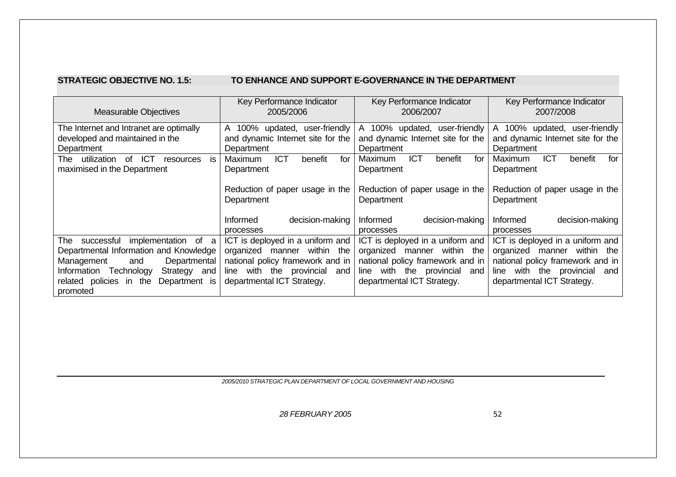#### **STRATEGIC OBJECTIVE NO. 1.5: TO ENHANCE AND SUPPORT E-GOVERNANCE IN THE DEPARTMENT**

| <b>Measurable Objectives</b>                               | Key Performance Indicator<br>2005/2006        | Key Performance Indicator<br>2006/2007        | Key Performance Indicator<br>2007/2008        |  |
|------------------------------------------------------------|-----------------------------------------------|-----------------------------------------------|-----------------------------------------------|--|
| The Internet and Intranet are optimally                    | user-friendly<br>100% updated,<br>A           | A 100% updated,<br>user-friendly              | A 100% updated, user-friendly                 |  |
| developed and maintained in the                            | and dynamic Internet site for the             | and dynamic Internet site for the             | and dynamic Internet site for the             |  |
| Department                                                 | Department                                    | Department                                    | Department                                    |  |
| <b>ICT</b><br>utilization<br>of<br>The<br>İS.<br>resources | <b>ICT</b><br>benefit<br>for<br>Maximum       | <b>ICT</b><br>for<br>Maximum<br>benefit       | <b>ICT</b><br>Maximum<br>for<br>benefit       |  |
| maximised in the Department                                | Department                                    | Department                                    | Department                                    |  |
|                                                            | Reduction of paper usage in the<br>Department | Reduction of paper usage in the<br>Department | Reduction of paper usage in the<br>Department |  |
|                                                            | <b>Informed</b><br>decision-making            | decision-making<br>Informed                   | decision-making<br><b>Informed</b>            |  |
|                                                            | processes                                     | processes                                     | processes                                     |  |
| implementation<br>successful<br>of a<br>The⊹               | ICT is deployed in a uniform and              | ICT is deployed in a uniform and              | ICT is deployed in a uniform and              |  |
| Departmental Information and Knowledge                     | within the<br>organized<br>manner             | within the<br>organized<br>manner             | within<br>organized<br>manner<br>the          |  |
| Management<br>Departmental<br>and                          | national policy framework and in              | national policy framework and in              | national policy framework and in              |  |
| Strategy and<br>Information<br>Technology                  | with the provincial and<br>line               | with the provincial<br>line.<br>and           | with<br>the provincial<br>line<br>and         |  |
| Department is<br>the<br>related policies in                | departmental ICT Strategy.                    | departmental ICT Strategy.                    | departmental ICT Strategy.                    |  |
| promoted                                                   |                                               |                                               |                                               |  |

*2005/2010 STRATEGIC PLAN DEPARTMENT OF LOCAL GOVERNMENT AND HOUSING*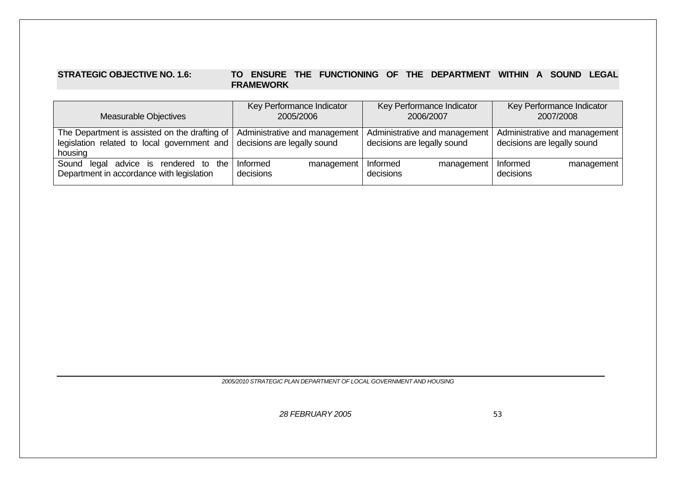#### **STRATEGIC OBJECTIVE NO. 1.6: TO ENSURE THE FUNCTIONING OF THE DEPARTMENT WITHIN A SOUND LEGAL FRAMEWORK**

| <b>Measurable Objectives</b>                                                                            | Key Performance Indicator<br>2005/2006                       | Key Performance Indicator<br>2006/2007                       | Key Performance Indicator<br>2007/2008                       |
|---------------------------------------------------------------------------------------------------------|--------------------------------------------------------------|--------------------------------------------------------------|--------------------------------------------------------------|
| The Department is assisted on the drafting of<br>legislation related to local government and<br>housing | Administrative and management<br>decisions are legally sound | Administrative and management<br>decisions are legally sound | Administrative and management<br>decisions are legally sound |
| Sound legal advice is rendered to the<br>Department in accordance with legislation                      | Informed<br>management<br>decisions                          | Informed<br>management<br>decisions                          | Informed<br>management<br>decisions                          |

*2005/2010 STRATEGIC PLAN DEPARTMENT OF LOCAL GOVERNMENT AND HOUSING*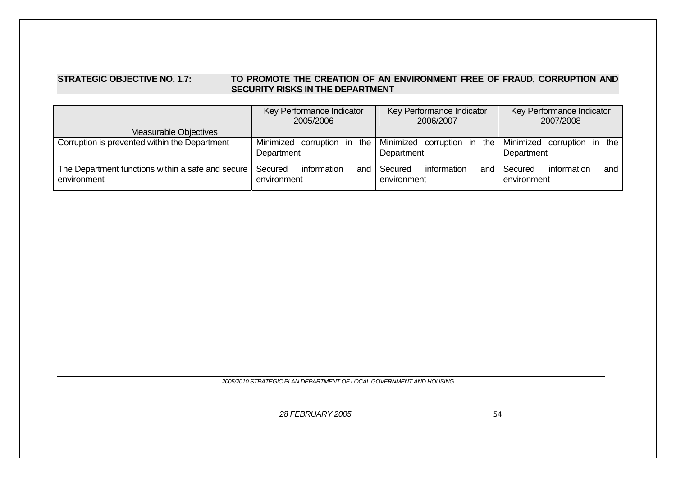#### STRATEGIC OBJECTIVE NO. 1.7: **TO PROMOTE THE CREATION OF AN ENVIRONMENT FREE OF FRAUD, CORRUPTION AND SECURITY RISKS IN THE DEPARTMENT**

|                                                                  | Key Performance Indicator<br>2005/2006                | Key Performance Indicator<br>2006/2007             | Key Performance Indicator<br>2007/2008                         |
|------------------------------------------------------------------|-------------------------------------------------------|----------------------------------------------------|----------------------------------------------------------------|
| Measurable Objectives                                            |                                                       |                                                    |                                                                |
| Corruption is prevented within the Department                    | Minimized corruption in the   Minimized<br>Department | Department                                         | corruption in the Minimized corruption in<br>the<br>Department |
| The Department functions within a safe and secure<br>environment | information<br>Secured<br>environment                 | information<br>and   Secured<br>and<br>environment | information<br>Secured<br>and<br>environment                   |

*2005/2010 STRATEGIC PLAN DEPARTMENT OF LOCAL GOVERNMENT AND HOUSING*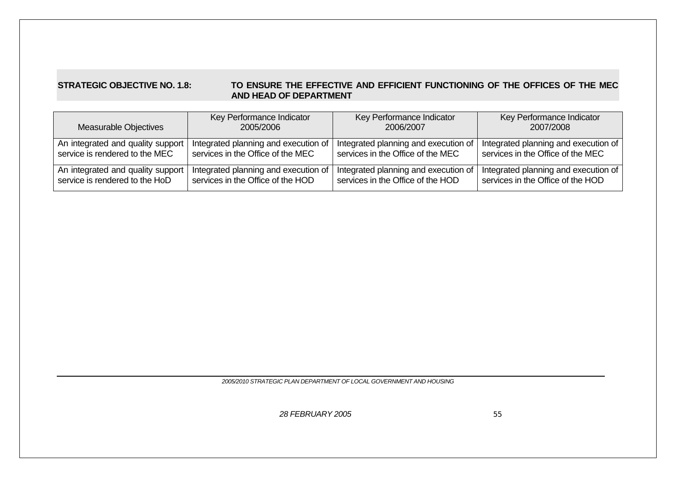#### **STRATEGIC OBJECTIVE NO. 1.8: TO ENSURE THE EFFECTIVE AND EFFICIENT FUNCTIONING OF THE OFFICES OF THE MEC AND HEAD OF DEPARTMENT**

| Measurable Objectives             | Key Performance Indicator            | Key Performance Indicator            | Key Performance Indicator            |
|-----------------------------------|--------------------------------------|--------------------------------------|--------------------------------------|
|                                   | 2005/2006                            | 2006/2007                            | 2007/2008                            |
| An integrated and quality support | Integrated planning and execution of | Integrated planning and execution of | Integrated planning and execution of |
| service is rendered to the MEC    | services in the Office of the MEC    | services in the Office of the MEC    | services in the Office of the MEC    |
| An integrated and quality support | Integrated planning and execution of | Integrated planning and execution of | Integrated planning and execution of |
| service is rendered to the HoD    | services in the Office of the HOD    | services in the Office of the HOD    | services in the Office of the HOD    |

*2005/2010 STRATEGIC PLAN DEPARTMENT OF LOCAL GOVERNMENT AND HOUSING*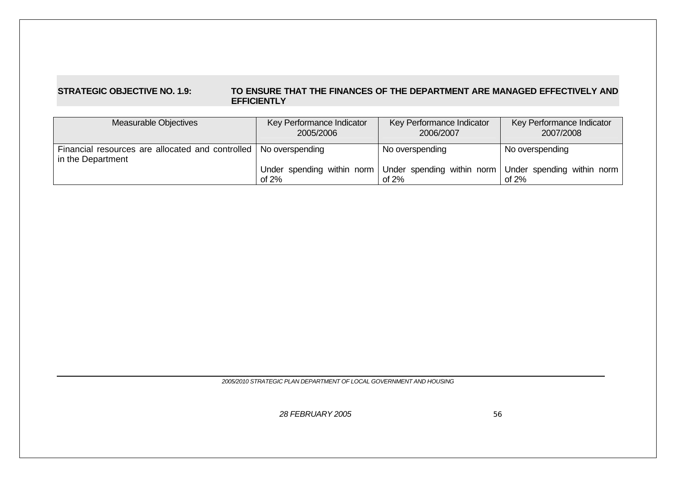#### **STRATEGIC OBJECTIVE NO. 1.9: TO ENSURE THAT THE FINANCES OF THE DEPARTMENT ARE MANAGED EFFECTIVELY AND EFFICIENTLY**

| Measurable Objectives                                                                   | Key Performance Indicator<br>2005/2006 | Key Performance Indicator<br>2006/2007                            | Key Performance Indicator<br>2007/2008 |
|-----------------------------------------------------------------------------------------|----------------------------------------|-------------------------------------------------------------------|----------------------------------------|
| Financial resources are allocated and controlled   No overspending<br>in the Department |                                        | No overspending                                                   | No overspending                        |
|                                                                                         | of $2%$                                | Under spending within norm Under spending within norm<br>of $2\%$ | Under spending within norm<br>of $2\%$ |

*2005/2010 STRATEGIC PLAN DEPARTMENT OF LOCAL GOVERNMENT AND HOUSING*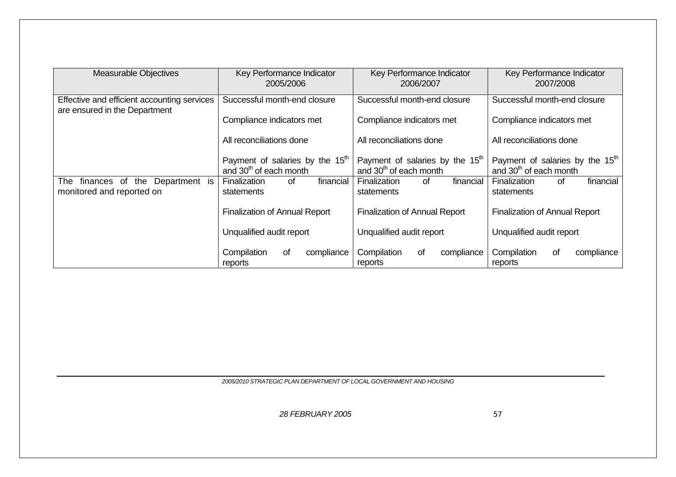| <b>Measurable Objectives</b>                                                 | Key Performance Indicator<br>Key Performance Indicator<br>2005/2006<br>2006/2007  |                                                                                   | Key Performance Indicator<br>2007/2008                                            |
|------------------------------------------------------------------------------|-----------------------------------------------------------------------------------|-----------------------------------------------------------------------------------|-----------------------------------------------------------------------------------|
| Effective and efficient accounting services<br>are ensured in the Department | Successful month-end closure                                                      | Successful month-end closure                                                      | Successful month-end closure                                                      |
|                                                                              | Compliance indicators met                                                         | Compliance indicators met                                                         | Compliance indicators met                                                         |
|                                                                              | All reconciliations done                                                          | All reconciliations done                                                          | All reconciliations done                                                          |
|                                                                              | Payment of salaries by the 15 <sup>th</sup><br>and 30 <sup>th</sup> of each month | Payment of salaries by the 15 <sup>th</sup><br>and 30 <sup>th</sup> of each month | Payment of salaries by the 15 <sup>th</sup><br>and 30 <sup>th</sup> of each month |
| the Department is<br>The<br>finances of<br>monitored and reported on         | financial<br>Finalization<br>0f<br>statements                                     | Finalization<br>financial<br>of<br>statements                                     | financial<br>of<br>Finalization<br>statements                                     |
|                                                                              | <b>Finalization of Annual Report</b>                                              | <b>Finalization of Annual Report</b>                                              | <b>Finalization of Annual Report</b>                                              |
|                                                                              | Unqualified audit report                                                          | Unqualified audit report                                                          |                                                                                   |
|                                                                              | Compilation<br>compliance<br>οf<br>reports                                        | Compilation<br>compliance<br>0f<br>reports                                        | Compilation<br>of<br>compliance<br>reports                                        |

*2005/2010 STRATEGIC PLAN DEPARTMENT OF LOCAL GOVERNMENT AND HOUSING*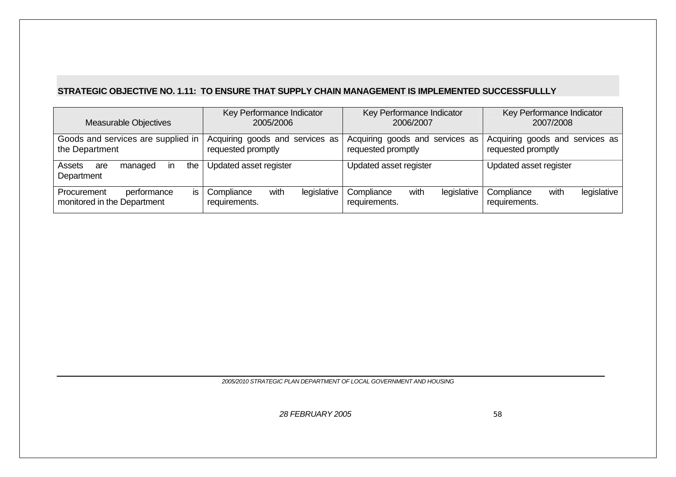# **STRATEGIC OBJECTIVE NO. 1.11: TO ENSURE THAT SUPPLY CHAIN MANAGEMENT IS IMPLEMENTED SUCCESSFULLLY**

| <b>Measurable Objectives</b>                         | Key Performance Indicator                                                                                      | Key Performance Indicator | Key Performance Indicator                             |  |
|------------------------------------------------------|----------------------------------------------------------------------------------------------------------------|---------------------------|-------------------------------------------------------|--|
|                                                      | 2005/2006                                                                                                      | 2006/2007                 | 2007/2008                                             |  |
| Goods and services are supplied in<br>the Department | Acquiring goods and services as<br>Acquiring goods and services as<br>requested promptly<br>requested promptly |                           | Acquiring goods and services as<br>requested promptly |  |
| the<br>Assets<br>managed<br>are<br>Department        | Updated asset register                                                                                         | Updated asset register    | Updated asset register                                |  |
| Procurement                                          | legislative                                                                                                    | with                      | with                                                  |  |
| performance                                          | with                                                                                                           | legislative               | legislative                                           |  |
| IS.                                                  | Compliance                                                                                                     | Compliance                | Compliance                                            |  |
| monitored in the Department                          | requirements.                                                                                                  | requirements.             | requirements.                                         |  |

*2005/2010 STRATEGIC PLAN DEPARTMENT OF LOCAL GOVERNMENT AND HOUSING*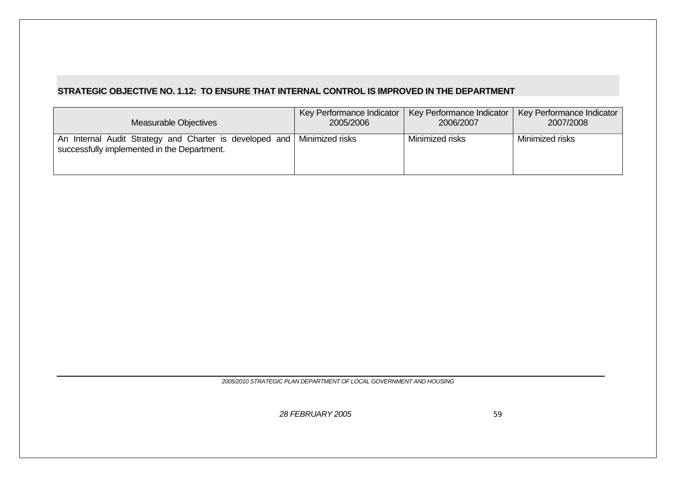# **STRATEGIC OBJECTIVE NO. 1.12: TO ENSURE THAT INTERNAL CONTROL IS IMPROVED IN THE DEPARTMENT**

| Measurable Objectives                                                                                  | Key Performance Indicator | Key Performance Indicator | Key Performance Indicator |
|--------------------------------------------------------------------------------------------------------|---------------------------|---------------------------|---------------------------|
|                                                                                                        | 2005/2006                 | 2006/2007                 | 2007/2008                 |
| An Internal Audit Strategy and Charter is developed and<br>successfully implemented in the Department. | Minimized risks           | Minimized risks           | Minimized risks           |

*2005/2010 STRATEGIC PLAN DEPARTMENT OF LOCAL GOVERNMENT AND HOUSING*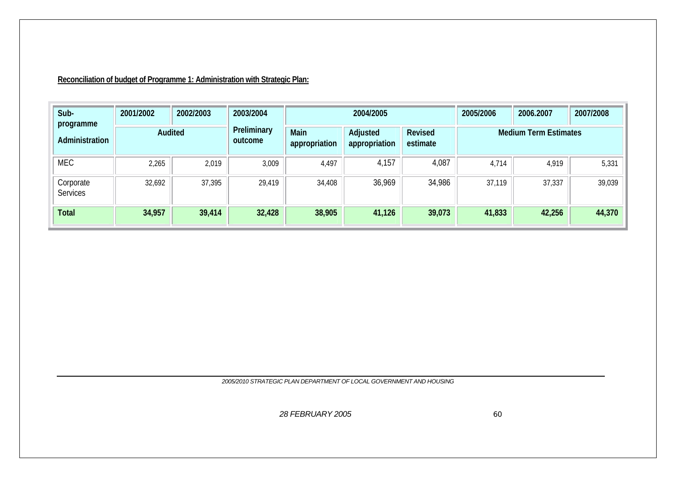**Reconciliation of budget of Programme 1: Administration with Strategic Plan:**

| Sub-<br>programme     | 2001/2002 | 2002/2003 | 2003/2004              |                       | 2004/2005                 |                            | 2005/2006 | 2007/2008                    |        |
|-----------------------|-----------|-----------|------------------------|-----------------------|---------------------------|----------------------------|-----------|------------------------------|--------|
| Administration        |           | Audited   | Preliminary<br>outcome | Main<br>appropriation | Adjusted<br>appropriation | <b>Revised</b><br>estimate |           | <b>Medium Term Estimates</b> |        |
| <b>MEC</b>            | 2,265     | 2,019     | 3,009                  | 4,497                 | 4,157                     | 4,087                      | 4,714     | 4,919                        | 5,331  |
| Corporate<br>Services | 32,692    | 37,395    | 29,419                 | 34,408                | 36,969                    | 34,986                     | 37,119    | 37,337                       | 39,039 |
| <b>Total</b>          | 34,957    | 39,414    | 32,428                 | 38,905                | 41,126                    | 39,073                     | 41,833    | 42,256                       | 44,370 |

*2005/2010 STRATEGIC PLAN DEPARTMENT OF LOCAL GOVERNMENT AND HOUSING*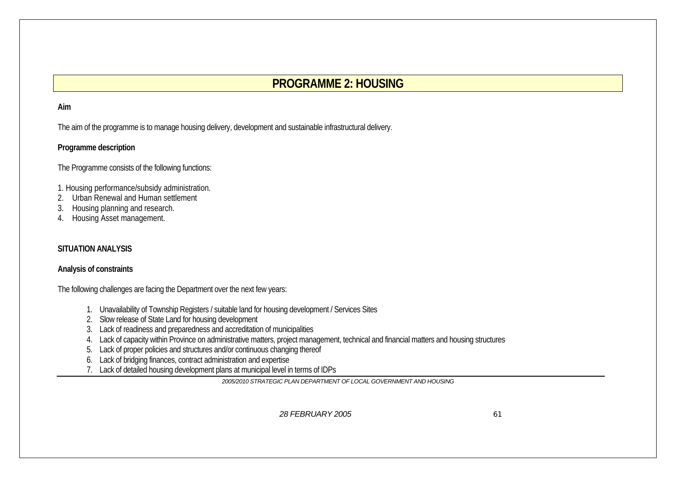# **PROGRAMME 2: HOUSING**

#### **Aim**

The aim of the programme is to manage housing delivery, development and sustainable infrastructural delivery.

### **Programme description**

The Programme consists of the following functions:

- 1. Housing performance/subsidy administration.
- 2.Urban Renewal and Human settlement
- 3.Housing planning and research.
- 4. Housing Asset management.

### **SITUATION ANALYSIS**

#### **Analysis of constraints**

The following challenges are facing the Department over the next few years:

- 1. Unavailability of Township Registers / suitable land for housing development / Services Sites
- 2. Slow release of State Land for housing development
- 3. Lack of readiness and preparedness and accreditation of municipalities
- 4. Lack of capacity within Province on administrative matters, project management, technical and financial matters and housing structures
- 5. Lack of proper policies and structures and/or continuous changing thereof
- 6. Lack of bridging finances, contract administration and expertise
- 7. Lack of detailed housing development plans at municipal level in terms of IDPs

*2005/2010 STRATEGIC PLAN DEPARTMENT OF LOCAL GOVERNMENT AND HOUSING*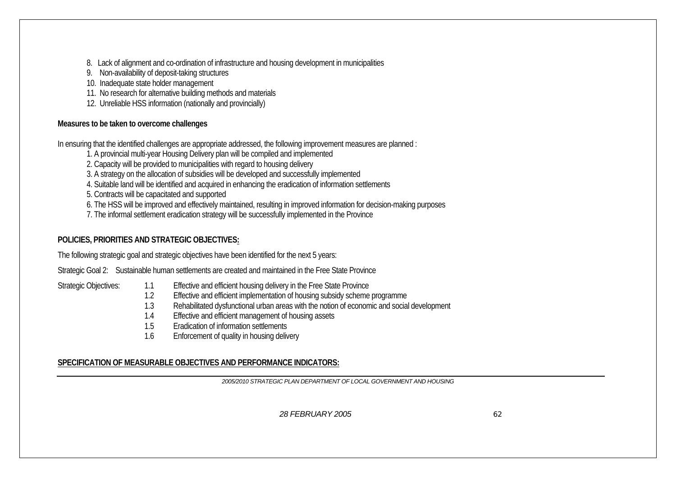8. Lack of alignment and co-ordination of infrastructure and housing development in municipalities

- 9. Non-availability of deposit-taking structures
- 10. Inadequate state holder management
- 11. No research for alternative building methods and materials
- 12. Unreliable HSS information (nationally and provincially)

# **Measures to be taken to overcome challenges**

In ensuring that the identified challenges are appropriate addressed, the following improvement measures are planned :

1. A provincial multi-year Housing Delivery plan will be compiled and implemented

2. Capacity will be provided to municipalities with regard to housing delivery

3. A strategy on the allocation of subsidies will be developed and successfully implemented

4. Suitable land will be identified and acquired in enhancing the eradication of information settlements

5. Contracts will be capacitated and supported

6. The HSS will be improved and effectively maintained, resulting in improved information for decision-making purposes

7. The informal settlement eradication strategy will be successfully implemented in the Province

# **POLICIES, PRIORITIES AND STRATEGIC OBJECTIVES:**

The following strategic goal and strategic objectives have been identified for the next 5 years:

Strategic Goal 2: Sustainable human settlements are created and maintained in the Free State Province

- Strategic Objectives: 1.1 Effective and efficient housing delivery in the Free State Province
	- 12 Effective and efficient implementation of housing subsidy scheme programme
	- 1.3Rehabilitated dysfunctional urban areas with the notion of economic and social development
	- 1.4Effective and efficient management of housing assets
	- 1.5Eradication of information settlements
	- 1.6Enforcement of quality in housing delivery

# **SPECIFICATION OF MEASURABLE OBJECTIVES AND PERFORMANCE INDICATORS:**

*2005/2010 STRATEGIC PLAN DEPARTMENT OF LOCAL GOVERNMENT AND HOUSING*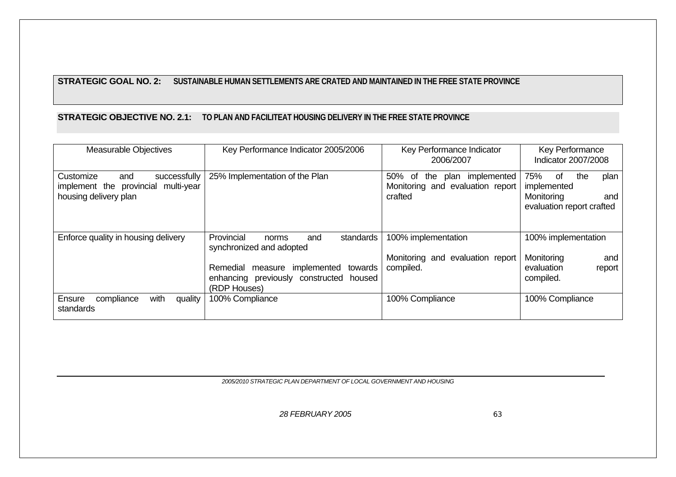### **STRATEGIC GOAL NO. 2: SUSTAINABLE HUMAN SETTLEMENTS ARE CRATED AND MAINTAINED IN THE FREE STATE PROVINCE**

# **STRATEGIC OBJECTIVE NO. 2.1: TO PLAN AND FACILITEAT HOUSING DELIVERY IN THE FREE STATE PROVINCE**

| <b>Measurable Objectives</b>                                                                        | Key Performance Indicator 2005/2006                                                                   | Key Performance Indicator<br>2006/2007                                              | Key Performance<br>Indicator 2007/2008                                                    |
|-----------------------------------------------------------------------------------------------------|-------------------------------------------------------------------------------------------------------|-------------------------------------------------------------------------------------|-------------------------------------------------------------------------------------------|
| Customize<br>successfully<br>and<br>implement the provincial<br>multi-year<br>housing delivery plan | 25% Implementation of the Plan                                                                        | plan implemented<br>50%<br>0f<br>the<br>Monitoring and evaluation report<br>crafted | 75%<br>0f<br>the<br>plan<br>implemented<br>Monitoring<br>and<br>evaluation report crafted |
| Enforce quality in housing delivery                                                                 | Provincial<br>standards<br>and<br>norms<br>synchronized and adopted                                   | 100% implementation                                                                 | 100% implementation                                                                       |
|                                                                                                     | Remedial measure implemented<br>towards<br>enhancing previously constructed<br>housed<br>(RDP Houses) | Monitoring and evaluation report<br>compiled.                                       | Monitoring<br>and<br>evaluation<br>report<br>compiled.                                    |
| with<br>compliance<br>Ensure<br>quality<br>standards                                                | 100% Compliance                                                                                       | 100% Compliance                                                                     | 100% Compliance                                                                           |

*2005/2010 STRATEGIC PLAN DEPARTMENT OF LOCAL GOVERNMENT AND HOUSING*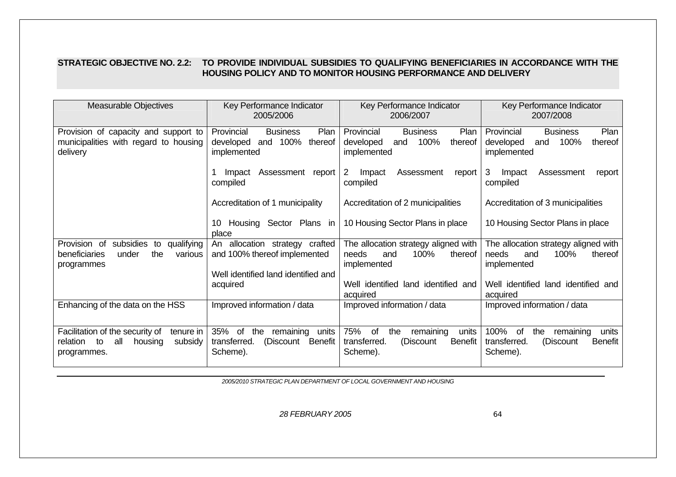### **STRATEGIC OBJECTIVE NO. 2.2: TO PROVIDE INDIVIDUAL SUBSIDIES TO QUALIFYING BENEFICIARIES IN ACCORDANCE WITH THE HOUSING POLICY AND TO MONITOR HOUSING PERFORMANCE AND DELIVERY**

| <b>Measurable Objectives</b>                                                                               | Key Performance Indicator<br>2005/2006                                                   | Key Performance Indicator<br>2006/2007                                                            | Key Performance Indicator<br>2007/2008                                                             |  |
|------------------------------------------------------------------------------------------------------------|------------------------------------------------------------------------------------------|---------------------------------------------------------------------------------------------------|----------------------------------------------------------------------------------------------------|--|
| Provision of capacity and support to<br>municipalities with regard to housing<br>delivery                  | Plan<br>Provincial<br><b>Business</b><br>and 100%<br>thereof<br>developed<br>implemented | Provincial<br><b>Business</b><br>Plan<br>100%<br>developed<br>thereof<br>and<br>implemented       | Plan<br>Provincial<br><b>Business</b><br>100%<br>thereof<br>developed<br>and<br>implemented        |  |
|                                                                                                            | Assessment report<br>Impact<br>compiled                                                  | 2<br>Assessment<br>Impact<br>report<br>compiled                                                   | 3<br>Impact<br>Assessment<br>report<br>compiled                                                    |  |
|                                                                                                            | Accreditation of 1 municipality                                                          | Accreditation of 2 municipalities                                                                 | Accreditation of 3 municipalities                                                                  |  |
|                                                                                                            | Housing Sector Plans in<br>10<br>place                                                   | 10 Housing Sector Plans in place                                                                  | 10 Housing Sector Plans in place                                                                   |  |
| subsidies<br>Provision of<br>qualifying<br>to<br>the<br>beneficiaries<br>under<br>various<br>programmes    | An allocation strategy crafted<br>and 100% thereof implemented                           | The allocation strategy aligned with<br>100%<br>thereof<br>needs<br>and<br>implemented            | The allocation strategy aligned with<br>100%<br>thereof<br>needs<br>and<br>implemented             |  |
|                                                                                                            | Well identified land identified and<br>acquired                                          | Well identified land identified and<br>acquired                                                   | Well identified land identified and<br>acquired                                                    |  |
| Enhancing of the data on the HSS                                                                           | Improved information / data                                                              | Improved information / data                                                                       | Improved information / data                                                                        |  |
| Facilitation of the security of<br>tenure in<br>all<br>housing<br>subsidy<br>relation<br>to<br>programmes. | 35% of<br>remaining<br>the<br>units<br>transferred.<br>Benefit<br>(Discount<br>Scheme).  | 75%<br>remaining<br>0f<br>the<br>units<br>transferred.<br><b>Benefit</b><br>(Discount<br>Scheme). | 100%<br>0f<br>the<br>remaining<br>units<br>transferred.<br>(Discount<br><b>Benefit</b><br>Scheme). |  |

*2005/2010 STRATEGIC PLAN DEPARTMENT OF LOCAL GOVERNMENT AND HOUSING*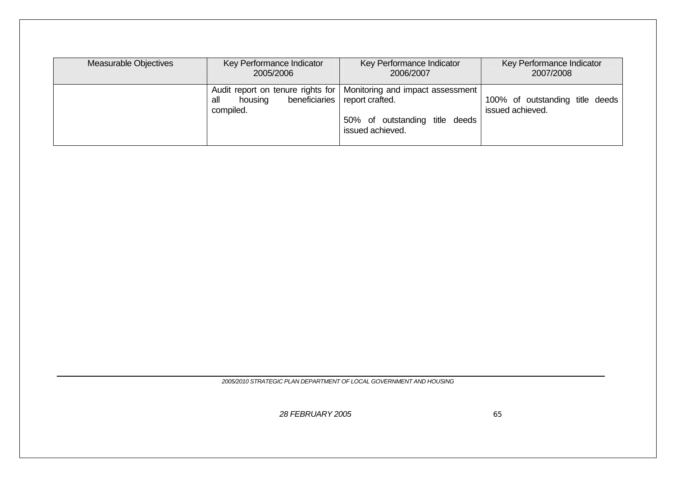| Measurable Objectives | Key Performance Indicator                                        | Key Performance Indicator                                                                                                 | Key Performance Indicator                           |  |
|-----------------------|------------------------------------------------------------------|---------------------------------------------------------------------------------------------------------------------------|-----------------------------------------------------|--|
|                       | 2005/2006                                                        | 2006/2007                                                                                                                 | 2007/2008                                           |  |
|                       | Audit report on tenure rights for<br>all<br>housing<br>compiled. | Monitoring and impact assessment  <br>beneficiaries report crafted.<br>50% of outstanding title deeds<br>issued achieved. | 100% of outstanding title deeds<br>issued achieved. |  |

*2005/2010 STRATEGIC PLAN DEPARTMENT OF LOCAL GOVERNMENT AND HOUSING*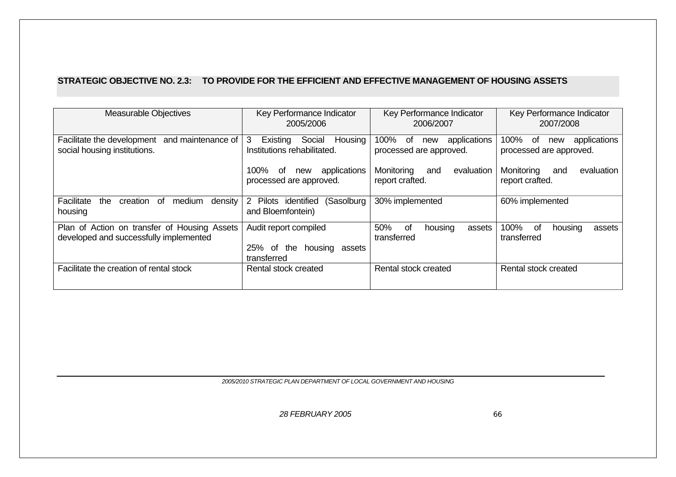#### **STRATEGIC OBJECTIVE NO. 2.3: TO PROVIDE FOR THE EFFICIENT AND EFFECTIVE MANAGEMENT OF HOUSING ASSETS**

| <b>Measurable Objectives</b>                                                           | Key Performance Indicator<br>2005/2006                               | Key Performance Indicator<br>2006/2007                         | Key Performance Indicator<br>2007/2008                       |  |
|----------------------------------------------------------------------------------------|----------------------------------------------------------------------|----------------------------------------------------------------|--------------------------------------------------------------|--|
| and maintenance of<br>Facilitate the development<br>social housing institutions.       | Social<br>Existing<br>Housing<br>3<br>Institutions rehabilitated.    | 100%<br>applications<br>. of<br>new<br>processed are approved. | 100%<br>applications<br>of<br>new<br>processed are approved. |  |
|                                                                                        | 100%<br>applications<br>0f<br>new<br>processed are approved.         | Monitoring<br>evaluation<br>and<br>report crafted.             | Monitoring<br>evaluation<br>and<br>report crafted.           |  |
| Facilitate<br>the<br>density<br>creation<br>medium<br>0t<br>housing                    | (Sasolburg)<br>2 Pilots identified<br>and Bloemfontein)              | 30% implemented                                                | 60% implemented                                              |  |
| Plan of Action on transfer of Housing Assets<br>developed and successfully implemented | Audit report compiled<br>25% of the<br>housing assets<br>transferred | 50%<br>housing<br>of<br>assets<br>transferred                  | 100%<br>оf<br>housing<br>assets<br>transferred               |  |
| Facilitate the creation of rental stock                                                | Rental stock created                                                 | Rental stock created                                           | Rental stock created                                         |  |

*2005/2010 STRATEGIC PLAN DEPARTMENT OF LOCAL GOVERNMENT AND HOUSING*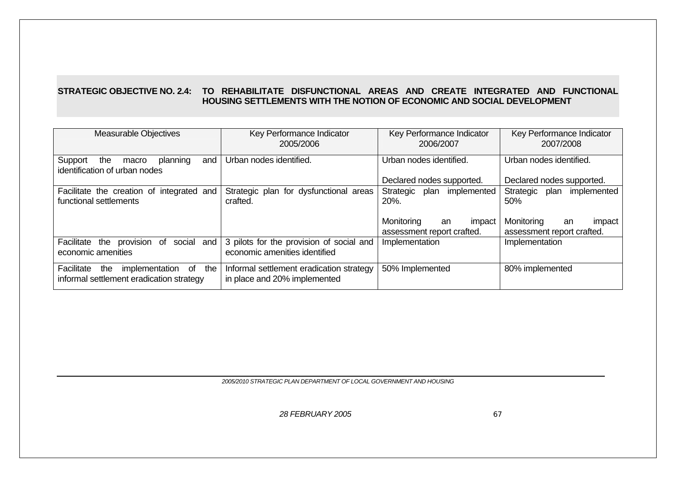## **STRATEGIC OBJECTIVE NO. 2.4: TO REHABILITATE DISFUNCTIONAL AREAS AND CREATE INTEGRATED AND FUNCTIONAL HOUSING SETTLEMENTS WITH THE NOTION OF ECONOMIC AND SOCIAL DEVELOPMENT**

| <b>Measurable Objectives</b>                                                           | Key Performance Indicator<br>2005/2006                                    | Key Performance Indicator<br>2006/2007                   | Key Performance Indicator<br>2007/2008                   |  |
|----------------------------------------------------------------------------------------|---------------------------------------------------------------------------|----------------------------------------------------------|----------------------------------------------------------|--|
| Support<br>the<br>planning<br>and<br>macro<br>identification of urban nodes            | Urban nodes identified.                                                   | Urban nodes identified.                                  | Urban nodes identified.                                  |  |
|                                                                                        |                                                                           | Declared nodes supported.                                | Declared nodes supported.                                |  |
| Facilitate the creation of integrated and<br>functional settlements                    | Strategic plan for dysfunctional areas<br>crafted.                        | plan<br>implemented<br>Strategic<br>20%.                 | Strategic<br>plan<br>implemented<br>50%                  |  |
|                                                                                        |                                                                           | Monitoring<br>an<br>impact<br>assessment report crafted. | Monitoring<br>impact<br>an<br>assessment report crafted. |  |
| Facilitate the<br>social<br>provision of<br>and<br>economic amenities                  | 3 pilots for the provision of social and<br>economic amenities identified | Implementation                                           | Implementation                                           |  |
| implementation of the<br>Facilitate<br>the<br>informal settlement eradication strategy | Informal settlement eradication strategy<br>in place and 20% implemented  | 50% Implemented                                          | 80% implemented                                          |  |

*2005/2010 STRATEGIC PLAN DEPARTMENT OF LOCAL GOVERNMENT AND HOUSING*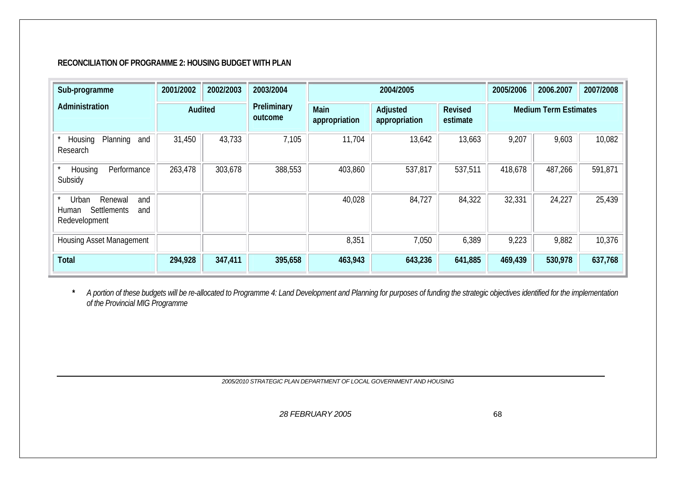#### **RECONCILIATION OF PROGRAMME 2: HOUSING BUDGET WITH PLAN**

| Sub-programme                                                                  | 2001/2002 | 2002/2003 | 2003/2004              |                              | 2004/2005                 |                     | 2005/2006 | 2006.2007                    | 2007/2008 |
|--------------------------------------------------------------------------------|-----------|-----------|------------------------|------------------------------|---------------------------|---------------------|-----------|------------------------------|-----------|
| Administration                                                                 | Audited   |           | Preliminary<br>outcome | <b>Main</b><br>appropriation | Adjusted<br>appropriation | Revised<br>estimate |           | <b>Medium Term Estimates</b> |           |
| Planning<br>Housing<br>and<br>Research                                         | 31,450    | 43,733    | 7,105                  | 11,704                       | 13,642                    | 13,663              | 9,207     | 9,603                        | 10,082    |
| Performance<br>Housing<br>Subsidy                                              | 263,478   | 303,678   | 388,553                | 403,860                      | 537,817                   | 537,511             | 418,678   | 487,266                      | 591,871   |
| Urban<br>Renewal<br>and<br><b>Settlements</b><br>Human<br>and<br>Redevelopment |           |           |                        | 40,028                       | 84,727                    | 84,322              | 32,331    | 24,227                       | 25,439    |
| <b>Housing Asset Management</b>                                                |           |           |                        | 8,351                        | 7,050                     | 6,389               | 9,223     | 9,882                        | 10,376    |
| <b>Total</b>                                                                   | 294,928   | 347,411   | 395,658                | 463,943                      | 643,236                   | 641,885             | 469,439   | 530,978                      | 637,768   |

**\*** *A portion of these budgets will be re-allocated to Programme 4: Land Development and Planning for purposes of funding the strategic objectives identified for the implementation of the Provincial MIG Programme* 

*2005/2010 STRATEGIC PLAN DEPARTMENT OF LOCAL GOVERNMENT AND HOUSING*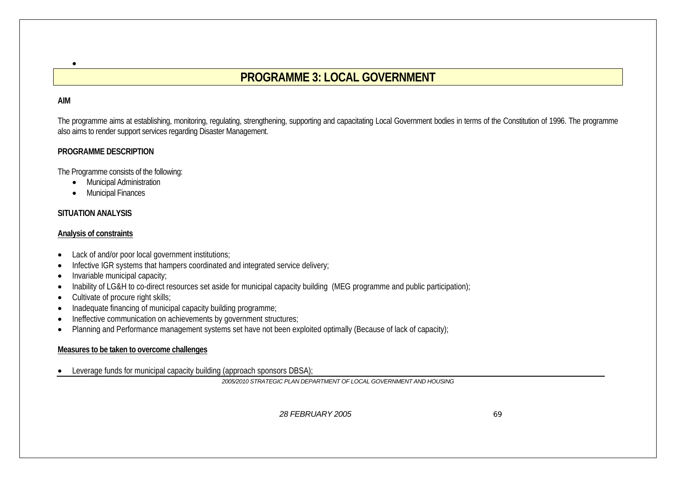# **PROGRAMME 3: LOCAL GOVERNMENT**

#### **AIM**

•

The programme aims at establishing, monitoring, regulating, strengthening, supporting and capacitating Local Government bodies in terms of the Constitution of 1996. The programme also aims to render support services regarding Disaster Management.

#### **PROGRAMME DESCRIPTION**

The Programme consists of the following:

- Municipal Administration
- Municipal Finances

# **SITUATION ANALYSIS**

### **Analysis of constraints**

- •Lack of and/or poor local government institutions;
- •Infective IGR systems that hampers coordinated and integrated service delivery;
- •Invariable municipal capacity;
- •Inability of LG&H to co-direct resources set aside for municipal capacity building (MEG programme and public participation);
- •Cultivate of procure right skills;
- •Inadequate financing of municipal capacity building programme;
- •Ineffective communication on achievements by government structures;
- •Planning and Performance management systems set have not been exploited optimally (Because of lack of capacity);

### **Measures to be taken to overcome challenges**

•Leverage funds for municipal capacity building (approach sponsors DBSA);

*2005/2010 STRATEGIC PLAN DEPARTMENT OF LOCAL GOVERNMENT AND HOUSING*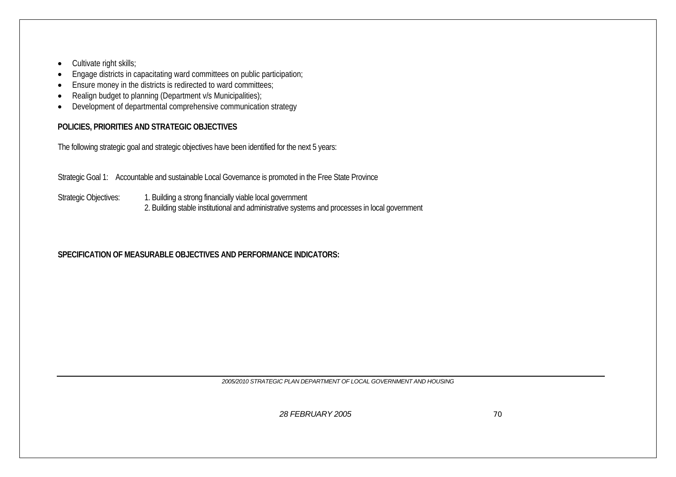- •Cultivate right skills;
- •Engage districts in capacitating ward committees on public participation;
- •Ensure money in the districts is redirected to ward committees;
- •Realign budget to planning (Department v/s Municipalities);
- •Development of departmental comprehensive communication strategy

# **POLICIES, PRIORITIES AND STRATEGIC OBJECTIVES**

The following strategic goal and strategic objectives have been identified for the next 5 years:

Strategic Goal 1: Accountable and sustainable Local Governance is promoted in the Free State Province

Strategic Objectives: 1. Building a strong financially viable local government 2. Building stable institutional and administrative systems and processes in local government

# **SPECIFICATION OF MEASURABLE OBJECTIVES AND PERFORMANCE INDICATORS:**

*2005/2010 STRATEGIC PLAN DEPARTMENT OF LOCAL GOVERNMENT AND HOUSING*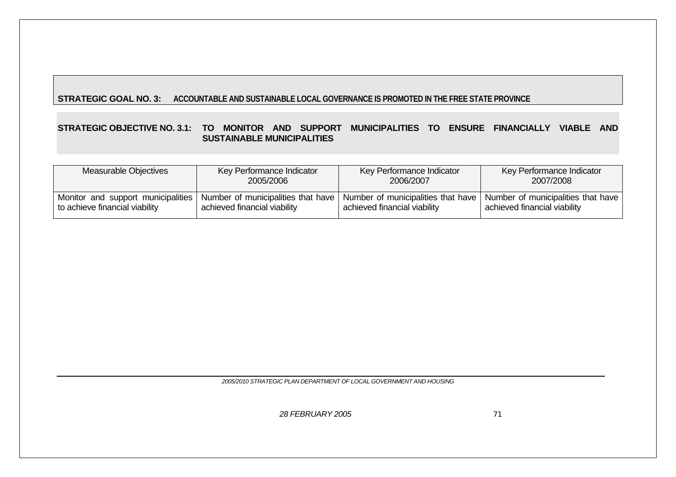## **STRATEGIC GOAL NO. 3: ACCOUNTABLE AND SUSTAINABLE LOCAL GOVERNANCE IS PROMOTED IN THE FREE STATE PROVINCE**

#### **STRATEGIC OBJECTIVE NO. 3.1: TO MONITOR AND SUPPORT MUNICIPALITIES TO ENSURE FINANCIALLY VIABLE AND SUSTAINABLE MUNICIPALITIES**

| Measurable Objectives          | Key Performance Indicator    | Key Performance Indicator                                                                                                                      | Key Performance Indicator                                          |
|--------------------------------|------------------------------|------------------------------------------------------------------------------------------------------------------------------------------------|--------------------------------------------------------------------|
|                                | 2005/2006                    | 2006/2007                                                                                                                                      | 2007/2008                                                          |
| to achieve financial viability | achieved financial viability | Monitor and support municipalities   Number of municipalities that have   Number of municipalities that have  <br>achieved financial viability | Number of municipalities that have<br>achieved financial viability |

*2005/2010 STRATEGIC PLAN DEPARTMENT OF LOCAL GOVERNMENT AND HOUSING*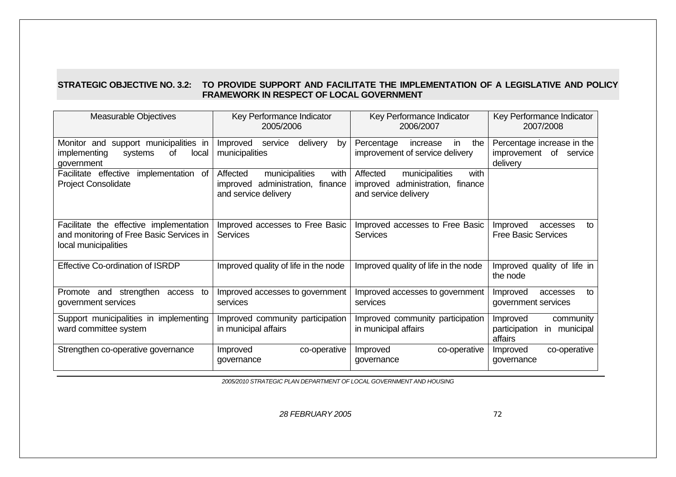#### **STRATEGIC OBJECTIVE NO. 3.2: TO PROVIDE SUPPORT AND FACILITATE THE IMPLEMENTATION OF A LEGISLATIVE AND POLICY FRAMEWORK IN RESPECT OF LOCAL GOVERNMENT**

| <b>Measurable Objectives</b>                                                                                | Key Performance Indicator<br>2005/2006                                                            | Key Performance Indicator<br>2006/2007                                                         | Key Performance Indicator<br>2007/2008                              |  |
|-------------------------------------------------------------------------------------------------------------|---------------------------------------------------------------------------------------------------|------------------------------------------------------------------------------------------------|---------------------------------------------------------------------|--|
| Monitor and support municipalities in<br>implementing<br>οf<br>systems<br>local<br>government               | Improved<br>delivery<br>service<br>by<br>municipalities                                           | Percentage<br>increase<br>in<br>the<br>improvement of service delivery                         | Percentage increase in the<br>of service<br>improvement<br>delivery |  |
| implementation of<br>Facilitate effective<br><b>Project Consolidate</b>                                     | municipalities<br>Affected<br>with<br>improved administration,<br>finance<br>and service delivery | Affected<br>municipalities<br>with<br>improved administration, finance<br>and service delivery |                                                                     |  |
| Facilitate the effective implementation<br>and monitoring of Free Basic Services in<br>local municipalities | Improved accesses to Free Basic<br><b>Services</b>                                                | Improved accesses to Free Basic<br><b>Services</b>                                             | Improved<br>to<br>accesses<br><b>Free Basic Services</b>            |  |
| Effective Co-ordination of ISRDP                                                                            | Improved quality of life in the node                                                              | Improved quality of life in the node                                                           | Improved quality of life in<br>the node                             |  |
| strengthen<br>Promote and<br>access<br>to<br>government services                                            | Improved accesses to government<br>services                                                       | Improved accesses to government<br>services                                                    | Improved<br>to<br>accesses<br>government services                   |  |
| Support municipalities in implementing<br>ward committee system                                             | Improved community participation<br>in municipal affairs                                          | Improved community participation<br>in municipal affairs                                       | Improved<br>community<br>participation<br>in municipal<br>affairs   |  |
| Strengthen co-operative governance                                                                          | co-operative<br>Improved<br>governance                                                            | co-operative<br>Improved<br>governance                                                         | co-operative<br>Improved<br>governance                              |  |

*2005/2010 STRATEGIC PLAN DEPARTMENT OF LOCAL GOVERNMENT AND HOUSING*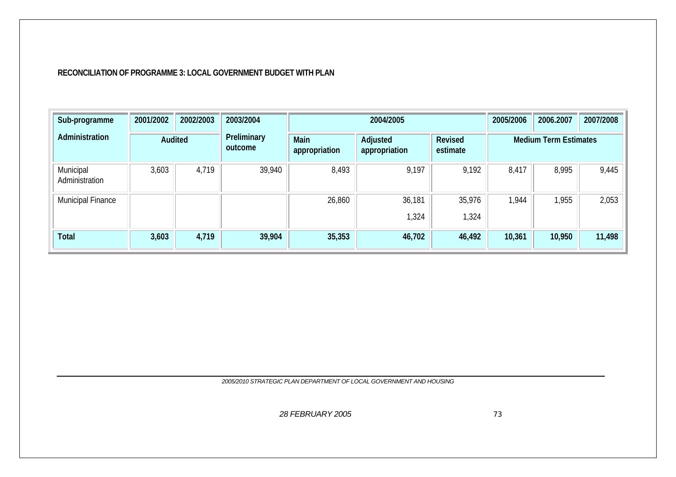#### **RECONCILIATION OF PROGRAMME 3: LOCAL GOVERNMENT BUDGET WITH PLAN**

| Sub-programme               | 2001/2002 | 2002/2003 | 2003/2004              |                       | 2004/2005                 |                     | 2005/2006 | 2006.2007                    | 2007/2008 |
|-----------------------------|-----------|-----------|------------------------|-----------------------|---------------------------|---------------------|-----------|------------------------------|-----------|
| Administration              |           | Audited   | Preliminary<br>outcome | Main<br>appropriation | Adjusted<br>appropriation | Revised<br>estimate |           | <b>Medium Term Estimates</b> |           |
| Municipal<br>Administration | 3,603     | 4,719     | 39,940                 | 8,493                 | 9,197                     | 9,192               | 8,417     | 8,995                        | 9,445     |
| Municipal Finance           |           |           |                        | 26,860                | 36,181<br>,324            | 35,976<br>1,324     | 1,944     | 1,955                        | 2,053     |
| Total                       | 3,603     | 4,719     | 39,904                 | 35,353                | 46,702                    | 46,492              | 10,361    | 10,950                       | 11,498    |

*2005/2010 STRATEGIC PLAN DEPARTMENT OF LOCAL GOVERNMENT AND HOUSING*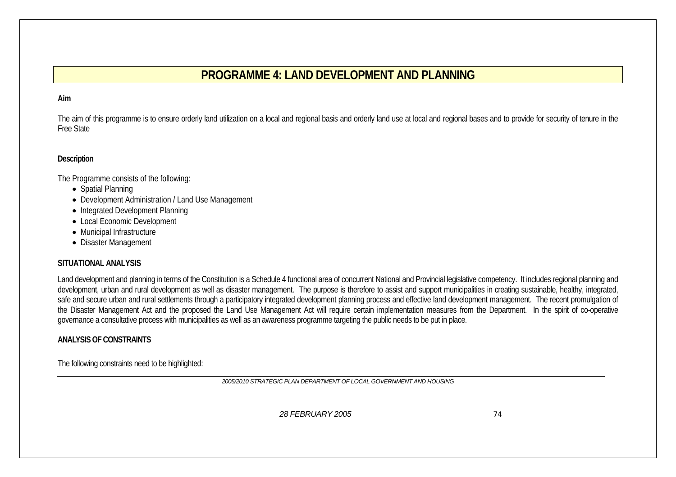# **PROGRAMME 4: LAND DEVELOPMENT AND PLANNING**

#### **Aim**

The aim of this programme is to ensure orderly land utilization on a local and regional basis and orderly land use at local and regional bases and to provide for security of tenure in the Free State

#### **Description**

The Programme consists of the following:

- Spatial Planning
- Development Administration / Land Use Management
- Integrated Development Planning
- Local Economic Development
- Municipal Infrastructure
- Disaster Management

#### **SITUATIONAL ANALYSIS**

Land development and planning in terms of the Constitution is a Schedule 4 functional area of concurrent National and Provincial legislative competency. It includes regional planning and development, urban and rural development as well as disaster management. The purpose is therefore to assist and support municipalities in creating sustainable, healthy, integrated, safe and secure urban and rural settlements through a participatory integrated development planning process and effective land development management. The recent promulgation of the Disaster Management Act and the proposed the Land Use Management Act will require certain implementation measures from the Department. In the spirit of co-operative governance a consultative process with municipalities as well as an awareness programme targeting the public needs to be put in place.

#### **ANALYSIS OF CONSTRAINTS**

The following constraints need to be highlighted:

*2005/2010 STRATEGIC PLAN DEPARTMENT OF LOCAL GOVERNMENT AND HOUSING*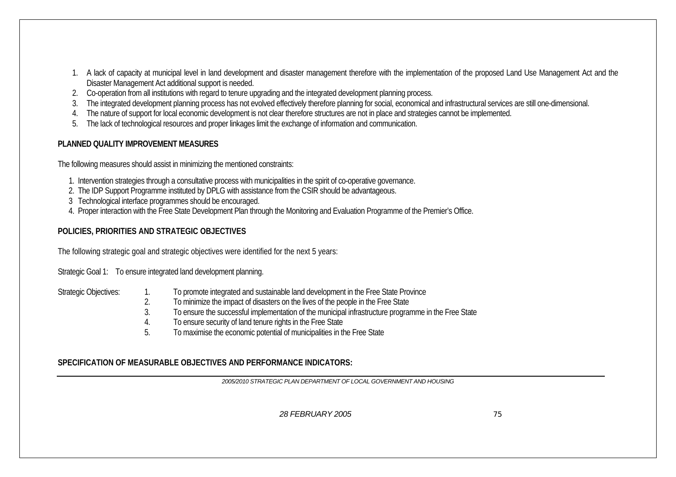- 1. A lack of capacity at municipal level in land development and disaster management therefore with the implementation of the proposed Land Use Management Act and the Disaster Management Act additional support is needed.
- 2. Co-operation from all institutions with regard to tenure upgrading and the integrated development planning process.
- 3. The integrated development planning process has not evolved effectively therefore planning for social, economical and infrastructural services are still one-dimensional.
- 4. The nature of support for local economic development is not clear therefore structures are not in place and strategies cannot be implemented.
- 5. The lack of technological resources and proper linkages limit the exchange of information and communication.

# **PLANNED QUALITY IMPROVEMENT MEASURES**

The following measures should assist in minimizing the mentioned constraints:

- 1. Intervention strategies through a consultative process with municipalities in the spirit of co-operative governance.
- 2. The IDP Support Programme instituted by DPLG with assistance from the CSIR should be advantageous.
- 3 Technological interface programmes should be encouraged.
- 4. Proper interaction with the Free State Development Plan through the Monitoring and Evaluation Programme of the Premier's Office.

# **POLICIES, PRIORITIES AND STRATEGIC OBJECTIVES**

The following strategic goal and strategic objectives were identified for the next 5 years:

Strategic Goal 1: To ensure integrated land development planning.

- Strategic Objectives: 1. To promote integrated and sustainable land development in the Free State Province
	- 2. To minimize the impact of disasters on the lives of the people in the Free State
	- 3. To ensure the successful implementation of the municipal infrastructure programme in the Free State
	- 4. To ensure security of land tenure rights in the Free State
	- 5. To maximise the economic potential of municipalities in the Free State

# **SPECIFICATION OF MEASURABLE OBJECTIVES AND PERFORMANCE INDICATORS:**

*2005/2010 STRATEGIC PLAN DEPARTMENT OF LOCAL GOVERNMENT AND HOUSING*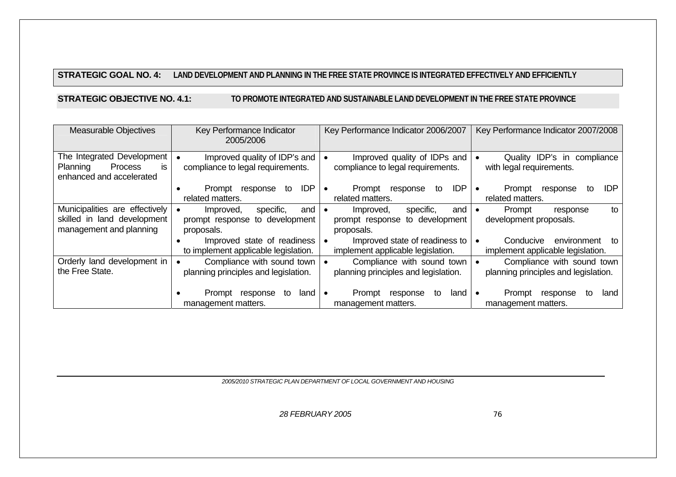#### **STRATEGIC GOAL NO. 4: LAND DEVELOPMENT AND PLANNING IN THE FREE STATE PROVINCE IS INTEGRATED EFFECTIVELY AND EFFICIENTLY**

**STRATEGIC OBJECTIVE NO. 4.1: TO PROMOTE INTEGRATED AND SUSTAINABLE LAND DEVELOPMENT IN THE FREE STATE PROVINCE**

| <b>Measurable Objectives</b>                                                             | Key Performance Indicator<br>2005/2006                                        | Key Performance Indicator 2006/2007                                             | Key Performance Indicator 2007/2008                                     |
|------------------------------------------------------------------------------------------|-------------------------------------------------------------------------------|---------------------------------------------------------------------------------|-------------------------------------------------------------------------|
| The Integrated Development<br>Process<br>Planning<br>is<br>enhanced and accelerated      | Improved quality of IDP's and<br>compliance to legal requirements.            | Improved quality of IDPs and<br>compliance to legal requirements.               | Quality IDP's in compliance<br>with legal requirements.                 |
|                                                                                          | <b>IDP</b><br>Prompt<br>response<br>to<br>related matters.                    | <b>IDP</b><br>Prompt<br>response<br>to<br>related matters.                      | <b>IDP</b><br>Prompt<br>response<br>to<br>$\bullet$<br>related matters. |
| Municipalities are effectively<br>skilled in land development<br>management and planning | Improved,<br>specific,<br>and<br>prompt response to development<br>proposals. | Improved,<br>specific,<br>and I<br>prompt response to development<br>proposals. | Prompt<br>to<br>response<br>development proposals.                      |
|                                                                                          | Improved state of readiness<br>to implement applicable legislation.           | Improved state of readiness to<br>implement applicable legislation.             | Conducive<br>environment<br>to<br>implement applicable legislation.     |
| Orderly land development in<br>the Free State.                                           | Compliance with sound town<br>planning principles and legislation.            | Compliance with sound town<br>planning principles and legislation.              | Compliance with sound town<br>planning principles and legislation.      |
|                                                                                          | response<br>land<br>Prompt<br>to<br>management matters.                       | Prompt<br>response<br>to<br>land<br>management matters.                         | Prompt<br>response<br>to<br>land<br>$\bullet$<br>management matters.    |

*2005/2010 STRATEGIC PLAN DEPARTMENT OF LOCAL GOVERNMENT AND HOUSING*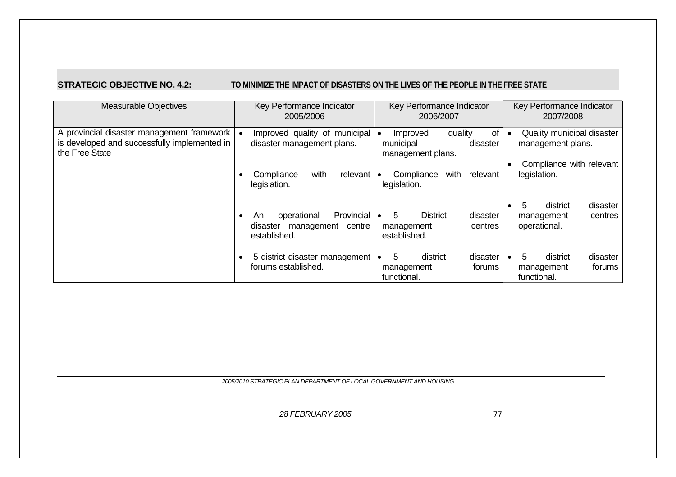# **STRATEGIC OBJECTIVE NO. 4.2: TO MINIMIZE THE IMPACT OF DISASTERS ON THE LIVES OF THE PEOPLE IN THE FREE STATE**

| <b>Measurable Objectives</b>                                                                                   | Key Performance Indicator<br>2005/2006                                               | Key Performance Indicator<br>2006/2007                                        | Key Performance Indicator<br>2007/2008                                         |  |
|----------------------------------------------------------------------------------------------------------------|--------------------------------------------------------------------------------------|-------------------------------------------------------------------------------|--------------------------------------------------------------------------------|--|
| A provincial disaster management framework  <br>is developed and successfully implemented in<br>the Free State | Improved quality of municipal<br>disaster management plans.                          | of<br>quality<br>Improved<br>disaster<br>municipal<br>management plans.       | Quality municipal disaster<br>management plans.<br>Compliance with relevant    |  |
|                                                                                                                | with<br>relevant<br>Compliance<br>legislation.                                       | Compliance<br>with<br>relevant<br>legislation.                                | legislation.                                                                   |  |
|                                                                                                                | Provincial<br>operational<br>An.<br>management<br>centre<br>disaster<br>established. | 5.<br><b>District</b><br>disaster<br>centres<br>management<br>established.    | 5<br>district<br>disaster<br>centres<br>management<br>operational.             |  |
|                                                                                                                | 5 district disaster management<br>forums established.                                | 5<br>district<br>disaster<br>$\bullet$<br>forums<br>management<br>functional. | district<br>disaster<br>5.<br>$\bullet$<br>forums<br>management<br>functional. |  |

*2005/2010 STRATEGIC PLAN DEPARTMENT OF LOCAL GOVERNMENT AND HOUSING*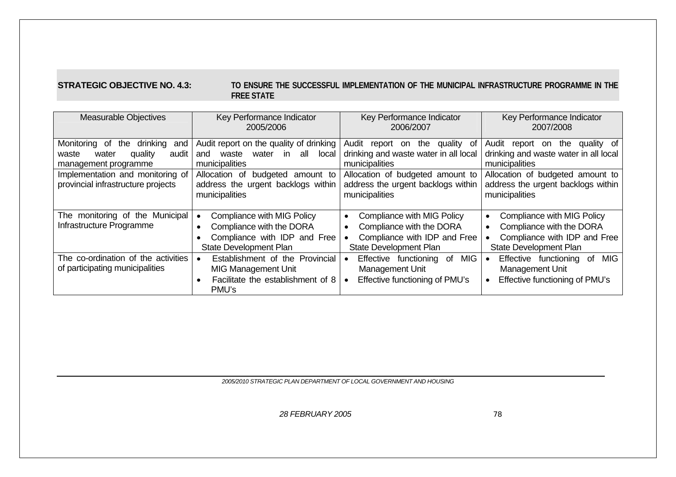#### **STRATEGIC OBJECTIVE NO. 4.3: TO ENSURE THE SUCCESSFUL IMPLEMENTATION OF THE MUNICIPAL INFRASTRUCTURE PROGRAMME IN THE FREE STATE**

| <b>Measurable Objectives</b>                                                                                                                                                    | Key Performance Indicator<br>2005/2006                                                                                                                                                                 | Key Performance Indicator<br>2006/2007                                                                                                                                                      | Key Performance Indicator<br>2007/2008                                                                                                                                                      |  |  |
|---------------------------------------------------------------------------------------------------------------------------------------------------------------------------------|--------------------------------------------------------------------------------------------------------------------------------------------------------------------------------------------------------|---------------------------------------------------------------------------------------------------------------------------------------------------------------------------------------------|---------------------------------------------------------------------------------------------------------------------------------------------------------------------------------------------|--|--|
| Monitoring of<br>drinking<br>the<br>and<br>water<br>quality<br>audit<br>waste<br>management programme<br>Implementation and monitoring of<br>provincial infrastructure projects | Audit report on the quality of drinking<br>all local<br>water<br>in i<br>waste<br>and<br>municipalities<br>Allocation of budgeted<br>amount to<br>address the urgent backlogs within<br>municipalities | Audit report on<br>quality of<br>the<br>drinking and waste water in all local<br>municipalities<br>Allocation of budgeted amount to<br>address the urgent backlogs within<br>municipalities | Audit report on<br>the<br>quality of<br>drinking and waste water in all local<br>municipalities<br>Allocation of budgeted amount to<br>address the urgent backlogs within<br>municipalities |  |  |
| The monitoring of the Municipal<br>Infrastructure Programme                                                                                                                     | Compliance with MIG Policy<br>Compliance with the DORA<br>Compliance with IDP and Free<br>State Development Plan                                                                                       | Compliance with MIG Policy<br>$\bullet$<br>Compliance with the DORA<br>Compliance with IDP and Free<br><b>State Development Plan</b>                                                        | Compliance with MIG Policy<br>$\bullet$<br>Compliance with the DORA<br>Compliance with IDP and Free<br><b>State Development Plan</b>                                                        |  |  |
| The co-ordination of the activities<br>of participating municipalities                                                                                                          | Establishment of the Provincial<br><b>MIG Management Unit</b><br>Facilitate the establishment of 8<br>PMU's                                                                                            | <b>MIG</b><br>Effective functioning of<br>Management Unit<br>Effective functioning of PMU's                                                                                                 | Effective functioning of<br>MIG.<br>Management Unit<br>Effective functioning of PMU's                                                                                                       |  |  |

*2005/2010 STRATEGIC PLAN DEPARTMENT OF LOCAL GOVERNMENT AND HOUSING*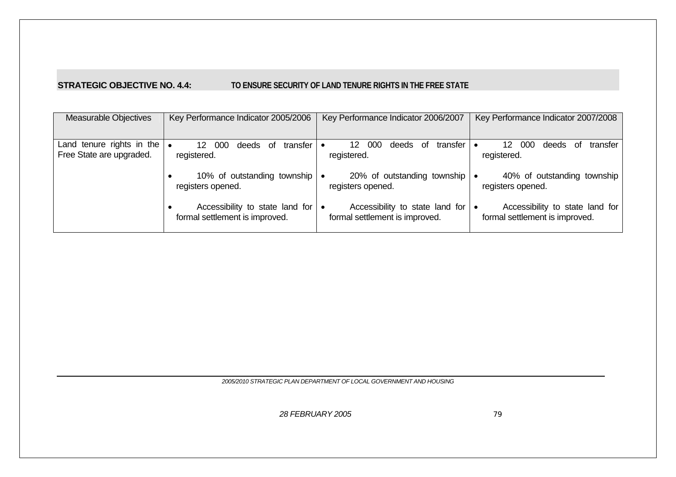#### **STRATEGIC OBJECTIVE NO. 4.4: TO ENSURE SECURITY OF LAND TENURE RIGHTS IN THE FREE STATE**

| <b>Measurable Objectives</b>                                    | Key Performance Indicator 2005/2006                               | Key Performance Indicator 2006/2007                               | Key Performance Indicator 2007/2008                               |
|-----------------------------------------------------------------|-------------------------------------------------------------------|-------------------------------------------------------------------|-------------------------------------------------------------------|
| Land tenure rights in the $\bullet$<br>Free State are upgraded. | transfer<br>000<br>12.<br>deeds of<br>registered.                 | transfer<br>-000<br>12<br>deeds of<br>$\bullet$<br>registered.    | 000<br>12<br>transfer<br>deeds<br>. of<br>registered.             |
|                                                                 | 10% of outstanding township<br>registers opened.                  | 20% of outstanding township<br>$\bullet$<br>registers opened.     | 40% of outstanding township<br>registers opened.                  |
|                                                                 | Accessibility to state land for<br>formal settlement is improved. | Accessibility to state land for<br>formal settlement is improved. | Accessibility to state land for<br>formal settlement is improved. |

*2005/2010 STRATEGIC PLAN DEPARTMENT OF LOCAL GOVERNMENT AND HOUSING*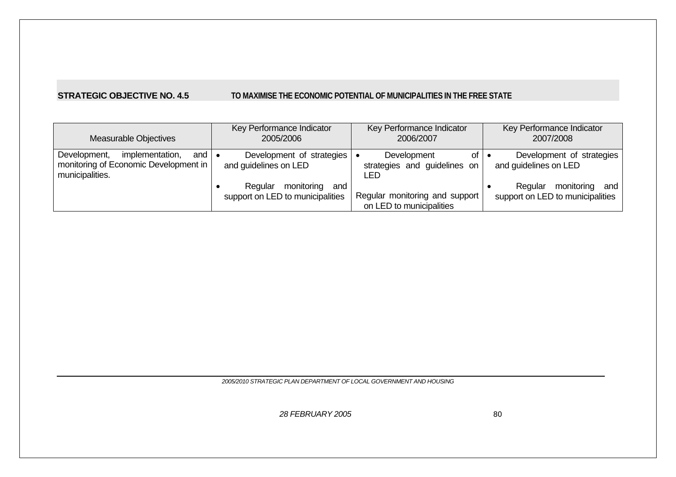## **STRATEGIC OBJECTIVE NO. 4.5 TO MAXIMISE THE ECONOMIC POTENTIAL OF MUNICIPALITIES IN THE FREE STATE**

| <b>Measurable Objectives</b>                                                                                             | Key Performance Indicator<br>2005/2006                        | Key Performance Indicator<br>2006/2007                               | Key Performance Indicator<br>2007/2008                           |  |  |
|--------------------------------------------------------------------------------------------------------------------------|---------------------------------------------------------------|----------------------------------------------------------------------|------------------------------------------------------------------|--|--|
| implementation,<br>Development,<br>and $\vert \bullet \vert$<br>monitoring of Economic Development in<br>municipalities. | Development of strategies<br>and guidelines on LED            | Development<br>of $  \bullet$<br>strategies and guidelines on<br>LED | Development of strategies<br>and guidelines on LED               |  |  |
|                                                                                                                          | Regular monitoring<br>and<br>support on LED to municipalities | Regular monitoring and support<br>on LED to municipalities           | monitoring<br>Regular<br>and<br>support on LED to municipalities |  |  |

*2005/2010 STRATEGIC PLAN DEPARTMENT OF LOCAL GOVERNMENT AND HOUSING*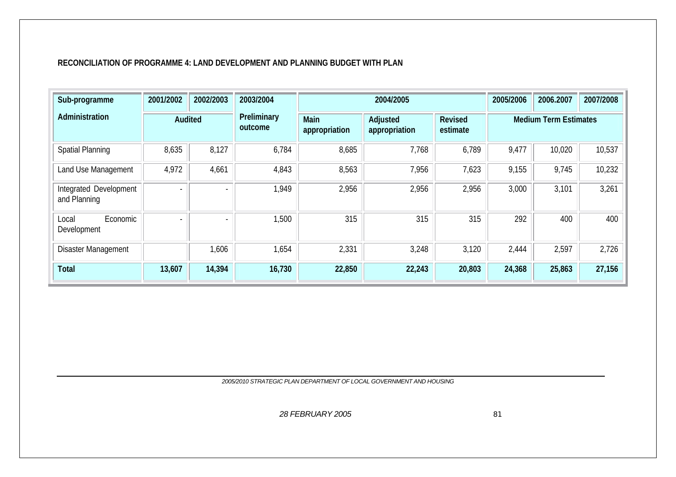#### **RECONCILIATION OF PROGRAMME 4: LAND DEVELOPMENT AND PLANNING BUDGET WITH PLAN**

| Sub-programme                          | 2001/2002                | 2002/2003                | 2003/2004              |                       | 2004/2005                 |                            | 2005/2006 | 2006.2007                    | 2007/2008 |
|----------------------------------------|--------------------------|--------------------------|------------------------|-----------------------|---------------------------|----------------------------|-----------|------------------------------|-----------|
| Administration                         |                          | Audited                  | Preliminary<br>outcome | Main<br>appropriation | Adjusted<br>appropriation | <b>Revised</b><br>estimate |           | <b>Medium Term Estimates</b> |           |
| <b>Spatial Planning</b>                | 8,635                    | 8,127                    | 6,784                  | 8,685                 | 7,768                     | 6,789                      | 9,477     | 10,020                       | 10,537    |
| Land Use Management                    | 4,972                    | 4,661                    | 4,843                  | 8,563                 | 7,956                     | 7,623                      | 9,155     | 9,745                        | 10,232    |
| Integrated Development<br>and Planning | Ξ.                       | $\overline{\phantom{0}}$ | 1,949                  | 2,956                 | 2,956                     | 2,956                      | 3,000     | 3,101                        | 3,261     |
| Economic<br>Local<br>Development       | $\overline{\phantom{0}}$ |                          | 1,500                  | 315                   | 315                       | 315                        | 292       | 400                          | 400       |
| Disaster Management                    |                          | 1,606                    | 1,654                  | 2,331                 | 3,248                     | 3,120                      | 2,444     | 2,597                        | 2,726     |
| Total                                  | 13,607                   | 14,394                   | 16,730                 | 22,850                | 22,243                    | 20,803                     | 24,368    | 25,863                       | 27,156    |

*2005/2010 STRATEGIC PLAN DEPARTMENT OF LOCAL GOVERNMENT AND HOUSING*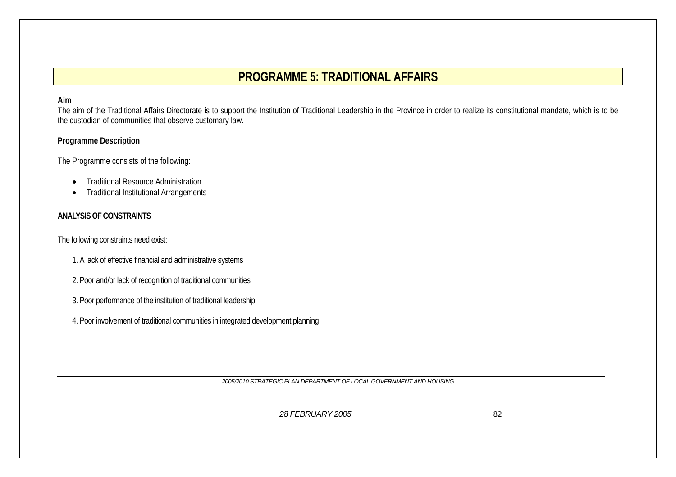# **PROGRAMME 5: TRADITIONAL AFFAIRS**

#### **Aim**

The aim of the Traditional Affairs Directorate is to support the Institution of Traditional Leadership in the Province in order to realize its constitutional mandate, which is to be the custodian of communities that observe customary law.

#### **Programme Description**

The Programme consists of the following:

- •Traditional Resource Administration
- •Traditional Institutional Arrangements

#### **ANALYSIS OF CONSTRAINTS**

The following constraints need exist:

- 1. A lack of effective financial and administrative systems
- 2. Poor and/or lack of recognition of traditional communities
- 3. Poor performance of the institution of traditional leadership
- 4. Poor involvement of traditional communities in integrated development planning

*2005/2010 STRATEGIC PLAN DEPARTMENT OF LOCAL GOVERNMENT AND HOUSING*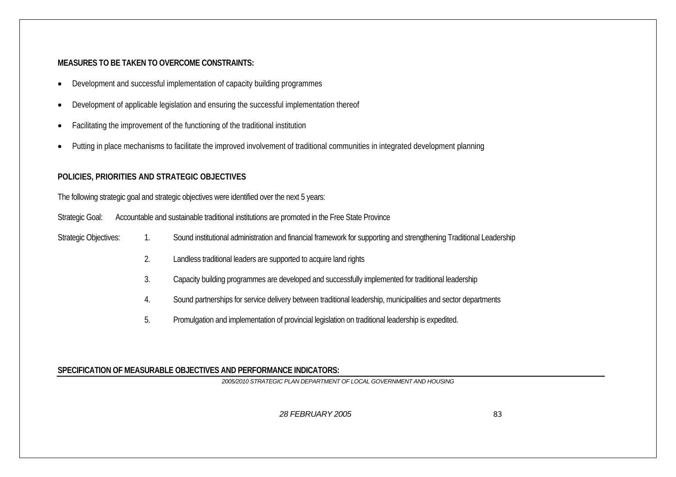#### **MEASURES TO BE TAKEN TO OVERCOME CONSTRAINTS:**

- •Development and successful implementation of capacity building programmes
- •Development of applicable legislation and ensuring the successful implementation thereof
- •Facilitating the improvement of the functioning of the traditional institution
- •Putting in place mechanisms to facilitate the improved involvement of traditional communities in integrated development planning

## **POLICIES, PRIORITIES AND STRATEGIC OBJECTIVES**

The following strategic goal and strategic objectives were identified over the next 5 years:

Strategic Goal: Accountable and sustainable traditional institutions are promoted in the Free State Province

- Strategic Objectives: 1. Sound institutional administration and financial framework for supporting and strengthening Traditional Leadership
	- 2. Landless traditional leaders are supported to acquire land rights
	- 3. Capacity building programmes are developed and successfully implemented for traditional leadership
	- 4. Sound partnerships for service delivery between traditional leadership, municipalities and sector departments
	- 5. Promulgation and implementation of provincial legislation on traditional leadership is expedited.

#### **SPECIFICATION OF MEASURABLE OBJECTIVES AND PERFORMANCE INDICATORS:**

*2005/2010 STRATEGIC PLAN DEPARTMENT OF LOCAL GOVERNMENT AND HOUSING*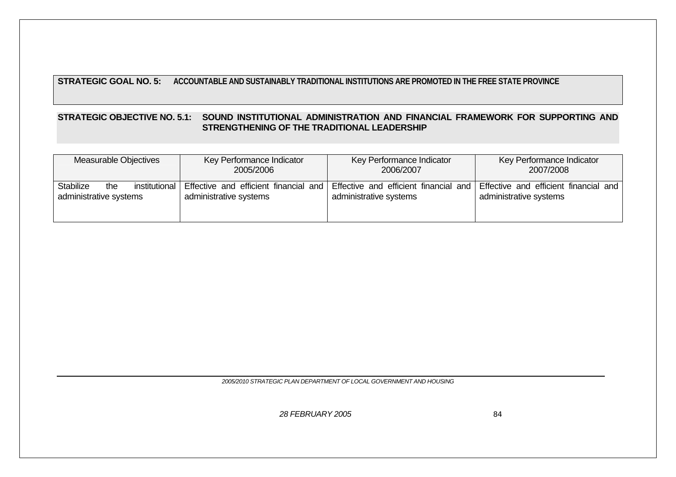## **STRATEGIC GOAL NO. 5: ACCOUNTABLE AND SUSTAINABLY TRADITIONAL INSTITUTIONS ARE PROMOTED IN THE FREE STATE PROVINCE**

#### **STRATEGIC OBJECTIVE NO. 5.1: SOUND INSTITUTIONAL ADMINISTRATION AND FINANCIAL FRAMEWORK FOR SUPPORTING AND STRENGTHENING OF THE TRADITIONAL LEADERSHIP**

| Measurable Objectives                                              | Key Performance Indicator                                       | Key Performance Indicator                                       | Key Performance Indicator                                       |  |  |
|--------------------------------------------------------------------|-----------------------------------------------------------------|-----------------------------------------------------------------|-----------------------------------------------------------------|--|--|
|                                                                    | 2005/2006                                                       | 2006/2007                                                       | 2007/2008                                                       |  |  |
| <b>Stabilize</b><br>institutional<br>the<br>administrative systems | Effective and efficient financial and<br>administrative systems | Effective and efficient financial and<br>administrative systems | Effective and efficient financial and<br>administrative systems |  |  |

*2005/2010 STRATEGIC PLAN DEPARTMENT OF LOCAL GOVERNMENT AND HOUSING*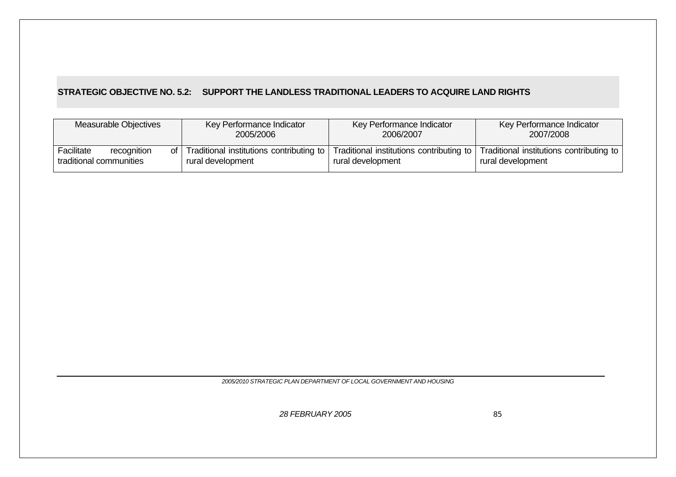## **STRATEGIC OBJECTIVE NO. 5.2: SUPPORT THE LANDLESS TRADITIONAL LEADERS TO ACQUIRE LAND RIGHTS**

| Measurable Objectives                                | Key Performance Indicator                                          | Key Performance Indicator                                     | Key Performance Indicator                                     |
|------------------------------------------------------|--------------------------------------------------------------------|---------------------------------------------------------------|---------------------------------------------------------------|
|                                                      | 2005/2006                                                          | 2006/2007                                                     | 2007/2008                                                     |
| Facilitate<br>recognition<br>traditional communities | of   Traditional institutions contributing to<br>rural development | Traditional institutions contributing to<br>rural development | Traditional institutions contributing to<br>rural development |

*2005/2010 STRATEGIC PLAN DEPARTMENT OF LOCAL GOVERNMENT AND HOUSING*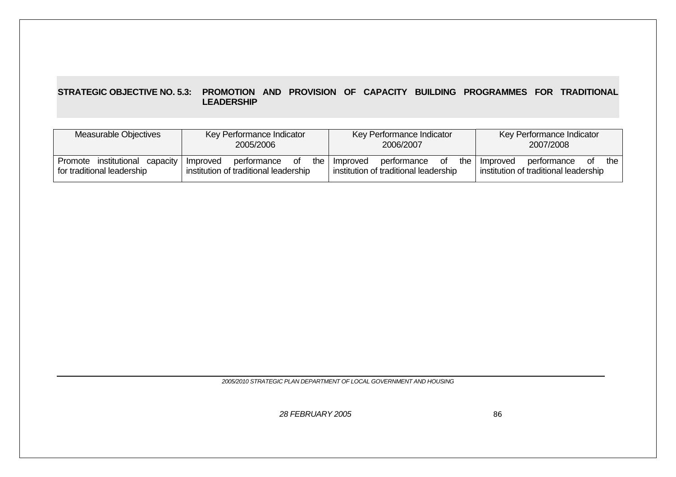#### **STRATEGIC OBJECTIVE NO. 5.3: PROMOTION AND PROVISION OF CAPACITY BUILDING PROGRAMMES FOR TRADITIONAL LEADERSHIP**

| Measurable Objectives                                              | Key Performance Indicator                                                     | Key Performance Indicator                                                       | Key Performance Indicator                                                     |  |  |
|--------------------------------------------------------------------|-------------------------------------------------------------------------------|---------------------------------------------------------------------------------|-------------------------------------------------------------------------------|--|--|
|                                                                    | 2005/2006                                                                     | 2006/2007                                                                       | 2007/2008                                                                     |  |  |
| institutional<br>Promote<br>capacity<br>for traditional leadership | of<br>the<br>performance<br>Improved<br>institution of traditional leadership | the I<br>performance<br>οf<br>Improved<br>institution of traditional leadership | the<br>performance<br>Improved<br>Οf<br>institution of traditional leadership |  |  |

*2005/2010 STRATEGIC PLAN DEPARTMENT OF LOCAL GOVERNMENT AND HOUSING*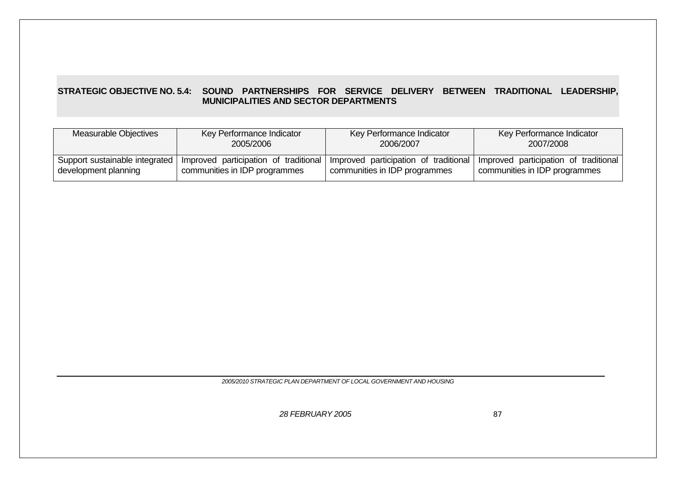#### **STRATEGIC OBJECTIVE NO. 5.4: SOUND PARTNERSHIPS FOR SERVICE DELIVERY BETWEEN TRADITIONAL LEADERSHIP, MUNICIPALITIES AND SECTOR DEPARTMENTS**

| Measurable Objectives          | Key Performance Indicator     | Key Performance Indicator                                                   | Key Performance Indicator             |  |
|--------------------------------|-------------------------------|-----------------------------------------------------------------------------|---------------------------------------|--|
|                                | 2005/2006                     | 2006/2007                                                                   | 2007/2008                             |  |
| Support sustainable integrated | communities in IDP programmes | Improved participation of traditional Improved participation of traditional | Improved participation of traditional |  |
| development planning           |                               | communities in IDP programmes                                               | communities in IDP programmes         |  |

*2005/2010 STRATEGIC PLAN DEPARTMENT OF LOCAL GOVERNMENT AND HOUSING*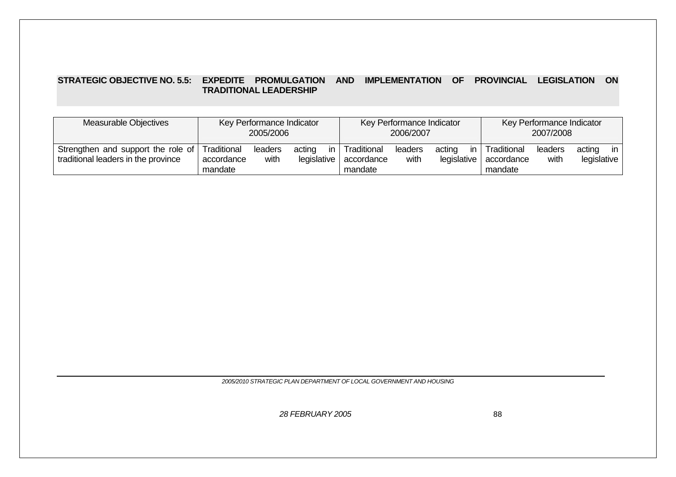#### **STRATEGIC OBJECTIVE NO. 5.5: EXPEDITE PROMULGATION AND IMPLEMENTATION OF PROVINCIAL LEGISLATION ON TRADITIONAL LEADERSHIP**

| Measurable Objectives                                                                 | Key Performance Indicator |                 |                       | Key Performance Indicator |                                      |                 | Key Performance Indicator   |                                      |                 |                              |
|---------------------------------------------------------------------------------------|---------------------------|-----------------|-----------------------|---------------------------|--------------------------------------|-----------------|-----------------------------|--------------------------------------|-----------------|------------------------------|
|                                                                                       | 2005/2006                 |                 |                       | 2006/2007                 |                                      |                 | 2007/2008                   |                                      |                 |                              |
| Strengthen and support the role of Traditional<br>traditional leaders in the province | accordance<br>mandate     | leaders<br>with | acting<br>legislative | in.                       | Traditional<br>accordance<br>mandate | leaders<br>with | acting<br>in<br>legislative | Traditional<br>accordance<br>mandate | leaders<br>with | in.<br>acting<br>legislative |

*2005/2010 STRATEGIC PLAN DEPARTMENT OF LOCAL GOVERNMENT AND HOUSING*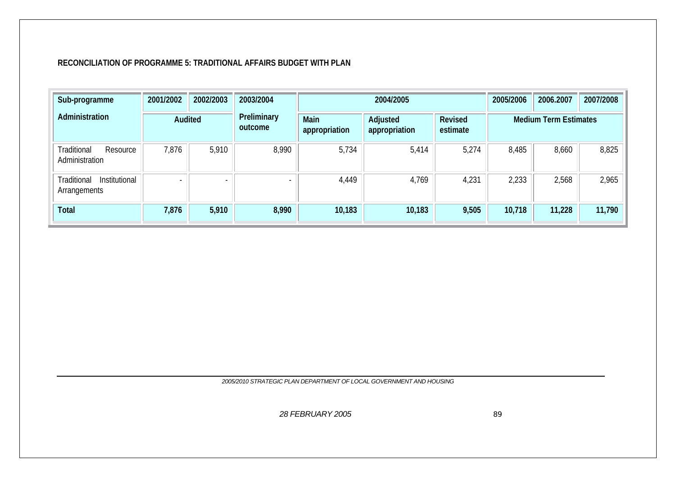#### **RECONCILIATION OF PROGRAMME 5: TRADITIONAL AFFAIRS BUDGET WITH PLAN**

| Sub-programme                                | 2001/2002 | 2002/2003 | 2003/2004                |                       | 2004/2005                 | 2005/2006                  | 2006.2007 | 2007/2008                    |        |
|----------------------------------------------|-----------|-----------|--------------------------|-----------------------|---------------------------|----------------------------|-----------|------------------------------|--------|
| Administration<br>Audited                    |           |           | Preliminary<br>outcome   | Main<br>appropriation | Adjusted<br>appropriation | <b>Revised</b><br>estimate |           | <b>Medium Term Estimates</b> |        |
| Traditional<br>Resource<br>Administration    | 7,876     | 5,910     | 8,990                    | 5,734                 | 5,414                     | 5,274                      | 8,485     | 8,660                        | 8,825  |
| Institutional<br>Traditional<br>Arrangements |           |           | $\overline{\phantom{0}}$ | 4,449                 | 4,769                     | 4,231                      | 2,233     | 2,568                        | 2,965  |
| <b>Total</b>                                 | 7,876     | 5,910     | 8,990                    | 10,183                | 10,183                    | 9,505                      | 10,718    | 11,228                       | 11,790 |

*2005/2010 STRATEGIC PLAN DEPARTMENT OF LOCAL GOVERNMENT AND HOUSING*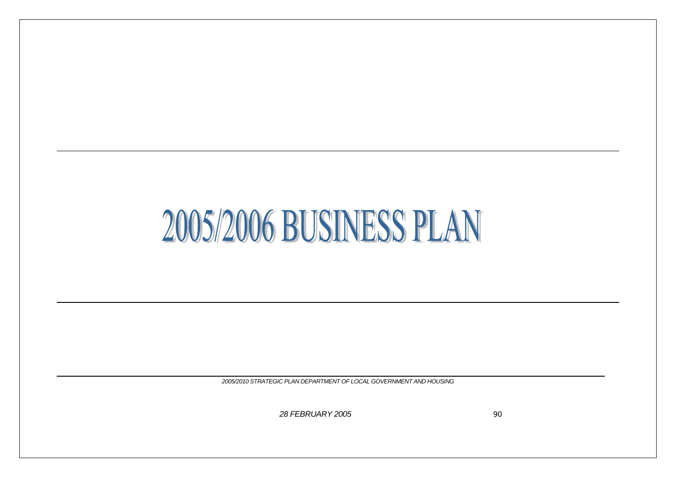# 2005/2006 BUSINESS PLAN

*2005/2010 STRATEGIC PLAN DEPARTMENT OF LOCAL GOVERNMENT AND HOUSING*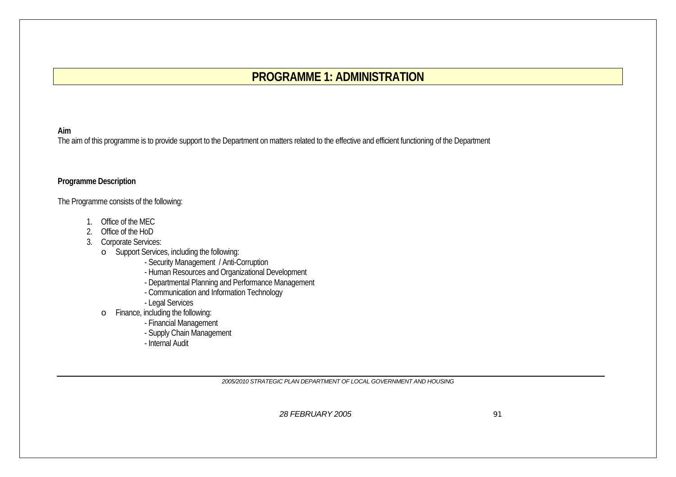# **PROGRAMME 1: ADMINISTRATION**

#### **Aim**

The aim of this programme is to provide support to the Department on matters related to the effective and efficient functioning of the Department

#### **Programme Description**

The Programme consists of the following:

- 1. Office of the MEC
- 2. Office of the HoD
- 3. Corporate Services:
	- o Support Services, including the following:
		- Security Management / Anti-Corruption
		- Human Resources and Organizational Development
		- Departmental Planning and Performance Management
		- Communication and Information Technology
		- Legal Services
	- o Finance, including the following:
		- Financial Management
		- Supply Chain Management
		- Internal Audit

*2005/2010 STRATEGIC PLAN DEPARTMENT OF LOCAL GOVERNMENT AND HOUSING*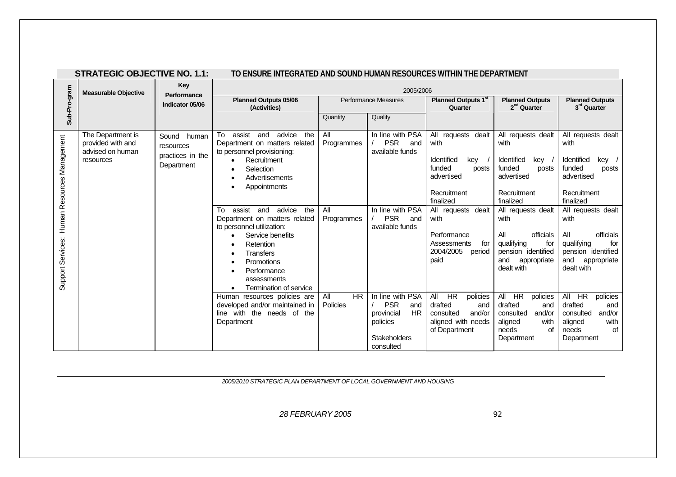| <b>STRATEGIC OBJECTIVE NO. 1.1:</b> |  |  |
|-------------------------------------|--|--|
|-------------------------------------|--|--|

#### **STRATEGIC OBJECTIVE NO. 1.1: TO ENSURE INTEGRATED AND SOUND HUMAN RESOURCES WITHIN THE DEPARTMENT**

|                                                 | <b>Measurable Objective</b>                                             | <b>Key</b><br>Performance                                  |                                                                                                                                                                                                                                                                                                                                                                                                                                                                                                                                                                                                                  |                                                                        | 2005/2006                                                                                                                                                                                     |                                                                                                                                                                                                                                                                                                                                |                                                                                                                                                                                                                                                                                                                                                    |                                                                                                                                                                                                                                                                                                                                                |
|-------------------------------------------------|-------------------------------------------------------------------------|------------------------------------------------------------|------------------------------------------------------------------------------------------------------------------------------------------------------------------------------------------------------------------------------------------------------------------------------------------------------------------------------------------------------------------------------------------------------------------------------------------------------------------------------------------------------------------------------------------------------------------------------------------------------------------|------------------------------------------------------------------------|-----------------------------------------------------------------------------------------------------------------------------------------------------------------------------------------------|--------------------------------------------------------------------------------------------------------------------------------------------------------------------------------------------------------------------------------------------------------------------------------------------------------------------------------|----------------------------------------------------------------------------------------------------------------------------------------------------------------------------------------------------------------------------------------------------------------------------------------------------------------------------------------------------|------------------------------------------------------------------------------------------------------------------------------------------------------------------------------------------------------------------------------------------------------------------------------------------------------------------------------------------------|
| Sub-Pro-gram                                    | Indicator 05/06                                                         |                                                            | <b>Planned Outputs 05/06</b><br>(Activities)                                                                                                                                                                                                                                                                                                                                                                                                                                                                                                                                                                     |                                                                        | <b>Performance Measures</b>                                                                                                                                                                   | Planned Outputs 1st<br>Quarter                                                                                                                                                                                                                                                                                                 | <b>Planned Outputs</b><br>2 <sup>nd</sup> Quarter                                                                                                                                                                                                                                                                                                  | <b>Planned Outputs</b><br>3rd Quarter                                                                                                                                                                                                                                                                                                          |
|                                                 |                                                                         |                                                            |                                                                                                                                                                                                                                                                                                                                                                                                                                                                                                                                                                                                                  | Quantity                                                               | Quality                                                                                                                                                                                       |                                                                                                                                                                                                                                                                                                                                |                                                                                                                                                                                                                                                                                                                                                    |                                                                                                                                                                                                                                                                                                                                                |
| Human Resources Management<br>Support Services: | The Department is<br>provided with and<br>advised on human<br>resources | Sound human<br>resources<br>practices in the<br>Department | assist<br>advice<br>To<br>and<br>the<br>Department on matters related<br>to personnel provisioning:<br>Recruitment<br>$\bullet$<br>Selection<br>٠<br>Advertisements<br>$\bullet$<br>Appointments<br>$\bullet$<br>advice<br>assist<br>and<br>the<br>To<br>Department on matters related<br>to personnel utilization:<br>Service benefits<br>$\bullet$<br><b>Retention</b><br>Transfers<br>$\bullet$<br>Promotions<br>$\bullet$<br>Performance<br>$\bullet$<br>assessments<br>Termination of service<br>Human resources policies are<br>developed and/or maintained in<br>line with the needs of the<br>Department | All<br>Programmes<br>All<br>Programmes<br><b>HR</b><br>All<br>Policies | In line with PSA<br><b>PSR</b><br>and<br>available funds<br>In line with PSA<br><b>PSR</b><br>and<br>available funds<br>In line with PSA<br><b>PSR</b><br>and<br>HR<br>provincial<br>policies | All requests dealt<br>with<br>Identified<br>kev<br>funded<br>posts<br>advertised<br>Recruitment<br>finalized<br>All requests dealt<br>with<br>Performance<br>for<br>Assessments<br>2004/2005<br>period<br>paid<br>All<br><b>HR</b><br>policies<br>drafted<br>and<br>consulted<br>and/or<br>aligned with needs<br>of Department | All requests dealt<br>with<br>Identified<br>key<br>funded<br>posts<br>advertised<br>Recruitment<br>finalized<br>All requests dealt<br>with<br>All<br>officials<br>qualifying<br>for<br>pension identified<br>and<br>appropriate<br>dealt with<br>All<br>HR.<br>policies<br>drafted<br>and<br>consulted<br>and/or<br>with<br>aligned<br>needs<br>of | All requests dealt<br>with<br>Identified<br>kev<br>funded<br>posts<br>advertised<br>Recruitment<br>finalized<br>All requests dealt<br>with<br>All<br>officials<br>qualifying<br>for<br>pension identified<br>and<br>appropriate<br>dealt with<br>All HR<br>policies<br>drafted<br>and<br>consulted<br>and/or<br>with<br>aligned<br>Ωf<br>needs |
|                                                 |                                                                         |                                                            |                                                                                                                                                                                                                                                                                                                                                                                                                                                                                                                                                                                                                  |                                                                        | <b>Stakeholders</b><br>consulted                                                                                                                                                              |                                                                                                                                                                                                                                                                                                                                | Department                                                                                                                                                                                                                                                                                                                                         | Department                                                                                                                                                                                                                                                                                                                                     |

*2005/2010 STRATEGIC PLAN DEPARTMENT OF LOCAL GOVERNMENT AND HOUSING*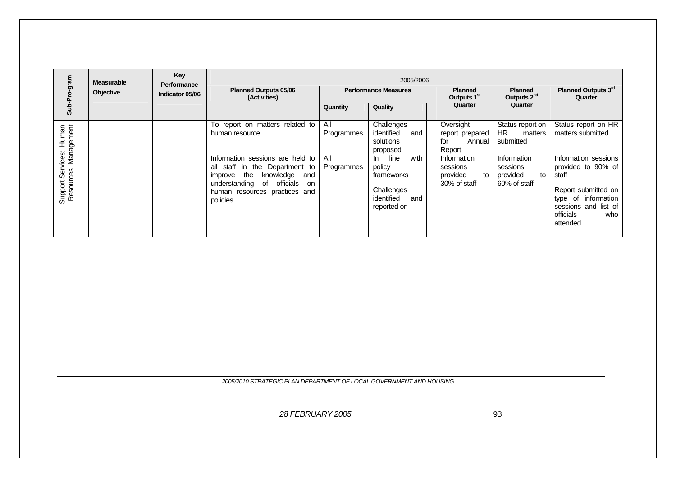|                                                 | <b>Measurable</b> | Key<br>Performance |                                                                                                                                                                                              |                   | 2005/2006                                                                                     |                                                           |                                                           |                                                                                                                                                           |
|-------------------------------------------------|-------------------|--------------------|----------------------------------------------------------------------------------------------------------------------------------------------------------------------------------------------|-------------------|-----------------------------------------------------------------------------------------------|-----------------------------------------------------------|-----------------------------------------------------------|-----------------------------------------------------------------------------------------------------------------------------------------------------------|
|                                                 | Objective         | Indicator 05/06    | <b>Planned Outputs 05/06</b><br>(Activities)                                                                                                                                                 |                   | <b>Performance Measures</b>                                                                   | <b>Planned</b><br>Outputs 1 <sup>st</sup>                 | <b>Planned</b><br>Outputs 2 <sup>nd</sup>                 | Planned Outputs 3rd<br>Quarter                                                                                                                            |
| Sub                                             |                   |                    |                                                                                                                                                                                              | Quantity          | Quality                                                                                       | Quarter                                                   | Quarter                                                   |                                                                                                                                                           |
|                                                 |                   |                    | To report on matters related to<br>human resource                                                                                                                                            | All<br>Programmes | Challenges<br>identified<br>and<br>solutions<br>proposed                                      | Oversight<br>report prepared<br>for<br>Annual<br>Report   | Status report on<br><b>HR</b><br>matters<br>submitted     | Status report on HR<br>matters submitted                                                                                                                  |
| Support Services: Human<br>Resources Management |                   |                    | Information sessions are held to<br>all staff in the Department to<br>the<br>knowledge<br>and<br>improve<br>officials<br>understanding of<br>on<br>human resources practices and<br>policies | All<br>Programmes | with<br>line<br>ln.<br>policy<br>frameworks<br>Challenges<br>identified<br>and<br>reported on | Information<br>sessions<br>provided<br>to<br>30% of staff | Information<br>sessions<br>provided<br>to<br>60% of staff | Information sessions<br>provided to 90% of<br>staff<br>Report submitted on<br>type of information<br>sessions and list of<br>officials<br>who<br>attended |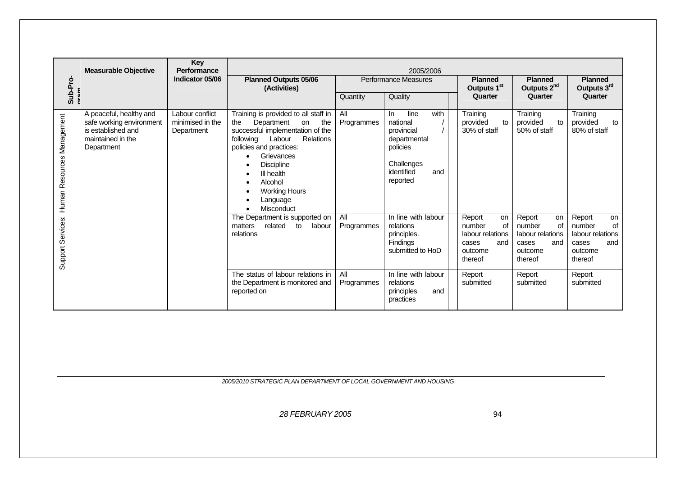|                                                 | <b>Measurable Objective</b>                                                                                  | Key<br>Performance                                |                                                                                                                                                                                                                                                                                                                                                                       |                   | 2005/2006                                                                                                                |                                                                                        |                                                                                               |                                                                                        |  |
|-------------------------------------------------|--------------------------------------------------------------------------------------------------------------|---------------------------------------------------|-----------------------------------------------------------------------------------------------------------------------------------------------------------------------------------------------------------------------------------------------------------------------------------------------------------------------------------------------------------------------|-------------------|--------------------------------------------------------------------------------------------------------------------------|----------------------------------------------------------------------------------------|-----------------------------------------------------------------------------------------------|----------------------------------------------------------------------------------------|--|
| Sub-Pro-                                        |                                                                                                              | Indicator 05/06                                   | <b>Planned Outputs 05/06</b><br>(Activities)                                                                                                                                                                                                                                                                                                                          |                   | Performance Measures                                                                                                     | <b>Planned</b><br>Outputs 1 <sup>st</sup>                                              | <b>Planned</b><br>Outputs 2 <sup>nd</sup>                                                     | <b>Planned</b><br>Outputs 3rd                                                          |  |
|                                                 |                                                                                                              |                                                   |                                                                                                                                                                                                                                                                                                                                                                       | Quantity          | Quality                                                                                                                  | Quarter                                                                                | Quarter                                                                                       | Quarter                                                                                |  |
| Human Resources Management<br>Support Services: | A peaceful, healthy and<br>safe working environment<br>is established and<br>maintained in the<br>Department | Labour conflict<br>minimised in the<br>Department | Training is provided to all staff in<br>Department<br>the<br>on<br>the<br>successful implementation of the<br>Relations<br>following<br>Labour<br>policies and practices:<br>Grievances<br>$\bullet$<br><b>Discipline</b><br>$\bullet$<br>III health<br>$\bullet$<br>Alcohol<br>$\bullet$<br><b>Working Hours</b><br>$\bullet$<br>Language<br>$\bullet$<br>Misconduct | All<br>Programmes | with<br>line<br>In.<br>national<br>provincial<br>departmental<br>policies<br>Challenges<br>identified<br>and<br>reported | Training<br>provided<br>to<br>30% of staff                                             | Training<br>provided<br>to<br>50% of staff                                                    | Training<br>provided<br>to<br>80% of staff                                             |  |
|                                                 |                                                                                                              |                                                   | The Department is supported on<br>related<br>to<br>labour<br>matters<br>relations                                                                                                                                                                                                                                                                                     | All<br>Programmes | In line with labour<br>relations<br>principles.<br>Findings<br>submitted to HoD                                          | Report<br>on<br>number<br>of<br>labour relations<br>and<br>cases<br>outcome<br>thereof | Report<br>on<br>number<br><b>of</b><br>labour relations<br>and<br>cases<br>outcome<br>thereof | Report<br>on<br>number<br>of<br>labour relations<br>and<br>cases<br>outcome<br>thereof |  |
|                                                 |                                                                                                              |                                                   | The status of labour relations in<br>the Department is monitored and<br>reported on                                                                                                                                                                                                                                                                                   | All<br>Programmes | In line with labour<br>relations<br>principles<br>and<br>practices                                                       | Report<br>submitted                                                                    | Report<br>submitted                                                                           | Report<br>submitted                                                                    |  |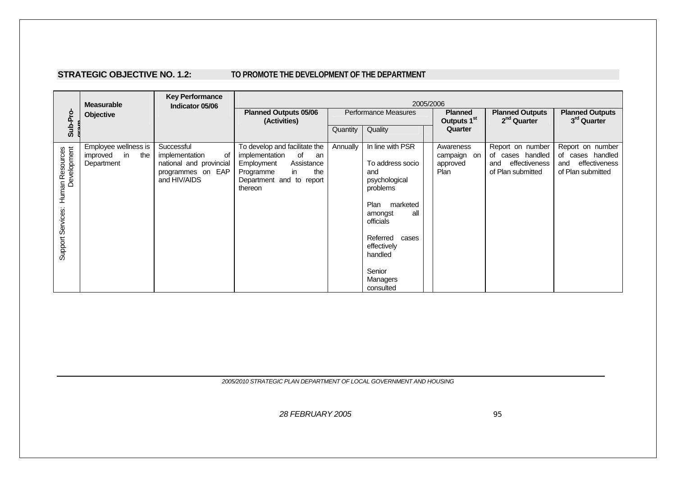#### **STRATEGIC OBJECTIVE NO. 1.2: TO PROMOTE THE DEVELOPMENT OF THE DEPARTMENT**

|                                                     | <b>Measurable</b>                                           | <b>Key Performance</b><br>Indicator 05/06                                                          |                                                                                                                                                          | 2005/2006            |                                                                                                                                                                                                               |  |                                                 |                                                                                   |                                                                                   |  |  |  |
|-----------------------------------------------------|-------------------------------------------------------------|----------------------------------------------------------------------------------------------------|----------------------------------------------------------------------------------------------------------------------------------------------------------|----------------------|---------------------------------------------------------------------------------------------------------------------------------------------------------------------------------------------------------------|--|-------------------------------------------------|-----------------------------------------------------------------------------------|-----------------------------------------------------------------------------------|--|--|--|
| Sub-Pro-                                            | Objective                                                   |                                                                                                    | <b>Planned Outputs 05/06</b><br>(Activities)                                                                                                             | Performance Measures |                                                                                                                                                                                                               |  | <b>Planned</b><br>Outputs 1 <sup>st</sup>       | <b>Planned Outputs</b><br>2 <sup>nd</sup> Quarter                                 | <b>Planned Outputs</b><br>3rd Quarter                                             |  |  |  |
|                                                     |                                                             |                                                                                                    |                                                                                                                                                          | Quantity             | Quality                                                                                                                                                                                                       |  | Quarter                                         |                                                                                   |                                                                                   |  |  |  |
| Human Resources<br>Development<br>Support Services: | Employee wellness is<br>in<br>the<br>improved<br>Department | Successful<br>implementation<br>οf<br>national and provincial<br>programmes on EAP<br>and HIV/AIDS | To develop and facilitate the<br>implementation<br>of<br>an<br>Employment<br>Assistance<br>in<br>the<br>Programme<br>Department and to report<br>thereon | Annually             | In line with PSR<br>To address socio<br>and<br>psychological<br>problems<br>Plan<br>marketed<br>all<br>amongst<br>officials<br>Referred<br>cases<br>effectively<br>handled<br>Senior<br>Managers<br>consulted |  | Awareness<br>campaign<br>on<br>approved<br>Plan | Report on number<br>of cases handled<br>effectiveness<br>and<br>of Plan submitted | Report on number<br>of cases handled<br>effectiveness<br>and<br>of Plan submitted |  |  |  |

*2005/2010 STRATEGIC PLAN DEPARTMENT OF LOCAL GOVERNMENT AND HOUSING*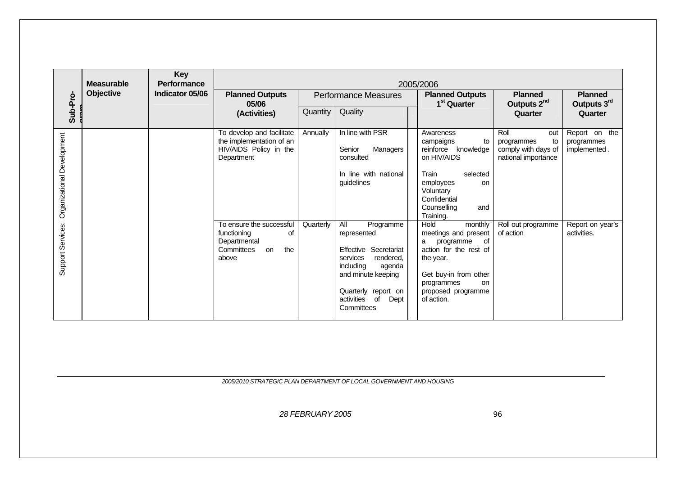|                            | <b>Measurable</b> | <b>Key</b><br><b>Performance</b> |                                                                                                   |           |                                                                                                                                                                                                 | 2005/2006                                                                                                                                                                               |                                                                               |                                             |
|----------------------------|-------------------|----------------------------------|---------------------------------------------------------------------------------------------------|-----------|-------------------------------------------------------------------------------------------------------------------------------------------------------------------------------------------------|-----------------------------------------------------------------------------------------------------------------------------------------------------------------------------------------|-------------------------------------------------------------------------------|---------------------------------------------|
|                            | Objective         | Indicator 05/06                  | <b>Planned Outputs</b><br>05/06                                                                   |           | <b>Performance Measures</b>                                                                                                                                                                     | <b>Planned Outputs</b><br>1 <sup>st</sup> Quarter                                                                                                                                       | <b>Planned</b><br>Outputs 2 <sup>nd</sup>                                     | <b>Planned</b><br>Outputs 3rd               |
| Sub-Pro-                   |                   |                                  | (Activities)                                                                                      | Quantity  | Quality                                                                                                                                                                                         |                                                                                                                                                                                         | Quarter                                                                       | Quarter                                     |
| Organizational Development |                   |                                  | To develop and facilitate<br>the implementation of an<br>HIV/AIDS Policy in the<br>Department     | Annually  | In line with PSR<br>Senior<br>Managers<br>consulted<br>In line with national<br>guidelines                                                                                                      | Awareness<br>campaigns<br>to<br>reinforce knowledge<br>on HIV/AIDS<br>Train<br>selected<br>employees<br>on<br>Voluntary<br>Confidential<br>Counselling<br>and<br>Training.              | Roll<br>out<br>to<br>programmes<br>comply with days of<br>national importance | Report on the<br>programmes<br>implemented. |
| Support Services:          |                   |                                  | To ensure the successful<br>functioning<br>of<br>Departmental<br>Committees<br>the<br>on<br>above | Quarterly | All<br>Programme<br>represented<br>Effective Secretariat<br>services<br>rendered,<br>including<br>agenda<br>and minute keeping<br>Quarterly report on<br>activities<br>of<br>Dept<br>Committees | Hold<br>monthly<br>meetings and present<br>of<br>programme<br>a<br>action for the rest of<br>the year.<br>Get buy-in from other<br>programmes<br>on<br>proposed programme<br>of action. | Roll out programme<br>of action                                               | Report on year's<br>activities.             |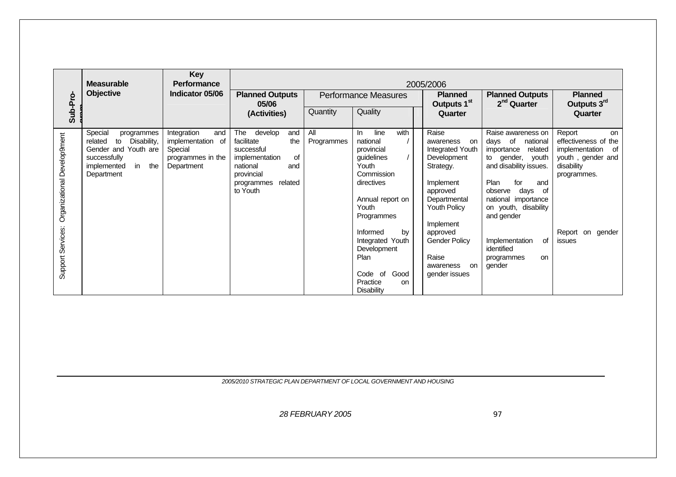| Sub-Pro-                                         | <b>Measurable</b><br>Objective                                                                                                          | Key<br><b>Performance</b><br>Indicator 05/06                                          | <b>Planned Outputs</b><br>05/06                                                                                                                                        |                               | <b>Performance Measures</b>                                                                                                                                                                                         | 2005/2006<br><b>Planned</b><br>Outputs 1 <sup>st</sup>                                                                                                                                                                           | <b>Planned Outputs</b><br>2 <sup>nd</sup> Quarter                                                                                                                                                                                                                                                             | <b>Planned</b><br>Outputs 3rd                                                                                                                                   |
|--------------------------------------------------|-----------------------------------------------------------------------------------------------------------------------------------------|---------------------------------------------------------------------------------------|------------------------------------------------------------------------------------------------------------------------------------------------------------------------|-------------------------------|---------------------------------------------------------------------------------------------------------------------------------------------------------------------------------------------------------------------|----------------------------------------------------------------------------------------------------------------------------------------------------------------------------------------------------------------------------------|---------------------------------------------------------------------------------------------------------------------------------------------------------------------------------------------------------------------------------------------------------------------------------------------------------------|-----------------------------------------------------------------------------------------------------------------------------------------------------------------|
| Organizational Develop9ment<br>Support Services: | Special<br>programmes<br>Disability,<br>related<br>to<br>Gender and Youth are<br>successfully<br>in<br>the<br>implemented<br>Department | Integration<br>and<br>implementation of<br>Special<br>programmes in the<br>Department | (Activities)<br>The<br>develop<br>and<br>facilitate<br>the<br>successful<br>0f<br>implementation<br>national<br>and<br>provincial<br>related<br>programmes<br>to Youth | Quantity<br>All<br>Programmes | Quality<br>with<br>line<br>In.<br>national<br>provincial<br>quidelines<br>Youth<br>Commission<br>directives<br>Annual report on<br>Youth<br>Programmes<br>Informed<br>by<br>Integrated Youth<br>Development<br>Plan | Quarter<br>Raise<br>awareness<br>on<br>Integrated Youth<br>Development<br>Strategy.<br>Implement<br>approved<br>Departmental<br><b>Youth Policy</b><br>Implement<br>approved<br><b>Gender Policy</b><br>Raise<br>awareness<br>on | Raise awareness on<br>days of<br>national<br>importance<br>related<br>gender,<br>youth<br>to<br>and disability issues.<br>Plan<br>and<br>for<br>days<br>observe<br>оf<br>national importance<br>on youth, disability<br>and gender<br>of<br>Implementation<br>identified<br>programmes<br><b>on</b><br>gender | Quarter<br>Report<br><b>on</b><br>effectiveness of the<br>implementation<br>_of<br>youth, gender and<br>disability<br>programmes.<br>Report on gender<br>issues |
|                                                  |                                                                                                                                         |                                                                                       |                                                                                                                                                                        |                               | Good<br>Code of<br>Practice<br>on<br><b>Disability</b>                                                                                                                                                              | gender issues                                                                                                                                                                                                                    |                                                                                                                                                                                                                                                                                                               |                                                                                                                                                                 |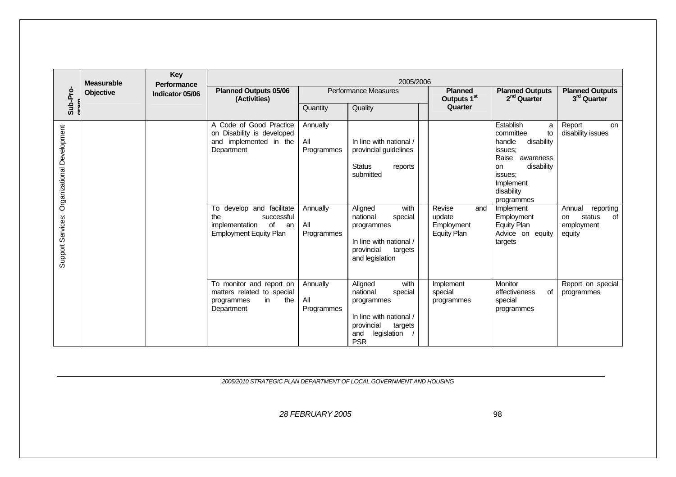| Sub-Pro-                                        | <b>Measurable</b><br>Objective | Performance<br>Indicator 05/06 | <b>Planned Outputs 05/06</b><br>(Activities)                                                                                                                                                                   |                                                                | 2005/2006<br><b>Performance Measures</b>                                                                                                                                                                                 | <b>Planned</b><br>Outputs 1 <sup>st</sup>                   | <b>Planned Outputs</b><br>2 <sup>nd</sup> Quarter                                                                                                                                                                                                  | <b>Planned Outputs</b><br>3rd Quarter                                                                         |
|-------------------------------------------------|--------------------------------|--------------------------------|----------------------------------------------------------------------------------------------------------------------------------------------------------------------------------------------------------------|----------------------------------------------------------------|--------------------------------------------------------------------------------------------------------------------------------------------------------------------------------------------------------------------------|-------------------------------------------------------------|----------------------------------------------------------------------------------------------------------------------------------------------------------------------------------------------------------------------------------------------------|---------------------------------------------------------------------------------------------------------------|
|                                                 |                                |                                |                                                                                                                                                                                                                | Quantity                                                       | Quality                                                                                                                                                                                                                  | Quarter                                                     |                                                                                                                                                                                                                                                    |                                                                                                               |
| Organizational Development<br>Support Services: |                                |                                | A Code of Good Practice<br>on Disability is developed<br>and implemented in the<br>Department<br>To develop and facilitate<br>the<br>successful<br>implementation<br>of<br>an<br><b>Employment Equity Plan</b> | Annually<br>All<br>Programmes<br>Annually<br>All<br>Programmes | In line with national /<br>provincial guidelines<br><b>Status</b><br>reports<br>submitted<br>Aligned<br>with<br>national<br>special<br>programmes<br>In line with national /<br>provincial<br>targets<br>and legislation | Revise<br>and<br>update<br>Employment<br><b>Equity Plan</b> | Establish<br>a<br>committee<br>to<br>handle<br>disability<br>issues:<br>Raise<br>awareness<br>disability<br>on<br>issues:<br>Implement<br>disability<br>programmes<br>Implement<br>Employment<br><b>Equity Plan</b><br>Advice on equity<br>targets | Report<br>on<br>disability issues<br>reporting<br>Annual<br>status<br>οf<br><b>on</b><br>employment<br>equity |
|                                                 |                                |                                | To monitor and report on<br>matters related to special<br>in<br>the<br>programmes<br>Department                                                                                                                | Annually<br>All<br>Programmes                                  | Aligned<br>with<br>national<br>special<br>programmes<br>In line with national /<br>provincial<br>targets<br>legislation<br>and<br><b>PSR</b>                                                                             | Implement<br>special<br>programmes                          | Monitor<br>effectiveness<br>οf<br>special<br>programmes                                                                                                                                                                                            | Report on special<br>programmes                                                                               |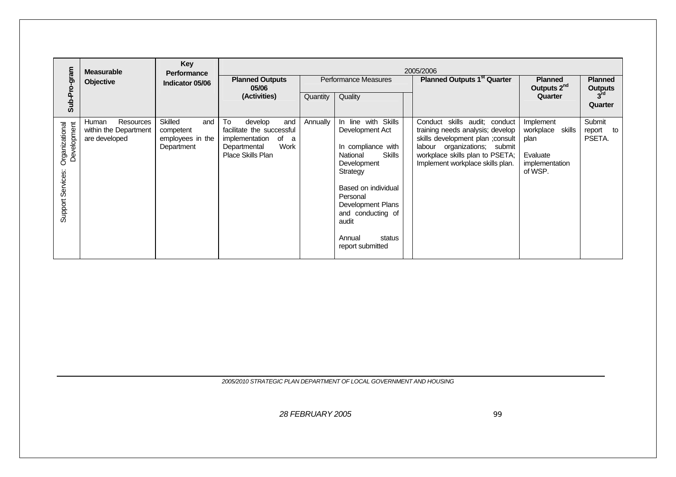|                                                    | <b>Measurable</b>                                            | Key<br><b>Performance</b>                                     |                                                                                                                             |          |                                                                                                                                                                                                                                                    | 2005/2006                                                                                                                                                                                                     |                                                                                   |                                  |
|----------------------------------------------------|--------------------------------------------------------------|---------------------------------------------------------------|-----------------------------------------------------------------------------------------------------------------------------|----------|----------------------------------------------------------------------------------------------------------------------------------------------------------------------------------------------------------------------------------------------------|---------------------------------------------------------------------------------------------------------------------------------------------------------------------------------------------------------------|-----------------------------------------------------------------------------------|----------------------------------|
|                                                    | <b>Objective</b>                                             | Indicator 05/06                                               | <b>Planned Outputs</b><br>05/06                                                                                             |          | Performance Measures                                                                                                                                                                                                                               | <b>Planned Outputs 1st Quarter</b>                                                                                                                                                                            | <b>Planned</b><br>Outputs 2 <sup>nd</sup>                                         | <b>Planned</b><br><b>Outputs</b> |
| Sub-Pro-gram                                       |                                                              |                                                               | (Activities)                                                                                                                | Quantity | Quality                                                                                                                                                                                                                                            |                                                                                                                                                                                                               | Quarter                                                                           | $3^{\text{rd}}$<br>Quarter       |
| Development<br>Organizational<br>Support Services: | Resources<br>Human<br>within the Department<br>are developed | Skilled<br>and<br>competent<br>employees in the<br>Department | To<br>develop<br>and<br>facilitate the successful<br>implementation<br>of<br>a<br>Work<br>Departmental<br>Place Skills Plan | Annually | In line with Skills<br>Development Act<br>In compliance with<br><b>Skills</b><br>National<br>Development<br>Strategy<br>Based on individual<br>Personal<br>Development Plans<br>and conducting of<br>audit<br>Annual<br>status<br>report submitted | Conduct skills audit; conduct<br>training needs analysis; develop<br>skills development plan ; consult<br>labour organizations; submit<br>workplace skills plan to PSETA;<br>Implement workplace skills plan. | Implement<br>workplace<br>skills<br>plan<br>Evaluate<br>implementation<br>of WSP. | Submit<br>report<br>to<br>PSETA. |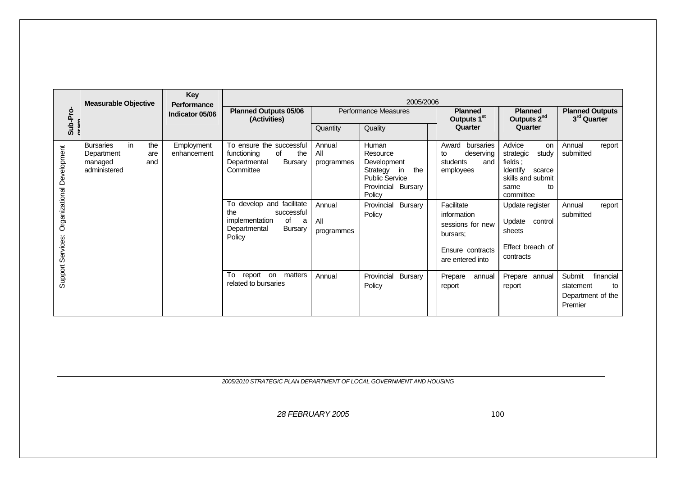|                            | <b>Measurable Objective</b>                                                          | Key<br><b>Performance</b> |                                                                                                                         |                             | 2005/2006                                                                                                          |                                                                                                   |                                                                                                                     |                                                                        |
|----------------------------|--------------------------------------------------------------------------------------|---------------------------|-------------------------------------------------------------------------------------------------------------------------|-----------------------------|--------------------------------------------------------------------------------------------------------------------|---------------------------------------------------------------------------------------------------|---------------------------------------------------------------------------------------------------------------------|------------------------------------------------------------------------|
| Sub-Pro-                   |                                                                                      | Indicator 05/06           | <b>Planned Outputs 05/06</b><br>(Activities)                                                                            |                             | Performance Measures                                                                                               | <b>Planned</b><br>Outputs 1 <sup>st</sup>                                                         | <b>Planned</b><br>Outputs 2 <sup>nd</sup>                                                                           | <b>Planned Outputs</b><br>3 <sup>rd</sup> Quarter                      |
|                            |                                                                                      |                           |                                                                                                                         | Quantity                    | Quality                                                                                                            | Quarter                                                                                           | Quarter                                                                                                             |                                                                        |
| Organizational Development | <b>Bursaries</b><br>in<br>the<br>Department<br>are<br>and<br>managed<br>administered | Employment<br>enhancement | To ensure the successful<br>functioning<br>of<br>the<br><b>Bursary</b><br>Departmental<br>Committee                     | Annual<br>All<br>programmes | Human<br>Resource<br>Development<br>Strategy<br>in<br>the<br><b>Public Service</b><br>Provincial Bursary<br>Policy | bursaries<br>Award<br>deserving<br>to<br>and<br>students<br>employees                             | Advice<br>on<br>study<br>strategic<br>fields;<br>Identify<br>scarce<br>skills and submit<br>to<br>same<br>committee | Annual<br>report<br>submitted                                          |
| Support Services:          |                                                                                      |                           | To develop and facilitate<br>the<br>successful<br>implementation<br>of<br>a<br>Departmental<br><b>Bursary</b><br>Policy | Annual<br>All<br>programmes | Provincial<br><b>Bursary</b><br>Policy                                                                             | Facilitate<br>information<br>sessions for new<br>bursars:<br>Ensure contracts<br>are entered into | Update register<br>control<br>Update<br>sheets<br>Effect breach of<br>contracts                                     | Annual<br>report<br>submitted                                          |
|                            |                                                                                      |                           | To<br>report on matters<br>related to bursaries                                                                         | Annual                      | Provincial<br><b>Bursary</b><br>Policy                                                                             | Prepare<br>annual<br>report                                                                       | Prepare annual<br>report                                                                                            | Submit<br>financial<br>statement<br>to<br>Department of the<br>Premier |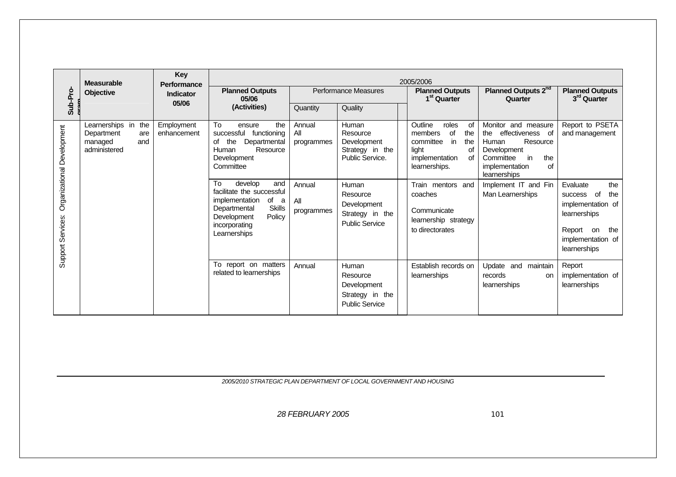|                            | <b>Measurable</b>                                                          | Key<br>Performance        |                                                                                                                                                        |                                       |                                                                                 | 2005/2006                                                                                                                                             |                                                                                                                                                                              |                                                                                                                           |
|----------------------------|----------------------------------------------------------------------------|---------------------------|--------------------------------------------------------------------------------------------------------------------------------------------------------|---------------------------------------|---------------------------------------------------------------------------------|-------------------------------------------------------------------------------------------------------------------------------------------------------|------------------------------------------------------------------------------------------------------------------------------------------------------------------------------|---------------------------------------------------------------------------------------------------------------------------|
| Sub-Pro-                   | Objective                                                                  | <b>Indicator</b><br>05/06 | <b>Planned Outputs</b><br>05/06                                                                                                                        |                                       | Performance Measures                                                            | <b>Planned Outputs</b><br>1 <sup>st</sup> Quarter                                                                                                     | Planned Outputs 2 <sup>nd</sup><br>Quarter                                                                                                                                   | <b>Planned Outputs</b><br>3 <sup>rd</sup> Quarter                                                                         |
|                            |                                                                            |                           | (Activities)                                                                                                                                           | Quantity                              | Quality                                                                         |                                                                                                                                                       |                                                                                                                                                                              |                                                                                                                           |
| Organizational Development | Learnerships in the<br>Department<br>are<br>managed<br>and<br>administered | Employment<br>enhancement | To<br>the<br>ensure<br>successful<br>functioning<br>of<br>Departmental<br>the<br>Human<br>Resource<br>Development<br>Committee<br>To<br>develop<br>and | Annual<br>All<br>programmes<br>Annual | Human<br>Resource<br>Development<br>Strategy in the<br>Public Service.<br>Human | Outline<br>roles<br>of<br>of<br>members<br>the<br>committee<br>in<br>the<br>light<br>οf<br>implementation<br>of<br>learnerships.<br>Train mentors and | Monitor and measure<br>effectiveness of<br>the<br>Resource<br>Human<br>Development<br>Committee<br>in<br>the<br>implementation<br>οf<br>learnerships<br>Implement IT and Fin | Report to PSETA<br>and management<br>the<br>Evaluate                                                                      |
| Support Services:          |                                                                            |                           | facilitate the successful<br>implementation<br>of<br>a<br><b>Skills</b><br>Departmental<br>Policy<br>Development<br>incorporating<br>Learnerships      | All<br>programmes                     | Resource<br>Development<br>Strategy in the<br><b>Public Service</b>             | coaches<br>Communicate<br>learnership strategy<br>to directorates                                                                                     | Man Learnerships                                                                                                                                                             | of<br>the<br><b>SUCCESS</b><br>implementation of<br>learnerships<br>Report on<br>the<br>implementation of<br>learnerships |
|                            |                                                                            |                           | To report on matters<br>related to learnerships                                                                                                        | Annual                                | Human<br>Resource<br>Development<br>Strategy in the<br><b>Public Service</b>    | Establish records on<br>learnerships                                                                                                                  | Update and maintain<br>records<br>on<br>learnerships                                                                                                                         | Report<br>implementation of<br>learnerships                                                                               |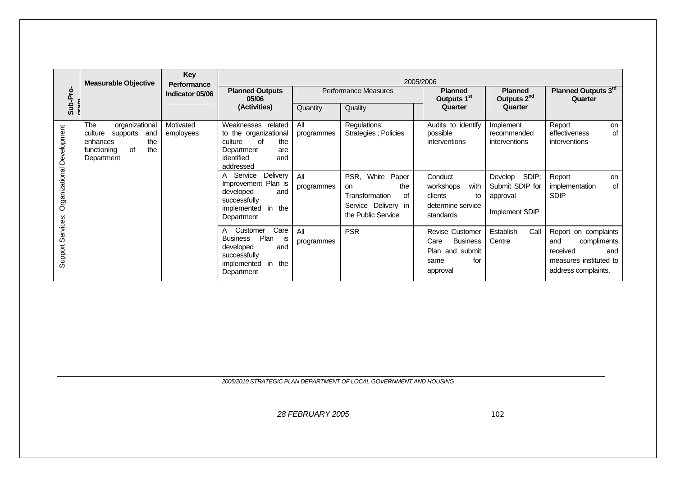|                            | <b>Measurable Objective</b>                                                                                      | <b>Key</b><br><b>Performance</b> |                                                                                                                                      |                   |                                                                                                          |                                                                                                 |                                                                   |                                                                                                                |
|----------------------------|------------------------------------------------------------------------------------------------------------------|----------------------------------|--------------------------------------------------------------------------------------------------------------------------------------|-------------------|----------------------------------------------------------------------------------------------------------|-------------------------------------------------------------------------------------------------|-------------------------------------------------------------------|----------------------------------------------------------------------------------------------------------------|
| Sub-Pro-                   |                                                                                                                  | Indicator 05/06                  | <b>Planned Outputs</b><br>05/06                                                                                                      |                   | Performance Measures                                                                                     | <b>Planned</b><br>Outputs 1 <sup>st</sup>                                                       | <b>Planned</b><br>Outputs 2 <sup>nd</sup>                         | Planned Outputs 3rd<br>Quarter                                                                                 |
|                            |                                                                                                                  |                                  | (Activities)                                                                                                                         | Quantity          | Quality                                                                                                  | Quarter                                                                                         | Quarter                                                           |                                                                                                                |
|                            | organizational<br>The<br>supports<br>culture<br>and<br>the<br>enhances<br>the<br>of<br>functioning<br>Department | Motivated<br>employees           | Weaknesses related<br>to the organizational<br>the<br>culture<br>οf<br>Department<br>are<br>identified<br>and<br>addressed           | All<br>programmes | Regulations;<br>Strategies; Policies                                                                     | Audits to identify<br>possible<br>interventions                                                 | Implement<br>recommended<br>interventions                         | Report<br>on<br>effectiveness<br>of<br>interventions                                                           |
| Organizational Development |                                                                                                                  |                                  | Service<br>Delivery<br>A<br>Improvement Plan is<br>developed<br>and<br>successfully<br>implemented<br>in<br>the<br>Department        | All<br>programmes | White<br>PSR,<br>Paper<br>the<br>on<br>οf<br>Transformation<br>Service Delivery in<br>the Public Service | Conduct<br>workshops<br>with<br>clients<br>to<br>determine service<br>standards                 | SDIP;<br>Develop<br>Submit SDIP for<br>approval<br>Implement SDIP | Report<br>on<br><b>of</b><br>implementation<br><b>SDIP</b>                                                     |
| Support Services:          |                                                                                                                  |                                  | Care<br>Customer<br>A<br>Plan<br><b>Business</b><br>is<br>developed<br>and<br>successfully<br>implemented<br>in<br>the<br>Department | All<br>programmes | <b>PSR</b>                                                                                               | <b>Revise Customer</b><br>Care<br><b>Business</b><br>Plan and submit<br>for<br>same<br>approval | Call<br><b>Establish</b><br>Centre                                | Report on complaints<br>compliments<br>and<br>received<br>and<br>measures instituted to<br>address complaints. |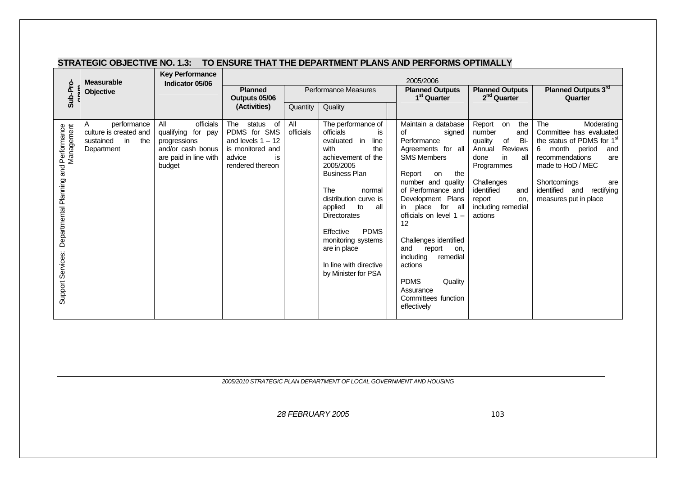|                                                            | <b>Measurable</b>                                                                  | <b>Key Performance</b><br>Indicator 05/06                                                                      | 2005/2006                                                                                                       |                  |                                                                                                                                                                                                                                                                                                                                                            |                                                                                                                                                                                                                                                                                                                                                                                                                |                                                                                                                                                                                                           |                                                                                                                                                                                                                                                   |  |  |
|------------------------------------------------------------|------------------------------------------------------------------------------------|----------------------------------------------------------------------------------------------------------------|-----------------------------------------------------------------------------------------------------------------|------------------|------------------------------------------------------------------------------------------------------------------------------------------------------------------------------------------------------------------------------------------------------------------------------------------------------------------------------------------------------------|----------------------------------------------------------------------------------------------------------------------------------------------------------------------------------------------------------------------------------------------------------------------------------------------------------------------------------------------------------------------------------------------------------------|-----------------------------------------------------------------------------------------------------------------------------------------------------------------------------------------------------------|---------------------------------------------------------------------------------------------------------------------------------------------------------------------------------------------------------------------------------------------------|--|--|
| Sub-Pro-                                                   | Objective                                                                          |                                                                                                                | <b>Planned</b><br>Outputs 05/06                                                                                 |                  | Performance Measures                                                                                                                                                                                                                                                                                                                                       | <b>Planned Outputs</b><br>1 <sup>st</sup> Quarter                                                                                                                                                                                                                                                                                                                                                              | <b>Planned Outputs</b><br>2 <sup>nd</sup> Quarter                                                                                                                                                         | Planned Outputs 3rd<br>Quarter                                                                                                                                                                                                                    |  |  |
|                                                            |                                                                                    |                                                                                                                | (Activities)                                                                                                    | Quantity         | Quality                                                                                                                                                                                                                                                                                                                                                    |                                                                                                                                                                                                                                                                                                                                                                                                                |                                                                                                                                                                                                           |                                                                                                                                                                                                                                                   |  |  |
| Departmental Planning and Performance<br>Support Services: | performance<br>A<br>culture is created and<br>the<br>sustained<br>in<br>Department | All<br>officials<br>qualifying for pay<br>progressions<br>and/or cash bonus<br>are paid in line with<br>budget | The<br>status of<br>PDMS for SMS<br>and levels $1 - 12$<br>is monitored and<br>advice<br>is<br>rendered thereon | All<br>officials | The performance of<br>officials<br>is<br>evaluated in<br>line<br>with<br>the<br>achievement of the<br>2005/2005<br><b>Business Plan</b><br><b>The</b><br>normal<br>distribution curve is<br>applied<br>to<br>all<br><b>Directorates</b><br><b>PDMS</b><br>Effective<br>monitoring systems<br>are in place<br>In line with directive<br>by Minister for PSA | Maintain a database<br>0f<br>signed<br>Performance<br>Agreements for all<br><b>SMS Members</b><br>Report<br>the<br>on<br>number and quality<br>of Performance and<br>Development Plans<br>in place for all<br>officials on level $1 -$<br>12<br>Challenges identified<br>report<br>and<br>on.<br>including<br>remedial<br>actions<br><b>PDMS</b><br>Quality<br>Assurance<br>Committees function<br>effectively | Report<br>the<br>on<br>number<br>and<br>of<br>Bi-<br>quality<br>Reviews<br>Annual<br>in<br>all<br>done<br>Programmes<br>Challenges<br>identified<br>and<br>report<br>on.<br>including remedial<br>actions | The<br>Moderating<br>Committee has evaluated<br>the status of PDMS for 1 <sup>st</sup><br>6<br>month period<br>and<br>recommendations<br>are<br>made to HoD / MEC<br>Shortcomings<br>are<br>identified and<br>rectifying<br>measures put in place |  |  |

#### **STRATEGIC OBJECTIVE NO. 1.3: TO ENSURE THAT THE DEPARTMENT PLANS AND PERFORMS OPTIMALLY**

*2005/2010 STRATEGIC PLAN DEPARTMENT OF LOCAL GOVERNMENT AND HOUSING*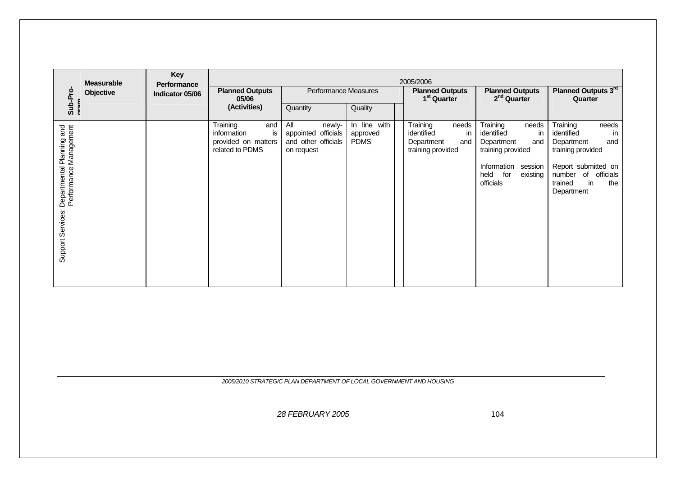|                                                                          | <b>Measurable</b> | Key<br>Performance | 2005/2006                                                                      |                                                                           |                                         |                                                                                 |                                                                                                                                                   |                                                                                                                                                                           |  |  |
|--------------------------------------------------------------------------|-------------------|--------------------|--------------------------------------------------------------------------------|---------------------------------------------------------------------------|-----------------------------------------|---------------------------------------------------------------------------------|---------------------------------------------------------------------------------------------------------------------------------------------------|---------------------------------------------------------------------------------------------------------------------------------------------------------------------------|--|--|
| Sub-Pro-                                                                 | Objective         | Indicator 05/06    | <b>Planned Outputs</b><br>05/06                                                | Performance Measures                                                      |                                         | <b>Planned Outputs</b><br>1 <sup>st</sup> Quarter                               | <b>Planned Outputs</b><br>2 <sup>nd</sup> Quarter                                                                                                 | Planned Outputs 3rd<br>Quarter                                                                                                                                            |  |  |
|                                                                          |                   |                    | (Activities)                                                                   | Quantity                                                                  | Quality                                 |                                                                                 |                                                                                                                                                   |                                                                                                                                                                           |  |  |
| Departmental Planning and<br>Performance Management<br>Support Services: |                   |                    | Training<br>and<br>is<br>information<br>provided on matters<br>related to PDMS | All<br>newly-<br>appointed officials<br>and other officials<br>on request | In line with<br>approved<br><b>PDMS</b> | Training<br>needs<br>identified<br>in<br>Department<br>and<br>training provided | Training<br>needs<br>in<br>identified<br>Department<br>and<br>training provided<br>Information<br>session<br>held<br>for<br>existing<br>officials | Training<br>needs<br>identified<br>in<br>Department<br>and<br>training provided<br>Report submitted on<br>of<br>number<br>officials<br>in<br>the<br>trained<br>Department |  |  |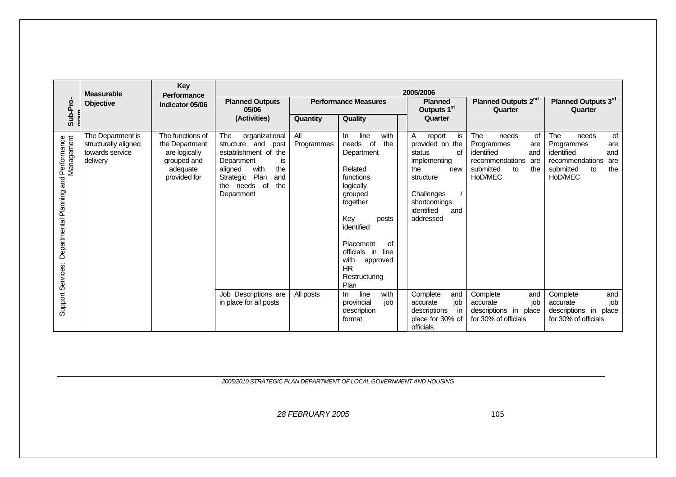|                                                            | <b>Measurable</b>                                                        | Key<br>Performance                                                                             |                                                                                                                                                                                              | 2005/2006         |                                                                                                                                                                                                                                                     |                                                                                                                                                                 |                                                                                                                             |                                                                                                                             |  |
|------------------------------------------------------------|--------------------------------------------------------------------------|------------------------------------------------------------------------------------------------|----------------------------------------------------------------------------------------------------------------------------------------------------------------------------------------------|-------------------|-----------------------------------------------------------------------------------------------------------------------------------------------------------------------------------------------------------------------------------------------------|-----------------------------------------------------------------------------------------------------------------------------------------------------------------|-----------------------------------------------------------------------------------------------------------------------------|-----------------------------------------------------------------------------------------------------------------------------|--|
| Sub-Pro-                                                   | <b>Objective</b>                                                         | Indicator 05/06                                                                                | <b>Planned Outputs</b><br>05/06                                                                                                                                                              |                   | <b>Performance Measures</b>                                                                                                                                                                                                                         | <b>Planned</b><br>Outputs 1 <sup>st</sup>                                                                                                                       | Planned Outputs 2 <sup>nd</sup><br>Quarter                                                                                  | Planned Outputs 3rd<br>Quarter                                                                                              |  |
|                                                            |                                                                          |                                                                                                | (Activities)                                                                                                                                                                                 | Quantity          | Quality                                                                                                                                                                                                                                             | Quarter                                                                                                                                                         |                                                                                                                             |                                                                                                                             |  |
| Departmental Planning and Performance<br>Support Services: | The Department is<br>structurally aligned<br>towards service<br>delivery | The functions of<br>the Department<br>are logically<br>grouped and<br>adequate<br>provided for | <b>The</b><br>organizational<br>structure and<br>post<br>establishment of the<br>is<br>Department<br>with<br>aligned<br>the<br>Plan<br>Strategic<br>and<br>the needs of<br>the<br>Department | All<br>Programmes | line<br>with<br>In.<br>needs<br>of<br>the<br>Department<br>Related<br>functions<br>logically<br>grouped<br>together<br>Key<br>posts<br>identified<br>Placement<br>οf<br>officials in line<br>with<br>approved<br><b>HR</b><br>Restructuring<br>Plan | is<br>A<br>report<br>provided on the<br>of<br>status<br>implementing<br>the<br>new<br>structure<br>Challenges<br>shortcomings<br>identified<br>and<br>addressed | The<br>of<br>needs<br>Programmes<br>are<br>identified<br>and<br>recommendations<br>are<br>submitted<br>to<br>the<br>HoD/MEC | The<br>of<br>needs<br>Programmes<br>are<br>identified<br>and<br>recommendations<br>are<br>submitted<br>the<br>to<br>HoD/MEC |  |
|                                                            |                                                                          |                                                                                                | Job Descriptions are<br>in place for all posts                                                                                                                                               | All posts         | line<br>with<br>In.<br>job<br>provincial<br>description<br>format                                                                                                                                                                                   | Complete<br>and<br>job<br>accurate<br>descriptions<br>in<br>place for 30% of<br>officials                                                                       | Complete<br>and<br>job<br>accurate<br>descriptions in place<br>for 30% of officials                                         | Complete<br>and<br>job<br>accurate<br>descriptions in<br>place<br>for 30% of officials                                      |  |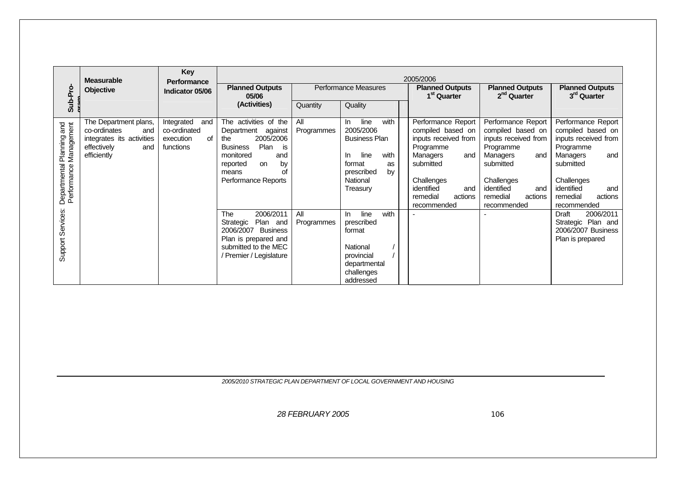|                                                                 | <b>Measurable</b>                                                                                              | <b>Key</b><br>Performance                                         | 2005/2006                                                                                                                                                                                    |                   |                                                                                                                                             |                                                                                                                                                                                       |                                                                                                                                                                                       |                                                                                                                                                                                       |  |
|-----------------------------------------------------------------|----------------------------------------------------------------------------------------------------------------|-------------------------------------------------------------------|----------------------------------------------------------------------------------------------------------------------------------------------------------------------------------------------|-------------------|---------------------------------------------------------------------------------------------------------------------------------------------|---------------------------------------------------------------------------------------------------------------------------------------------------------------------------------------|---------------------------------------------------------------------------------------------------------------------------------------------------------------------------------------|---------------------------------------------------------------------------------------------------------------------------------------------------------------------------------------|--|
| Sub-Pro-                                                        | Objective<br>Indicator 05/06                                                                                   |                                                                   | <b>Planned Outputs</b><br>05/06                                                                                                                                                              |                   | Performance Measures                                                                                                                        | <b>Planned Outputs</b><br>1 <sup>st</sup> Quarter                                                                                                                                     | <b>Planned Outputs</b><br>2 <sup>nd</sup> Quarter                                                                                                                                     | <b>Planned Outputs</b><br>3 <sup>rd</sup> Quarter                                                                                                                                     |  |
|                                                                 |                                                                                                                |                                                                   | (Activities)                                                                                                                                                                                 | Quantity          | Quality                                                                                                                                     |                                                                                                                                                                                       |                                                                                                                                                                                       |                                                                                                                                                                                       |  |
| Departmental Planning and<br>Performance Management<br>Planning | The Department plans,<br>co-ordinates<br>and<br>integrates its activities<br>effectively<br>and<br>efficiently | Integrated<br>and<br>co-ordinated<br>of<br>execution<br>functions | The activities of the<br>Department<br>against<br>2005/2006<br>the<br>Plan<br><b>Business</b><br>is<br>monitored<br>and<br>by<br>reported<br><b>on</b><br>οf<br>means<br>Performance Reports | All<br>Programmes | with<br>line<br>In.<br>2005/2006<br><b>Business Plan</b><br>line<br>with<br>In.<br>format<br>as<br>prescribed<br>by<br>National<br>Treasury | Performance Report<br>compiled based on<br>inputs received from<br>Programme<br>Managers<br>and<br>submitted<br>Challenges<br>identified<br>and<br>remedial<br>actions<br>recommended | Performance Report<br>compiled based on<br>inputs received from<br>Programme<br>Managers<br>and<br>submitted<br>Challenges<br>identified<br>and<br>remedial<br>actions<br>recommended | Performance Report<br>compiled based on<br>inputs received from<br>Programme<br>Managers<br>and<br>submitted<br>Challenges<br>identified<br>and<br>remedial<br>actions<br>recommended |  |
| Support Services:                                               |                                                                                                                |                                                                   | The<br>2006/2011<br>Plan<br>Strategic<br>and<br>2006/2007 Business<br>Plan is prepared and<br>submitted to the MEC<br>/ Premier / Legislature                                                | All<br>Programmes | with<br>line<br>In.<br>prescribed<br>format<br>National<br>provincial<br>departmental<br>challenges<br>addressed                            |                                                                                                                                                                                       |                                                                                                                                                                                       | 2006/2011<br>Draft<br>Strategic Plan and<br>2006/2007 Business<br>Plan is prepared                                                                                                    |  |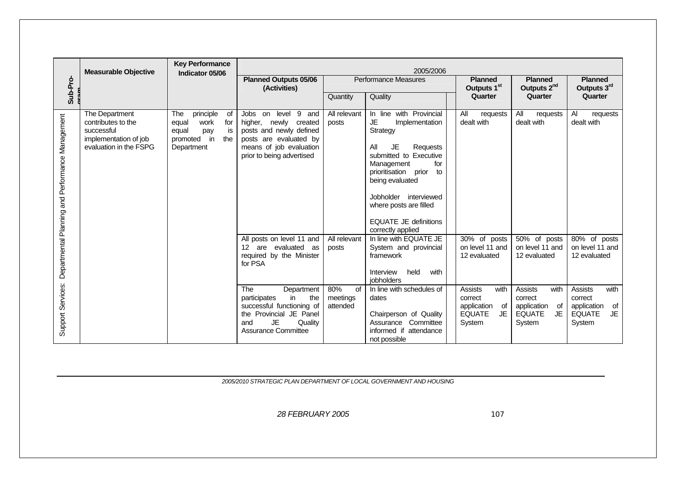|                                                  | <b>Measurable Objective</b>                                                                           | <b>Key Performance</b><br>Indicator 05/06                                                                | 2005/2006                                                                                                                                                             |                                          |                                                                                                                                                                                                                                                                                                            |                                                                                          |                                                                                         |                                                                                          |  |  |  |
|--------------------------------------------------|-------------------------------------------------------------------------------------------------------|----------------------------------------------------------------------------------------------------------|-----------------------------------------------------------------------------------------------------------------------------------------------------------------------|------------------------------------------|------------------------------------------------------------------------------------------------------------------------------------------------------------------------------------------------------------------------------------------------------------------------------------------------------------|------------------------------------------------------------------------------------------|-----------------------------------------------------------------------------------------|------------------------------------------------------------------------------------------|--|--|--|
| Sub-Pro-                                         |                                                                                                       |                                                                                                          | <b>Planned Outputs 05/06</b><br>(Activities)                                                                                                                          |                                          | <b>Performance Measures</b>                                                                                                                                                                                                                                                                                | <b>Planned</b><br>Outputs 1 <sup>st</sup>                                                | <b>Planned</b><br>Outputs 2 <sup>nd</sup>                                               | <b>Planned</b><br>Outputs 3rd                                                            |  |  |  |
|                                                  |                                                                                                       |                                                                                                          |                                                                                                                                                                       | Quantity                                 | Quality                                                                                                                                                                                                                                                                                                    | Quarter                                                                                  | Quarter                                                                                 | Quarter                                                                                  |  |  |  |
| Departmental Planning and Performance Management | The Department<br>contributes to the<br>successful<br>implementation of job<br>evaluation in the FSPG | principle<br>of<br>The<br>for<br>work<br>equal<br>is<br>equal<br>pay<br>promoted in<br>the<br>Department | level<br>9 and<br>Jobs<br>on<br>higher, newly<br>created<br>posts and newly defined<br>posts are evaluated by<br>means of job evaluation<br>prior to being advertised | All relevant<br>posts                    | In line with Provincial<br><b>JE</b><br>Implementation<br>Strategy<br><b>JE</b><br>All<br>Requests<br>submitted to Executive<br>for<br>Management<br>prioritisation prior<br>to<br>being evaluated<br>Jobholder interviewed<br>where posts are filled<br><b>EQUATE JE definitions</b><br>correctly applied | All<br>requests<br>dealt with                                                            | All<br>requests<br>dealt with                                                           | Al<br>requests<br>dealt with                                                             |  |  |  |
|                                                  |                                                                                                       |                                                                                                          | All posts on level 11 and<br>12 are evaluated as<br>required by the Minister<br>for PSA                                                                               | All relevant<br>posts                    | In line with EQUATE JE<br>System and provincial<br>framework<br>held<br>with<br>Interview<br><i>iobholders</i>                                                                                                                                                                                             | $\overline{30\%}$ of posts<br>on level 11 and<br>12 evaluated                            | 50% of posts<br>on level 11 and<br>12 evaluated                                         | 80% of posts<br>on level 11 and<br>12 evaluated                                          |  |  |  |
| Support Services:                                |                                                                                                       |                                                                                                          | The<br>Department<br>participates<br>in<br>the<br>successful functioning of<br>the Provincial JE Panel<br>JE<br>Quality<br>and<br><b>Assurance Committee</b>          | 80%<br><b>of</b><br>meetings<br>attended | In line with schedules of<br>dates<br>Chairperson of Quality<br>Assurance Committee<br>informed if attendance<br>not possible                                                                                                                                                                              | <b>Assists</b><br>with<br>correct<br>application<br>of<br>JE.<br><b>EQUATE</b><br>System | <b>Assists</b><br>with<br>correct<br>application<br>of<br>JE<br><b>EQUATE</b><br>System | <b>Assists</b><br>with<br>correct<br>application<br>of<br><b>EQUATE</b><br>JE.<br>System |  |  |  |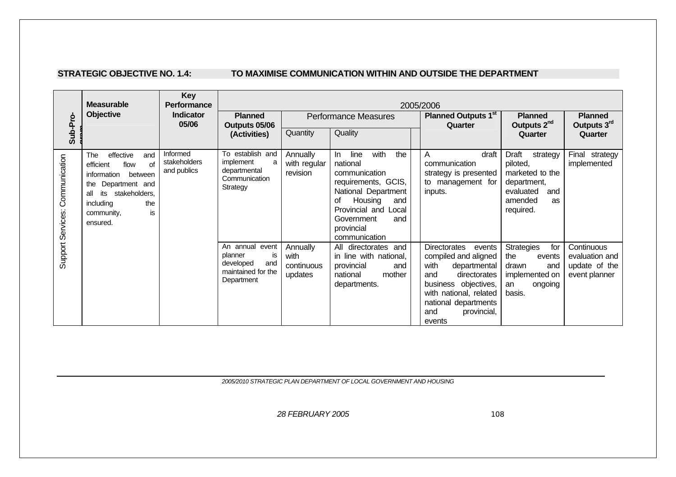#### **STRATEGIC OBJECTIVE NO. 1.4: TO MAXIMISE COMMUNICATION WITHIN AND OUTSIDE THE DEPARTMENT**

|                                    | <b>Measurable</b>                                                                                                                                                                        | <b>Key</b><br>Performance               | 2005/2006                                                                                |                                           |                                                                                                                                                                                                           |                                                                                                                                                                                                         |                                                                                                                   |                                                                |  |  |
|------------------------------------|------------------------------------------------------------------------------------------------------------------------------------------------------------------------------------------|-----------------------------------------|------------------------------------------------------------------------------------------|-------------------------------------------|-----------------------------------------------------------------------------------------------------------------------------------------------------------------------------------------------------------|---------------------------------------------------------------------------------------------------------------------------------------------------------------------------------------------------------|-------------------------------------------------------------------------------------------------------------------|----------------------------------------------------------------|--|--|
| Sub-Pro-                           | <b>Objective</b><br>Indicator<br>05/06                                                                                                                                                   |                                         | <b>Planned</b><br>Outputs 05/06<br>Quantity<br>(Activities)                              |                                           | <b>Performance Measures</b><br>Quality                                                                                                                                                                    | <b>Planned Outputs 1st</b><br>Quarter                                                                                                                                                                   | <b>Planned</b><br>Outputs 2 <sup>nd</sup><br>Quarter                                                              | <b>Planned</b><br>Outputs 3rd<br>Quarter                       |  |  |
| Communication<br>Support Services: | effective<br>and<br>The<br>efficient<br>flow<br>of<br>information<br>between<br>Department and<br>the<br>its<br>stakeholders.<br>all<br>including<br>the<br>is<br>community,<br>ensured. | Informed<br>stakeholders<br>and publics | To establish and<br><i>implement</i><br>a<br>departmental<br>Communication<br>Strategy   | Annually<br>with regular<br>revision      | with<br>line<br>the<br>In.<br>national<br>communication<br>requirements, GCIS,<br>National Department<br>Housing<br>οf<br>and<br>Provincial and Local<br>Government<br>and<br>provincial<br>communication | draft<br>A<br>communication<br>strategy is presented<br>to management for<br>inputs.                                                                                                                    | Draft<br>strategy<br>piloted,<br>marketed to the<br>department,<br>evaluated<br>and<br>amended<br>as<br>required. | Final strategy<br>implemented                                  |  |  |
|                                    |                                                                                                                                                                                          |                                         | An annual event<br>planner<br>is<br>developed<br>and<br>maintained for the<br>Department | Annually<br>with<br>continuous<br>updates | All directorates and<br>in line with national,<br>provincial<br>and<br>mother<br>national<br>departments.                                                                                                 | Directorates<br>events<br>compiled and aligned<br>with<br>departmental<br>and<br>directorates<br>business objectives,<br>with national, related<br>national departments<br>provincial,<br>and<br>events | <b>Strategies</b><br>for<br>the<br>events<br>drawn<br>and<br>implemented on<br>ongoing<br>an<br>basis.            | Continuous<br>evaluation and<br>update of the<br>event planner |  |  |

*2005/2010 STRATEGIC PLAN DEPARTMENT OF LOCAL GOVERNMENT AND HOUSING*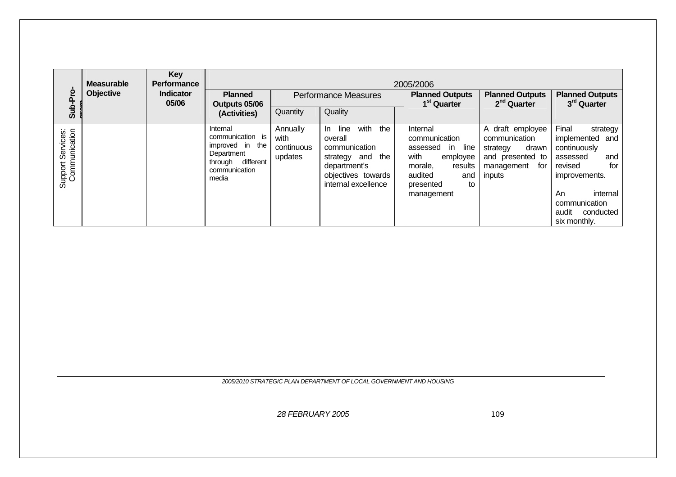| Sub-Pro                            | <b>Measurable</b><br>Objective | <b>Key</b><br><b>Performance</b><br>Indicator<br>05/06 | <b>Planned</b><br>Outputs 05/06                                                                                    | 2005/2006<br><b>Planned Outputs</b><br><b>Planned Outputs</b><br><b>Performance Measures</b><br>$2nd$ Quarter<br>1 <sup>st</sup> Quarter |                                                                                                                                              |                                                                                                                                                   |                                                                                                           | <b>Planned Outputs</b><br>3 <sup>rd</sup> Quarter                                                                                                                                   |
|------------------------------------|--------------------------------|--------------------------------------------------------|--------------------------------------------------------------------------------------------------------------------|------------------------------------------------------------------------------------------------------------------------------------------|----------------------------------------------------------------------------------------------------------------------------------------------|---------------------------------------------------------------------------------------------------------------------------------------------------|-----------------------------------------------------------------------------------------------------------|-------------------------------------------------------------------------------------------------------------------------------------------------------------------------------------|
|                                    |                                |                                                        | (Activities)                                                                                                       | Quantity                                                                                                                                 | Quality                                                                                                                                      |                                                                                                                                                   |                                                                                                           |                                                                                                                                                                                     |
| Support Services:<br>Communication |                                |                                                        | Internal<br>communication is<br>the<br>improved in<br>Department<br>different<br>through<br>communication<br>media | Annually<br>with<br>continuous<br>updates                                                                                                | line<br>with<br>the<br>In In<br>overall<br>communication<br>the<br>strategy and<br>department's<br>objectives towards<br>internal excellence | Internal<br>communication<br>assessed<br>in.<br>line<br>with<br>employee<br>morale,<br>results<br>audited<br>and<br>to<br>presented<br>management | A draft employee<br>communication<br>drawn<br>strategy<br>and presented to<br>for<br>management<br>inputs | Final<br>strategy<br>implemented and<br>continuously<br>assessed<br>and<br>for<br>revised<br>improvements.<br>An<br>internal<br>communication<br>conducted<br>audit<br>six monthly. |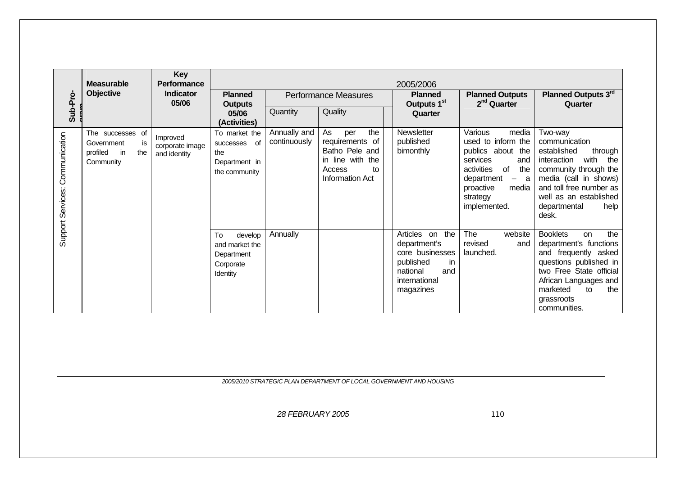|                                 | <b>Measurable</b>                                                          | <b>Key</b><br><b>Performance</b><br><b>Indicator</b><br>05/06 | 2005/2006                                                              |                              |                                                                                                                     |                                                                                                                         |                                                                                                                                                                                         |                                                                                                                                                                                                                          |  |  |
|---------------------------------|----------------------------------------------------------------------------|---------------------------------------------------------------|------------------------------------------------------------------------|------------------------------|---------------------------------------------------------------------------------------------------------------------|-------------------------------------------------------------------------------------------------------------------------|-----------------------------------------------------------------------------------------------------------------------------------------------------------------------------------------|--------------------------------------------------------------------------------------------------------------------------------------------------------------------------------------------------------------------------|--|--|
| Sub-Pro-                        | Objective                                                                  |                                                               | <b>Planned</b><br><b>Outputs</b><br>05/06<br>(Activities)              |                              | <b>Performance Measures</b>                                                                                         | <b>Planned</b><br>Outputs 1 <sup>st</sup>                                                                               | <b>Planned Outputs</b><br>$2nd$ Quarter                                                                                                                                                 | Planned Outputs 3rd<br>Quarter                                                                                                                                                                                           |  |  |
|                                 |                                                                            |                                                               |                                                                        | Quantity                     | Quality                                                                                                             | Quarter                                                                                                                 |                                                                                                                                                                                         |                                                                                                                                                                                                                          |  |  |
| Support Services: Communication | The successes of<br>Government<br>is<br>profiled<br>the<br>in<br>Community | Improved<br>corporate image<br>and identity                   | To market the<br>successes of<br>the<br>Department in<br>the community | Annually and<br>continuously | the<br>As<br>per<br>requirements of<br>Batho Pele and<br>in line with the<br>Access<br>to<br><b>Information Act</b> | Newsletter<br>published<br>bimonthly                                                                                    | Various<br>media<br>used to inform the<br>publics about the<br>services<br>and<br>activities<br>the<br>of<br>department<br>a<br>$ \,$<br>proactive<br>media<br>strategy<br>implemented. | Two-way<br>communication<br>established<br>through<br>interaction<br>with<br>the<br>community through the<br>media (call in shows)<br>and toll free number as<br>well as an established<br>departmental<br>help<br>desk. |  |  |
|                                 |                                                                            |                                                               | develop<br>To<br>and market the<br>Department<br>Corporate<br>Identity | Annually                     |                                                                                                                     | Articles on the<br>department's<br>core businesses<br>published<br>in.<br>national<br>and<br>international<br>magazines | The<br>website<br>revised<br>and<br>launched.                                                                                                                                           | the<br><b>Booklets</b><br>on<br>department's functions<br>and frequently asked<br>questions published in<br>two Free State official<br>African Languages and<br>marketed<br>the<br>to<br>grassroots<br>communities.      |  |  |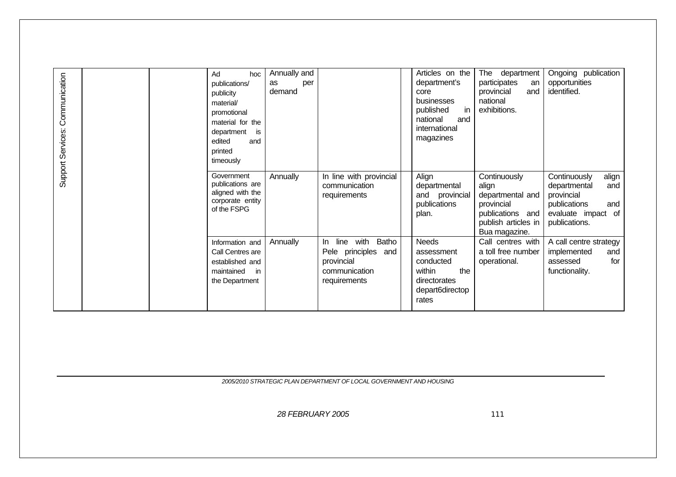| Support Services: Communication | Ad<br>hoc<br>publications/<br>publicity<br>material/<br>promotional<br>material for the<br>department<br>is<br>edited<br>and<br>printed<br>timeously | Annually and<br>as<br>per<br>demand |                                                                                                         | Articles on the<br>department's<br>core<br>businesses<br>published<br>in.<br>national<br>and<br>international<br>magazines | The<br>department<br>participates<br>an<br>provincial<br>and<br>national<br>exhibitions.                            | Ongoing publication<br>opportunities<br>identified.                                                                      |
|---------------------------------|------------------------------------------------------------------------------------------------------------------------------------------------------|-------------------------------------|---------------------------------------------------------------------------------------------------------|----------------------------------------------------------------------------------------------------------------------------|---------------------------------------------------------------------------------------------------------------------|--------------------------------------------------------------------------------------------------------------------------|
|                                 | Government<br>publications are<br>aligned with the<br>corporate entity<br>of the FSPG                                                                | Annually                            | In line with provincial<br>communication<br>requirements                                                | Align<br>departmental<br>and provincial<br>publications<br>plan.                                                           | Continuously<br>align<br>departmental and<br>provincial<br>publications and<br>publish articles in<br>Bua magazine. | Continuously<br>align<br>and<br>departmental<br>provincial<br>publications<br>and<br>evaluate impact of<br>publications. |
|                                 | Information and<br>Call Centres are<br>established and<br>maintained<br>in<br>the Department                                                         | Annually                            | with<br>Batho<br>line<br>$\ln$<br>Pele principles<br>and<br>provincial<br>communication<br>requirements | <b>Needs</b><br>assessment<br>conducted<br>the<br>within<br>directorates<br>depart6directop<br>rates                       | Call centres with<br>a toll free number<br>operational.                                                             | A call centre strategy<br>implemented<br>and<br>for<br>assessed<br>functionality.                                        |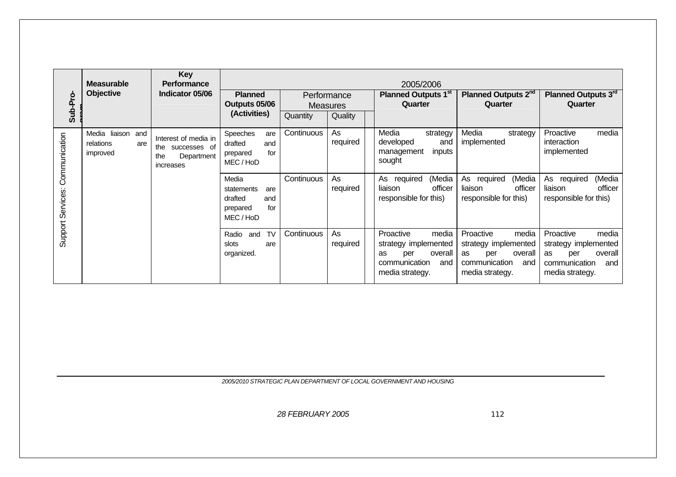| Sub-Pro-                           | <b>Measurable</b><br><b>Objective</b>                | Key<br><b>Performance</b><br>Indicator 05/06                                  | <b>Planned</b><br>Outputs 05/06<br>(Activities)                              | Performance<br><b>Measures</b><br>Quality<br>Quantity |                | 2005/2006<br>Planned Outputs 1st<br>Quarter                                                                   | Planned Outputs 2 <sup>nd</sup><br>Quarter                                                                           | Planned Outputs 3rd<br>Quarter                                                                                |
|------------------------------------|------------------------------------------------------|-------------------------------------------------------------------------------|------------------------------------------------------------------------------|-------------------------------------------------------|----------------|---------------------------------------------------------------------------------------------------------------|----------------------------------------------------------------------------------------------------------------------|---------------------------------------------------------------------------------------------------------------|
| Communication<br>Support Services: | Media liaison<br>and<br>relations<br>are<br>improved | Interest of media in<br>successes of<br>the<br>Department<br>the<br>increases | Speeches<br>are<br>drafted<br>and<br>for<br>prepared<br>MEC / HoD            | Continuous                                            | As<br>required | Media<br>strategy<br>developed<br>and<br>management<br>inputs<br>sought                                       | Media<br>strategy<br>implemented                                                                                     | Proactive<br>media<br>interaction<br>implemented                                                              |
|                                    |                                                      |                                                                               | Media<br>statements<br>are<br>drafted<br>and<br>for<br>prepared<br>MEC / HoD | Continuous                                            | As<br>required | (Media<br>required<br>As<br>officer<br>liaison<br>responsible for this)                                       | (Media<br>As required<br>officer<br>liaison<br>responsible for this)                                                 | (Media<br>As<br>required<br>liaison<br>officer<br>responsible for this)                                       |
|                                    |                                                      |                                                                               | <b>TV</b><br>Radio<br>and<br>slots<br>are<br>organized.                      | Continuous                                            | As<br>required | Proactive<br>media<br>strategy implemented<br>overall<br>per<br>as<br>communication<br>and<br>media strategy. | Proactive<br>media<br>strategy implemented<br>overall<br><b>as</b><br>per<br>communication<br>and<br>media strategy. | media<br>Proactive<br>strategy implemented<br>overall<br>as<br>per<br>communication<br>and<br>media strategy. |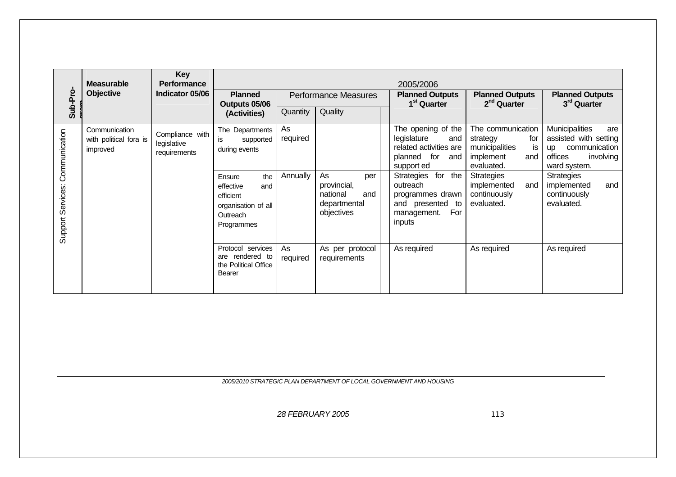| Sub-Pro                         | <b>Measurable</b><br><b>Objective</b>               | <b>Key</b><br><b>Performance</b><br>Indicator 05/06 | <b>Planned</b><br>Performance Measures<br>Outputs 05/06                                                                                                |                            |                                                                           | 2005/2006<br><b>Planned Outputs</b><br>1 <sup>st</sup> Quarter                                                                                                                                                   | <b>Planned Outputs</b><br>$2nd$ Quarter                                                                                                                                 | <b>Planned Outputs</b><br>3rd Quarter                                                                                                                                                         |
|---------------------------------|-----------------------------------------------------|-----------------------------------------------------|--------------------------------------------------------------------------------------------------------------------------------------------------------|----------------------------|---------------------------------------------------------------------------|------------------------------------------------------------------------------------------------------------------------------------------------------------------------------------------------------------------|-------------------------------------------------------------------------------------------------------------------------------------------------------------------------|-----------------------------------------------------------------------------------------------------------------------------------------------------------------------------------------------|
|                                 |                                                     |                                                     | (Activities)                                                                                                                                           | Quantity                   | Quality                                                                   |                                                                                                                                                                                                                  |                                                                                                                                                                         |                                                                                                                                                                                               |
| Support Services: Communication | Communication<br>with political fora is<br>improved | Compliance with<br>legislative<br>requirements      | The Departments<br>is<br>supported<br>during events<br>Ensure<br>the<br>effective<br>and<br>efficient<br>organisation of all<br>Outreach<br>Programmes | As<br>required<br>Annually | As<br>per<br>provincial,<br>national<br>and<br>departmental<br>objectives | The opening of the<br>legislature<br>and<br>related activities are<br>planned for<br>and<br>support ed<br>Strategies for the<br>outreach<br>programmes drawn<br>and presented to<br>For<br>management.<br>inputs | The communication<br>strategy<br>for<br>municipalities<br>is<br>implement<br>and<br>evaluated.<br><b>Strategies</b><br>and<br>implemented<br>continuously<br>evaluated. | <b>Municipalities</b><br>are<br>assisted with setting<br>communication<br>up<br>offices<br>involving<br>ward system.<br><b>Strategies</b><br>implemented<br>and<br>continuously<br>evaluated. |
|                                 |                                                     |                                                     | Protocol services<br>are rendered to<br>the Political Office<br><b>Bearer</b>                                                                          | As<br>required             | As per protocol<br>requirements                                           | As required                                                                                                                                                                                                      | As required                                                                                                                                                             | As required                                                                                                                                                                                   |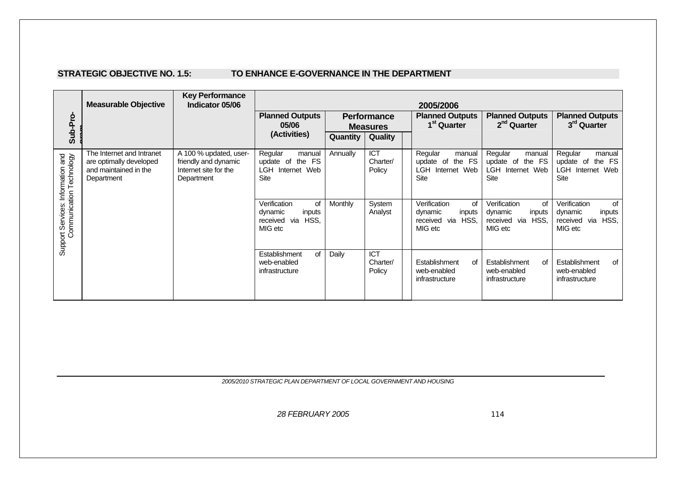#### **STRATEGIC OBJECTIVE NO. 1.5: TO ENHANCE E-GOVERNANCE IN THE DEPARTMENT**

|                                                                                            | <b>Measurable Objective</b>                                                                 | <b>Key Performance</b><br>Indicator 05/06                                             | 2005/2006                                                                         |                |                                       |  |                                                                            |                                                                               |                                                                                       |
|--------------------------------------------------------------------------------------------|---------------------------------------------------------------------------------------------|---------------------------------------------------------------------------------------|-----------------------------------------------------------------------------------|----------------|---------------------------------------|--|----------------------------------------------------------------------------|-------------------------------------------------------------------------------|---------------------------------------------------------------------------------------|
| Sub-Pro-                                                                                   |                                                                                             |                                                                                       | <b>Planned Outputs</b><br>05/06                                                   |                | <b>Performance</b><br><b>Measures</b> |  | <b>Planned Outputs</b><br>1 <sup>st</sup> Quarter                          | <b>Planned Outputs</b><br>2 <sup>nd</sup> Quarter                             | <b>Planned Outputs</b><br>3 <sup>rd</sup> Quarter                                     |
|                                                                                            |                                                                                             |                                                                                       | (Activities)                                                                      | Quantity       | Quality                               |  |                                                                            |                                                                               |                                                                                       |
| <b>urnation and</b><br>Technology<br>Support Services: Information<br>Communication Techno | The Internet and Intranet<br>are optimally developed<br>and maintained in the<br>Department | A 100 % updated, user-<br>friendly and dynamic<br>Internet site for the<br>Department | Regular<br>manual<br>the FS<br>update of<br><b>LGH</b><br>Internet Web<br>Site    | Annually       | <b>ICT</b><br>Charter/<br>Policy      |  | Regular<br>manual<br>update of the FS<br>LGH.<br>Internet Web<br>Site      | Regular<br>manual<br>the FS<br>update of<br>LGH<br>Internet Web<br>Site       | Regular<br>manual<br>the FS<br>update of<br><b>LGH</b><br>Internet Web<br><b>Site</b> |
|                                                                                            |                                                                                             |                                                                                       | Verification<br><b>of</b><br>dynamic<br>inputs<br>via HSS,<br>received<br>MIG etc | <b>Monthly</b> | System<br>Analyst                     |  | Verification<br>of<br>dynamic<br>inputs<br>via HSS,<br>received<br>MIG etc | Verification<br>0f<br>dynamic<br>inputs<br>HSS.<br>received<br>via<br>MIG etc | Verification<br><b>of</b><br>dynamic<br>inputs<br>via<br>HSS,<br>received<br>MIG etc  |
|                                                                                            |                                                                                             |                                                                                       | Establishment<br>of<br>web-enabled<br>infrastructure                              | Daily          | <b>ICT</b><br>Charter/<br>Policy      |  | Establishment<br>οf<br>web-enabled<br>infrastructure                       | Establishment<br>of<br>web-enabled<br>infrastructure                          | Establishment<br>of<br>web-enabled<br>infrastructure                                  |

*2005/2010 STRATEGIC PLAN DEPARTMENT OF LOCAL GOVERNMENT AND HOUSING*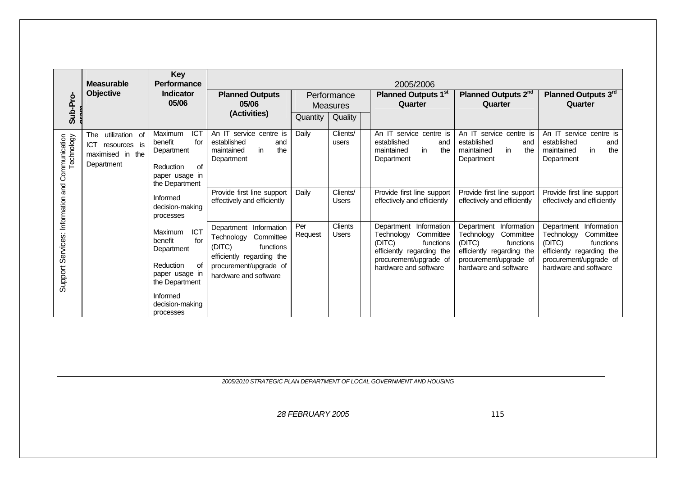|                                                               | <b>Measurable</b>                                                                     | <b>Key</b><br><b>Performance</b>                                                                                                                         |                                                                                                                                                             |                |                                | 2005/2006                                                                                                                                                |                                                                                                                                                             |                                                                                                                                                             |
|---------------------------------------------------------------|---------------------------------------------------------------------------------------|----------------------------------------------------------------------------------------------------------------------------------------------------------|-------------------------------------------------------------------------------------------------------------------------------------------------------------|----------------|--------------------------------|----------------------------------------------------------------------------------------------------------------------------------------------------------|-------------------------------------------------------------------------------------------------------------------------------------------------------------|-------------------------------------------------------------------------------------------------------------------------------------------------------------|
| Sub-Pro-                                                      | Objective                                                                             | Indicator<br>05/06                                                                                                                                       | <b>Planned Outputs</b><br>05/06                                                                                                                             |                | Performance<br><b>Measures</b> | <b>Planned Outputs 1st</b><br>Quarter                                                                                                                    | Planned Outputs 2 <sup>nd</sup><br>Quarter                                                                                                                  | Planned Outputs 3rd<br>Quarter                                                                                                                              |
|                                                               |                                                                                       |                                                                                                                                                          | (Activities)                                                                                                                                                | Quantity       | Quality                        |                                                                                                                                                          |                                                                                                                                                             |                                                                                                                                                             |
| Technology<br>Support Services: Information and Communication | utilization of<br>The<br><b>ICT</b><br>resources is<br>maximised in the<br>Department | <b>ICT</b><br>Maximum<br>for<br>benefit<br>Department<br>of<br>Reduction<br>paper usage in<br>the Department                                             | An IT service centre is<br>established<br>and<br>in<br>the<br>maintained<br>Department                                                                      | Daily          | Clients/<br>users              | An IT service centre is<br>established<br>and<br>in<br>the<br>maintained<br>Department                                                                   | An IT service centre is<br>established<br>and<br>in<br>maintained<br>the<br>Department                                                                      | An IT service centre is<br>established<br>and<br>in<br>the<br>maintained<br>Department                                                                      |
|                                                               |                                                                                       | Informed<br>decision-making<br>processes                                                                                                                 | Provide first line support<br>effectively and efficiently                                                                                                   | Daily          | Clients/<br>Users              | Provide first line support<br>effectively and efficiently                                                                                                | Provide first line support<br>effectively and efficiently                                                                                                   | Provide first line support<br>effectively and efficiently                                                                                                   |
|                                                               |                                                                                       | ICT<br><b>Maximum</b><br>for<br>benefit<br>Department<br>Reduction<br>οf<br>paper usage in<br>the Department<br>Informed<br>decision-making<br>processes | Information<br>Department<br>Committee<br>Technology<br>(DITC)<br>functions<br>efficiently regarding the<br>procurement/upgrade of<br>hardware and software | Per<br>Request | Clients<br><b>Users</b>        | Department Information<br>Committee<br>Technology<br>(DITC)<br>functions<br>efficiently regarding the<br>procurement/upgrade of<br>hardware and software | Information<br>Department<br>Committee<br>Technology<br>(DITC)<br>functions<br>efficiently regarding the<br>procurement/upgrade of<br>hardware and software | Information<br>Department<br>Technology<br>Committee<br>(DITC)<br>functions<br>efficiently regarding the<br>procurement/upgrade of<br>hardware and software |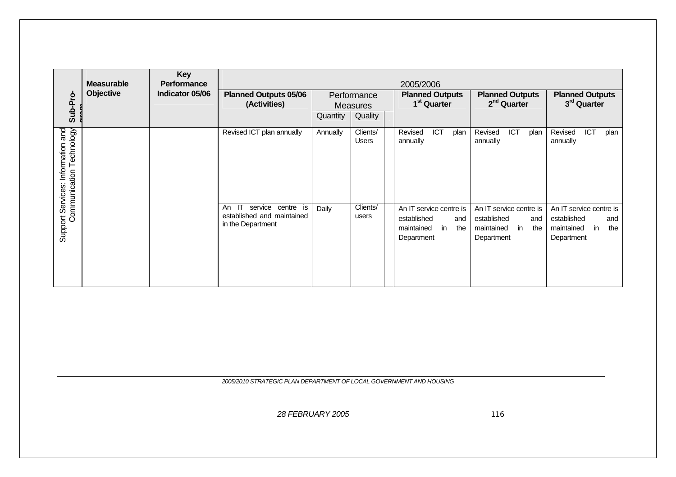| Sub-Pro-                                                            | <b>Measurable</b><br>Objective | <b>Key</b><br><b>Performance</b><br>Indicator 05/06 | <b>Planned Outputs 05/06</b><br>(Activities)                                                  | Performance<br><b>Measures</b><br>Quantity<br>Quality |                          | 2005/2006<br><b>Planned Outputs</b><br>1 <sup>st</sup> Quarter                         | <b>Planned Outputs</b><br>2 <sup>nd</sup> Quarter                                      | <b>Planned Outputs</b><br>3rd Quarter                                                  |  |
|---------------------------------------------------------------------|--------------------------------|-----------------------------------------------------|-----------------------------------------------------------------------------------------------|-------------------------------------------------------|--------------------------|----------------------------------------------------------------------------------------|----------------------------------------------------------------------------------------|----------------------------------------------------------------------------------------|--|
| Technology<br>and<br>Support Services: Information<br>Communication |                                |                                                     | Revised ICT plan annually                                                                     | Annually                                              | Clients/<br><b>Users</b> | ICT<br>Revised<br>plan<br>annually                                                     | ICT<br>Revised<br>plan<br>annually                                                     | ICT<br>Revised<br>plan<br>annually                                                     |  |
|                                                                     |                                |                                                     | $\mathsf{I}$<br>service<br>centre is<br>An<br>established and maintained<br>in the Department | Daily                                                 | Clients/<br>users        | An IT service centre is<br>established<br>and<br>in<br>maintained<br>the<br>Department | An IT service centre is<br>established<br>and<br>maintained<br>in<br>the<br>Department | An IT service centre is<br>established<br>and<br>the<br>in<br>maintained<br>Department |  |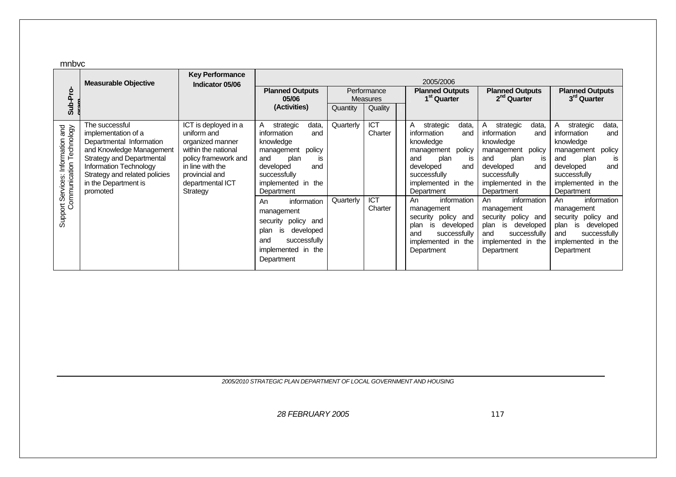mnhyc

| Sub-Pro-                                                      | <b>Measurable Objective</b>                                                                                                                                                                                               | <b>Key Performance</b><br>Indicator 05/06                                                                                                                                    | <b>Planned Outputs</b><br>05/06<br>(Activities)                                                                                                                                                                                                                                                                                       | Quantity               | Performance<br>Measures<br>Quality             | 2005/2006<br><b>Planned Outputs</b><br>1 <sup>st</sup> Quarter                                                                                                                                                                                                                                                                  | <b>Planned Outputs</b><br>2 <sup>nd</sup> Quarter                                                                                                                                                                                                                                                                               | <b>Planned Outputs</b><br>3 <sup>rd</sup> Quarter                                                                                                                                                                                                                                                                                 |
|---------------------------------------------------------------|---------------------------------------------------------------------------------------------------------------------------------------------------------------------------------------------------------------------------|------------------------------------------------------------------------------------------------------------------------------------------------------------------------------|---------------------------------------------------------------------------------------------------------------------------------------------------------------------------------------------------------------------------------------------------------------------------------------------------------------------------------------|------------------------|------------------------------------------------|---------------------------------------------------------------------------------------------------------------------------------------------------------------------------------------------------------------------------------------------------------------------------------------------------------------------------------|---------------------------------------------------------------------------------------------------------------------------------------------------------------------------------------------------------------------------------------------------------------------------------------------------------------------------------|-----------------------------------------------------------------------------------------------------------------------------------------------------------------------------------------------------------------------------------------------------------------------------------------------------------------------------------|
| Support Services: Information and<br>Communication Technology | The successful<br>implementation of a<br>Departmental Information<br>and Knowledge Management<br>Strategy and Departmental<br>Information Technology<br>Strategy and related policies<br>in the Department is<br>promoted | ICT is deployed in a<br>uniform and<br>organized manner<br>within the national<br>policy framework and<br>in line with the<br>provincial and<br>departmental ICT<br>Strategy | strategic<br>data,<br>A<br>information<br>and<br>knowledge<br>management<br>policy<br>and<br>plan<br>IS<br>developed<br>and<br>successfully<br>implemented in the<br>Department<br>information<br>An<br>management<br>policy<br>security<br>and<br>developed<br>plan<br>is<br>successfully<br>and<br>implemented in the<br>Department | Quarterly<br>Quarterly | <b>ICT</b><br>Charter<br><b>ICT</b><br>Charter | data,<br>strategic<br>A<br>information<br>and<br>knowledge<br>management policy<br>and<br>plan<br>is<br>developed<br>and<br>successfully<br>implemented in the<br>Department<br>information<br>An<br>management<br>security<br>policy and<br>plan<br>developed<br>is<br>successfully<br>and<br>implemented in the<br>Department | Α<br>strategic<br>data,<br>information<br>and<br>knowledge<br>management policy<br>plan<br>and<br>is<br>developed<br>and<br>successfully<br>implemented in the<br>Department<br>information<br>An<br>management<br>security policy<br>and<br>developed<br>plan<br>is<br>successfully<br>and<br>implemented in the<br>Department | data,<br>strategic<br>information<br>and<br>knowledge<br>policy<br>management<br>and<br>plan<br><b>IS</b><br>and<br>developed<br>successfully<br>implemented in the<br>Department<br>information<br>An<br>management<br>security policy and<br>developed<br>plan<br>is<br>successfully<br>and<br>implemented in the<br>Department |

*2005/2010 STRATEGIC PLAN DEPARTMENT OF LOCAL GOVERNMENT AND HOUSING*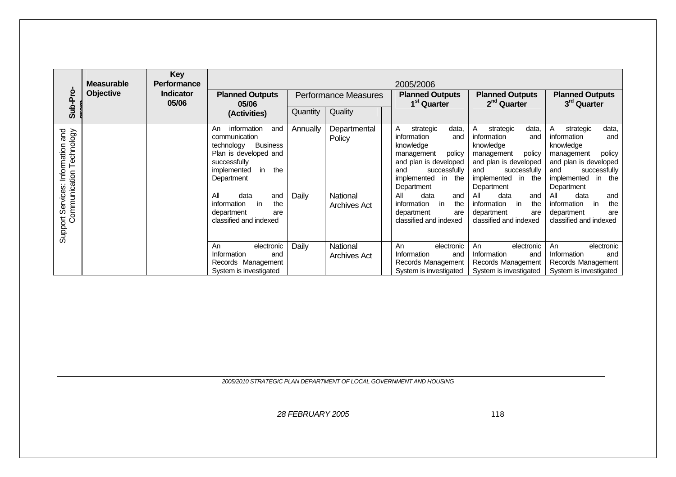| Sub-Pro                                                             | <b>Measurable</b><br><b>Objective</b> | <b>Key</b><br><b>Performance</b><br><b>Indicator</b><br>05/06 | <b>Planned Outputs</b><br>05/06<br>(Activities)                                                                                                                                                                                                                | Quantity          | <b>Performance Measures</b><br>Quality                    | 2005/2006<br><b>Planned Outputs</b><br>1 <sup>st</sup> Quarter                                                                                                                                                                                                                | <b>Planned Outputs</b><br>2 <sup>nd</sup> Quarter                                                                                                                                                                                                                             | <b>Planned Outputs</b><br>3 <sup>rd</sup> Quarter                                                                                                                                                                                                                              |
|---------------------------------------------------------------------|---------------------------------------|---------------------------------------------------------------|----------------------------------------------------------------------------------------------------------------------------------------------------------------------------------------------------------------------------------------------------------------|-------------------|-----------------------------------------------------------|-------------------------------------------------------------------------------------------------------------------------------------------------------------------------------------------------------------------------------------------------------------------------------|-------------------------------------------------------------------------------------------------------------------------------------------------------------------------------------------------------------------------------------------------------------------------------|--------------------------------------------------------------------------------------------------------------------------------------------------------------------------------------------------------------------------------------------------------------------------------|
| and<br>Technology<br>Support Services: Information<br>Communication |                                       |                                                               | information<br>and<br>An<br>communication<br><b>Business</b><br>technology<br>Plan is developed and<br>successfully<br>the<br>in<br>implemented<br>Department<br>All<br>data<br>and<br>the<br>information<br>in<br>department<br>are<br>classified and indexed | Annually<br>Daily | Departmental<br>Policy<br>National<br><b>Archives Act</b> | data,<br>strategic<br>A<br>information<br>and<br>knowledge<br>policy<br>management<br>and plan is developed<br>successfully<br>and<br>implemented<br>in<br>the<br>Department<br>All<br>data<br>and<br>in<br>the<br>information<br>department<br>are<br>classified and indexed | data,<br>strategic<br>A<br>information<br>and<br>knowledge<br>policy<br>management<br>and plan is developed<br>successfully<br>and<br>implemented<br>in<br>the<br>Department<br>All<br>data<br>and<br>the<br>information<br>in<br>department<br>are<br>classified and indexed | data,<br>strategic<br>A<br>information<br>and<br>knowledge<br>policy<br>management<br>and plan is developed<br>successfully<br>and<br>implemented<br>the<br>in.<br>Department<br>All<br>data<br>and<br>information<br>in<br>the<br>department<br>are<br>classified and indexed |
|                                                                     |                                       |                                                               | An<br>electronic<br>Information<br>and<br>Records Management<br>System is investigated                                                                                                                                                                         | Daily             | National<br><b>Archives Act</b>                           | An<br>electronic<br>Information<br>and<br>Records Management<br>System is investigated                                                                                                                                                                                        | An<br>electronic<br>Information<br>and<br>Records Management<br>System is investigated                                                                                                                                                                                        | electronic<br>An<br>Information<br>and<br>Records Management<br>System is investigated                                                                                                                                                                                         |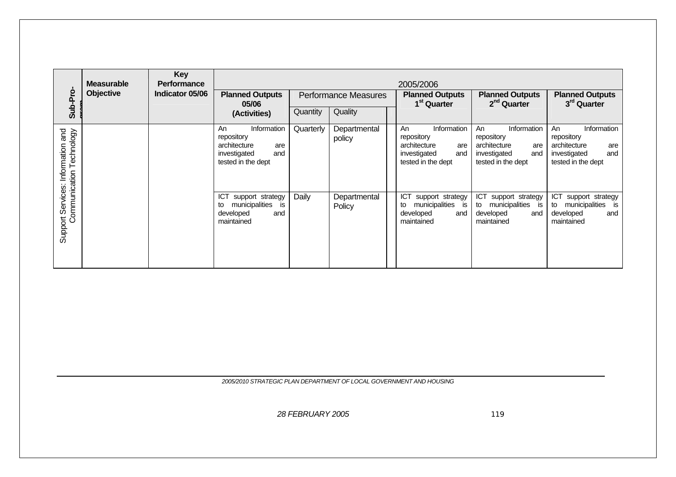| Sub-Pro                                           | <b>Measurable</b><br><b>Objective</b> | Key<br><b>Performance</b><br>Indicator 05/06 | <b>Planned Outputs</b><br>05/06                                                                     | <b>Performance Measures</b><br>Quality<br>Quantity<br>(Activities) |                        |  | 2005/2006<br><b>Planned Outputs</b><br><b>Planned Outputs</b><br>2 <sup>nd</sup> Quarter<br>1 <sup>st</sup> Quarter |                                                                                                     | <b>Planned Outputs</b><br>3 <sup>rd</sup> Quarter                                                   |
|---------------------------------------------------|---------------------------------------|----------------------------------------------|-----------------------------------------------------------------------------------------------------|--------------------------------------------------------------------|------------------------|--|---------------------------------------------------------------------------------------------------------------------|-----------------------------------------------------------------------------------------------------|-----------------------------------------------------------------------------------------------------|
| Technology<br>and<br>Information<br>Communication |                                       |                                              | Information<br>An<br>repository<br>architecture<br>are<br>investigated<br>and<br>tested in the dept | Quarterly                                                          | Departmental<br>policy |  | Information<br>An<br>repository<br>architecture<br>are<br>investigated<br>and<br>tested in the dept                 | Information<br>An<br>repository<br>architecture<br>are<br>investigated<br>and<br>tested in the dept | Information<br>An<br>repository<br>architecture<br>are<br>and<br>investigated<br>tested in the dept |
| Support Services:                                 |                                       |                                              | ICT<br>support strategy<br>municipalities<br>is<br>to<br>developed<br>and<br>maintained             | Daily                                                              | Departmental<br>Policy |  | ICT<br>support strategy<br>municipalities<br>is<br>to<br>developed<br>and<br>maintained                             | <b>ICT</b><br>support strategy<br>municipalities<br>to<br>is is<br>developed<br>and<br>maintained   | ICT<br>support strategy<br>municipalities<br>to<br>is<br>developed<br>and<br>maintained             |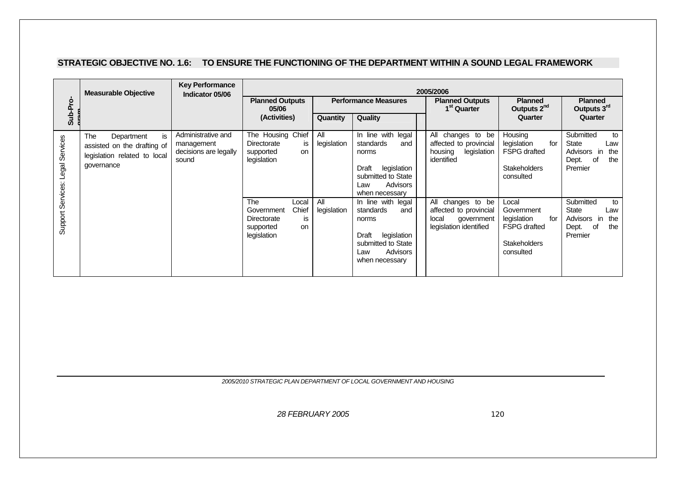#### **STRATEGIC OBJECTIVE NO. 1.6: TO ENSURE THE FUNCTIONING OF THE DEPARTMENT WITHIN A SOUND LEGAL FRAMEWORK**

|                                  | <b>Measurable Objective</b>                                                                           | <b>Key Performance</b><br>Indicator 05/06                          | 2005/2006                                                                                             |                    |                                                                                                                                    |                                                                                              |                                                                                                      |                                                                                        |  |  |
|----------------------------------|-------------------------------------------------------------------------------------------------------|--------------------------------------------------------------------|-------------------------------------------------------------------------------------------------------|--------------------|------------------------------------------------------------------------------------------------------------------------------------|----------------------------------------------------------------------------------------------|------------------------------------------------------------------------------------------------------|----------------------------------------------------------------------------------------|--|--|
| Sub-Pro-                         |                                                                                                       |                                                                    | <b>Planned Outputs</b><br>05/06                                                                       |                    | <b>Performance Measures</b>                                                                                                        | <b>Planned Outputs</b><br>1 <sup>st</sup> Quarter                                            | <b>Planned</b><br>Outputs 2 <sup>nd</sup>                                                            | <b>Planned</b><br>Outputs 3rd                                                          |  |  |
|                                  |                                                                                                       |                                                                    | (Activities)                                                                                          | Quantity           | Quality                                                                                                                            |                                                                                              | Quarter                                                                                              | Quarter                                                                                |  |  |
| Support Services: Legal Services | is.<br>The<br>Department<br>assisted on the drafting of<br>legislation related to local<br>qovernance | Administrative and<br>management<br>decisions are legally<br>sound | The Housing Chief<br>Directorate<br>is<br>supported<br><b>on</b><br>legislation                       | All<br>legislation | In line with legal<br>standards<br>and<br>norms<br>legislation<br>Draft<br>submitted to State<br>Advisors<br>Law<br>when necessary | All changes to be<br>affected to provincial<br>housing<br>legislation<br>identified          | Housing<br>legislation<br>for<br><b>FSPG</b> drafted<br><b>Stakeholders</b><br>consulted             | Submitted<br>to<br>State<br>Law<br>Advisors in<br>the<br>Dept.<br>of<br>the<br>Premier |  |  |
|                                  |                                                                                                       |                                                                    | The<br>Local<br>Chief<br>Government<br>Directorate<br>is<br>supported<br><sub>on</sub><br>legislation | All<br>legislation | In line with legal<br>standards<br>and<br>norms<br>legislation<br>Draft<br>submitted to State<br>Advisors<br>Law<br>when necessary | All changes to be<br>affected to provincial<br>local<br>government<br>legislation identified | Local<br>Government<br>legislation<br>for<br><b>FSPG</b> drafted<br><b>Stakeholders</b><br>consulted | Submitted<br>to<br>State<br>Law<br>Advisors in<br>the<br>Dept.<br>0f<br>the<br>Premier |  |  |

*2005/2010 STRATEGIC PLAN DEPARTMENT OF LOCAL GOVERNMENT AND HOUSING*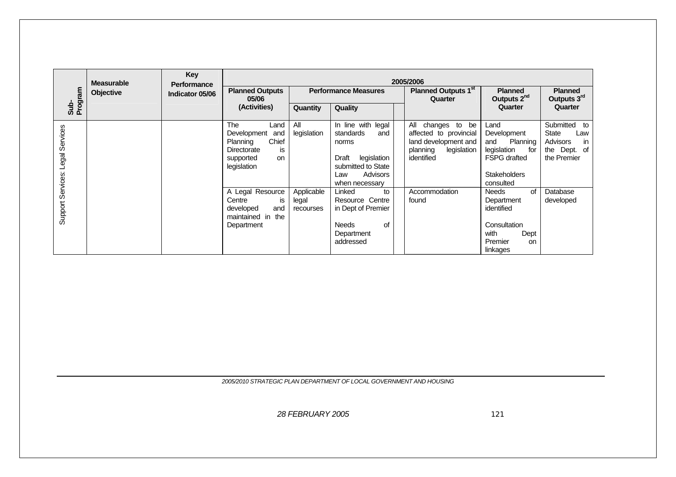|                                  | <b>Measurable</b> | Key<br><b>Performance</b> |                                                                                                                | 2005/2006                        |                                                                                                                                       |                                                                                                              |                                                                                                                         |                                                                               |  |  |  |  |  |
|----------------------------------|-------------------|---------------------------|----------------------------------------------------------------------------------------------------------------|----------------------------------|---------------------------------------------------------------------------------------------------------------------------------------|--------------------------------------------------------------------------------------------------------------|-------------------------------------------------------------------------------------------------------------------------|-------------------------------------------------------------------------------|--|--|--|--|--|
| Sub-<br>Program                  | <b>Objective</b>  | Indicator 05/06           | <b>Planned Outputs</b><br>05/06                                                                                |                                  | <b>Performance Measures</b>                                                                                                           | Planned Outputs 1 <sup>st</sup><br>Quarter                                                                   | <b>Planned</b><br>Outputs 2 <sup>nd</sup>                                                                               | <b>Planned</b><br>Outputs 3rd                                                 |  |  |  |  |  |
|                                  |                   |                           | (Activities)                                                                                                   | Quantity                         | Quality                                                                                                                               |                                                                                                              | Quarter                                                                                                                 | Quarter                                                                       |  |  |  |  |  |
| Support Services: Legal Services |                   |                           | The<br>Land<br>Development<br>and<br>Chief<br>Planning<br>Directorate<br>is.<br>supported<br>on<br>legislation | All<br>legislation               | In line with<br>legal<br>standards<br>and<br>norms<br>legislation<br>Draft<br>submitted to State<br>Advisors<br>Law<br>when necessary | All changes to be<br>affected to provincial<br>land development and<br>legislation<br>planning<br>identified | Land<br>Development<br>Planning<br>and<br>legislation<br>for<br><b>FSPG</b> drafted<br><b>Stakeholders</b><br>consulted | Submitted to<br>State<br>Law<br>Advisors<br>in<br>the Dept. of<br>the Premier |  |  |  |  |  |
|                                  |                   |                           | A Legal Resource<br>Centre<br>is<br>developed<br>and<br>maintained in the<br>Department                        | Applicable<br>legal<br>recourses | Linked<br>to<br>Resource Centre<br>in Dept of Premier<br><b>Needs</b><br>of<br>Department<br>addressed                                | Accommodation<br>found                                                                                       | <b>Needs</b><br>of<br>Department<br>identified<br>Consultation<br>with<br>Dept<br>Premier<br>on<br>linkages             | Database<br>developed                                                         |  |  |  |  |  |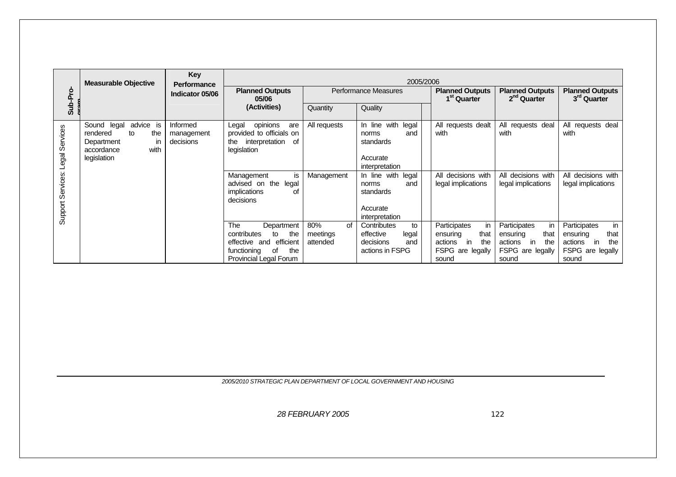|                   | <b>Measurable Objective</b>                                                                                | Key<br>Performance                  |                                                                                                    |                                   | 2005/2006                                                      |                                                                |                                                             |                                                                       |
|-------------------|------------------------------------------------------------------------------------------------------------|-------------------------------------|----------------------------------------------------------------------------------------------------|-----------------------------------|----------------------------------------------------------------|----------------------------------------------------------------|-------------------------------------------------------------|-----------------------------------------------------------------------|
| Sub-Pro-          |                                                                                                            | Indicator 05/06                     | <b>Planned Outputs</b><br>05/06                                                                    |                                   | Performance Measures                                           | <b>Planned Outputs</b><br>1 <sup>st</sup> Quarter              | <b>Planned Outputs</b><br>2 <sup>nd</sup> Quarter           | <b>Planned Outputs</b><br>3 <sup>rd</sup> Quarter                     |
|                   |                                                                                                            |                                     | (Activities)                                                                                       | Quantity                          | Quality                                                        |                                                                |                                                             |                                                                       |
| Legal Services    | advice is<br>Sound legal<br>rendered<br>the<br>to<br>Department<br>in<br>with<br>accordance<br>legislation | Informed<br>management<br>decisions | opinions<br>Legal<br>are<br>provided to officials on<br>interpretation<br>the<br>of<br>legislation | All requests                      | In line with<br>legal<br>and<br>norms<br>standards<br>Accurate | All requests dealt<br>with                                     | All requests deal<br>with                                   | All requests deal<br>with                                             |
|                   |                                                                                                            |                                     |                                                                                                    |                                   | interpretation                                                 |                                                                |                                                             |                                                                       |
| Support Services: |                                                                                                            |                                     | Management<br>is<br>advised on the<br>legal<br>implications<br>οf<br>decisions                     | Management                        | In line with legal<br>and<br>norms<br>standards                | All decisions with<br>legal implications                       | All decisions with<br>legal implications                    | All decisions with<br>legal implications                              |
|                   |                                                                                                            |                                     |                                                                                                    |                                   | Accurate<br>interpretation                                     |                                                                |                                                             |                                                                       |
|                   |                                                                                                            |                                     | <b>The</b><br>Department<br>contributes<br>the<br>to<br>effective and efficient                    | 80%<br>Ωf<br>meetings<br>attended | Contributes<br>to<br>effective<br>legal<br>decisions<br>and    | Participates<br>in<br>that<br>ensuring<br>the<br>actions<br>in | Participates<br>in<br>that<br>ensuring<br>actions in<br>the | in<br>Participates<br>that<br>ensuring<br>the<br>actions<br><i>in</i> |
|                   |                                                                                                            |                                     | the<br>functioning<br>of<br>Provincial Legal Forum                                                 |                                   | actions in FSPG                                                | FSPG are legally<br>sound                                      | FSPG are legally<br>sound                                   | FSPG are legally<br>sound                                             |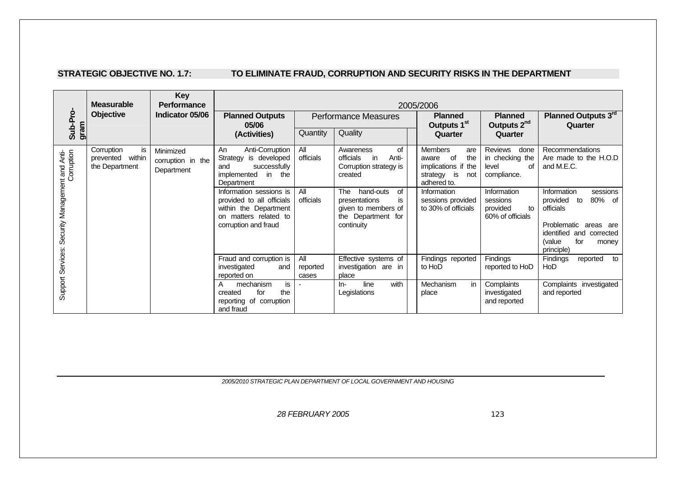# STRATEGIC OBJECTIVE NO. 1.7: **TO ELIMINATE FRAUD, CORRUPTION AND SECURITY RISKS IN THE DEPARTMENT**

| <b>Key</b><br><b>Measurable</b><br><b>Performance</b><br>2005/2006 |                                                        |                                              |                                                                                                                                |                          |                                                                                                          |  |                                                                                                            |                                                                  |                                                                                                                                                               |
|--------------------------------------------------------------------|--------------------------------------------------------|----------------------------------------------|--------------------------------------------------------------------------------------------------------------------------------|--------------------------|----------------------------------------------------------------------------------------------------------|--|------------------------------------------------------------------------------------------------------------|------------------------------------------------------------------|---------------------------------------------------------------------------------------------------------------------------------------------------------------|
| Sub-Pro                                                            | <b>Objective</b>                                       | Indicator 05/06                              | <b>Planned Outputs</b><br>05/06                                                                                                |                          | <b>Performance Measures</b>                                                                              |  | <b>Planned</b><br>Outputs 1 <sup>st</sup>                                                                  | <b>Planned</b><br>Outputs 2 <sup>nd</sup>                        | Planned Outputs 3rd<br>Quarter                                                                                                                                |
| gram                                                               |                                                        |                                              | (Activities)                                                                                                                   | Quantity                 | Quality                                                                                                  |  | Quarter                                                                                                    | Quarter                                                          |                                                                                                                                                               |
|                                                                    | Corruption<br>is<br>prevented within<br>the Department | Minimized<br>corruption in the<br>Department | Anti-Corruption<br>An<br>Strategy<br>is developed<br>successfully<br>and<br>implemented<br>in<br>the<br>Department             | All<br>officials         | of<br>Awareness<br>officials<br>Anti-<br><i>in</i><br>Corruption strategy is<br>created                  |  | <b>Members</b><br>are<br>of<br>the<br>aware<br>implications if the<br>strategy<br>is<br>not<br>adhered to. | Reviews<br>done<br>in checking the<br>Ωf<br>level<br>compliance. | <b>Recommendations</b><br>Are made to the H.O.D<br>and M.E.C.                                                                                                 |
| Support Services: Security Management and Anti-                    |                                                        |                                              | Information sessions is<br>provided to all officials<br>within the Department<br>on matters related to<br>corruption and fraud | All<br>officials         | The<br>hand-outs<br>0f<br>presentations<br>is<br>given to members of<br>the Department for<br>continuity |  | Information<br>sessions provided<br>to 30% of officials                                                    | Information<br>sessions<br>provided<br>to<br>60% of officials    | Information<br>sessions<br>80% of<br>provided<br>to<br>officials<br>Problematic areas are<br>identified and corrected<br>(value<br>for<br>money<br>principle) |
|                                                                    |                                                        |                                              | Fraud and corruption is<br>investigated<br>and<br>reported on                                                                  | All<br>reported<br>cases | Effective systems of<br>investigation are in<br>place                                                    |  | Findings reported<br>to HoD                                                                                | Findings<br>reported to HoD                                      | <b>Findings</b><br>reported<br>to<br>HoD                                                                                                                      |
|                                                                    |                                                        |                                              | mechanism<br>is<br>A<br>the<br>for<br>created<br>reporting of corruption<br>and fraud                                          |                          | line<br>with<br>ln-<br>Legislations                                                                      |  | Mechanism<br>in<br>place                                                                                   | Complaints<br>investigated<br>and reported                       | Complaints investigated<br>and reported                                                                                                                       |

*2005/2010 STRATEGIC PLAN DEPARTMENT OF LOCAL GOVERNMENT AND HOUSING*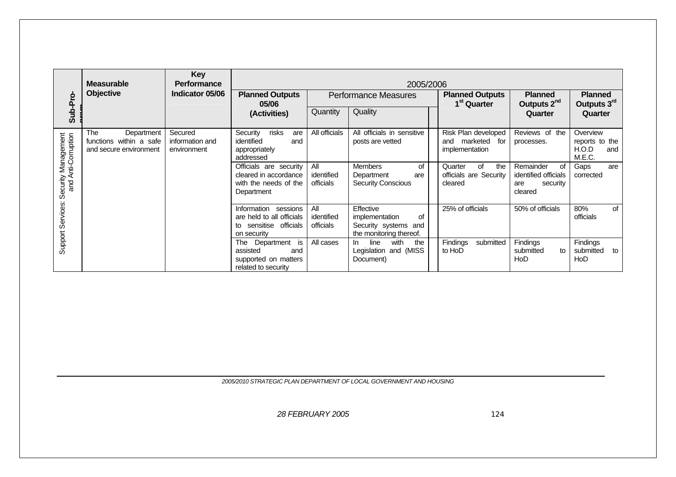|                                            | <b>Measurable</b>                                                      | Key<br><b>Performance</b>                 | 2005/2006                                                                                     |                                       |                                                                                      |                                                              |                                                                       |                                                      |  |  |  |  |
|--------------------------------------------|------------------------------------------------------------------------|-------------------------------------------|-----------------------------------------------------------------------------------------------|---------------------------------------|--------------------------------------------------------------------------------------|--------------------------------------------------------------|-----------------------------------------------------------------------|------------------------------------------------------|--|--|--|--|
|                                            | Objective                                                              | Indicator 05/06                           | <b>Planned Outputs</b><br>05/06                                                               |                                       | <b>Performance Measures</b>                                                          | <b>Planned Outputs</b><br>1 <sup>st</sup> Quarter            | <b>Planned</b><br>Outputs 2 <sup>nd</sup>                             | <b>Planned</b><br>Outputs 3rd                        |  |  |  |  |
| Sub-Pro-                                   |                                                                        |                                           | (Activities)                                                                                  | Quantity                              | Quality                                                                              |                                                              | Quarter                                                               | Quarter                                              |  |  |  |  |
|                                            | The<br>Department<br>functions within a safe<br>and secure environment | Secured<br>information and<br>environment | risks<br>Security<br>are<br>identified<br>and<br>appropriately<br>addressed                   | All officials                         | All officials in sensitive<br>posts are vetted                                       | Risk Plan developed<br>and marketed<br>for<br>implementation | Reviews of the<br>processes.                                          | Overview<br>reports to the<br>H.O.D<br>and<br>M.E.C. |  |  |  |  |
| Security Management<br>and Anti-Corruption |                                                                        |                                           | Officials are security<br>cleared in accordance<br>with the needs of the<br>Department        | All<br>identified<br><b>officials</b> | Members<br>of<br>Department<br>are<br><b>Security Conscious</b>                      | Quarter<br>of<br>the<br>officials are Security<br>cleared    | Remainder<br>οf<br>identified officials<br>security<br>are<br>cleared | Gaps<br>are<br>corrected                             |  |  |  |  |
| Support Services:                          |                                                                        |                                           | Information sessions<br>are held to all officials<br>sensitise officials<br>to<br>on security | All<br>identified<br>officials        | Effective<br>οf<br>implementation<br>Security systems and<br>the monitoring thereof. | 25% of officials                                             | 50% of officials                                                      | 80%<br>of<br>officials                               |  |  |  |  |
|                                            |                                                                        |                                           | Department is<br>The<br>assisted<br>and<br>supported on matters<br>related to security        | All cases                             | with<br>line<br>the<br>In.<br>Legislation and (MISS<br>Document)                     | Findings<br>submitted<br>to HoD                              | <b>Findings</b><br>submitted<br>to<br>HoD                             | Findings<br>submitted<br>to<br>HoD                   |  |  |  |  |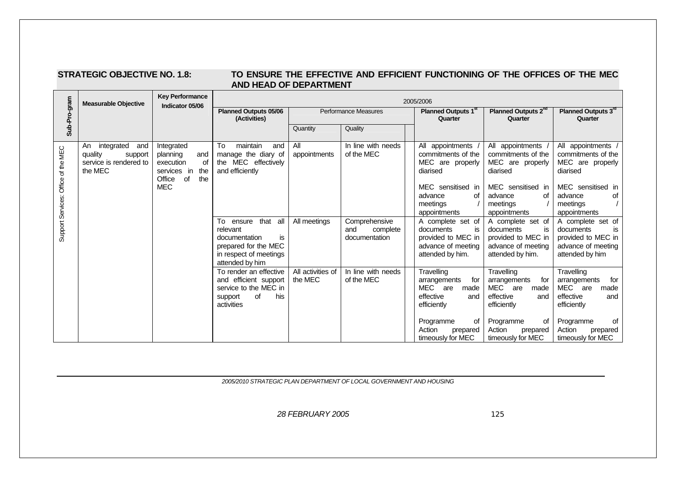### **STRATEGIC OBJECTIVE NO. 1.8: TO ENSURE THE EFFECTIVE AND EFFICIENT FUNCTIONING OF THE OFFICES OF THE MEC AND HEAD OF DEPARTMENT**

|                                     | <b>Measurable Objective</b>                                                        | <b>Key Performance</b><br>Indicator 05/06                                                                   | 2005/2006                                                                                                                  |                              |                                                   |                                                                                                                          |                                                                                                                          |                                                                                                                          |  |  |  |
|-------------------------------------|------------------------------------------------------------------------------------|-------------------------------------------------------------------------------------------------------------|----------------------------------------------------------------------------------------------------------------------------|------------------------------|---------------------------------------------------|--------------------------------------------------------------------------------------------------------------------------|--------------------------------------------------------------------------------------------------------------------------|--------------------------------------------------------------------------------------------------------------------------|--|--|--|
| Sub-Pro-gram                        |                                                                                    |                                                                                                             | <b>Planned Outputs 05/06</b><br>(Activities)                                                                               |                              | <b>Performance Measures</b>                       | Planned Outputs 1 <sup>st</sup><br>Quarter                                                                               | Planned Outputs 2 <sup>nd</sup><br>Quarter                                                                               | Planned Outputs 3rd<br>Quarter                                                                                           |  |  |  |
|                                     |                                                                                    |                                                                                                             |                                                                                                                            | Quantity                     | Quality                                           |                                                                                                                          |                                                                                                                          |                                                                                                                          |  |  |  |
| Support Services: Office of the MEC | integrated<br>An<br>and<br>quality<br>support<br>service is rendered to<br>the MEC | Integrated<br>planning<br>and<br>execution<br>0f<br>the<br>services in<br>the<br>Office<br>0f<br><b>MEC</b> | To<br>maintain<br>and<br>manage the diary of<br>the MEC effectively<br>and efficiently                                     | All<br>appointments          | In line with needs<br>of the MEC                  | All appointments<br>commitments of the<br>MEC are properly<br>diarised<br>MEC sensitised in<br>advance<br>of<br>meetings | All appointments<br>commitments of the<br>MEC are properly<br>diarised<br>MEC sensitised in<br>advance<br>of<br>meetings | All appointments<br>commitments of the<br>MEC are properly<br>diarised<br>MEC sensitised in<br>advance<br>Οf<br>meetings |  |  |  |
|                                     |                                                                                    |                                                                                                             | To ensure that all<br>relevant<br>documentation<br>is<br>prepared for the MEC<br>in respect of meetings<br>attended by him | All meetings                 | Comprehensive<br>and<br>complete<br>documentation | appointments<br>A complete set of<br>documents<br>is<br>provided to MEC in<br>advance of meeting<br>attended by him.     | appointments<br>A complete set of<br>is<br>documents<br>provided to MEC in<br>advance of meeting<br>attended by him.     | appointments<br>A complete set of<br>documents<br>is<br>provided to MEC in<br>advance of meeting<br>attended by him      |  |  |  |
|                                     |                                                                                    |                                                                                                             | To render an effective<br>and efficient support<br>service to the MEC in<br>of<br>his<br>support<br>activities             | All activities of<br>the MEC | In line with needs<br>of the MEC                  | Travelling<br>for<br>arrangements<br>MEC are<br>made<br>effective<br>and<br>efficiently                                  | Travelling<br>arrangements<br>for<br>MEC are<br>made<br>effective<br>and<br>efficiently                                  | Travelling<br>arrangements<br>for<br>MEC are<br>made<br>effective<br>and<br>efficiently                                  |  |  |  |
|                                     |                                                                                    |                                                                                                             |                                                                                                                            |                              |                                                   | Programme<br>οf<br>Action<br>prepared<br>timeously for MEC                                                               | Programme<br>οf<br>Action<br>prepared<br>timeously for MEC                                                               | Programme<br>οf<br>Action<br>prepared<br>timeously for MEC                                                               |  |  |  |

*2005/2010 STRATEGIC PLAN DEPARTMENT OF LOCAL GOVERNMENT AND HOUSING*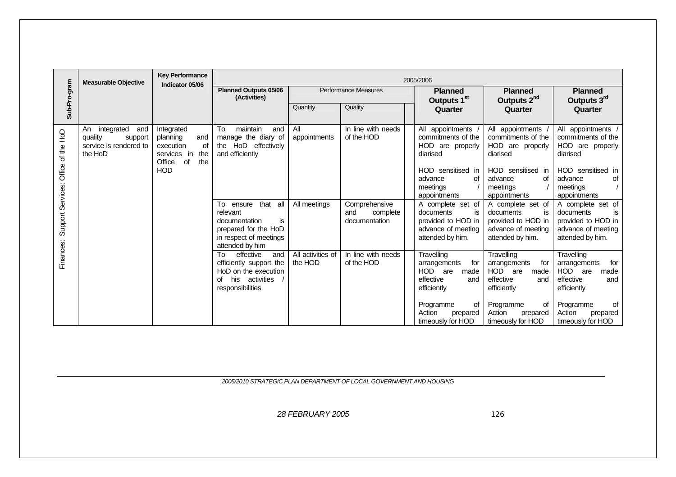|                                     | <b>Measurable Objective</b>                                                        | <b>Key Performance</b><br>Indicator 05/06                                                                   |                                                                                                                               |                              |                                                   | 2005/2006                                                                                                                |                                                                                                                                          |                                                                                                                                          |
|-------------------------------------|------------------------------------------------------------------------------------|-------------------------------------------------------------------------------------------------------------|-------------------------------------------------------------------------------------------------------------------------------|------------------------------|---------------------------------------------------|--------------------------------------------------------------------------------------------------------------------------|------------------------------------------------------------------------------------------------------------------------------------------|------------------------------------------------------------------------------------------------------------------------------------------|
| Sub-Pro-gram                        |                                                                                    |                                                                                                             | <b>Planned Outputs 05/06</b><br>(Activities)                                                                                  |                              | <b>Performance Measures</b>                       | <b>Planned</b><br>Outputs 1 <sup>st</sup>                                                                                | <b>Planned</b><br>Outputs 2 <sup>nd</sup>                                                                                                | <b>Planned</b><br>Outputs 3rd                                                                                                            |
|                                     |                                                                                    |                                                                                                             |                                                                                                                               | Quantity                     | Quality                                           | Quarter                                                                                                                  | Quarter                                                                                                                                  | Quarter                                                                                                                                  |
| Support Services: Office of the HoD | integrated<br>An<br>and<br>quality<br>support<br>service is rendered to<br>the HoD | Integrated<br>planning<br>and<br>execution<br>οf<br>services in<br>the<br>Office<br>of<br>the<br><b>HOD</b> | To<br>maintain<br>and<br>manage the diary of<br>the HoD effectively<br>and efficiently                                        | All<br>appointments          | In line with needs<br>of the HOD                  | All appointments<br>commitments of the<br>HOD are properly<br>diarised<br>HOD sensitised in<br>advance<br>οf<br>meetings | All appointments<br>commitments of the<br>HOD are properly<br>diarised<br>HOD sensitised in<br>advance<br>οf<br>meetings<br>appointments | All appointments<br>commitments of the<br>HOD are properly<br>diarised<br>HOD sensitised in<br>advance<br>οf<br>meetings<br>appointments |
|                                     |                                                                                    |                                                                                                             | that all<br>To ensure<br>relevant<br>documentation<br>is<br>prepared for the HoD<br>in respect of meetings<br>attended by him | All meetings                 | Comprehensive<br>and<br>complete<br>documentation | appointments<br>A complete set of<br>documents<br>is<br>provided to HOD in<br>advance of meeting<br>attended by him.     | A complete set of<br>is<br>documents<br>provided to HOD in<br>advance of meeting<br>attended by him.                                     | A complete set of<br>documents<br>is<br>provided to HOD in<br>advance of meeting<br>attended by him.                                     |
| Finances:                           |                                                                                    |                                                                                                             | effective<br>To<br>and<br>efficiently support the<br>HoD on the execution<br>of his activities<br>responsibilities            | All activities of<br>the HOD | In line with needs<br>of the HOD                  | Travelling<br>arrangements<br>for<br>HOD are<br>made<br>effective<br>and<br>efficiently                                  | Travelling<br>arrangements<br>for<br>HOD are<br>made<br>effective<br>and<br>efficiently                                                  | Travelling<br>for<br>arrangements<br>HOD are<br>made<br>effective<br>and<br>efficiently                                                  |
|                                     |                                                                                    |                                                                                                             |                                                                                                                               |                              |                                                   | Programme<br>οf<br>Action<br>prepared<br>timeously for HOD                                                               | Programme<br>οf<br>Action<br>prepared<br>timeously for HOD                                                                               | Programme<br>οf<br>Action<br>prepared<br>timeously for HOD                                                                               |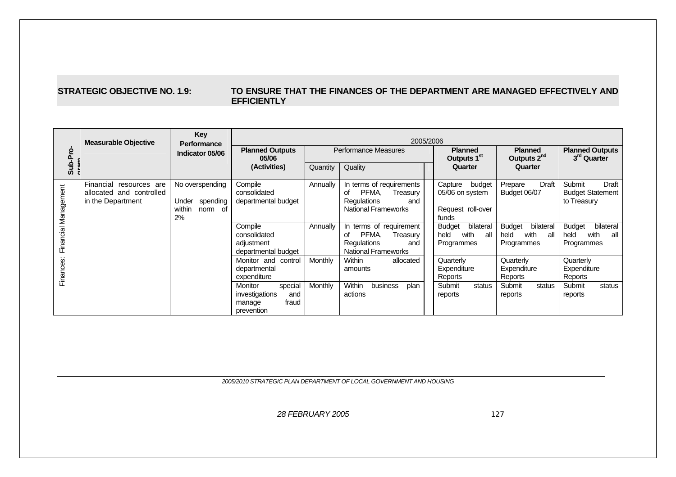#### **STRATEGIC OBJECTIVE NO. 1.9: TO ENSURE THAT THE FINANCES OF THE DEPARTMENT ARE MANAGED EFFECTIVELY AND EFFICIENTLY**

|                      | <b>Measurable Objective</b>                                                 | Key<br><b>Performance</b>                                       | 2005/2006                                                                           |          |                                                                                                                |                                                                    |                                                                 |                                                                  |  |  |
|----------------------|-----------------------------------------------------------------------------|-----------------------------------------------------------------|-------------------------------------------------------------------------------------|----------|----------------------------------------------------------------------------------------------------------------|--------------------------------------------------------------------|-----------------------------------------------------------------|------------------------------------------------------------------|--|--|
| Sub-Pro              |                                                                             | Indicator 05/06                                                 | <b>Planned Outputs</b><br>05/06                                                     |          | Performance Measures                                                                                           | <b>Planned</b><br>Outputs 1 <sup>st</sup>                          | <b>Planned</b><br>Outputs 2 <sup>nd</sup>                       | <b>Planned Outputs</b><br>3 <sup>rd</sup> Quarter                |  |  |
|                      |                                                                             |                                                                 | (Activities)                                                                        | Quantity | Quality                                                                                                        | Quarter                                                            | Quarter                                                         |                                                                  |  |  |
| Financial Management | Financial<br>resources are<br>allocated and controlled<br>in the Department | No overspending<br>spending<br>Under<br>within<br>norm of<br>2% | Compile<br>consolidated<br>departmental budget                                      | Annually | In terms of requirements<br>PFMA.<br>Treasury<br>οf<br><b>Requlations</b><br>and<br><b>National Frameworks</b> | Capture<br>budget<br>05/06 on system<br>Request roll-over<br>funds | Draft<br>Prepare<br>Budget 06/07                                | Submit<br><b>Draft</b><br><b>Budget Statement</b><br>to Treasury |  |  |
|                      |                                                                             |                                                                 | Compile<br>consolidated<br>adjustment<br>departmental budget                        | Annually | terms of requirement<br>PFMA.<br>οf<br>Treasury<br>Regulations<br>and<br><b>National Frameworks</b>            | bilateral<br><b>Budget</b><br>with<br>held<br>all<br>Programmes    | bilateral<br><b>Budget</b><br>with<br>held<br>all<br>Programmes | bilateral<br><b>Budget</b><br>with<br>held<br>all<br>Programmes  |  |  |
| Finances             |                                                                             |                                                                 | Monitor and control<br>departmental<br>expenditure                                  | Monthly  | Within<br>allocated<br>amounts                                                                                 | Quarterly<br>Expenditure<br>Reports                                | Quarterly<br>Expenditure<br>Reports                             | Quarterly<br>Expenditure<br>Reports                              |  |  |
|                      |                                                                             |                                                                 | <b>Monitor</b><br>special<br>investigations<br>and<br>fraud<br>manage<br>prevention | Monthly  | Within<br>business<br>plan<br>actions                                                                          | Submit<br>status<br>reports                                        | Submit<br>status<br>reports                                     | Submit<br>status<br>reports                                      |  |  |

*2005/2010 STRATEGIC PLAN DEPARTMENT OF LOCAL GOVERNMENT AND HOUSING*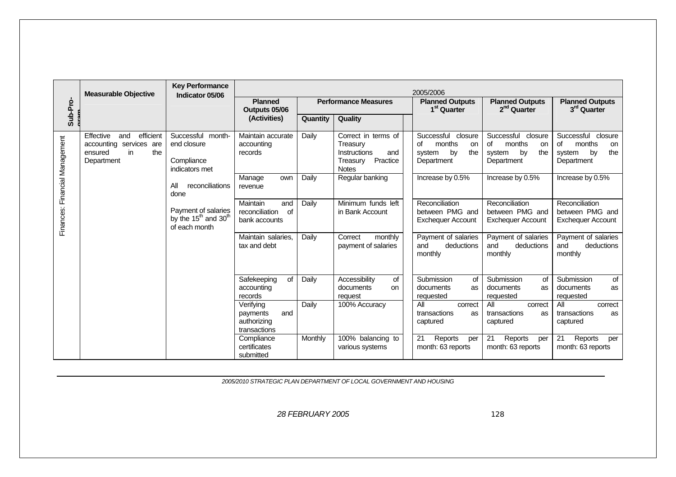|                                   | <b>Measurable Objective</b>                                                                    | <b>Key Performance</b><br>Indicator 05/06                                                                                                                                                  |                                                                                                                                                                          |                                  |                                                                                                                                                                                                         | 2005/2006                                                                                                                                                                                                                    |                                                                                                                                                                                                                              |                                                                                                                                                                                                                              |
|-----------------------------------|------------------------------------------------------------------------------------------------|--------------------------------------------------------------------------------------------------------------------------------------------------------------------------------------------|--------------------------------------------------------------------------------------------------------------------------------------------------------------------------|----------------------------------|---------------------------------------------------------------------------------------------------------------------------------------------------------------------------------------------------------|------------------------------------------------------------------------------------------------------------------------------------------------------------------------------------------------------------------------------|------------------------------------------------------------------------------------------------------------------------------------------------------------------------------------------------------------------------------|------------------------------------------------------------------------------------------------------------------------------------------------------------------------------------------------------------------------------|
| Sub-Pro-                          |                                                                                                |                                                                                                                                                                                            | <b>Planned</b><br>Outputs 05/06                                                                                                                                          |                                  | <b>Performance Measures</b>                                                                                                                                                                             | <b>Planned Outputs</b><br>1 <sup>st</sup> Quarter                                                                                                                                                                            | <b>Planned Outputs</b><br>2 <sup>nd</sup> Quarter                                                                                                                                                                            | <b>Planned Outputs</b><br>3 <sup>rd</sup> Quarter                                                                                                                                                                            |
|                                   |                                                                                                |                                                                                                                                                                                            | (Activities)                                                                                                                                                             | Quantity                         | Quality                                                                                                                                                                                                 |                                                                                                                                                                                                                              |                                                                                                                                                                                                                              |                                                                                                                                                                                                                              |
| Financial Management<br>Finances: | Effective<br>efficient<br>and<br>accounting services are<br>the<br>in<br>ensured<br>Department | Successful month-<br>end closure<br>Compliance<br>indicators met<br>All<br>reconciliations<br>done<br>Payment of salaries<br>by the 15 <sup>th</sup> and 30 <sup>th</sup><br>of each month | Maintain accurate<br>accounting<br>records<br>Manage<br>own<br>revenue<br>Maintain<br>and<br>reconciliation<br>of<br>bank accounts<br>Maintain salaries.<br>tax and debt | Daily<br>Daily<br>Daily<br>Daily | Correct in terms of<br>Treasury<br>Instructions<br>and<br>Practice<br>Treasury<br><b>Notes</b><br>Regular banking<br>Minimum funds left<br>in Bank Account<br>Correct<br>monthly<br>payment of salaries | Successful<br>closure<br>months<br>of<br>on<br>the<br>by<br>system<br>Department<br>Increase by 0.5%<br>Reconciliation<br>between PMG and<br><b>Exchequer Account</b><br>Payment of salaries<br>and<br>deductions<br>monthly | Successful<br>closure<br>of<br>months<br>on<br>by<br>system<br>the<br>Department<br>Increase by 0.5%<br>Reconciliation<br>between PMG and<br><b>Exchequer Account</b><br>Payment of salaries<br>and<br>deductions<br>monthly | Successful<br>closure<br>of<br>months<br>on<br>the<br>by<br>system<br>Department<br>Increase by 0.5%<br>Reconciliation<br>between PMG and<br><b>Exchequer Account</b><br>Payment of salaries<br>and<br>deductions<br>monthly |
|                                   |                                                                                                |                                                                                                                                                                                            | Safekeeping<br>of<br>accounting<br>records<br>Verifying<br>and<br>payments<br>authorizing<br>transactions<br>Compliance<br>certificates<br>submitted                     | Daily<br>Daily<br>Monthly        | Accessibility<br>of<br>documents<br><b>on</b><br>request<br>100% Accuracy<br>100% balancing to<br>various systems                                                                                       | Submission<br>of<br>documents<br>as<br>requested<br>All<br>correct<br>transactions<br>as<br>captured<br>21<br>Reports<br>per<br>month: 63 reports                                                                            | Submission<br>0f<br>documents<br>as<br>requested<br>All<br>correct<br>transactions<br>as<br>captured<br>21<br>Reports<br>per<br>month: 63 reports                                                                            | Submission<br>of<br>documents<br>as<br>requested<br>All<br>correct<br>transactions<br>as<br>captured<br>21<br>Reports<br>per<br>month: 63 reports                                                                            |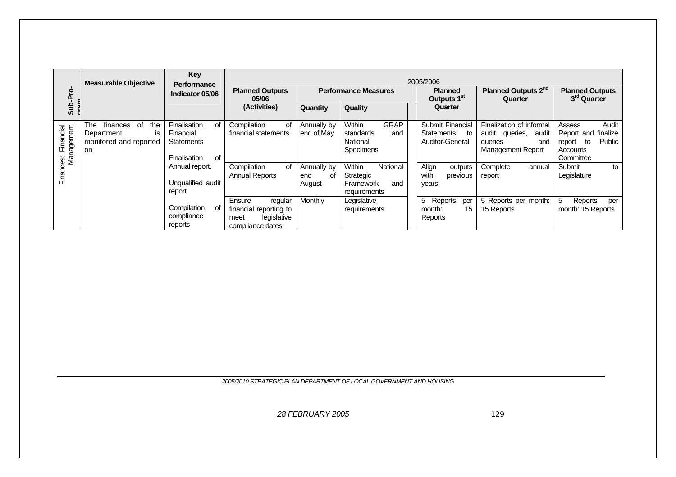|                                   | <b>Measurable Objective</b>                                                    | Key<br><b>Performance</b>                                                  |                                                                                        |                                    |                                                                                  | 2005/2006                                                      |                                                                                                   |                                                                                           |
|-----------------------------------|--------------------------------------------------------------------------------|----------------------------------------------------------------------------|----------------------------------------------------------------------------------------|------------------------------------|----------------------------------------------------------------------------------|----------------------------------------------------------------|---------------------------------------------------------------------------------------------------|-------------------------------------------------------------------------------------------|
| Sub-Pro                           |                                                                                | Indicator 05/06                                                            | <b>Planned Outputs</b><br>05/06                                                        |                                    | <b>Performance Measures</b>                                                      | <b>Planned</b><br>Outputs 1 <sup>st</sup>                      | Planned Outputs 2 <sup>nd</sup><br>Quarter                                                        | <b>Planned Outputs</b><br>3 <sup>rd</sup> Quarter                                         |
|                                   |                                                                                |                                                                            | (Activities)                                                                           | Quantity                           | Quality                                                                          | Quarter                                                        |                                                                                                   |                                                                                           |
| Finances: Financial<br>Management | finances of<br>the<br>The<br>Department<br>ΙS<br>monitored and reported<br>on. | Finalisation<br>οf<br>Financial<br><b>Statements</b><br>οf<br>Finalisation | Compilation<br>οf<br>financial statements                                              | Annually by<br>end of May          | <b>GRAP</b><br><b>Within</b><br>standards<br>and<br>National<br><b>Specimens</b> | Submit Financial<br><b>Statements</b><br>to<br>Auditor-General | Finalization of informal<br>audit queries.<br>audit<br>queries<br>and<br><b>Management Report</b> | Audit<br>Assess<br>Report and finalize<br>Public<br>report<br>to<br>Accounts<br>Committee |
|                                   |                                                                                | Annual report.<br>Unqualified audit<br>report                              | Compilation<br>of<br><b>Annual Reports</b>                                             | Annually by<br>end<br>оf<br>August | Within<br>National<br>Strategic<br>Framework<br>and<br>requirements              | Align<br>outputs<br>with<br>previous<br>years                  | Complete<br>annual<br>report                                                                      | Submit<br>to<br>Legislature                                                               |
|                                   |                                                                                | Compilation<br>Оf<br>compliance<br>reports                                 | Ensure<br>regular<br>financial reporting to<br>legislative<br>meet<br>compliance dates | <b>Monthly</b>                     | Legislative<br>requirements                                                      | 5<br>Reports<br>per<br>15<br>month:<br>Reports                 | 5 Reports per month:<br>15 Reports                                                                | 5<br>Reports<br>per<br>month: 15 Reports                                                  |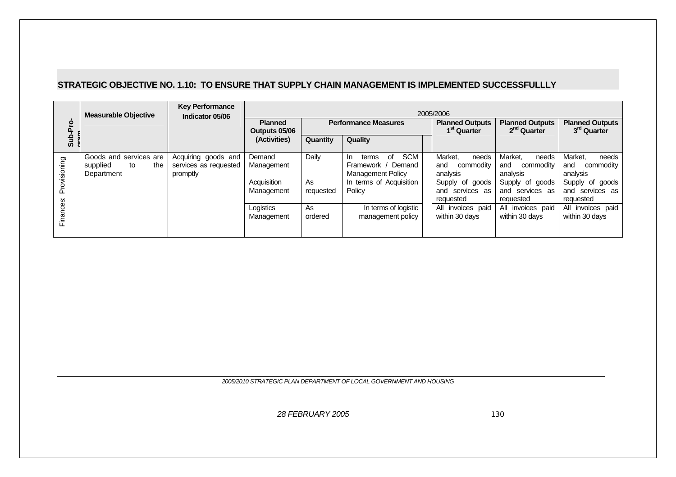### **STRATEGIC OBJECTIVE NO. 1.10: TO ENSURE THAT SUPPLY CHAIN MANAGEMENT IS IMPLEMENTED SUCCESSFULLLY**

|              | <b>Measurable Objective</b>                                   | <b>Key Performance</b><br>Indicator 05/06                | 2005/2006                       |                 |                                                                                       |                                                    |                                                   |                                                   |  |  |
|--------------|---------------------------------------------------------------|----------------------------------------------------------|---------------------------------|-----------------|---------------------------------------------------------------------------------------|----------------------------------------------------|---------------------------------------------------|---------------------------------------------------|--|--|
| -Pro         |                                                               |                                                          | <b>Planned</b><br>Outputs 05/06 |                 | <b>Performance Measures</b>                                                           | <b>Planned Outputs</b><br>1 <sup>st</sup> Quarter  | <b>Planned Outputs</b><br>2 <sup>nd</sup> Quarter | <b>Planned Outputs</b><br>3 <sup>rd</sup> Quarter |  |  |
| خ<br>5       |                                                               |                                                          | (Activities)                    | Quantity        | Quality                                                                               |                                                    |                                                   |                                                   |  |  |
| Provisioning | Goods and services are<br>supplied<br>the<br>to<br>Department | Acquiring goods and<br>services as requested<br>promptly | Demand<br>Management            | Daily           | <b>SCM</b><br>οf<br>terms<br>In.<br>Demand<br>Framework /<br><b>Management Policy</b> | Market.<br>needs<br>commodity<br>and<br>analysis   | Market,<br>needs<br>and<br>commodity<br>analysis  | Market.<br>needs<br>and<br>commodity<br>analysis  |  |  |
|              |                                                               |                                                          | Acquisition<br>Management       | As<br>requested | In terms of Acquisition<br>Policy                                                     | Supply of goods<br>services as<br>and<br>requested | Supply of goods<br>and services as<br>requested   | Supply of goods<br>and services as<br>requested   |  |  |
| Finances:    |                                                               |                                                          | Logistics<br>Management         | As<br>ordered   | In terms of logistic<br>management policy                                             | All invoices paid<br>within 30 days                | All invoices paid<br>within 30 days               | All invoices paid<br>within 30 days               |  |  |

*2005/2010 STRATEGIC PLAN DEPARTMENT OF LOCAL GOVERNMENT AND HOUSING*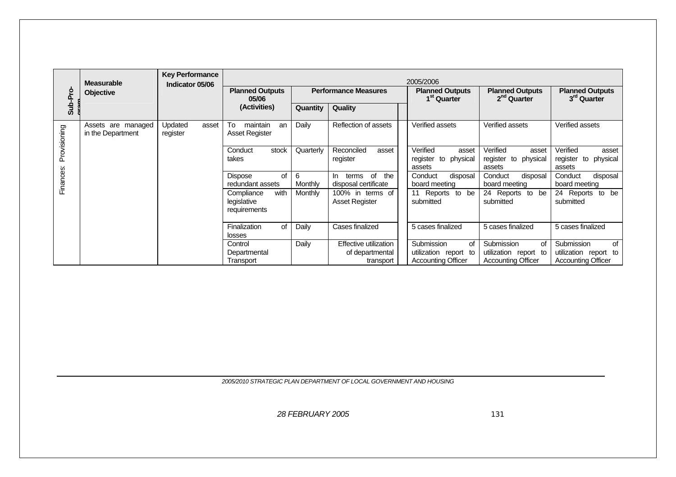|              | <b>Measurable</b>                       | <b>Key Performance</b><br>Indicator 05/06 |                                                   |              |                                                       | 2005/2006                                                              |                                                                               |                                                                        |
|--------------|-----------------------------------------|-------------------------------------------|---------------------------------------------------|--------------|-------------------------------------------------------|------------------------------------------------------------------------|-------------------------------------------------------------------------------|------------------------------------------------------------------------|
| Sub-Pro      | Objective                               |                                           | <b>Planned Outputs</b><br>05/06                   |              | <b>Performance Measures</b>                           | <b>Planned Outputs</b><br>1 <sup>st</sup> Quarter                      | <b>Planned Outputs</b><br>2 <sup>nd</sup> Quarter                             | <b>Planned Outputs</b><br>3rd Quarter                                  |
|              |                                         |                                           | (Activities)                                      | Quantity     | Quality                                               |                                                                        |                                                                               |                                                                        |
| Provisioning | Assets are managed<br>in the Department | Updated<br>asset<br>register              | To<br>maintain<br>an<br>Asset Register            | Daily        | Reflection of assets                                  | Verified assets                                                        | Verified assets                                                               | Verified assets                                                        |
|              |                                         |                                           | Conduct<br>stock<br>takes                         | Quarterly    | Reconciled<br>asset<br>register                       | Verified<br>asset<br>register<br>to physical<br>assets                 | Verified<br>asset<br>register to physical<br>assets                           | Verified<br>asset<br>register to<br>physical<br>assets                 |
| Finances:    |                                         |                                           | Dispose<br>0f<br>redundant assets                 | 6<br>Monthly | of<br>the<br>In.<br>terms<br>disposal certificate     | Conduct<br>disposal<br>board meeting                                   | Conduct<br>disposal<br>board meeting                                          | Conduct<br>disposal<br>board meeting                                   |
|              |                                         |                                           | Compliance<br>with<br>legislative<br>requirements | Monthly      | 100% in terms of<br><b>Asset Register</b>             | 11 Reports to be<br>submitted                                          | 24 Reports to be<br>submitted                                                 | 24 Reports to be<br>submitted                                          |
|              |                                         |                                           | Finalization<br>of<br>losses                      | Daily        | Cases finalized                                       | 5 cases finalized                                                      | 5 cases finalized                                                             | 5 cases finalized                                                      |
|              |                                         |                                           | Control<br>Departmental<br>Transport              | Daily        | Effective utilization<br>of departmental<br>transport | Submission<br>of<br>utilization report to<br><b>Accounting Officer</b> | <b>Submission</b><br>of<br>utilization report to<br><b>Accounting Officer</b> | Submission<br>of<br>utilization report to<br><b>Accounting Officer</b> |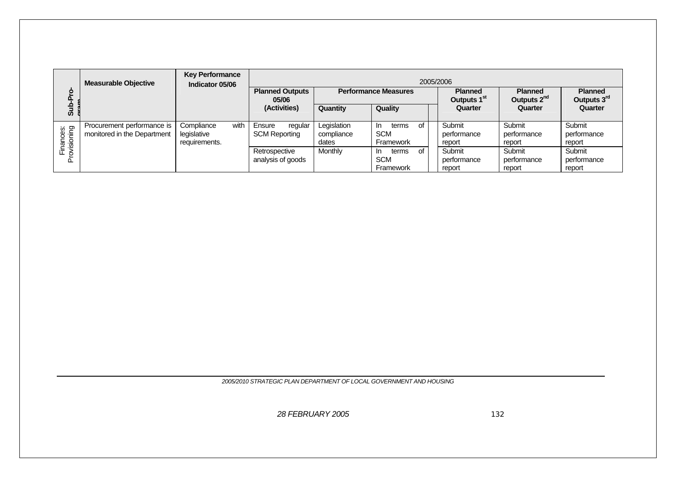|                          | <b>Measurable Objective</b>                               | <b>Key Performance</b><br>Indicator 05/06          | 2005/2006                                 |                                    |                                               |                                           |                                           |                                 |  |  |  |
|--------------------------|-----------------------------------------------------------|----------------------------------------------------|-------------------------------------------|------------------------------------|-----------------------------------------------|-------------------------------------------|-------------------------------------------|---------------------------------|--|--|--|
| ၑ<br>ā.                  |                                                           |                                                    | <b>Planned Outputs</b><br>05/06           | <b>Performance Measures</b>        |                                               | <b>Planned</b><br>Outputs 1 <sup>st</sup> | <b>Planned</b><br>Outputs 2 <sup>nd</sup> | <b>Planned</b><br>Outputs 3rd   |  |  |  |
| خ<br>5                   |                                                           |                                                    | (Activities)                              | Quantity                           | Quality                                       | Quarter                                   | Quarter                                   | Quarter                         |  |  |  |
| Finances:<br>rovisioning | Procurement performance is<br>monitored in the Department | with<br>Compliance<br>legislative<br>requirements. | Ensure<br>regular<br><b>SCM Reporting</b> | Legislation<br>compliance<br>dates | of<br>terms<br>In.<br><b>SCM</b><br>Framework | Submit<br>performance<br>report           | Submit<br>performance<br>report           | Submit<br>performance<br>report |  |  |  |
| ௳                        |                                                           |                                                    | Retrospective<br>analysis of goods        | Monthly                            | terms<br>റf<br>In.<br><b>SCM</b><br>Framework | Submit<br>performance<br>report           | Submit<br>performance<br>report           | Submit<br>performance<br>report |  |  |  |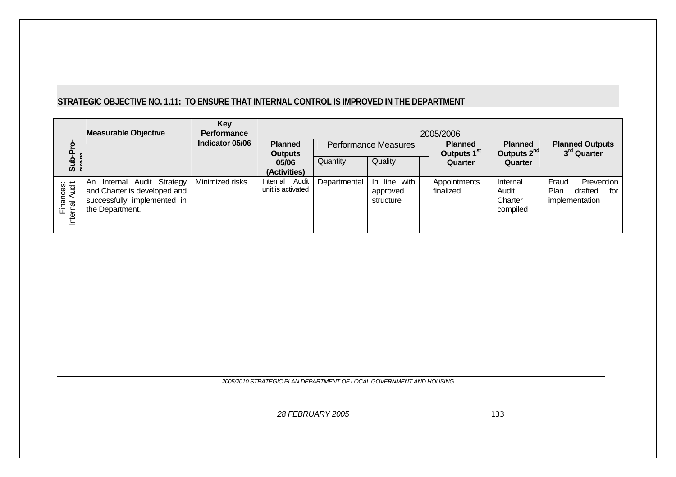# **STRATEGIC OBJECTIVE NO. 1.11: TO ENSURE THAT INTERNAL CONTROL IS IMPROVED IN THE DEPARTMENT**

|                                               | <b>Measurable Objective</b>                                                                                     | Key<br><b>Performance</b> |                                        | 2005/2006    |                                           |                                           |                                           |                                                                 |  |  |
|-----------------------------------------------|-----------------------------------------------------------------------------------------------------------------|---------------------------|----------------------------------------|--------------|-------------------------------------------|-------------------------------------------|-------------------------------------------|-----------------------------------------------------------------|--|--|
| ဥ<br>o.                                       |                                                                                                                 | Indicator 05/06           | <b>Planned</b><br><b>Outputs</b>       |              | <b>Performance Measures</b>               | <b>Planned</b><br>Outputs 1 <sup>st</sup> | <b>Planned</b><br>Outputs 2 <sup>nd</sup> | <b>Planned Outputs</b><br>3 <sup>rd</sup> Quarter               |  |  |
| duS                                           |                                                                                                                 |                           | 05/06<br>(Activities)                  | Quantity     | Quality                                   | Quarter                                   | Quarter                                   |                                                                 |  |  |
| Finances:<br><sub>arnal</sub> Audit<br>Interr | Internal Audit Strategy<br>An<br>and Charter is developed and<br>successfully implemented in<br>the Department. | Minimized risks           | Audit<br>Internal<br>unit is activated | Departmental | line with<br>-In<br>approved<br>structure | Appointments<br>finalized                 | Internal<br>Audit<br>Charter<br>compiled  | Fraud<br>Prevention<br>Plan<br>drafted<br>for<br>implementation |  |  |

*2005/2010 STRATEGIC PLAN DEPARTMENT OF LOCAL GOVERNMENT AND HOUSING*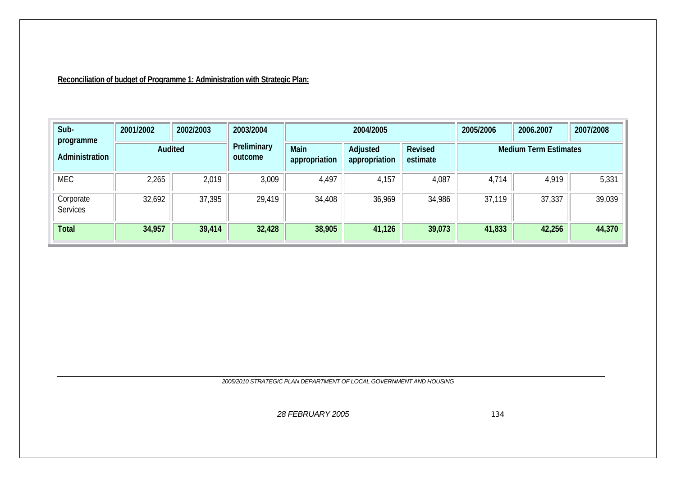# **Reconciliation of budget of Programme 1: Administration with Strategic Plan:**

| Sub-<br>programme            | 2001/2002 | 2002/2003 | 2003/2004              |                       | 2004/2005                 |                            | 2005/2006 | 2006.2007                    | 2007/2008 |
|------------------------------|-----------|-----------|------------------------|-----------------------|---------------------------|----------------------------|-----------|------------------------------|-----------|
| Administration               | Audited   |           | Preliminary<br>outcome | Main<br>appropriation | Adjusted<br>appropriation | <b>Revised</b><br>estimate |           | <b>Medium Term Estimates</b> |           |
| <b>MEC</b>                   | 2,265     | 2,019     | 3,009                  | 4,497                 | 4,157                     | 4,087                      | 4,714     | 4,919                        | 5,331     |
| Corporate<br><b>Services</b> | 32,692    | 37,395    | 29,419                 | 34,408                | 36,969                    | 34,986                     | 37,119    | 37,337                       | 39,039    |
| <b>Total</b>                 | 34,957    | 39,414    | 32,428                 | 38,905                | 41,126                    | 39,073                     | 41,833    | 42,256                       | 44,370    |

*2005/2010 STRATEGIC PLAN DEPARTMENT OF LOCAL GOVERNMENT AND HOUSING*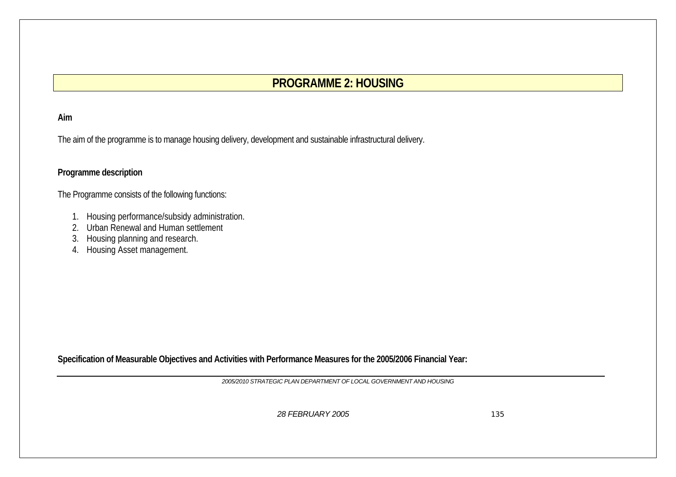# **PROGRAMME 2: HOUSING**

# **Aim**

The aim of the programme is to manage housing delivery, development and sustainable infrastructural delivery.

# **Programme description**

The Programme consists of the following functions:

- 1. Housing performance/subsidy administration.
- 2. Urban Renewal and Human settlement
- 3. Housing planning and research.
- 4. Housing Asset management.

**Specification of Measurable Objectives and Activities with Performance Measures for the 2005/2006 Financial Year:** 

*2005/2010 STRATEGIC PLAN DEPARTMENT OF LOCAL GOVERNMENT AND HOUSING*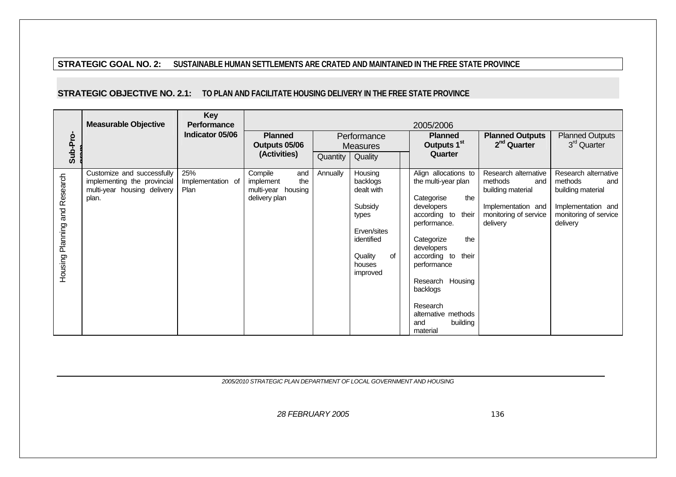### **STRATEGIC GOAL NO. 2: SUSTAINABLE HUMAN SETTLEMENTS ARE CRATED AND MAINTAINED IN THE FREE STATE PROVINCE**

## **STRATEGIC OBJECTIVE NO. 2.1: TO PLAN AND FACILITATE HOUSING DELIVERY IN THE FREE STATE PROVINCE**

|                               | <b>Measurable Objective</b>                                                                       | <b>Key</b><br><b>Performance</b> | 2005/2006                                                                 |          |                                                                                                                           |  |                                                                                                                                                                                                                                                                                                      |                                                                                                                        |                                                                                                                        |
|-------------------------------|---------------------------------------------------------------------------------------------------|----------------------------------|---------------------------------------------------------------------------|----------|---------------------------------------------------------------------------------------------------------------------------|--|------------------------------------------------------------------------------------------------------------------------------------------------------------------------------------------------------------------------------------------------------------------------------------------------------|------------------------------------------------------------------------------------------------------------------------|------------------------------------------------------------------------------------------------------------------------|
| Sub-Pro-                      |                                                                                                   | Indicator 05/06                  | <b>Planned</b><br>Outputs 05/06                                           |          | Performance<br><b>Measures</b>                                                                                            |  | <b>Planned</b><br>Outputs 1 <sup>st</sup>                                                                                                                                                                                                                                                            | <b>Planned Outputs</b><br>$2nd$ Quarter                                                                                | <b>Planned Outputs</b><br>3 <sup>rd</sup> Quarter                                                                      |
|                               |                                                                                                   |                                  | (Activities)                                                              | Quantity | Quality                                                                                                                   |  | Quarter                                                                                                                                                                                                                                                                                              |                                                                                                                        |                                                                                                                        |
| Housing Planning and Research | Customize and successfully<br>implementing the provincial<br>multi-year housing delivery<br>plan. | 25%<br>Implementation of<br>Plan | Compile<br>and<br>the<br>implement<br>multi-year housing<br>delivery plan | Annually | Housing<br>backlogs<br>dealt with<br>Subsidy<br>types<br>Erven/sites<br>identified<br>Quality<br>of<br>houses<br>improved |  | Align allocations to<br>the multi-year plan<br>the<br>Categorise<br>developers<br>according to<br>their<br>performance.<br>the<br>Categorize<br>developers<br>according to<br>their<br>performance<br>Research Housing<br>backlogs<br>Research<br>alternative methods<br>building<br>and<br>material | Research alternative<br>methods<br>and<br>building material<br>Implementation and<br>monitoring of service<br>delivery | Research alternative<br>methods<br>and<br>building material<br>Implementation and<br>monitoring of service<br>delivery |

*2005/2010 STRATEGIC PLAN DEPARTMENT OF LOCAL GOVERNMENT AND HOUSING*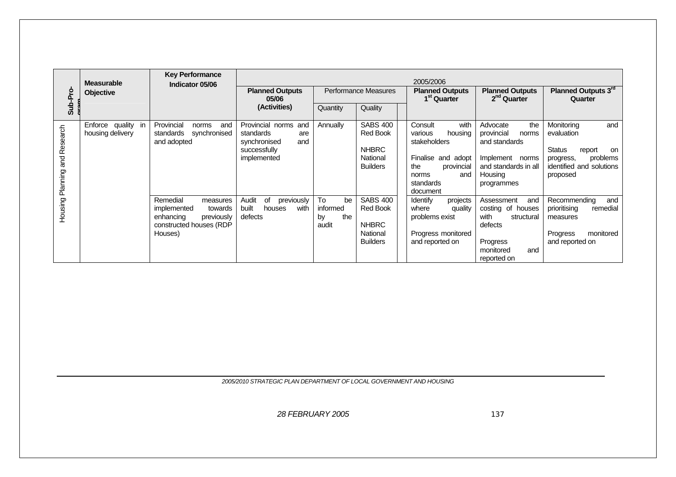|                               | <b>Measurable</b>                      | <b>Key Performance</b><br>Indicator 05/06                                                                       |                                                                 |                                            |                                                                | 2005/2006                                                                           |                                                                         |                                                                                                |
|-------------------------------|----------------------------------------|-----------------------------------------------------------------------------------------------------------------|-----------------------------------------------------------------|--------------------------------------------|----------------------------------------------------------------|-------------------------------------------------------------------------------------|-------------------------------------------------------------------------|------------------------------------------------------------------------------------------------|
| Sub-Pro                       | <b>Objective</b>                       |                                                                                                                 | <b>Planned Outputs</b><br>05/06                                 |                                            | Performance Measures                                           | <b>Planned Outputs</b><br>1 <sup>st</sup> Quarter                                   | <b>Planned Outputs</b><br>2 <sup>nd</sup> Quarter                       | Planned Outputs 3rd<br>Quarter                                                                 |
|                               |                                        |                                                                                                                 | (Activities)                                                    | Quantity                                   | Quality                                                        |                                                                                     |                                                                         |                                                                                                |
|                               | Enforce quality in<br>housing delivery | Provincial<br>and<br>norms<br>synchronised<br>standards<br>and adopted                                          | Provincial norms and<br>standards<br>are<br>synchronised<br>and | Annually                                   | <b>SABS 400</b><br><b>Red Book</b>                             | Consult<br>with<br>various<br>housing<br>stakeholders                               | the<br>Advocate<br>provincial<br>norms<br>and standards                 | and<br>Monitoring<br>evaluation                                                                |
| Housing Planning and Research |                                        |                                                                                                                 | successfully<br>implemented                                     |                                            | <b>NHBRC</b><br>National<br><b>Builders</b>                    | Finalise<br>and adopt<br>provincial<br>the<br>norms<br>and<br>standards<br>document | Implement norms<br>and standards in all<br>Housing<br>programmes        | <b>Status</b><br>report<br>on<br>problems<br>progress,<br>identified and solutions<br>proposed |
|                               |                                        | Remedial<br>measures<br>implemented<br>towards<br>previously<br>enhancing<br>constructed houses (RDP<br>Houses) | Audit<br>οf<br>previously<br>built<br>with<br>houses<br>defects | To<br>be<br>informed<br>the<br>by<br>audit | <b>SABS 400</b><br><b>Red Book</b><br><b>NHBRC</b><br>National | Identify<br>projects<br>where<br>quality<br>problems exist<br>Progress monitored    | and<br>Assessment<br>costing of houses<br>with<br>structural<br>defects | Recommending<br>and<br>prioritising<br>remedial<br>measures<br>Progress<br>monitored           |
|                               |                                        |                                                                                                                 |                                                                 |                                            | <b>Builders</b>                                                | and reported on                                                                     | Progress<br>monitored<br>and<br>reported on                             | and reported on                                                                                |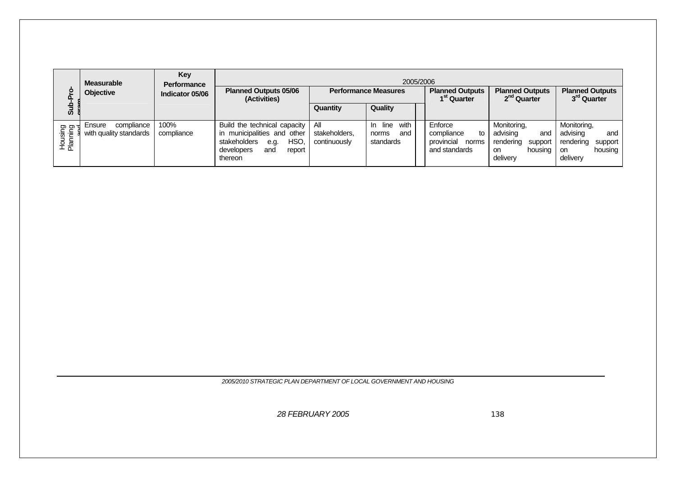| <u>م:</u><br>n.                   | <b>Measurable</b><br><b>Objective</b>          | Key<br><b>Performance</b><br>Indicator 05/06 | <b>Planned Outputs 05/06</b><br>(Activities)                                                                                          |                                      | 2005/2006<br><b>Performance Measures</b>     | <b>Planned Outputs</b><br>1 <sup>st</sup> Quarter                   | <b>Planned Outputs</b><br>2 <sup>nd</sup> Quarter                                   | <b>Planned Outputs</b><br>3 <sup>rd</sup> Quarter                                   |
|-----------------------------------|------------------------------------------------|----------------------------------------------|---------------------------------------------------------------------------------------------------------------------------------------|--------------------------------------|----------------------------------------------|---------------------------------------------------------------------|-------------------------------------------------------------------------------------|-------------------------------------------------------------------------------------|
| ತ                                 |                                                |                                              |                                                                                                                                       | Quantity                             | Quality                                      |                                                                     |                                                                                     |                                                                                     |
| <u>ත ත</u><br>Housing<br>Planning | compliance<br>Ensure<br>with quality standards | 100%<br>compliance                           | Build the technical capacity<br>in municipalities and other<br>HSO.<br>stakeholders<br>e.g.<br>developers<br>and<br>report<br>thereon | All<br>stakeholders.<br>continuously | In line<br>with<br>and<br>norms<br>standards | Enforce<br>compliance<br>to<br>provincial<br>norms<br>and standards | Monitoring,<br>advising<br>and<br>rendering<br>support<br>housing<br>on<br>delivery | Monitoring,<br>advising<br>and<br>rendering<br>support<br>housing<br>on<br>delivery |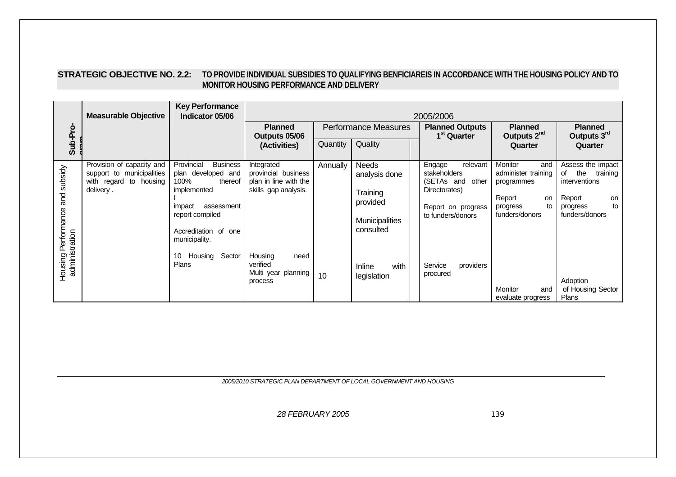| <b>STRATEGIC OBJECTIVE NO. 2.2:</b> | TO PROVIDE INDIVIDUAL SUBSIDIES TO QUALIFYING BENFICIAREIS IN ACCORDANCE WITH THE HOUSING POLICY AND TO |
|-------------------------------------|---------------------------------------------------------------------------------------------------------|
|                                     | MONITOR HOUSING PERFORMANCE AND DELIVERY                                                                |

|                           | <b>Measurable Objective</b>                                                      | <b>Key Performance</b><br>Indicator 05/06                              | 2005/2006                                                     |          |                               |                                                           |                                                            |                                                          |  |
|---------------------------|----------------------------------------------------------------------------------|------------------------------------------------------------------------|---------------------------------------------------------------|----------|-------------------------------|-----------------------------------------------------------|------------------------------------------------------------|----------------------------------------------------------|--|
|                           |                                                                                  |                                                                        | <b>Planned</b><br>Outputs 05/06                               |          | <b>Performance Measures</b>   | <b>Planned Outputs</b><br>1 <sup>st</sup> Quarter         | <b>Planned</b><br>Outputs 2 <sup>nd</sup>                  | <b>Planned</b><br>Outputs 3rd                            |  |
| Sub-Pro-                  |                                                                                  |                                                                        | (Activities)                                                  | Quantity | Quality                       |                                                           | Quarter                                                    | Quarter                                                  |  |
| and subsidy               | Provision of capacity and<br>support to municipalities<br>with regard to housing | Provincial<br><b>Business</b><br>plan developed and<br>100%<br>thereof | Integrated<br>provincial business<br>plan in line with the    | Annually | <b>Needs</b><br>analysis done | Engage<br>relevant<br>stakeholders<br>(SETAs and<br>other | <b>Monitor</b><br>and<br>administer training<br>programmes | Assess the impact<br>the training<br>of<br>interventions |  |
|                           | delivery.                                                                        | implemented<br>assessment<br>impact                                    | skills gap analysis.                                          |          | Training<br>provided          | Directorates)<br>Report on progress                       | Report<br>on<br>to<br>progress                             | Report<br>on<br>to<br>progress                           |  |
| Performance               |                                                                                  | report compiled<br>Accreditation of one<br>municipality.               |                                                               |          | Municipalities<br>consulted   | to funders/donors                                         | funders/donors                                             | funders/donors                                           |  |
| administration<br>Housing |                                                                                  | Housing Sector<br>10<br><b>Plans</b>                                   | Housing<br>need<br>verified<br>Multi year planning<br>process | 10       | with<br>Inline<br>legislation | providers<br>Service<br>procured                          | <b>Monitor</b><br>and                                      | Adoption<br>of Housing Sector                            |  |
|                           |                                                                                  |                                                                        |                                                               |          |                               |                                                           | evaluate progress                                          | Plans                                                    |  |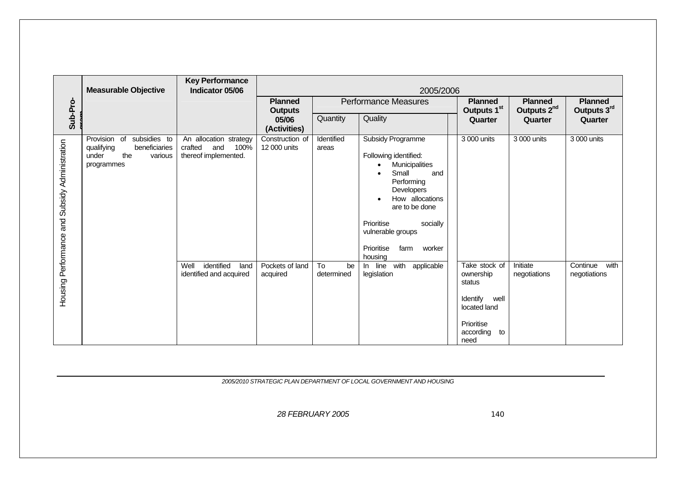|                            | <b>Measurable Objective</b>                                                                             | <b>Key Performance</b><br>Indicator 05/06                                | 2005/2006                        |                        |                                                                                                                                                                                                                                                                          |                                                                                                                   |                                           |                                  |  |  |
|----------------------------|---------------------------------------------------------------------------------------------------------|--------------------------------------------------------------------------|----------------------------------|------------------------|--------------------------------------------------------------------------------------------------------------------------------------------------------------------------------------------------------------------------------------------------------------------------|-------------------------------------------------------------------------------------------------------------------|-------------------------------------------|----------------------------------|--|--|
|                            |                                                                                                         |                                                                          | <b>Planned</b><br><b>Outputs</b> |                        | <b>Performance Measures</b>                                                                                                                                                                                                                                              | <b>Planned</b><br>Outputs 1 <sup>st</sup>                                                                         | <b>Planned</b><br>Outputs 2 <sup>nd</sup> | <b>Planned</b><br>Outputs 3rd    |  |  |
| Sub-Pro-                   |                                                                                                         |                                                                          | 05/06<br>(Activities)            | Quantity               | Quality                                                                                                                                                                                                                                                                  | Quarter                                                                                                           | Quarter                                   | Quarter                          |  |  |
| and Subsidy Administration | subsidies to<br>Provision<br>of<br>qualifying<br>beneficiaries<br>the<br>under<br>various<br>programmes | An allocation strategy<br>crafted<br>and<br>100%<br>thereof implemented. | Construction of<br>12 000 units  | Identified<br>areas    | <b>Subsidy Programme</b><br>Following identified:<br>Municipalities<br>$\bullet$<br>Small<br>and<br>Performing<br>Developers<br>How allocations<br>$\bullet$<br>are to be done<br>Prioritise<br>socially<br>vulnerable groups<br>Prioritise<br>farm<br>worker<br>housing | 3 000 units                                                                                                       | 3 000 units                               | 3 000 units                      |  |  |
| Housing Performance        |                                                                                                         | Well<br>identified<br>land<br>identified and acquired                    | Pockets of land<br>acquired      | To<br>be<br>determined | with<br>applicable<br>In line<br>legislation                                                                                                                                                                                                                             | Take stock of<br>ownership<br>status<br>Identify<br>well<br>located land<br>Prioritise<br>according<br>to<br>need | Initiate<br>negotiations                  | Continue<br>with<br>negotiations |  |  |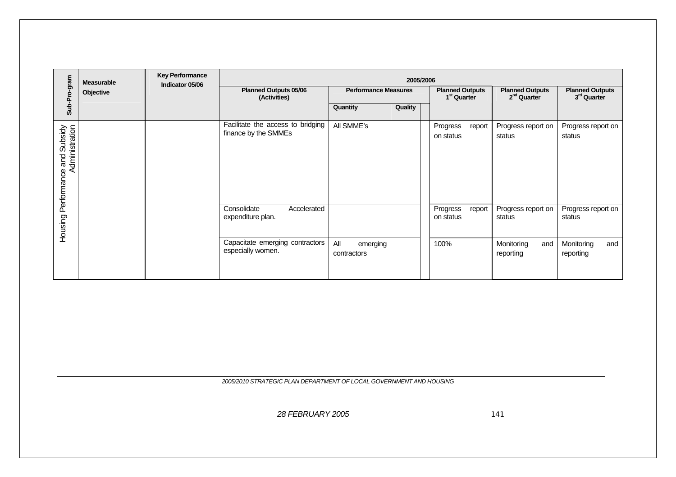|                                                      | <b>Measurable</b> | <b>Key Performance</b><br>Indicator 05/06 | 2005/2006                                                 |                                |                             |                                 |                                                   |                                                   |  |  |
|------------------------------------------------------|-------------------|-------------------------------------------|-----------------------------------------------------------|--------------------------------|-----------------------------|---------------------------------|---------------------------------------------------|---------------------------------------------------|--|--|
| Sub-Pro-gram                                         | Objective         |                                           | <b>Planned Outputs 05/06</b><br>(Activities)              |                                | <b>Performance Measures</b> |                                 | <b>Planned Outputs</b><br>2 <sup>nd</sup> Quarter | <b>Planned Outputs</b><br>3 <sup>rd</sup> Quarter |  |  |
|                                                      |                   |                                           |                                                           | Quantity                       | Quality                     |                                 |                                                   |                                                   |  |  |
| and Subsidy<br>Administration<br>Housing Performance |                   |                                           | Facilitate the access to bridging<br>finance by the SMMEs | All SMME's                     |                             | Progress<br>report<br>on status | Progress report on<br>status                      | Progress report on<br>status                      |  |  |
|                                                      |                   |                                           | Consolidate<br>Accelerated<br>expenditure plan.           |                                |                             | Progress<br>report<br>on status | Progress report on<br>status                      | Progress report on<br>status                      |  |  |
|                                                      |                   |                                           | Capacitate emerging contractors<br>especially women.      | All<br>emerging<br>contractors |                             | 100%                            | Monitoring<br>and<br>reporting                    | Monitoring<br>and<br>reporting                    |  |  |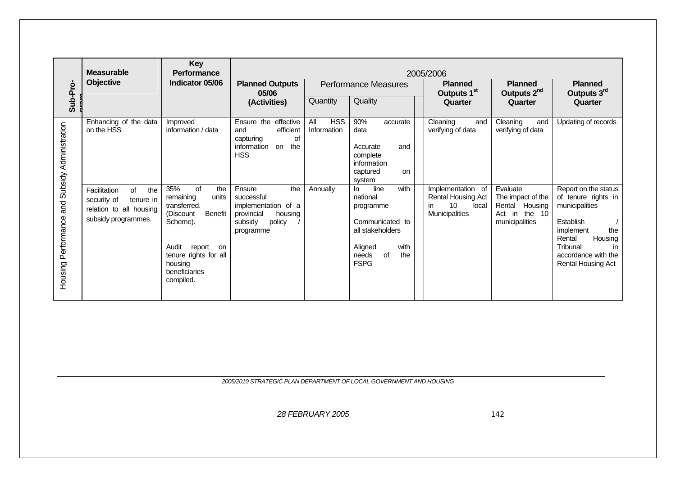|                            | <b>Measurable</b>                                                                                       | <b>Key</b><br><b>Performance</b>                                                                                                                                                             | 2005/2006                                                                                                        |                                  |                                                                                                                                               |                                                                                        |                                                                                            |                                                                                                                                                                                           |  |  |  |
|----------------------------|---------------------------------------------------------------------------------------------------------|----------------------------------------------------------------------------------------------------------------------------------------------------------------------------------------------|------------------------------------------------------------------------------------------------------------------|----------------------------------|-----------------------------------------------------------------------------------------------------------------------------------------------|----------------------------------------------------------------------------------------|--------------------------------------------------------------------------------------------|-------------------------------------------------------------------------------------------------------------------------------------------------------------------------------------------|--|--|--|
|                            | <b>Objective</b>                                                                                        | Indicator 05/06                                                                                                                                                                              | <b>Planned Outputs</b><br>05/06                                                                                  |                                  | <b>Performance Measures</b>                                                                                                                   | <b>Planned</b><br>Outputs 1 <sup>st</sup>                                              | <b>Planned</b><br>Outputs 2 <sup>nd</sup>                                                  | <b>Planned</b><br>Outputs 3rd                                                                                                                                                             |  |  |  |
| Sub-Pro-                   |                                                                                                         |                                                                                                                                                                                              | (Activities)                                                                                                     | Quantity                         | Quality                                                                                                                                       | Quarter                                                                                | Quarter                                                                                    | Quarter                                                                                                                                                                                   |  |  |  |
| and Subsidy Administration | Enhancing of the data<br>on the HSS                                                                     | Improved<br>information / data                                                                                                                                                               | Ensure the effective<br>efficient<br>and<br>of<br>capturing<br>the<br>information<br>on<br><b>HSS</b>            | <b>HSS</b><br>All<br>Information | 90%<br>accurate<br>data<br>Accurate<br>and<br>complete<br>information<br>captured<br>on<br>system                                             | Cleaning<br>and<br>verifying of data                                                   | Cleaning<br>and<br>verifying of data                                                       | Updating of records                                                                                                                                                                       |  |  |  |
| Housing Performance        | Facilitation<br>of<br>the<br>security of<br>tenure in<br>relation to all housing<br>subsidy programmes. | 35%<br>of<br>the<br>remaining<br>units<br>transferred.<br><b>Benefit</b><br>(Discount<br>Scheme).<br>Audit<br>report<br>on<br>tenure rights for all<br>housing<br>beneficiaries<br>compiled. | the<br>Ensure<br>successful<br>implementation<br>of a<br>provincial<br>housing<br>subsidy<br>policy<br>programme | Annually                         | with<br>line<br>$\ln$<br>national<br>programme<br>Communicated to<br>all stakeholders<br>Aligned<br>with<br>of<br>the<br>needs<br><b>FSPG</b> | Implementation of<br>Rental Housing Act<br>10<br>local<br>in.<br><b>Municipalities</b> | Evaluate<br>The impact of the<br>Rental<br>Housing<br>the $10$<br>Act in<br>municipalities | Report on the status<br>of tenure rights in<br>municipalities<br>Establish<br>implement<br>the<br>Housing<br>Rental<br>Tribunal<br>in<br>accordance with the<br><b>Rental Housing Act</b> |  |  |  |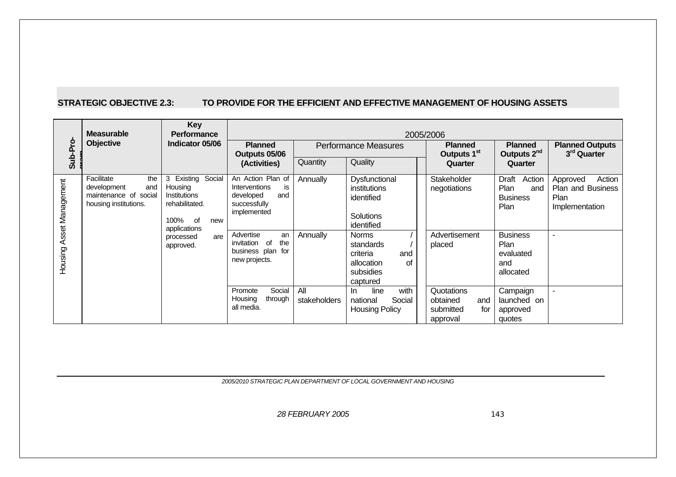### **STRATEGIC OBJECTIVE 2.3: TO PROVIDE FOR THE EFFICIENT AND EFFECTIVE MANAGEMENT OF HOUSING ASSETS**

|                             | <b>Measurable</b>                                                                         | <b>Key</b><br><b>Performance</b><br>Indicator 05/06                                                                                  |                                                                                                                                                                                 | 2005/2006            |                                                                                                                                                                            |                                                               |                                                                                                                       |                                                                   |  |  |  |
|-----------------------------|-------------------------------------------------------------------------------------------|--------------------------------------------------------------------------------------------------------------------------------------|---------------------------------------------------------------------------------------------------------------------------------------------------------------------------------|----------------------|----------------------------------------------------------------------------------------------------------------------------------------------------------------------------|---------------------------------------------------------------|-----------------------------------------------------------------------------------------------------------------------|-------------------------------------------------------------------|--|--|--|
| Sub-Pro                     | <b>Objective</b>                                                                          |                                                                                                                                      | <b>Planned</b><br>Outputs 05/06<br>(Activities)                                                                                                                                 |                      | <b>Performance Measures</b>                                                                                                                                                | <b>Planned</b><br>Outputs 1 <sup>st</sup>                     | <b>Planned</b><br>Outputs 2 <sup>nd</sup>                                                                             | <b>Planned Outputs</b><br>3 <sup>rd</sup> Quarter                 |  |  |  |
|                             |                                                                                           |                                                                                                                                      |                                                                                                                                                                                 | Quantity             | Quality                                                                                                                                                                    | Quarter                                                       | Quarter                                                                                                               |                                                                   |  |  |  |
| Asset Management<br>Housing | Facilitate<br>the<br>and<br>development<br>maintenance of social<br>housing institutions. | Existing Social<br>3<br>Housing<br>Institutions<br>rehabilitated.<br>100% of<br>new<br>applications<br>are<br>processed<br>approved. | An Action Plan of<br>Interventions<br>is<br>and<br>developed<br>successfully<br>implemented<br>Advertise<br>an<br>the<br>of<br>invitation<br>business plan for<br>new projects. | Annually<br>Annually | Dysfunctional<br>institutions<br>identified<br><b>Solutions</b><br>identified<br><b>Norms</b><br>standards<br>criteria<br>and<br>allocation<br>оf<br>subsidies<br>captured | Stakeholder<br>negotiations<br>Advertisement<br>placed        | Draft<br>Action<br>Plan<br>and<br><b>Business</b><br>Plan<br><b>Business</b><br>Plan<br>evaluated<br>and<br>allocated | Action<br>Approved<br>Plan and Business<br>Plan<br>Implementation |  |  |  |
|                             |                                                                                           |                                                                                                                                      | Social<br>Promote<br>Housing<br>through<br>all media.                                                                                                                           | All<br>stakeholders  | with<br>In<br>line<br>Social<br>national<br><b>Housing Policy</b>                                                                                                          | Quotations<br>obtained<br>and<br>for<br>submitted<br>approval | Campaign<br>launched on<br>approved<br>quotes                                                                         | $\overline{\phantom{a}}$                                          |  |  |  |

*2005/2010 STRATEGIC PLAN DEPARTMENT OF LOCAL GOVERNMENT AND HOUSING*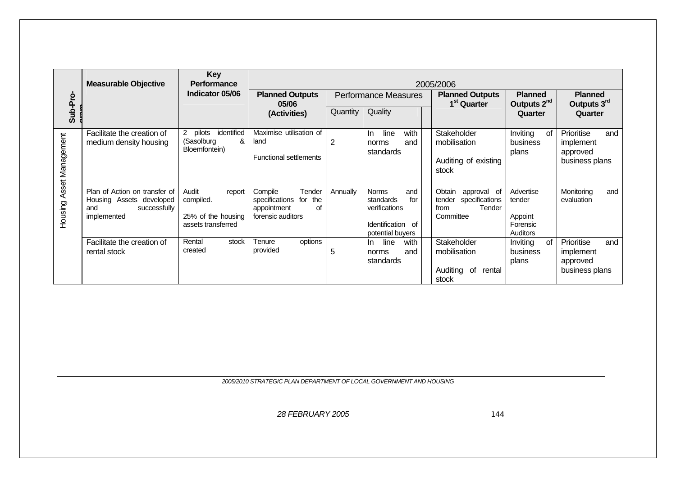|                  | <b>Measurable Objective</b>                                                                     | Key<br><b>Performance</b><br>Indicator 05/06                             | 2005/2006<br><b>Planned Outputs</b><br><b>Planned</b><br><b>Performance Measures</b><br><b>Planned Outputs</b><br><b>Planned</b><br>Outputs 2 <sup>nd</sup><br>Outputs 3rd<br>1 <sup>st</sup> Quarter<br>05/06 |          |                                                                                                   |                                                                                  |                                                               |                                                              |
|------------------|-------------------------------------------------------------------------------------------------|--------------------------------------------------------------------------|----------------------------------------------------------------------------------------------------------------------------------------------------------------------------------------------------------------|----------|---------------------------------------------------------------------------------------------------|----------------------------------------------------------------------------------|---------------------------------------------------------------|--------------------------------------------------------------|
| Sub-Pro-         |                                                                                                 |                                                                          | (Activities)                                                                                                                                                                                                   | Quantity | Quality                                                                                           |                                                                                  | Quarter                                                       | Quarter                                                      |
| Asset Management | Facilitate the creation of<br>medium density housing                                            | identified<br>pilots<br>2<br>&<br>(Sasolburg<br>Bloemfontein)            | Maximise utilisation of<br>land<br><b>Functional settlements</b>                                                                                                                                               | 2        | with<br>line<br>In.<br>and<br>norms<br>standards                                                  | Stakeholder<br>mobilisation<br>Auditing of existing<br>stock                     | Inviting<br>0f<br>business<br>plans                           | Prioritise<br>and<br>implement<br>approved<br>business plans |
| Housing          | Plan of Action on transfer of<br>Housing Assets developed<br>successfully<br>and<br>implemented | Audit<br>report<br>compiled.<br>25% of the housing<br>assets transferred | Compile<br>Tender<br>specifications for the<br>appointment<br>οf<br>forensic auditors                                                                                                                          | Annually | and<br><b>Norms</b><br>standards<br>for<br>verifications<br>Identification of<br>potential buyers | Obtain<br>approval of<br>specifications<br>tender<br>Tender<br>from<br>Committee | Advertise<br>tender<br>Appoint<br>Forensic<br><b>Auditors</b> | Monitoring<br>and<br>evaluation                              |
|                  | Facilitate the creation of<br>rental stock                                                      | Rental<br>stock<br>created                                               | options<br>Tenure<br>provided                                                                                                                                                                                  | 5        | with<br>line<br>In<br>and<br>norms<br>standards                                                   | Stakeholder<br>mobilisation<br>Auditing<br>of<br>rental<br>stock                 | Inviting<br>0f<br>business<br>plans                           | Prioritise<br>and<br>implement<br>approved<br>business plans |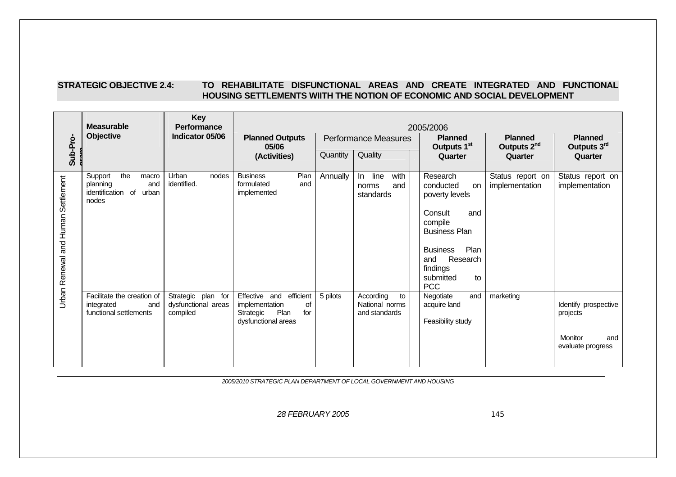### **STRATEGIC OBJECTIVE 2.4: TO REHABILITATE DISFUNCTIONAL AREAS AND CREATE INTEGRATED AND FUNCTIONAL HOUSING SETTLEMENTS WIITH THE NOTION OF ECONOMIC AND SOCIAL DEVELOPMENT**

|                                    | <b>Measurable</b>                                                                 | <b>Key</b><br>Performance                             | 2005/2006                                                                                             |          |                                                    |                                                                                                                                                                                                      |                                           |                                                                         |  |  |  |
|------------------------------------|-----------------------------------------------------------------------------------|-------------------------------------------------------|-------------------------------------------------------------------------------------------------------|----------|----------------------------------------------------|------------------------------------------------------------------------------------------------------------------------------------------------------------------------------------------------------|-------------------------------------------|-------------------------------------------------------------------------|--|--|--|
|                                    | <b>Objective</b>                                                                  | Indicator 05/06                                       | <b>Planned Outputs</b><br>05/06                                                                       |          | <b>Performance Measures</b>                        | <b>Planned</b><br>Outputs 1 <sup>st</sup>                                                                                                                                                            | <b>Planned</b><br>Outputs 2 <sup>nd</sup> | <b>Planned</b><br>Outputs 3rd                                           |  |  |  |
| Sub-Pro-                           |                                                                                   |                                                       | (Activities)                                                                                          | Quantity | Quality                                            | Quarter                                                                                                                                                                                              | Quarter                                   | Quarter                                                                 |  |  |  |
| Urban Renewal and Human Settlement | the<br>Support<br>macro<br>and<br>planning<br>identification of<br>urban<br>nodes | Urban<br>nodes<br>identified.                         | <b>Business</b><br>Plan<br>formulated<br>and<br>implemented                                           | Annually | line<br>with<br>In.<br>and<br>norms<br>standards   | Research<br>conducted<br><b>on</b><br>poverty levels<br>Consult<br>and<br>compile<br><b>Business Plan</b><br>Plan<br><b>Business</b><br>Research<br>and<br>findings<br>submitted<br>to<br><b>PCC</b> | Status report on<br>implementation        | Status report on<br>implementation                                      |  |  |  |
|                                    | Facilitate the creation of<br>integrated<br>and<br>functional settlements         | Strategic plan for<br>dysfunctional areas<br>compiled | Effective and<br>efficient<br>implementation<br>οf<br>Plan<br>for<br>Strategic<br>dysfunctional areas | 5 pilots | According<br>to<br>National norms<br>and standards | Negotiate<br>and<br>acquire land<br>Feasibility study                                                                                                                                                | marketing                                 | Identify prospective<br>projects<br>Monitor<br>and<br>evaluate progress |  |  |  |

*2005/2010 STRATEGIC PLAN DEPARTMENT OF LOCAL GOVERNMENT AND HOUSING*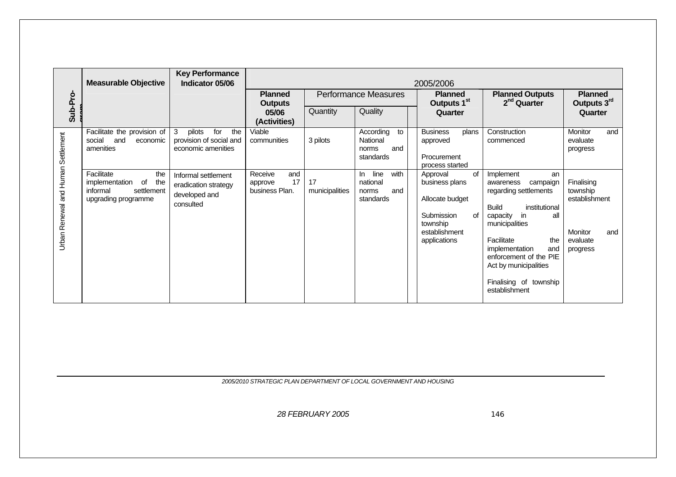|                                           | <b>Measurable Objective</b>                                                                       | <b>Key Performance</b><br>Indicator 05/06                                  | 2005/2006                                         |                      |                                                              |                                                                                                          |                                                                                                                                                                                                                                                                                                       |                                                                                          |  |
|-------------------------------------------|---------------------------------------------------------------------------------------------------|----------------------------------------------------------------------------|---------------------------------------------------|----------------------|--------------------------------------------------------------|----------------------------------------------------------------------------------------------------------|-------------------------------------------------------------------------------------------------------------------------------------------------------------------------------------------------------------------------------------------------------------------------------------------------------|------------------------------------------------------------------------------------------|--|
|                                           |                                                                                                   |                                                                            | <b>Planned</b><br><b>Outputs</b>                  |                      | <b>Performance Measures</b>                                  | <b>Planned</b><br>Outputs 1 <sup>st</sup>                                                                | <b>Planned Outputs</b><br>$2nd$ Quarter                                                                                                                                                                                                                                                               | <b>Planned</b><br>Outputs 3rd                                                            |  |
| Sub-Pro-                                  |                                                                                                   |                                                                            | 05/06<br>(Activities)                             | Quantity             | Quality                                                      | Quarter                                                                                                  |                                                                                                                                                                                                                                                                                                       | Quarter                                                                                  |  |
|                                           | Facilitate the provision of<br>social<br>and<br>economic<br>amenities                             | pilots<br>3<br>for<br>the<br>provision of social and<br>economic amenities | Viable<br>communities                             | 3 pilots             | According<br>to<br>National<br>norms<br>and<br>standards     | <b>Business</b><br>plans<br>approved<br>Procurement<br>process started                                   | Construction<br>commenced                                                                                                                                                                                                                                                                             | Monitor<br>and<br>evaluate<br>progress                                                   |  |
| <b>Jrban Renewal and Human Settlement</b> | Facilitate<br>the<br>of<br>the<br>implementation<br>informal<br>settlement<br>upgrading programme | Informal settlement<br>eradication strategy<br>developed and<br>consulted  | Receive<br>and<br>17<br>approve<br>business Plan. | 17<br>municipalities | line<br>with<br>In.<br>national<br>norms<br>and<br>standards | Approval<br>business plans<br>Allocate budget<br>Submission<br>township<br>establishment<br>applications | of<br>Implement<br>an<br>campaign<br>awareness<br>regarding settlements<br>institutional<br><b>Build</b><br>in<br>all<br>of<br>capacity<br>municipalities<br>Facilitate<br>the<br>implementation<br>and<br>enforcement of the PIE<br>Act by municipalities<br>Finalising of township<br>establishment | Finalising<br>township<br>establishment<br><b>Monitor</b><br>and<br>evaluate<br>progress |  |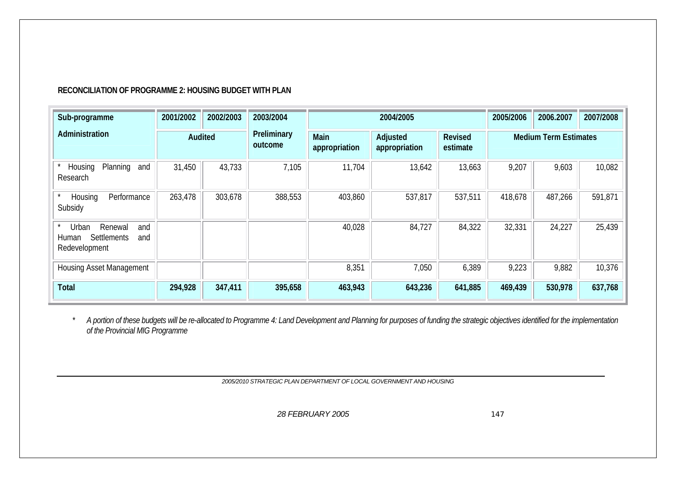# **RECONCILIATION OF PROGRAMME 2: HOUSING BUDGET WITH PLAN**

| Sub-programme                                                                  | 2001/2002 | 2002/2003 | 2003/2004              |                       | 2004/2005                 |                              | 2005/2006 | 2006.2007 | 2007/2008 |
|--------------------------------------------------------------------------------|-----------|-----------|------------------------|-----------------------|---------------------------|------------------------------|-----------|-----------|-----------|
| Administration                                                                 | Audited   |           | Preliminary<br>outcome | Main<br>appropriation | Adjusted<br>appropriation | <b>Medium Term Estimates</b> |           |           |           |
| Planning<br>Housing<br>and<br>Research                                         | 31,450    | 43,733    | 7,105                  | 11,704                | 13,642                    | 13,663                       | 9,207     | 9,603     | 10,082    |
| Performance<br>Housing<br>Subsidy                                              | 263,478   | 303,678   | 388,553                | 403,860               | 537,817                   | 537,511                      | 418,678   | 487,266   | 591,871   |
| Urban<br>Renewal<br>and<br><b>Settlements</b><br>and<br>Human<br>Redevelopment |           |           |                        | 40,028                | 84,727                    | 84,322                       | 32,331    | 24,227    | 25,439    |
| <b>Housing Asset Management</b>                                                |           |           |                        | 8,351                 | 7,050                     | 6,389                        | 9,223     | 9,882     | 10,376    |
| <b>Total</b>                                                                   | 294,928   | 347,411   | 395,658                | 463,943               | 643,236                   | 641,885                      | 469,439   | 530,978   | 637,768   |

*\* A portion of these budgets will be re-allocated to Programme 4: Land Development and Planning for purposes of funding the strategic objectives identified for the implementation of the Provincial MIG Programme* 

*2005/2010 STRATEGIC PLAN DEPARTMENT OF LOCAL GOVERNMENT AND HOUSING*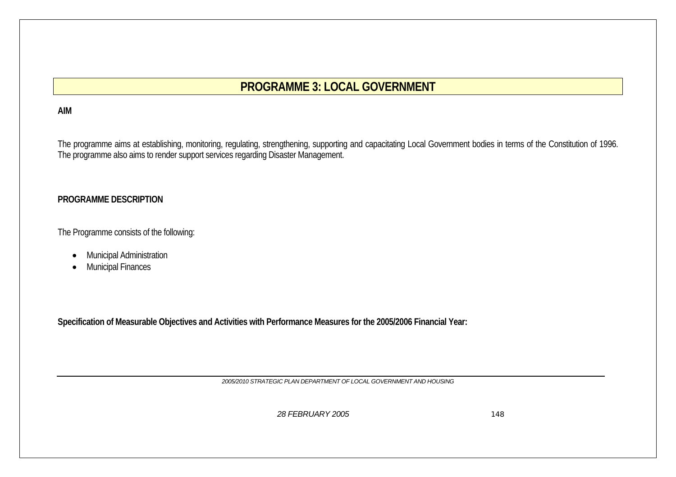# **PROGRAMME 3: LOCAL GOVERNMENT**

# **AIM**

The programme aims at establishing, monitoring, regulating, strengthening, supporting and capacitating Local Government bodies in terms of the Constitution of 1996. The programme also aims to render support services regarding Disaster Management.

# **PROGRAMME DESCRIPTION**

The Programme consists of the following:

- Municipal Administration
- $\bullet$ Municipal Finances

**Specification of Measurable Objectives and Activities with Performance Measures for the 2005/2006 Financial Year:** 

*2005/2010 STRATEGIC PLAN DEPARTMENT OF LOCAL GOVERNMENT AND HOUSING*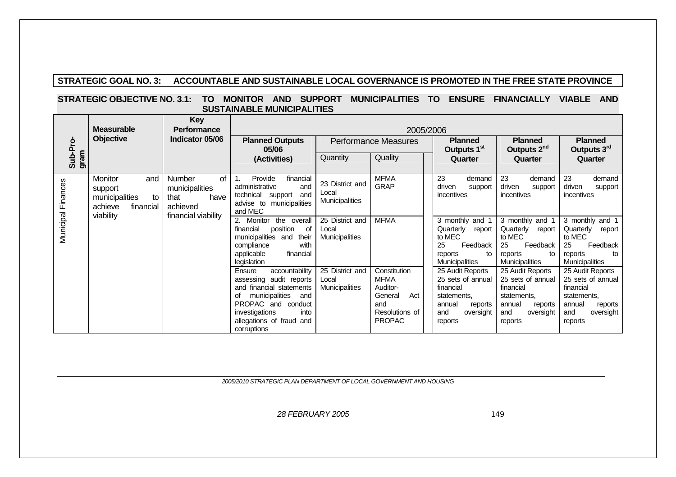# **STRATEGIC GOAL NO. 3: ACCOUNTABLE AND SUSTAINABLE LOCAL GOVERNANCE IS PROMOTED IN THE FREE STATE PROVINCE**

### **STRATEGIC OBJECTIVE NO. 3.1: TO MONITOR AND SUPPORT MUNICIPALITIES TO ENSURE FINANCIALLY VIABLE AND SUSTAINABLE MUNICIPALITIES**

|                    | <b>Measurable</b>                                                                      | <b>Key</b><br><b>Performance</b>                                                  |                                                                                                                                                                                                              | 2005/2006                                         |                                                                                                     |                                                                                                                       |                                                                                                                       |                                                                                                                       |  |  |  |  |
|--------------------|----------------------------------------------------------------------------------------|-----------------------------------------------------------------------------------|--------------------------------------------------------------------------------------------------------------------------------------------------------------------------------------------------------------|---------------------------------------------------|-----------------------------------------------------------------------------------------------------|-----------------------------------------------------------------------------------------------------------------------|-----------------------------------------------------------------------------------------------------------------------|-----------------------------------------------------------------------------------------------------------------------|--|--|--|--|
| <b>Objective</b>   |                                                                                        | Indicator 05/06                                                                   | <b>Planned Outputs</b><br>05/06                                                                                                                                                                              | <b>Performance Measures</b>                       |                                                                                                     | <b>Planned</b><br>Outputs 1 <sup>st</sup>                                                                             | <b>Planned</b><br>Outputs 2 <sup>nd</sup>                                                                             | <b>Planned</b><br>Outputs 3rd                                                                                         |  |  |  |  |
| Sub-Pro-<br>gram   |                                                                                        |                                                                                   | (Activities)                                                                                                                                                                                                 | Quantity                                          | Quality                                                                                             | Quarter                                                                                                               | Quarter                                                                                                               | Quarter                                                                                                               |  |  |  |  |
| Municipal Finances | Monitor<br>and<br>support<br>municipalities<br>to<br>achieve<br>financial<br>viability | Number<br>of<br>municipalities<br>that<br>have<br>achieved<br>financial viability | Provide<br>financial<br>administrative<br>and<br>technical<br>support<br>and<br>advise to<br>municipalities<br>and MEC                                                                                       | 23 District and<br>Local<br>Municipalities        | <b>MFMA</b><br><b>GRAP</b>                                                                          | 23<br>demand<br>driven<br>support<br><i>incentives</i>                                                                | 23<br>demand<br>driven<br>support<br>incentives                                                                       | 23<br>demand<br>driven<br>support<br>incentives                                                                       |  |  |  |  |
|                    |                                                                                        |                                                                                   | 2.<br>Monitor<br>the overall<br>position<br>financial<br>οf<br>municipalities and<br>their<br>with<br>compliance<br>applicable<br>financial<br>legislation                                                   | 25 District and<br>Local<br>Municipalities        | <b>MFMA</b>                                                                                         | 3 monthly and 1<br>Quarterly<br>report<br>to MEC<br>25<br>Feedback<br>reports<br>to<br>Municipalities                 | 3 monthly and 1<br>Quarterly<br>report<br>to MEC<br>25<br>Feedback<br>reports<br>to<br><b>Municipalities</b>          | 3 monthly and 1<br>Quarterly<br>report<br>to MEC<br>25<br>Feedback<br>reports<br>to<br><b>Municipalities</b>          |  |  |  |  |
|                    |                                                                                        |                                                                                   | accountability<br>Ensure<br>assessing audit reports<br>and financial statements<br>municipalities<br>οf<br>and<br>PROPAC and conduct<br>investigations<br>into<br>allegations of fraud<br>and<br>corruptions | 25 District and<br>Local<br><b>Municipalities</b> | Constitution<br><b>MFMA</b><br>Auditor-<br>General<br>Act<br>and<br>Resolutions of<br><b>PROPAC</b> | 25 Audit Reports<br>25 sets of annual<br>financial<br>statements.<br>annual<br>reports<br>oversight<br>and<br>reports | 25 Audit Reports<br>25 sets of annual<br>financial<br>statements.<br>annual<br>reports<br>oversight<br>and<br>reports | 25 Audit Reports<br>25 sets of annual<br>financial<br>statements,<br>annual<br>reports<br>oversight<br>and<br>reports |  |  |  |  |

*2005/2010 STRATEGIC PLAN DEPARTMENT OF LOCAL GOVERNMENT AND HOUSING*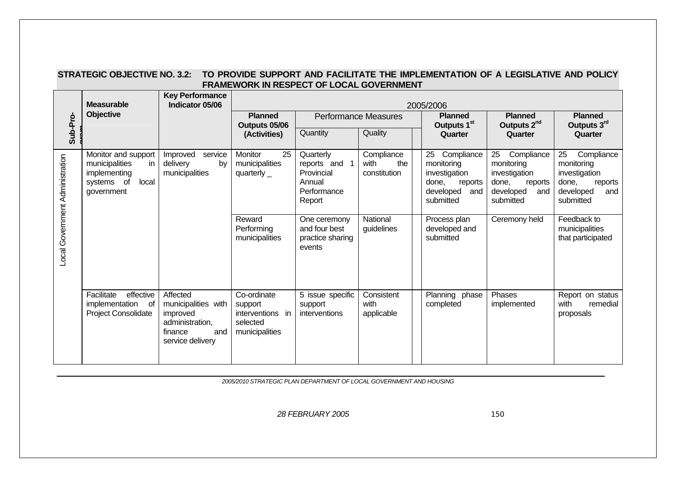| STRATEGIC OBJECTIVE NO. 3.2: TO PROVIDE SUPPORT AND FACILITATE THE IMPLEMENTATION OF A LEGISLATIVE AND POLICY |
|---------------------------------------------------------------------------------------------------------------|
| <b>FRAMEWORK IN RESPECT OF LOCAL GOVERNMENT</b>                                                               |

|                                 | <b>Measurable</b>                                                                                  | <b>Key Performance</b><br><b>Indicator 05/06</b>                                                     | 2005/2006                                                                |                                                                             |                                           |                                                                                    |                                                                                                                        |                                                                                                      |  |  |
|---------------------------------|----------------------------------------------------------------------------------------------------|------------------------------------------------------------------------------------------------------|--------------------------------------------------------------------------|-----------------------------------------------------------------------------|-------------------------------------------|------------------------------------------------------------------------------------|------------------------------------------------------------------------------------------------------------------------|------------------------------------------------------------------------------------------------------|--|--|
| Sub-Pro-                        | Objective                                                                                          |                                                                                                      | <b>Planned</b><br>Outputs 05/06<br>(Activities)                          | Quantity                                                                    | <b>Performance Measures</b><br>Quality    | <b>Planned</b><br>Outputs 1 <sup>st</sup><br>Quarter                               | <b>Planned</b><br>Outputs 2 <sup>nd</sup><br>Quarter                                                                   | <b>Planned</b><br>Outputs 3rd<br>Quarter                                                             |  |  |
| Local Government Administration | Monitor and support<br>municipalities<br>in I<br>implementing<br>local<br>systems of<br>government | service<br>Improved<br>delivery<br>by<br>municipalities                                              | 25<br>Monitor<br>municipalities<br>quarterly $_{-}$                      | Quarterly<br>reports and 1<br>Provincial<br>Annual<br>Performance<br>Report | Compliance<br>the<br>with<br>constitution | 25<br>Compliance<br>monitoring<br>investigation<br>done,<br>developed<br>submitted | 25<br>Compliance<br>monitoring<br>investigation<br>done,<br>reports<br>reports<br>and<br>developed<br>and<br>submitted | 25<br>Compliance<br>monitoring<br>investigation<br>done,<br>reports<br>developed<br>and<br>submitted |  |  |
|                                 |                                                                                                    |                                                                                                      | Reward<br>Performing<br>municipalities                                   | One ceremony<br>and four best<br>practice sharing<br>events                 | National<br>guidelines                    | Process plan<br>developed and<br>submitted                                         | Ceremony held                                                                                                          | Feedback to<br>municipalities<br>that participated                                                   |  |  |
|                                 | effective<br>Facilitate<br>implementation<br>of<br>Project Consolidate                             | Affected<br>municipalities with<br>improved<br>administration,<br>finance<br>and<br>service delivery | Co-ordinate<br>support<br>interventions in<br>selected<br>municipalities | 5 issue specific<br>support<br>interventions                                | Consistent<br>with<br>applicable          | Planning phase<br>completed                                                        | Phases<br>implemented                                                                                                  | Report on status<br>with<br>remedial<br>proposals                                                    |  |  |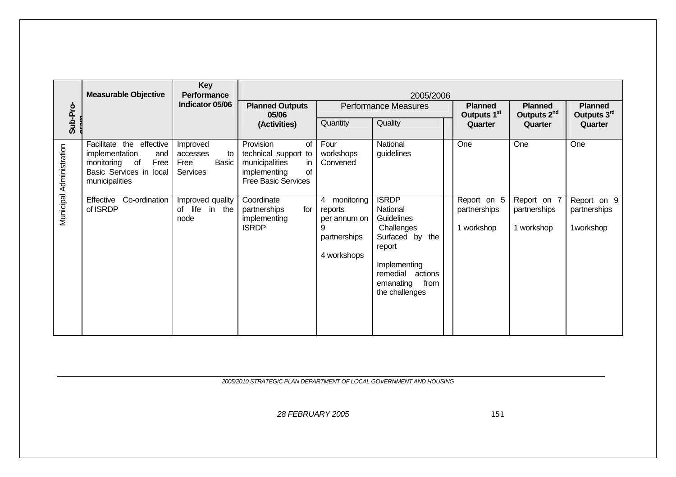|                          | <b>Measurable Objective</b>                                                                                             | Key<br>Performance                                      |                                                                                                                     |                                                                                | 2005/2006                                                                                                                                                    |                                           |                                           |                                          |
|--------------------------|-------------------------------------------------------------------------------------------------------------------------|---------------------------------------------------------|---------------------------------------------------------------------------------------------------------------------|--------------------------------------------------------------------------------|--------------------------------------------------------------------------------------------------------------------------------------------------------------|-------------------------------------------|-------------------------------------------|------------------------------------------|
|                          |                                                                                                                         | Indicator 05/06                                         | <b>Planned Outputs</b><br>05/06                                                                                     |                                                                                | <b>Performance Measures</b>                                                                                                                                  | <b>Planned</b><br>Outputs 1 <sup>st</sup> | <b>Planned</b><br>Outputs 2 <sup>nd</sup> | <b>Planned</b><br>Outputs 3rd            |
| Sub-Pro-                 |                                                                                                                         |                                                         | (Activities)                                                                                                        | Quantity                                                                       | Quality                                                                                                                                                      | Quarter                                   | Quarter                                   | Quarter                                  |
| Municipal Administration | Facilitate the effective<br>implementation<br>and<br>monitoring of<br>Free<br>Basic Services in local<br>municipalities | Improved<br>to<br>accesses<br>Basic<br>Free<br>Services | Provision<br>οf<br>technical support to<br>municipalities<br>in<br>implementing<br>of<br><b>Free Basic Services</b> | Four<br>workshops<br>Convened                                                  | National<br>guidelines                                                                                                                                       | One                                       | One                                       | One                                      |
|                          | Co-ordination<br>Effective<br>of ISRDP                                                                                  | Improved quality<br>of life<br>in the<br>node           | Coordinate<br>partnerships<br>for<br>implementing<br><b>ISRDP</b>                                                   | monitoring<br>4<br>reports<br>per annum on<br>9<br>partnerships<br>4 workshops | <b>ISRDP</b><br>National<br>Guidelines<br>Challenges<br>Surfaced by the<br>report<br>Implementing<br>remedial actions<br>emanating<br>from<br>the challenges | Report on 5<br>partnerships<br>1 workshop | Report on 7<br>partnerships<br>1 workshop | Report on 9<br>partnerships<br>1workshop |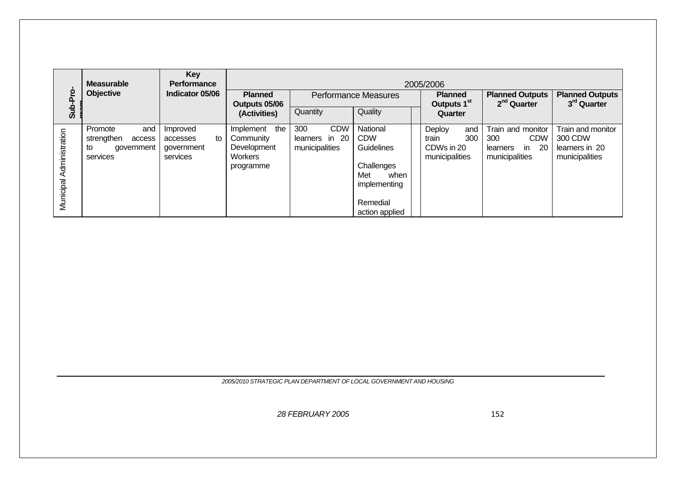|                          | <b>Measurable</b>                                                      | Key<br><b>Performance</b>                            |                                                                      | 2005/2006                                             |                                                                                                                        |                                                 |                                                                                                 |                                                                  |  |  |  |
|--------------------------|------------------------------------------------------------------------|------------------------------------------------------|----------------------------------------------------------------------|-------------------------------------------------------|------------------------------------------------------------------------------------------------------------------------|-------------------------------------------------|-------------------------------------------------------------------------------------------------|------------------------------------------------------------------|--|--|--|
| Sub-Pro                  | <b>Objective</b>                                                       | Indicator 05/06                                      | <b>Planned</b><br>Outputs 05/06                                      |                                                       | <b>Performance Measures</b>                                                                                            | <b>Planned</b><br>Outputs 1 <sup>st</sup>       | <b>Planned Outputs</b><br>2 <sup>nd</sup> Quarter                                               | <b>Planned Outputs</b><br>3rd Quarter                            |  |  |  |
|                          |                                                                        |                                                      | (Activities)                                                         | Quantity                                              | Quality                                                                                                                | Quarter                                         |                                                                                                 |                                                                  |  |  |  |
| Municipal Administration | Promote<br>and<br>strengthen<br>access<br>government<br>to<br>services | Improved<br>to<br>accesses<br>government<br>services | the<br>Implement<br>Community<br>Development<br>Workers<br>programme | 300<br><b>CDW</b><br>learners in 20<br>municipalities | National<br><b>CDW</b><br><b>Guidelines</b><br>Challenges<br>Met<br>when<br>implementing<br>Remedial<br>action applied | Deploy<br>train<br>CDWs in 20<br>municipalities | Train and monitor<br>and<br><b>CDW</b><br>300<br>300<br>in<br>-20<br>learners<br>municipalities | Train and monitor<br>300 CDW<br>learners in 20<br>municipalities |  |  |  |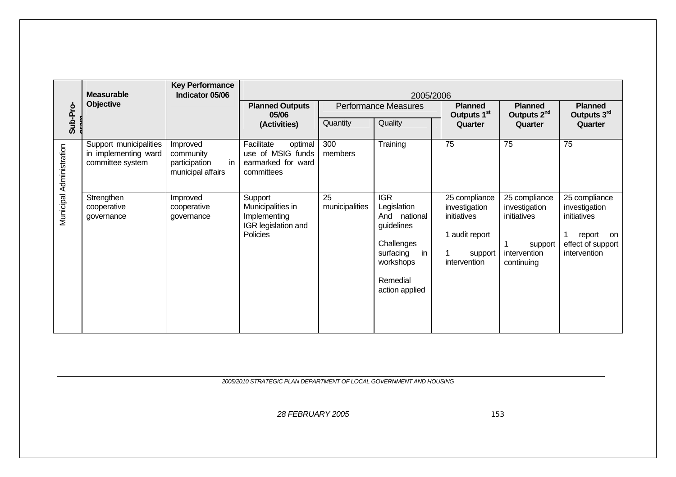|                          | <b>Measurable</b>                                                  | <b>Key Performance</b><br>Indicator 05/06                         |                                                                                 |                      | 2005/2006                                                                                                                           |                                                                                            |                                                                                        |                                                                                                    |  |
|--------------------------|--------------------------------------------------------------------|-------------------------------------------------------------------|---------------------------------------------------------------------------------|----------------------|-------------------------------------------------------------------------------------------------------------------------------------|--------------------------------------------------------------------------------------------|----------------------------------------------------------------------------------------|----------------------------------------------------------------------------------------------------|--|
|                          | Objective                                                          |                                                                   | <b>Planned Outputs</b><br>05/06                                                 |                      | <b>Performance Measures</b>                                                                                                         | <b>Planned</b><br>Outputs 1 <sup>st</sup>                                                  | <b>Planned</b><br>Outputs 2 <sup>nd</sup>                                              | <b>Planned</b><br>Outputs 3rd                                                                      |  |
| Sub-Pro-                 |                                                                    |                                                                   | (Activities)                                                                    | Quantity             | Quality                                                                                                                             | Quarter                                                                                    | Quarter                                                                                | Quarter                                                                                            |  |
| Municipal Administration | Support municipalities<br>in implementing ward<br>committee system | Improved<br>community<br>in<br>participation<br>municipal affairs | Facilitate<br>optimal<br>use of MSIG funds<br>earmarked for ward<br>committees  | 300<br>members       | Training                                                                                                                            | 75                                                                                         | 75                                                                                     | 75                                                                                                 |  |
|                          | Strengthen<br>cooperative<br>governance                            | Improved<br>cooperative<br>governance                             | Support<br>Municipalities in<br>Implementing<br>IGR legislation and<br>Policies | 25<br>municipalities | <b>IGR</b><br>Legislation<br>And national<br>guidelines<br>Challenges<br>surfacing<br>in<br>workshops<br>Remedial<br>action applied | 25 compliance<br>investigation<br>initiatives<br>1 audit report<br>support<br>intervention | 25 compliance<br>investigation<br>initiatives<br>support<br>intervention<br>continuing | 25 compliance<br>investigation<br>initiatives<br>report<br>on<br>effect of support<br>intervention |  |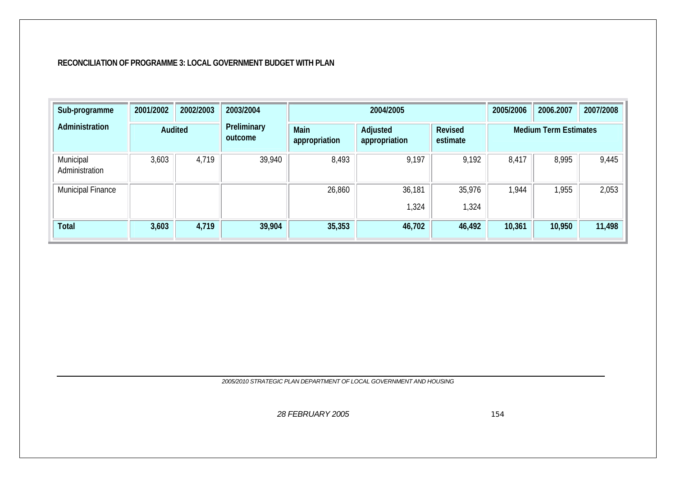#### **RECONCILIATION OF PROGRAMME 3: LOCAL GOVERNMENT BUDGET WITH PLAN**

| Sub-programme               | 2001/2002 | 2002/2003 | 2003/2004                                       |        | 2004/2005                 |                            | 2005/2006                    | 2006.2007 | 2007/2008 |
|-----------------------------|-----------|-----------|-------------------------------------------------|--------|---------------------------|----------------------------|------------------------------|-----------|-----------|
| Administration              | Audited   |           | Preliminary<br>Main<br>outcome<br>appropriation |        | Adjusted<br>appropriation | <b>Revised</b><br>estimate | <b>Medium Term Estimates</b> |           |           |
| Municipal<br>Administration | 3,603     | 4,719     | 39,940                                          | 8,493  | 9,197                     | 9,192                      | 8,417                        | 8,995     | 9,445     |
| Municipal Finance           |           |           |                                                 | 26,860 | 36,181<br>,324            | 35,976<br>1,324            | 1,944                        | 1,955     | 2,053     |
| Total                       | 3,603     | 4,719     | 39,904                                          | 35,353 | 46,702                    | 46,492                     | 10,361                       | 10,950    | 11,498    |

*2005/2010 STRATEGIC PLAN DEPARTMENT OF LOCAL GOVERNMENT AND HOUSING*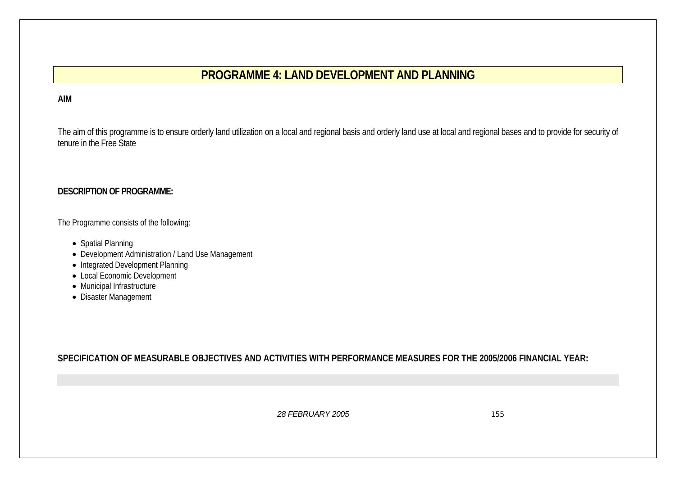# **PROGRAMME 4: LAND DEVELOPMENT AND PLANNING**

#### **AIM**

The aim of this programme is to ensure orderly land utilization on a local and regional basis and orderly land use at local and regional bases and to provide for security of tenure in the Free State

#### **DESCRIPTION OF PROGRAMME:**

The Programme consists of the following:

- Spatial Planning
- Development Administration / Land Use Management
- Integrated Development Planning
- Local Economic Development
- Municipal Infrastructure
- Disaster Management

**SPECIFICATION OF MEASURABLE OBJECTIVES AND ACTIVITIES WITH PERFORMANCE MEASURES FOR THE 2005/2006 FINANCIAL YEAR:**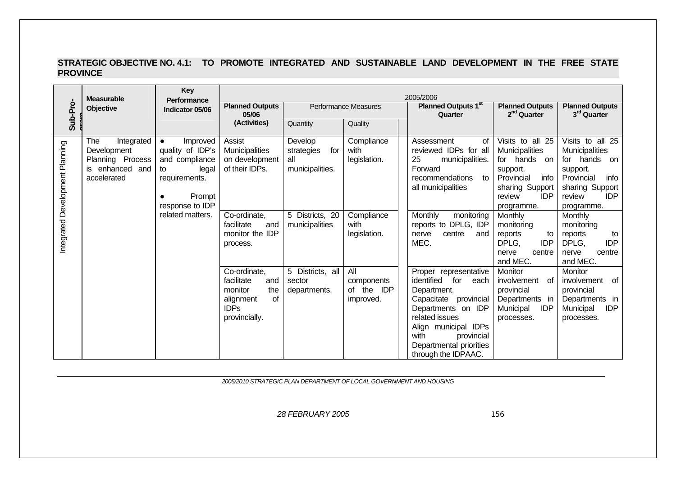#### **STRATEGIC OBJECTIVE NO. 4.1: TO PROMOTE INTEGRATED AND SUSTAINABLE LAND DEVELOPMENT IN THE FREE STATE PROVINCE**

|                                 | <b>Measurable</b>                                                                      | Key<br><b>Performance</b>                                                                                                |                                                                                                               |                                                        |                                                 | 2005/2006                                                                                                                                                                                                                       |                                                                                                                                               |                                                                                                                                                      |
|---------------------------------|----------------------------------------------------------------------------------------|--------------------------------------------------------------------------------------------------------------------------|---------------------------------------------------------------------------------------------------------------|--------------------------------------------------------|-------------------------------------------------|---------------------------------------------------------------------------------------------------------------------------------------------------------------------------------------------------------------------------------|-----------------------------------------------------------------------------------------------------------------------------------------------|------------------------------------------------------------------------------------------------------------------------------------------------------|
| Sub-Pro-                        | Objective                                                                              | Indicator 05/06                                                                                                          | <b>Planned Outputs</b><br>05/06                                                                               |                                                        | <b>Performance Measures</b>                     | <b>Planned Outputs 1st</b><br>Quarter                                                                                                                                                                                           | <b>Planned Outputs</b><br>2 <sup>nd</sup> Quarter                                                                                             | <b>Planned Outputs</b><br>3 <sup>rd</sup> Quarter                                                                                                    |
|                                 |                                                                                        |                                                                                                                          | (Activities)                                                                                                  | Quantity                                               | Quality                                         |                                                                                                                                                                                                                                 |                                                                                                                                               |                                                                                                                                                      |
| Integrated Development Planning | The<br>Integrated<br>Development<br>Planning Process<br>is enhanced and<br>accelerated | Improved<br>$\bullet$<br>quality of IDP's<br>and compliance<br>legal<br>to<br>requirements.<br>Prompt<br>response to IDP | Assist<br>Municipalities<br>on development<br>of their IDPs.                                                  | Develop<br>strategies<br>for<br>all<br>municipalities. | Compliance<br>with<br>legislation.              | Assessment<br>0f<br>reviewed IDPs for all<br>25<br>municipalities.<br>Forward<br>recommendations<br>to<br>all municipalities                                                                                                    | Visits to all 25<br>Municipalities<br>for hands on<br>support.<br>Provincial<br>info<br>sharing Support<br><b>IDP</b><br>review<br>programme. | Visits to all 25<br><b>Municipalities</b><br>for hands on<br>support.<br>Provincial<br>info<br>sharing Support<br><b>IDP</b><br>review<br>programme. |
|                                 |                                                                                        | related matters.                                                                                                         | Co-ordinate,<br>facilitate<br>and<br>monitor the IDP<br>process.                                              | 5 Districts, 20<br>municipalities                      | Compliance<br>with<br>legislation.              | Monthly<br>monitoring<br>reports to DPLG, IDP<br>centre<br>nerve<br>and<br>MEC.                                                                                                                                                 | Monthly<br>monitoring<br>reports<br>to<br>DPLG,<br><b>IDP</b><br>nerve<br>centre<br>and MEC.                                                  | Monthly<br>monitoring<br>reports<br>to<br>DPLG,<br><b>IDP</b><br>nerve<br>centre<br>and MEC.                                                         |
|                                 |                                                                                        |                                                                                                                          | Co-ordinate,<br>facilitate<br>and<br>monitor<br>the<br><b>of</b><br>alignment<br><b>IDPs</b><br>provincially. | 5 Districts, all<br>sector<br>departments.             | All<br>components<br>of the<br>IDP<br>improved. | Proper representative<br>identified<br>for each<br>Department.<br>Capacitate provincial<br>Departments on IDP<br>related issues<br>Align municipal IDPs<br>with<br>provincial<br>Departmental priorities<br>through the IDPAAC. | Monitor<br>involvement of<br>provincial<br>Departments in<br>Municipal<br><b>IDP</b><br>processes.                                            | Monitor<br>involvement<br>0f<br>provincial<br>Departments in<br><b>IDP</b><br>Municipal<br>processes.                                                |

*2005/2010 STRATEGIC PLAN DEPARTMENT OF LOCAL GOVERNMENT AND HOUSING*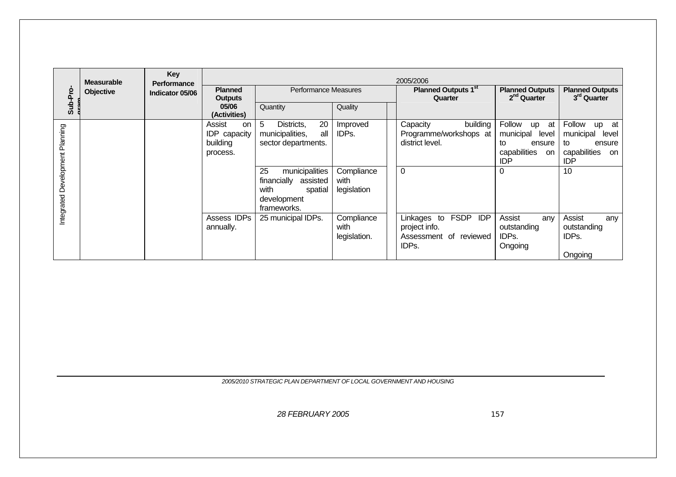|                                 | <b>Measurable</b> | Key<br><b>Performance</b> |                                                             |                                                                                                                                                                            |                                                        | 2005/2006                                                                                    |                                                                                                   |                                                                                                            |
|---------------------------------|-------------------|---------------------------|-------------------------------------------------------------|----------------------------------------------------------------------------------------------------------------------------------------------------------------------------|--------------------------------------------------------|----------------------------------------------------------------------------------------------|---------------------------------------------------------------------------------------------------|------------------------------------------------------------------------------------------------------------|
| Sub-Pro                         | Objective         | Indicator 05/06           | <b>Planned</b><br><b>Outputs</b>                            | Performance Measures                                                                                                                                                       |                                                        | Planned Outputs 1 <sup>st</sup><br>Quarter                                                   | <b>Planned Outputs</b><br>2 <sup>nd</sup> Quarter                                                 | <b>Planned Outputs</b><br>3 <sup>rd</sup> Quarter                                                          |
|                                 |                   |                           | 05/06<br>(Activities)                                       | Quantity                                                                                                                                                                   | Quality                                                |                                                                                              |                                                                                                   |                                                                                                            |
| Integrated Development Planning |                   |                           | Assist<br><b>on</b><br>IDP capacity<br>building<br>process. | 5<br>20<br>Districts,<br>all<br>municipalities,<br>sector departments.<br>municipalities<br>25<br>financially<br>assisted<br>with<br>spatial<br>development<br>frameworks. | Improved<br>IDPs.<br>Compliance<br>with<br>legislation | Capacity<br>building<br>Programme/workshops at<br>district level.<br>$\overline{0}$          | Follow<br>at<br>up<br>municipal<br>level<br>to<br>ensure<br>capabilities<br>on<br><b>IDP</b><br>0 | Follow<br>at<br><b>up</b><br>municipal<br>level<br>to<br>ensure<br>capabilities<br>on.<br><b>IDP</b><br>10 |
|                                 |                   |                           | Assess IDPs<br>annually.                                    | 25 municipal IDPs.                                                                                                                                                         | Compliance<br>with<br>legislation.                     | <b>FSDP</b><br><b>IDP</b><br>Linkages to<br>project info.<br>Assessment of reviewed<br>IDPs. | Assist<br>any<br>outstanding<br>IDPs.<br>Ongoing                                                  | Assist<br>any<br>outstanding<br>IDPs.<br>Ongoing                                                           |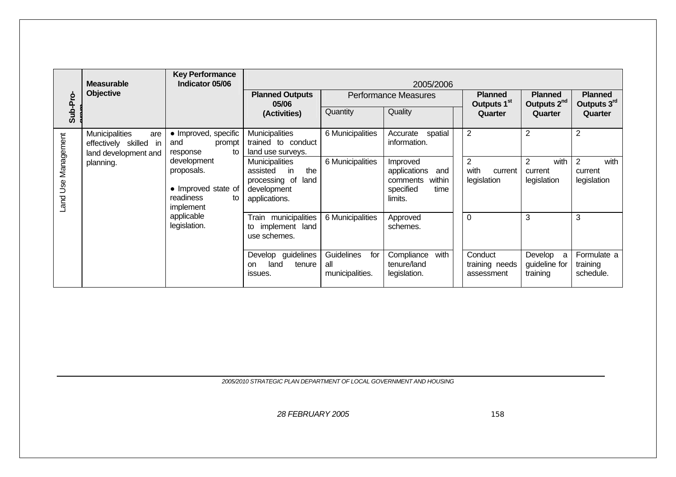|                     | <b>Measurable</b><br><b>Objective</b>                                       | <b>Key Performance</b><br>Indicator 05/06                                        |                                                                                                         |                                                    | 2005/2006                                                                             |                                                  |                                                  |                                      |
|---------------------|-----------------------------------------------------------------------------|----------------------------------------------------------------------------------|---------------------------------------------------------------------------------------------------------|----------------------------------------------------|---------------------------------------------------------------------------------------|--------------------------------------------------|--------------------------------------------------|--------------------------------------|
|                     |                                                                             |                                                                                  | <b>Planned Outputs</b><br>05/06                                                                         |                                                    | <b>Performance Measures</b>                                                           | <b>Planned</b><br>Outputs 1 <sup>st</sup>        | <b>Planned</b><br>Outputs 2 <sup>nd</sup>        | <b>Planned</b><br>Outputs 3rd        |
| Sub-Pro-            |                                                                             |                                                                                  | (Activities)                                                                                            | Quantity                                           | Quality                                                                               | Quarter                                          | Quarter                                          | Quarter                              |
|                     | Municipalities<br>are<br>effectively skilled<br>in.<br>land development and | • Improved, specific<br>and<br>prompt<br>to<br>response                          | <b>Municipalities</b><br>trained to conduct<br>land use surveys.                                        | 6 Municipalities                                   | spatial<br>Accurate<br>information.                                                   | $\overline{2}$                                   | 2                                                | $\overline{2}$                       |
| Land Use Management | planning.                                                                   | development<br>proposals.<br>• Improved state of<br>readiness<br>to<br>implement | <b>Municipalities</b><br>assisted<br>the<br>in<br>processing of<br>land<br>development<br>applications. | 6 Municipalities                                   | Improved<br>applications<br>and<br>within<br>comments<br>specified<br>time<br>limits. | $\overline{2}$<br>with<br>current<br>legislation | with<br>$\overline{2}$<br>current<br>legislation | with<br>2<br>current<br>legislation  |
|                     |                                                                             | applicable<br>legislation.                                                       | Train municipalities<br>implement land<br>to<br>use schemes.                                            | 6 Municipalities                                   | Approved<br>schemes.                                                                  | $\overline{0}$                                   | 3                                                | 3                                    |
|                     |                                                                             |                                                                                  | Develop guidelines<br>land<br>tenure<br>on<br>issues.                                                   | <b>Guidelines</b><br>for<br>all<br>municipalities. | with<br>Compliance<br>tenure/land<br>legislation.                                     | Conduct<br>training needs<br>assessment          | Develop a<br>guideline for<br>training           | Formulate a<br>training<br>schedule. |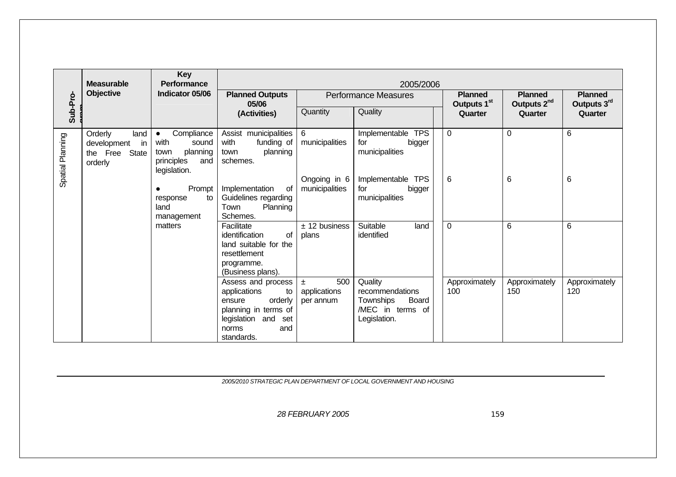|                  | <b>Measurable</b>                                                 | <b>Key</b><br><b>Performance</b>                                                                  |                                                                                                                                               |                                           | 2005/2006                                                                            |                                           |                                           |                               |
|------------------|-------------------------------------------------------------------|---------------------------------------------------------------------------------------------------|-----------------------------------------------------------------------------------------------------------------------------------------------|-------------------------------------------|--------------------------------------------------------------------------------------|-------------------------------------------|-------------------------------------------|-------------------------------|
|                  | Objective                                                         | Indicator 05/06                                                                                   | <b>Planned Outputs</b><br>05/06                                                                                                               |                                           | <b>Performance Measures</b>                                                          | <b>Planned</b><br>Outputs 1 <sup>st</sup> | <b>Planned</b><br>Outputs 2 <sup>nd</sup> | <b>Planned</b><br>Outputs 3rd |
| Sub-Pro-         |                                                                   |                                                                                                   | (Activities)                                                                                                                                  | Quantity                                  | Quality                                                                              | Quarter                                   | Quarter                                   | Quarter                       |
| Spatial Planning | Orderly<br>land<br>development<br>in<br>the Free State<br>orderly | Compliance<br>$\bullet$<br>with<br>sound<br>planning<br>town<br>principles<br>and<br>legislation. | Assist municipalities<br>with<br>funding of<br>planning<br>town<br>schemes.                                                                   | $6\phantom{1}$<br>municipalities          | Implementable TPS<br>for<br>bigger<br>municipalities                                 | $\mathbf 0$                               | $\overline{0}$                            | 6                             |
|                  |                                                                   | Prompt<br>to<br>response<br>land<br>management                                                    | of<br>Implementation<br>Guidelines regarding<br>Planning<br>Town<br>Schemes.                                                                  | Ongoing in 6<br>municipalities            | Implementable TPS<br>for<br>bigger<br>municipalities                                 | 6                                         | 6                                         | 6                             |
|                  |                                                                   | matters                                                                                           | Facilitate<br>of<br>identification<br>land suitable for the<br>resettlement<br>programme.<br>(Business plans).                                | $±$ 12 business<br>plans                  | Suitable<br>land<br>identified                                                       | $\mathbf 0$                               | 6                                         | $6\phantom{1}$                |
|                  |                                                                   |                                                                                                   | Assess and process<br>applications<br>to<br>orderly<br>ensure<br>planning in terms of<br>legislation and<br>set<br>and<br>norms<br>standards. | 500<br>$\pm$<br>applications<br>per annum | Quality<br>recommendations<br>Townships<br>Board<br>/MEC in terms of<br>Legislation. | Approximately<br>100                      | Approximately<br>150                      | Approximately<br>120          |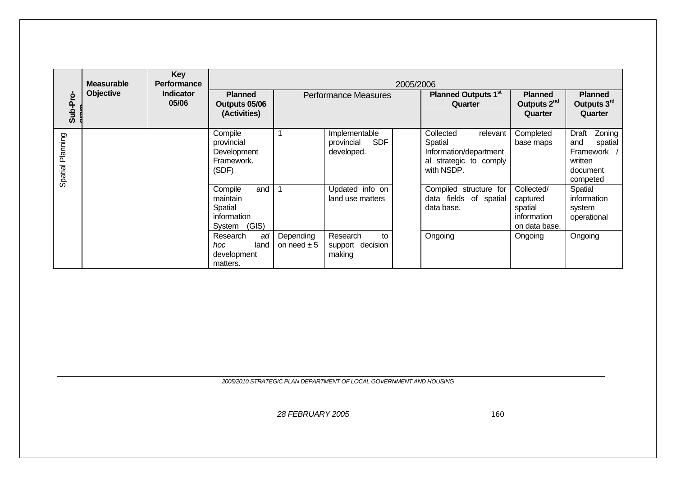| Sub-Pro-         | <b>Measurable</b><br><b>Objective</b> | <b>Key</b><br><b>Performance</b><br><b>Indicator</b><br>05/06 | <b>Planned</b><br>Outputs 05/06<br>(Activities)                         |                              | 2005/2006<br><b>Performance Measures</b>                |  | <b>Planned Outputs 1st</b><br>Quarter                                                              | <b>Planned</b><br>Outputs 2 <sup>nd</sup><br>Quarter              | <b>Planned</b><br>Outputs 3rd<br>Quarter                                                 |
|------------------|---------------------------------------|---------------------------------------------------------------|-------------------------------------------------------------------------|------------------------------|---------------------------------------------------------|--|----------------------------------------------------------------------------------------------------|-------------------------------------------------------------------|------------------------------------------------------------------------------------------|
| Spatial Planning |                                       |                                                               | Compile<br>provincial<br>Development<br>Framework.<br>(SDF)             | 1                            | Implementable<br><b>SDF</b><br>provincial<br>developed. |  | Collected<br>relevant<br>Spatial<br>Information/department<br>al strategic to comply<br>with NSDP. | Completed<br>base maps                                            | Zoning<br><b>Draft</b><br>and<br>spatial<br>Framework<br>written<br>document<br>competed |
|                  |                                       |                                                               | Compile<br>and<br>maintain<br>Spatial<br>information<br>(GIS)<br>System |                              | Updated info on<br>land use matters                     |  | Compiled structure for<br>data fields of spatial<br>data base.                                     | Collected/<br>captured<br>spatial<br>information<br>on data base. | Spatial<br>information<br>system<br>operational                                          |
|                  |                                       |                                                               | Research<br>ad<br>hoc<br>land<br>development<br>matters.                | Depending<br>on need $\pm 5$ | Research<br>to<br>support decision<br>making            |  | Ongoing                                                                                            | Ongoing                                                           | Ongoing                                                                                  |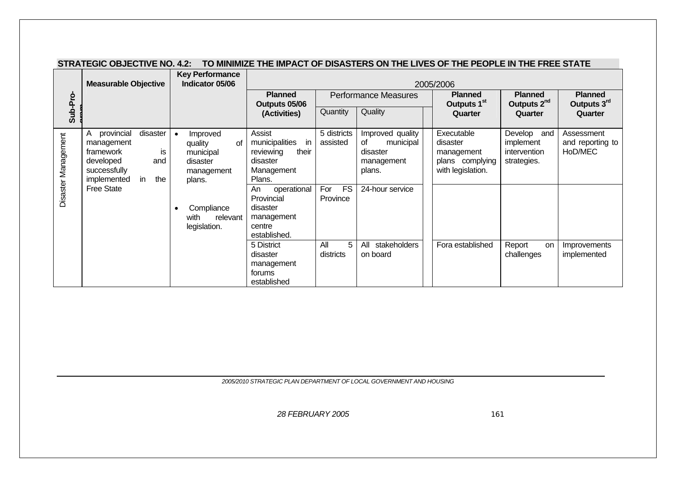|                     | <b>Measurable Objective</b>                                                                                                                  | <b>Key Performance</b><br>Indicator 05/06                                                                                    |                                                                                                                                                                                 |                                                         |                                                                                            | 2005/2006                                                                    |                                                         |                                           |
|---------------------|----------------------------------------------------------------------------------------------------------------------------------------------|------------------------------------------------------------------------------------------------------------------------------|---------------------------------------------------------------------------------------------------------------------------------------------------------------------------------|---------------------------------------------------------|--------------------------------------------------------------------------------------------|------------------------------------------------------------------------------|---------------------------------------------------------|-------------------------------------------|
|                     |                                                                                                                                              |                                                                                                                              | <b>Planned</b><br>Outputs 05/06                                                                                                                                                 |                                                         | <b>Performance Measures</b>                                                                | <b>Planned</b><br>Outputs 1 <sup>st</sup>                                    | <b>Planned</b><br>Outputs 2 <sup>nd</sup>               | <b>Planned</b><br>Outputs 3rd             |
| Sub-Pro-            |                                                                                                                                              |                                                                                                                              | (Activities)                                                                                                                                                                    | Quantity                                                | Quality                                                                                    | Quarter                                                                      | Quarter                                                 | Quarter                                   |
| Disaster Management | disaster<br>provincial<br>management<br>framework<br>is<br>developed<br>and<br>successfully<br>implemented<br>the<br>in<br><b>Free State</b> | Improved<br>quality<br>Ωf<br>municipal<br>disaster<br>management<br>plans.<br>Compliance<br>with<br>relevant<br>legislation. | Assist<br>municipalities<br>in<br>their<br>reviewing<br>disaster<br>Management<br>Plans.<br>operational<br>An<br>Provincial<br>disaster<br>management<br>centre<br>established. | 5 districts<br>assisted<br><b>FS</b><br>For<br>Province | Improved quality<br>municipal<br>οf<br>disaster<br>management<br>plans.<br>24-hour service | Executable<br>disaster<br>management<br>plans complying<br>with legislation. | Develop and<br>implement<br>intervention<br>strategies. | Assessment<br>and reporting to<br>HoD/MEC |
|                     |                                                                                                                                              |                                                                                                                              | 5 District<br>disaster<br>management<br>forums<br>established                                                                                                                   | All<br>5<br>districts                                   | All stakeholders<br>on board                                                               | Fora established                                                             | Report<br>on<br>challenges                              | Improvements<br>implemented               |

#### **STRATEGIC OBJECTIVE NO. 4.2: TO MINIMIZE THE IMPACT OF DISASTERS ON THE LIVES OF THE PEOPLE IN THE FREE STATE**

*2005/2010 STRATEGIC PLAN DEPARTMENT OF LOCAL GOVERNMENT AND HOUSING*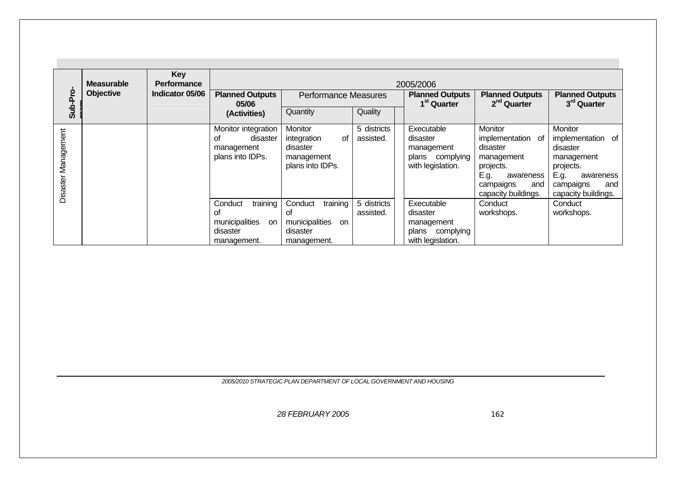| Sub-Pro             | <b>Measurable</b><br><b>Objective</b> | <b>Key</b><br><b>Performance</b><br>Indicator 05/06 | <b>Planned Outputs</b><br>05/06<br>(Activities)                                     | <b>Performance Measures</b><br>Quantity                                      | Quality                  | 2005/2006<br><b>Planned Outputs</b><br>1 <sup>st</sup> Quarter               | <b>Planned Outputs</b><br>2 <sup>nd</sup> Quarter                                                                                          | <b>Planned Outputs</b><br>3 <sup>rd</sup> Quarter                                                                                          |
|---------------------|---------------------------------------|-----------------------------------------------------|-------------------------------------------------------------------------------------|------------------------------------------------------------------------------|--------------------------|------------------------------------------------------------------------------|--------------------------------------------------------------------------------------------------------------------------------------------|--------------------------------------------------------------------------------------------------------------------------------------------|
| Disaster Management |                                       |                                                     | Monitor integration<br>οf<br>disaster<br>management<br>plans into IDPs.             | Monitor<br>integration<br>οf<br>disaster<br>management<br>plans into IDPs.   | 5 districts<br>assisted. | Executable<br>disaster<br>management<br>plans complying<br>with legislation. | <b>Monitor</b><br>implementation of<br>disaster<br>management<br>projects.<br>E.g.<br>awareness<br>campaigns<br>and<br>capacity buildings. | <b>Monitor</b><br>implementation of<br>disaster<br>management<br>projects.<br>E.g.<br>awareness<br>and<br>campaigns<br>capacity buildings. |
|                     |                                       |                                                     | training<br>Conduct<br>οf<br>municipalities<br><b>on</b><br>disaster<br>management. | training<br>Conduct<br>Οf<br>municipalities<br>on<br>disaster<br>management. | 5 districts<br>assisted. | Executable<br>disaster<br>management<br>plans complying<br>with legislation. | Conduct<br>workshops.                                                                                                                      | Conduct<br>workshops.                                                                                                                      |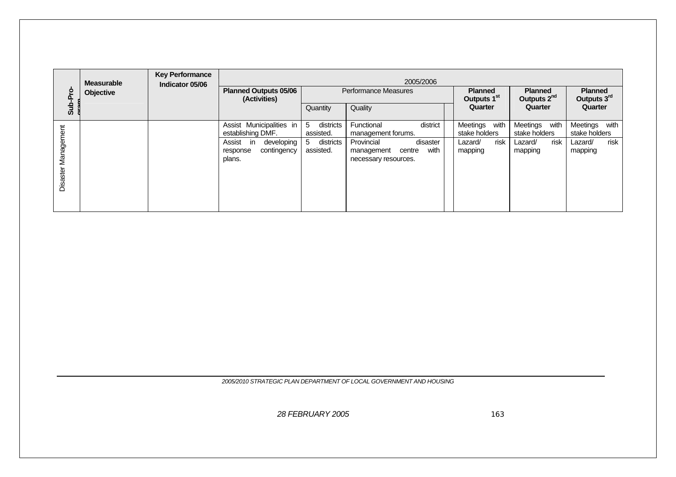| Sub-Pro                       | <b>Measurable</b><br>Objective | <b>Key Performance</b><br>Indicator 05/06 | 2005/2006<br><b>Planned Outputs 05/06</b><br>Performance Measures<br><b>Planned</b><br><b>Planned</b><br>Outputs 2 <sup>nd</sup><br>Outputs 1 <sup>st</sup><br>(Activities) |                                                            |                                                                                                                                |                                                                 |                                                                 |                                                                 |  |  |
|-------------------------------|--------------------------------|-------------------------------------------|-----------------------------------------------------------------------------------------------------------------------------------------------------------------------------|------------------------------------------------------------|--------------------------------------------------------------------------------------------------------------------------------|-----------------------------------------------------------------|-----------------------------------------------------------------|-----------------------------------------------------------------|--|--|
|                               |                                |                                           |                                                                                                                                                                             | Quantity                                                   | Quality                                                                                                                        | Quarter                                                         | Quarter                                                         | Outputs 3rd<br>Quarter                                          |  |  |
| Management<br><b>Disaster</b> |                                |                                           | Assist Municipalities in<br>establishing DMF.<br>developing<br>Assist<br>in<br>contingency<br>response<br>plans.                                                            | 5<br>districts<br>assisted.<br>5<br>districts<br>assisted. | district<br>Functional<br>management forums.<br>Provincial<br>disaster<br>with<br>management<br>centre<br>necessary resources. | with<br>Meetings<br>stake holders<br>risk<br>Lazard/<br>mapping | Meetings<br>with<br>stake holders<br>risk<br>Lazard/<br>mapping | Meetings<br>with<br>stake holders<br>risk<br>Lazard/<br>mapping |  |  |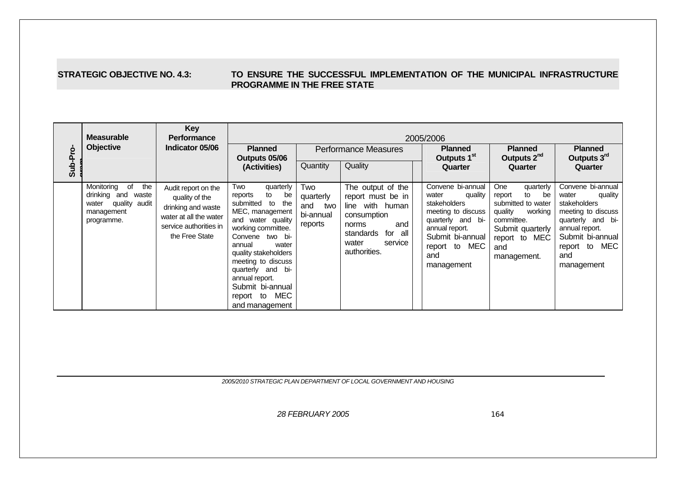#### **STRATEGIC OBJECTIVE NO. 4.3: TO ENSURE THE SUCCESSFUL IMPLEMENTATION OF THE MUNICIPAL INFRASTRUCTURE PROGRAMME IN THE FREE STATE**

|          | <b>Measurable</b>                                                                                      | <b>Key</b><br><b>Performance</b><br>Indicator 05/06                                                                               | 2005/2006                                                                                                                                                                                                                                                                                                         |                                                        |                                                                                                                                                      |                                           |                                                                                                                                                                              |                                                                                                                                                                    |                                                                                                                                                                              |  |  |  |
|----------|--------------------------------------------------------------------------------------------------------|-----------------------------------------------------------------------------------------------------------------------------------|-------------------------------------------------------------------------------------------------------------------------------------------------------------------------------------------------------------------------------------------------------------------------------------------------------------------|--------------------------------------------------------|------------------------------------------------------------------------------------------------------------------------------------------------------|-------------------------------------------|------------------------------------------------------------------------------------------------------------------------------------------------------------------------------|--------------------------------------------------------------------------------------------------------------------------------------------------------------------|------------------------------------------------------------------------------------------------------------------------------------------------------------------------------|--|--|--|
|          | <b>Objective</b>                                                                                       |                                                                                                                                   | <b>Planned</b><br>Outputs 05/06                                                                                                                                                                                                                                                                                   |                                                        | <b>Performance Measures</b>                                                                                                                          | <b>Planned</b><br>Outputs 1 <sup>st</sup> | <b>Planned</b><br>Outputs 2 <sup>nd</sup>                                                                                                                                    | <b>Planned</b><br>Outputs 3rd                                                                                                                                      |                                                                                                                                                                              |  |  |  |
| Sub-Pro- |                                                                                                        |                                                                                                                                   | (Activities)                                                                                                                                                                                                                                                                                                      | Quantity                                               | Quality                                                                                                                                              |                                           | Quarter                                                                                                                                                                      | Quarter                                                                                                                                                            | Quarter                                                                                                                                                                      |  |  |  |
|          | Monitoring<br>of<br>the<br>drinking and<br>waste<br>quality audit<br>water<br>management<br>programme. | Audit report on the<br>quality of the<br>drinking and waste<br>water at all the water<br>service authorities in<br>the Free State | Two<br>quarterly<br>reports<br>to<br>be<br>submitted to<br>the<br>MEC, management<br>and water quality<br>working committee.<br>Convene two bi-<br>annual<br>water<br>quality stakeholders<br>meeting to discuss<br>quarterly and bi-<br>annual report.<br>Submit bi-annual<br>MEC<br>report to<br>and management | Two<br>quarterly<br>and<br>two<br>bi-annual<br>reports | The output of the<br>report must be in<br>line with human<br>consumption<br>and<br>norms<br>for all<br>standards<br>water<br>service<br>authorities. |                                           | Convene bi-annual<br>quality<br>water<br>stakeholders<br>meeting to discuss<br>quarterly and bi-<br>annual report.<br>Submit bi-annual<br>report to MEC<br>and<br>management | <b>One</b><br>quarterly<br>be<br>report<br>to<br>submitted to water<br>quality<br>working<br>committee.<br>Submit quarterly<br>report to MEC<br>and<br>management. | Convene bi-annual<br>water<br>quality<br>stakeholders<br>meeting to discuss<br>quarterly and bi-<br>annual report.<br>Submit bi-annual<br>report to MEC<br>and<br>management |  |  |  |

*2005/2010 STRATEGIC PLAN DEPARTMENT OF LOCAL GOVERNMENT AND HOUSING*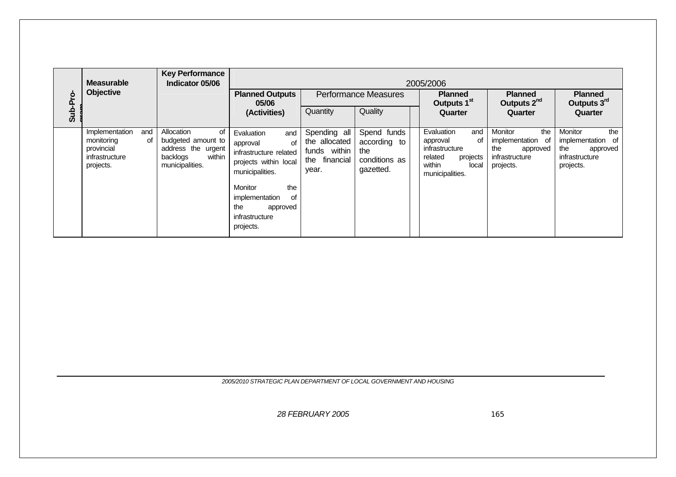|          | <b>Measurable</b>                                                                      | <b>Key Performance</b><br>Indicator 05/06                                                             |                                                                                                                                                                                                       |                                                                            |                                                                  | 2005/2006                                                                                                          |                                                                                                 |                                                                                            |  |
|----------|----------------------------------------------------------------------------------------|-------------------------------------------------------------------------------------------------------|-------------------------------------------------------------------------------------------------------------------------------------------------------------------------------------------------------|----------------------------------------------------------------------------|------------------------------------------------------------------|--------------------------------------------------------------------------------------------------------------------|-------------------------------------------------------------------------------------------------|--------------------------------------------------------------------------------------------|--|
| Sub-Pro- | Objective                                                                              |                                                                                                       | <b>Planned Outputs</b><br>05/06                                                                                                                                                                       | <b>Performance Measures</b>                                                |                                                                  | <b>Planned</b><br>Outputs 1 <sup>st</sup>                                                                          | <b>Planned</b><br>Outputs 2 <sup>nd</sup>                                                       | <b>Planned</b><br>Outputs 3rd                                                              |  |
|          |                                                                                        |                                                                                                       | (Activities)                                                                                                                                                                                          | Quantity                                                                   | Quality                                                          | Quarter                                                                                                            | Quarter                                                                                         | Quarter                                                                                    |  |
|          | Implementation<br>and<br>monitoring<br>0t<br>provincial<br>infrastructure<br>projects. | Allocation<br>οf<br>budgeted amount to<br>address the urgent<br>within<br>backlogs<br>municipalities. | Evaluation<br>and<br>οf<br>approval<br>infrastructure related<br>projects within local<br>municipalities.<br>Monitor<br>the<br>of<br>implementation<br>the<br>approved<br>infrastructure<br>projects. | Spending all<br>the allocated<br>funds within<br>financial<br>the<br>year. | Spend funds<br>according to<br>the<br>conditions as<br>gazetted. | Evaluation<br>and<br>approval<br>οf<br>infrastructure<br>related<br>projects<br>within<br>local<br>municipalities. | the<br><b>Monitor</b><br>implementation<br>of<br>the<br>approved<br>infrastructure<br>projects. | Monitor<br>the<br>- of<br>implementation<br>the<br>approved<br>infrastructure<br>projects. |  |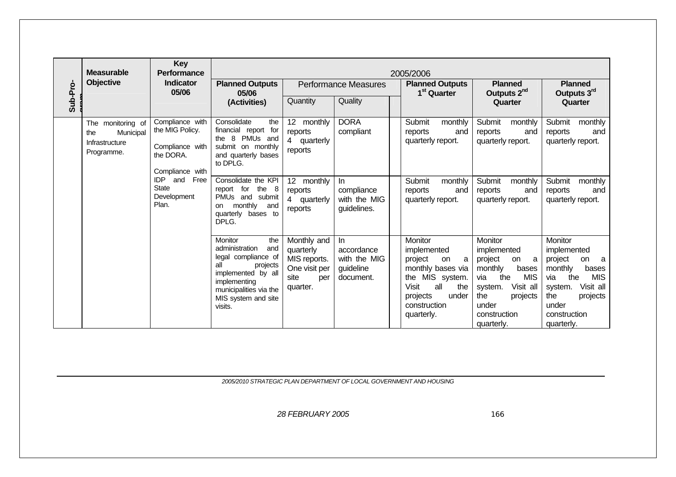|          | <b>Measurable</b>                                                     | <b>Key</b><br><b>Performance</b>                                                      |                                                                                                                                                                                     |                                                                                      |                                                               | 2005/2006                                                                                                                                                             |                                                                                                                                                                                |                                                                                                                                                                                |
|----------|-----------------------------------------------------------------------|---------------------------------------------------------------------------------------|-------------------------------------------------------------------------------------------------------------------------------------------------------------------------------------|--------------------------------------------------------------------------------------|---------------------------------------------------------------|-----------------------------------------------------------------------------------------------------------------------------------------------------------------------|--------------------------------------------------------------------------------------------------------------------------------------------------------------------------------|--------------------------------------------------------------------------------------------------------------------------------------------------------------------------------|
|          | Objective                                                             | <b>Indicator</b><br>05/06                                                             | <b>Planned Outputs</b><br>05/06                                                                                                                                                     |                                                                                      | <b>Performance Measures</b>                                   | <b>Planned Outputs</b><br>1 <sup>st</sup> Quarter                                                                                                                     | <b>Planned</b><br>Outputs 2 <sup>nd</sup>                                                                                                                                      | <b>Planned</b><br>Outputs 3rd                                                                                                                                                  |
| Sub-Pro- |                                                                       |                                                                                       | (Activities)                                                                                                                                                                        | Quantity                                                                             | Quality                                                       |                                                                                                                                                                       | Quarter                                                                                                                                                                        | Quarter                                                                                                                                                                        |
|          | The monitoring of<br>Municipal<br>the<br>Infrastructure<br>Programme. | Compliance with<br>the MIG Policy.<br>Compliance with<br>the DORA.<br>Compliance with | Consolidate<br>the<br>financial report for<br>8 PMUs and<br>the<br>submit on monthly<br>and quarterly bases<br>to DPLG.                                                             | 12 monthly<br>reports<br>4 quarterly<br>reports                                      | <b>DORA</b><br>compliant                                      | Submit<br>monthly<br>reports<br>and<br>quarterly report.                                                                                                              | Submit<br>monthly<br>reports<br>and<br>quarterly report.                                                                                                                       | Submit monthly<br>reports<br>and<br>quarterly report.                                                                                                                          |
|          |                                                                       | IDP<br>and<br>Free<br><b>State</b><br>Development<br>Plan.                            | Consolidate the KPI<br>report for the 8<br>PMUs and submit<br>monthly<br>and<br>on<br>quarterly bases to<br>DPLG.                                                                   | 12 monthly<br>reports<br>4 quarterly<br>reports                                      | In<br>compliance<br>with the MIG<br>guidelines.               | Submit<br>monthly<br>reports<br>and<br>quarterly report.                                                                                                              | Submit<br>monthly<br>reports<br>and<br>quarterly report.                                                                                                                       | Submit<br>monthly<br>reports<br>and<br>quarterly report.                                                                                                                       |
|          |                                                                       |                                                                                       | Monitor<br>the<br>administration<br>and<br>legal compliance of<br>all<br>projects<br>implemented by all<br>implementing<br>municipalities via the<br>MIS system and site<br>visits. | Monthly and<br>quarterly<br>MIS reports.<br>One visit per<br>site<br>per<br>quarter. | $\ln$<br>accordance<br>with the MIG<br>guideline<br>document. | Monitor<br>implemented<br>project<br>on<br>a<br>monthly bases via<br>the MIS system.<br><b>Visit</b><br>all<br>the<br>under<br>projects<br>construction<br>quarterly. | Monitor<br>implemented<br>project<br>on<br>a<br>monthly<br>bases<br><b>MIS</b><br>via<br>the<br>Visit all<br>system.<br>the<br>projects<br>under<br>construction<br>quarterly. | Monitor<br>implemented<br>project<br>on<br>a<br>monthly<br>bases<br>the<br><b>MIS</b><br>via<br>Visit all<br>system.<br>the<br>projects<br>under<br>construction<br>quarterly. |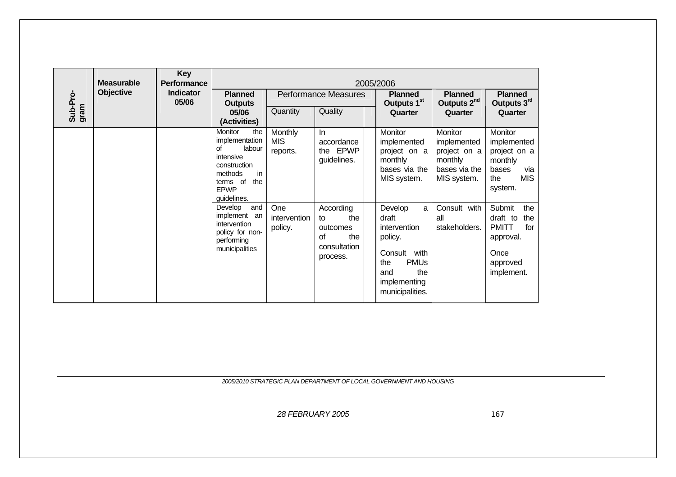|                  | <b>Measurable</b> | <b>Key</b><br><b>Performance</b> | 2005/2006                                                                                                                                              |                                   |                                                                             |                                                                                                                                            |                                                                                   |                                                                                                        |  |  |  |  |  |
|------------------|-------------------|----------------------------------|--------------------------------------------------------------------------------------------------------------------------------------------------------|-----------------------------------|-----------------------------------------------------------------------------|--------------------------------------------------------------------------------------------------------------------------------------------|-----------------------------------------------------------------------------------|--------------------------------------------------------------------------------------------------------|--|--|--|--|--|
|                  | <b>Objective</b>  | <b>Indicator</b><br>05/06        | <b>Planned</b><br><b>Outputs</b>                                                                                                                       |                                   | <b>Performance Measures</b>                                                 | <b>Planned</b><br>Outputs 1 <sup>st</sup>                                                                                                  | <b>Planned</b><br>Outputs 2 <sup>nd</sup>                                         | <b>Planned</b><br>Outputs 3rd                                                                          |  |  |  |  |  |
| Sub-Pro-<br>gram |                   |                                  | 05/06<br>(Activities)                                                                                                                                  | Quantity                          | Quality                                                                     | Quarter                                                                                                                                    | Quarter                                                                           | Quarter                                                                                                |  |  |  |  |  |
|                  |                   |                                  | <b>Monitor</b><br>the<br>implementation<br>of<br>labour<br>intensive<br>construction<br>methods<br>in<br>the<br>terms of<br><b>EPWP</b><br>guidelines. | Monthly<br><b>MIS</b><br>reports. | $\ln$<br>accordance<br>the EPWP<br>guidelines.                              | Monitor<br>implemented<br>project on a<br>monthly<br>bases via the<br>MIS system.                                                          | Monitor<br>implemented<br>project on a<br>monthly<br>bases via the<br>MIS system. | Monitor<br>implemented<br>project on a<br>monthly<br>bases<br>via<br><b>MIS</b><br>the<br>system.      |  |  |  |  |  |
|                  |                   |                                  | Develop<br>and<br>implement an<br>intervention<br>policy for non-<br>performing<br>municipalities                                                      | One<br>intervention<br>policy.    | According<br>the<br>to<br>outcomes<br>of<br>the<br>consultation<br>process. | Develop<br>a<br>draft<br>intervention<br>policy.<br>Consult<br>with<br><b>PMUs</b><br>the<br>the<br>and<br>implementing<br>municipalities. | Consult with<br>all<br>stakeholders.                                              | Submit<br>the<br>draft to<br>the<br><b>PMITT</b><br>for<br>approval.<br>Once<br>approved<br>implement. |  |  |  |  |  |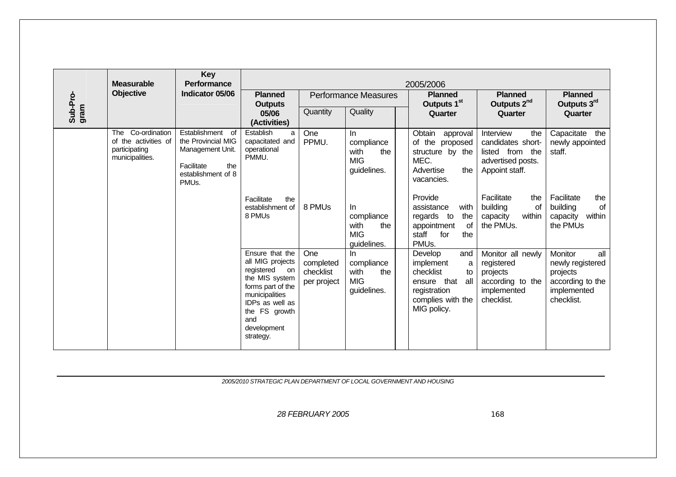|                  | <b>Measurable</b>                                                                | <b>Key</b><br>Performance                                                                                                   |                                                                                                                                                                                         |                                              |                                                               | 2005/2006                                                                                                                        |                                                                                                 |                                                                                                 |
|------------------|----------------------------------------------------------------------------------|-----------------------------------------------------------------------------------------------------------------------------|-----------------------------------------------------------------------------------------------------------------------------------------------------------------------------------------|----------------------------------------------|---------------------------------------------------------------|----------------------------------------------------------------------------------------------------------------------------------|-------------------------------------------------------------------------------------------------|-------------------------------------------------------------------------------------------------|
|                  | <b>Objective</b>                                                                 | Indicator 05/06                                                                                                             | <b>Planned</b><br><b>Outputs</b>                                                                                                                                                        |                                              | <b>Performance Measures</b>                                   | <b>Planned</b><br>Outputs 1 <sup>st</sup>                                                                                        | <b>Planned</b><br>Outputs 2 <sup>nd</sup>                                                       | <b>Planned</b><br>Outputs 3rd                                                                   |
| Sub-Pro-<br>gram |                                                                                  |                                                                                                                             | 05/06<br>(Activities)                                                                                                                                                                   | Quantity                                     | Quality                                                       | Quarter                                                                                                                          | Quarter                                                                                         | Quarter                                                                                         |
|                  | Co-ordination<br>The<br>of the activities of<br>participating<br>municipalities. | Establishment of<br>the Provincial MIG<br>Management Unit.<br>Facilitate<br>the<br>establishment of 8<br>PMU <sub>s</sub> . | Establish<br>a<br>capacitated and<br>operational<br>PMMU.                                                                                                                               | One<br>PPMU.                                 | In<br>compliance<br>with<br>the<br><b>MIG</b><br>guidelines.  | Obtain approval<br>of the proposed<br>structure by the<br>MEC.<br>Advertise<br>the<br>vacancies.                                 | Interview<br>the<br>candidates short-<br>listed from the<br>advertised posts.<br>Appoint staff. | Capacitate<br>the<br>newly appointed<br>staff.                                                  |
|                  |                                                                                  |                                                                                                                             | Facilitate<br>the<br>establishment of<br>8 PMUs                                                                                                                                         | 8 PMUs                                       | In.<br>compliance<br>with<br>the<br><b>MIG</b><br>guidelines. | Provide<br>with<br>assistance<br>regards to<br>the<br>appointment<br>of<br>staff<br>for<br>the<br>PMU <sub>s</sub> .             | Facilitate<br>the<br>building<br>of<br>within<br>capacity<br>the PMUs.                          | Facilitate<br>the<br>of<br>building<br>within<br>capacity<br>the PMUs                           |
|                  |                                                                                  |                                                                                                                             | Ensure that the<br>all MIG projects<br>registered<br>on<br>the MIS system<br>forms part of the<br>municipalities<br>IDPs as well as<br>the FS growth<br>and<br>development<br>strategy. | One<br>completed<br>checklist<br>per project | In.<br>compliance<br>with<br>the<br><b>MIG</b><br>guidelines. | Develop<br>and<br>implement<br>a<br>checklist<br>to<br>that<br>all<br>ensure<br>registration<br>complies with the<br>MIG policy. | Monitor all newly<br>registered<br>projects<br>according to the<br>implemented<br>checklist.    | all<br>Monitor<br>newly registered<br>projects<br>according to the<br>implemented<br>checklist. |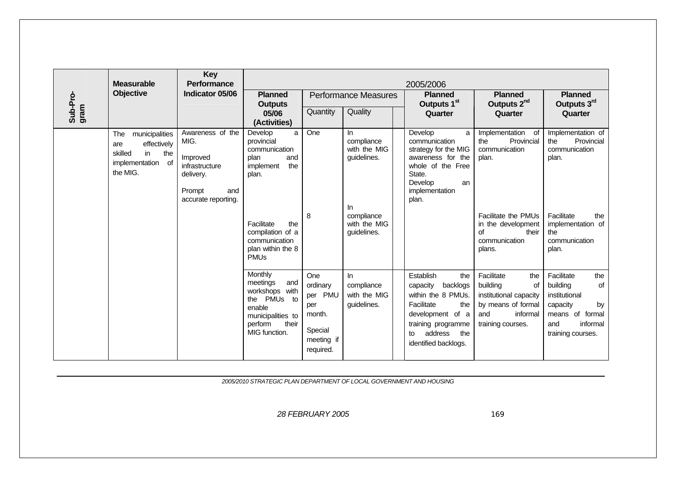|                  | <b>Measurable</b>                                                                                    | <b>Key</b><br><b>Performance</b>                                                                            |                                                                                                                                                                        |                                                                                             |                                                                                                      | 2005/2006                                                                                                                                                                     |                                                                                                                                                                |                                                                                                                                             |  |  |
|------------------|------------------------------------------------------------------------------------------------------|-------------------------------------------------------------------------------------------------------------|------------------------------------------------------------------------------------------------------------------------------------------------------------------------|---------------------------------------------------------------------------------------------|------------------------------------------------------------------------------------------------------|-------------------------------------------------------------------------------------------------------------------------------------------------------------------------------|----------------------------------------------------------------------------------------------------------------------------------------------------------------|---------------------------------------------------------------------------------------------------------------------------------------------|--|--|
|                  | <b>Objective</b>                                                                                     | Indicator 05/06                                                                                             | <b>Planned</b><br><b>Outputs</b>                                                                                                                                       |                                                                                             | <b>Performance Measures</b>                                                                          | <b>Planned</b><br>Outputs 1 <sup>st</sup>                                                                                                                                     | <b>Planned</b><br>Outputs 2 <sup>nd</sup>                                                                                                                      | <b>Planned</b><br>Outputs 3rd                                                                                                               |  |  |
| Sub-Pro-<br>gram |                                                                                                      |                                                                                                             | 05/06<br>(Activities)                                                                                                                                                  | Quantity                                                                                    | Quality                                                                                              | Quarter                                                                                                                                                                       | Quarter                                                                                                                                                        | Quarter                                                                                                                                     |  |  |
|                  | municipalities<br>The<br>effectively<br>are<br>skilled<br>the<br>in<br>implementation of<br>the MIG. | Awareness of the<br>MIG.<br>Improved<br>infrastructure<br>delivery.<br>Prompt<br>and<br>accurate reporting. | Develop<br>a<br>provincial<br>communication<br>plan<br>and<br>implement<br>the<br>plan.<br>Facilitate<br>the<br>compilation of a<br>communication<br>plan within the 8 | One<br>8                                                                                    | In.<br>compliance<br>with the MIG<br>guidelines.<br>In.<br>compliance<br>with the MIG<br>guidelines. | Develop<br>a<br>communication<br>strategy for the MIG<br>awareness for the<br>whole of the Free<br>State.<br>Develop<br>an<br>implementation<br>plan.                         | Implementation of<br>Provincial<br>the<br>communication<br>plan.<br>Facilitate the PMUs<br>in the development<br><b>of</b><br>their<br>communication<br>plans. | Implementation of<br>the<br>Provincial<br>communication<br>plan.<br>Facilitate<br>the<br>implementation of<br>the<br>communication<br>plan. |  |  |
|                  |                                                                                                      |                                                                                                             | <b>PMU<sub>s</sub></b><br>Monthly<br>meetings<br>and<br>workshops with<br>the PMUs to<br>enable<br>municipalities to<br>perform<br>their<br>MIG function.              | One<br>ordinary<br><b>PMU</b><br>per<br>per<br>month.<br>Special<br>meeting if<br>required. | In.<br>compliance<br>with the MIG<br>guidelines.                                                     | Establish<br>the<br>capacity<br>backlogs<br>within the 8 PMUs.<br>Facilitate<br>the<br>development of a<br>training programme<br>address<br>the<br>to<br>identified backlogs. | Facilitate<br>the<br>building<br>of<br>institutional capacity<br>by means of formal<br>informal<br>and<br>training courses.                                    | Facilitate<br>the<br>building<br>of<br>institutional<br>by<br>capacity<br>means of formal<br>informal<br>and<br>training courses.           |  |  |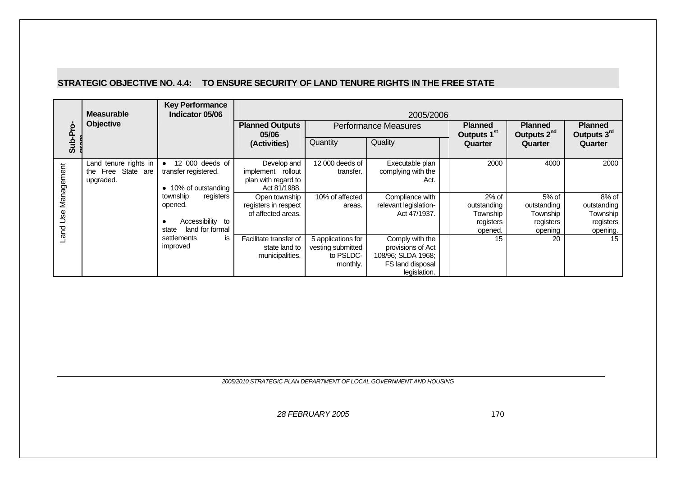#### **STRATEGIC OBJECTIVE NO. 4.4: TO ENSURE SECURITY OF LAND TENURE RIGHTS IN THE FREE STATE**

|            | <b>Measurable</b>                                           | <b>Key Performance</b><br>Indicator 05/06                                        |                                                                         | 2005/2006                                                        |                                                                                                |                                                            |                                                            |                                                             |  |  |  |  |  |  |
|------------|-------------------------------------------------------------|----------------------------------------------------------------------------------|-------------------------------------------------------------------------|------------------------------------------------------------------|------------------------------------------------------------------------------------------------|------------------------------------------------------------|------------------------------------------------------------|-------------------------------------------------------------|--|--|--|--|--|--|
|            | <b>Objective</b>                                            |                                                                                  | <b>Planned Outputs</b><br>05/06                                         |                                                                  | <b>Performance Measures</b>                                                                    | <b>Planned</b><br>Outputs 1 <sup>st</sup>                  | <b>Planned</b><br>Outputs 2 <sup>nd</sup>                  | <b>Planned</b><br>Outputs 3rd                               |  |  |  |  |  |  |
| Sub-Pro    |                                                             |                                                                                  | (Activities)                                                            | Quantity                                                         | Quality                                                                                        | Quarter                                                    | Quarter                                                    | Quarter                                                     |  |  |  |  |  |  |
| Management | Land tenure rights in<br>Free State are<br>the<br>upgraded. | 12 000 deeds of<br>transfer registered.<br>• 10% of outstanding                  | Develop and<br>implement rollout<br>plan with regard to<br>Act 81/1988. | 12 000 deeds of<br>transfer.                                     | Executable plan<br>complying with the<br>Act.                                                  | 2000                                                       | 4000                                                       | 2000                                                        |  |  |  |  |  |  |
| Land Use   |                                                             | registers<br>township<br>opened.<br>Accessibility to<br>land for formal<br>state | Open township<br>registers in respect<br>of affected areas.             | 10% of affected<br>areas.                                        | Compliance with<br>relevant legislation-<br>Act 47/1937.                                       | $2%$ of<br>outstanding<br>Township<br>registers<br>opened. | $5%$ of<br>outstanding<br>Township<br>registers<br>opening | $8%$ of<br>outstanding<br>Township<br>registers<br>opening. |  |  |  |  |  |  |
|            |                                                             | settlements<br><b>is</b><br>improved                                             | Facilitate transfer of<br>state land to<br>municipalities.              | 5 applications for<br>vesting submitted<br>to PSLDC-<br>monthly. | Comply with the<br>provisions of Act<br>108/96; SLDA 1968;<br>FS land disposal<br>legislation. | 15                                                         | 20                                                         | 15                                                          |  |  |  |  |  |  |

*2005/2010 STRATEGIC PLAN DEPARTMENT OF LOCAL GOVERNMENT AND HOUSING*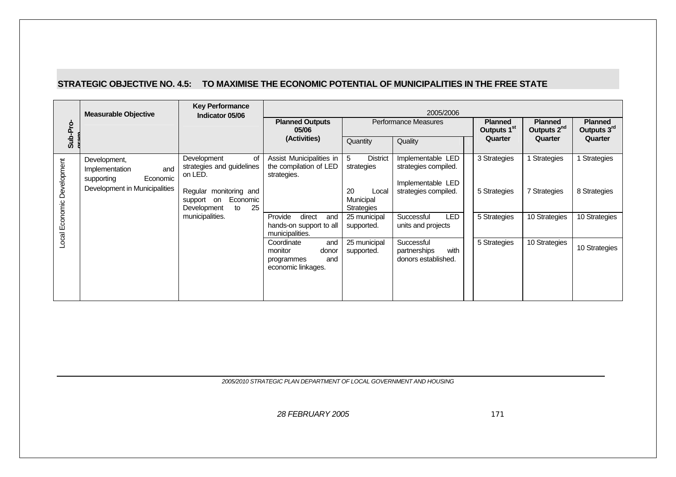#### **STRATEGIC OBJECTIVE NO. 4.5: TO MAXIMISE THE ECONOMIC POTENTIAL OF MUNICIPALITIES IN THE FREE STATE**

|                            | <b>Measurable Objective</b>                                     | <b>Key Performance</b><br>Indicator 05/06                                                         |                                                                                  |                                        | 2005/2006                                                 |                                           |                                           |                               |
|----------------------------|-----------------------------------------------------------------|---------------------------------------------------------------------------------------------------|----------------------------------------------------------------------------------|----------------------------------------|-----------------------------------------------------------|-------------------------------------------|-------------------------------------------|-------------------------------|
| Sub-Pro                    |                                                                 |                                                                                                   | <b>Planned Outputs</b><br>05/06                                                  |                                        | Performance Measures                                      | <b>Planned</b><br>Outputs 1 <sup>st</sup> | <b>Planned</b><br>Outputs 2 <sup>nd</sup> | <b>Planned</b><br>Outputs 3rd |
|                            |                                                                 |                                                                                                   | (Activities)                                                                     | Quantity                               | Quality                                                   | Quarter                                   | Quarter                                   | Quarter                       |
|                            | Development,<br>Implementation<br>and<br>supporting<br>Economic | Development<br>οf<br>strategies and guidelines<br>on LED.                                         | Assist Municipalities in<br>the compilation of LED<br>strategies.                | <b>District</b><br>5<br>strategies     | Implementable LED<br>strategies compiled.                 | 3 Strategies                              | Strategies                                | Strategies                    |
| Local Economic Development | Development in Municipalities                                   | Regular monitoring and<br>Economic<br>support<br>on<br>25<br>Development<br>to<br>municipalities. |                                                                                  | 20<br>Local<br>Municipal<br>Strategies | Implementable LED<br>strategies compiled.                 | 5 Strategies                              | 7 Strategies                              | 8 Strategies                  |
|                            |                                                                 |                                                                                                   | Provide<br>direct<br>and<br>hands-on support to all<br>municipalities.           | 25 municipal<br>supported.             | <b>LED</b><br>Successful<br>units and projects            | 5 Strategies                              | 10 Strategies                             | 10 Strategies                 |
|                            |                                                                 |                                                                                                   | Coordinate<br>and<br>monitor<br>donor<br>and<br>programmes<br>economic linkages. | 25 municipal<br>supported.             | Successful<br>partnerships<br>with<br>donors established. | 5 Strategies                              | 10 Strategies                             | 10 Strategies                 |

*2005/2010 STRATEGIC PLAN DEPARTMENT OF LOCAL GOVERNMENT AND HOUSING*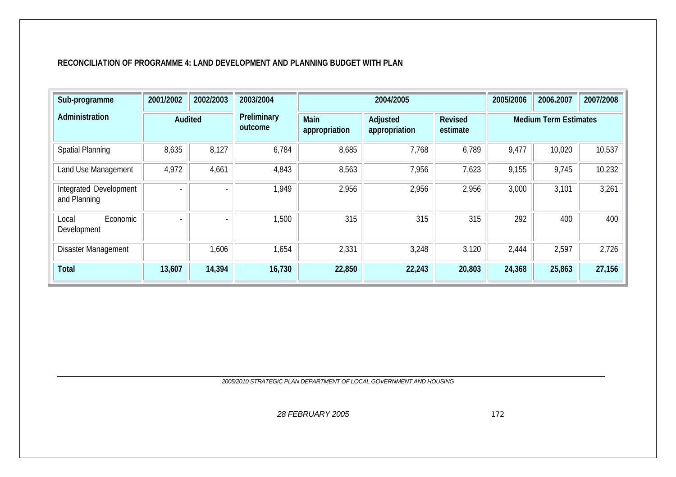#### **RECONCILIATION OF PROGRAMME 4: LAND DEVELOPMENT AND PLANNING BUDGET WITH PLAN**

| Sub-programme                          | 2001/2002                | 2002/2003 | 2003/2004              |                       | 2004/2005                 |                            | 2005/2006                    | 2006.2007 | 2007/2008 |
|----------------------------------------|--------------------------|-----------|------------------------|-----------------------|---------------------------|----------------------------|------------------------------|-----------|-----------|
| Administration                         | Audited                  |           | Preliminary<br>outcome | Main<br>appropriation | Adjusted<br>appropriation | <b>Revised</b><br>estimate | <b>Medium Term Estimates</b> |           |           |
| <b>Spatial Planning</b>                | 8,635                    | 8,127     | 6,784                  | 8,685                 | 7,768                     | 6,789                      | 9,477                        | 10,020    | 10,537    |
| Land Use Management                    | 4,972                    | 4,661     | 4,843                  | 8,563                 | 7,956                     | 7,623                      | 9,155                        | 9,745     | 10,232    |
| Integrated Development<br>and Planning | Ξ.                       |           | 1,949                  | 2,956                 | 2,956                     | 2,956                      | 3,000                        | 3,101     | 3,261     |
| Economic<br>Local<br>Development       | $\overline{\phantom{0}}$ |           | 1,500                  | 315                   | 315                       | 315                        | 292                          | 400       | 400       |
| <b>Disaster Management</b>             |                          | 1,606     | 1,654                  | 2,331                 | 3,248                     | 3,120                      | 2,444                        | 2,597     | 2,726     |
| Total                                  | 13,607                   | 14,394    | 16,730                 | 22,850                | 22,243                    | 20,803                     | 24,368                       | 25,863    | 27,156    |

*2005/2010 STRATEGIC PLAN DEPARTMENT OF LOCAL GOVERNMENT AND HOUSING*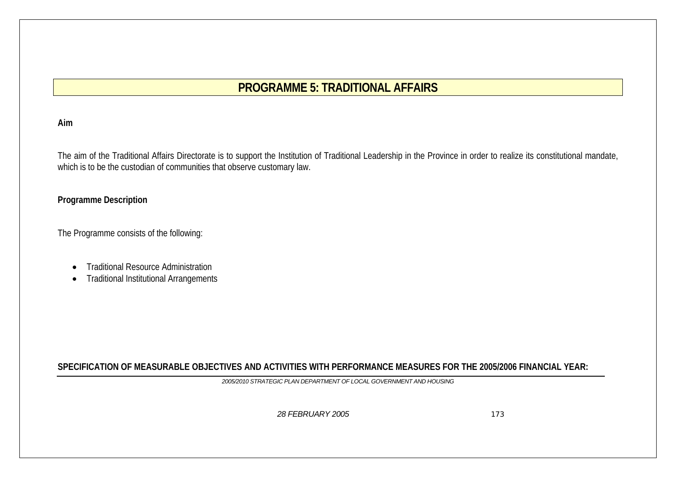# **PROGRAMME 5: TRADITIONAL AFFAIRS**

#### **Aim**

The aim of the Traditional Affairs Directorate is to support the Institution of Traditional Leadership in the Province in order to realize its constitutional mandate, which is to be the custodian of communities that observe customary law.

#### **Programme Description**

The Programme consists of the following:

- •Traditional Resource Administration
- $\bullet$ Traditional Institutional Arrangements

**SPECIFICATION OF MEASURABLE OBJECTIVES AND ACTIVITIES WITH PERFORMANCE MEASURES FOR THE 2005/2006 FINANCIAL YEAR:**

*2005/2010 STRATEGIC PLAN DEPARTMENT OF LOCAL GOVERNMENT AND HOUSING*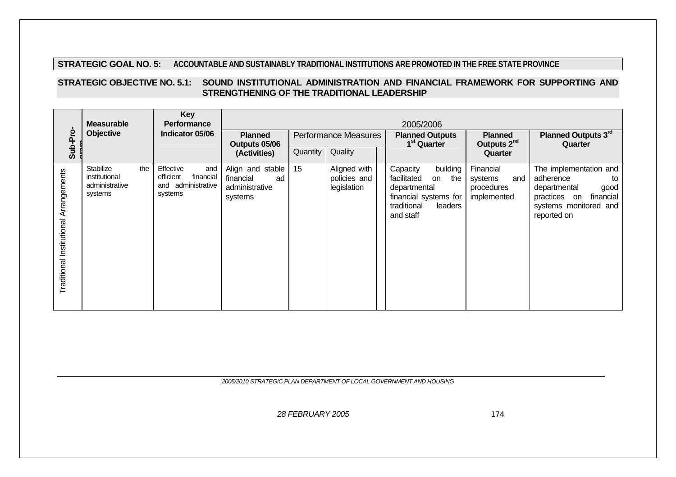#### **STRATEGIC GOAL NO. 5: ACCOUNTABLE AND SUSTAINABLY TRADITIONAL INSTITUTIONS ARE PROMOTED IN THE FREE STATE PROVINCE**

#### **STRATEGIC OBJECTIVE NO. 5.1: SOUND INSTITUTIONAL ADMINISTRATION AND FINANCIAL FRAMEWORK FOR SUPPORTING AND STRENGTHENING OF THE TRADITIONAL LEADERSHIP**

|                                        | <b>Measurable</b><br>Objective                                 | <b>Key</b><br><b>Performance</b><br>Indicator 05/06                         | <b>Planned</b>                                                   |          | <b>Performance Measures</b>                 | 2005/2006<br><b>Planned Outputs</b>                                                                                              | <b>Planned</b>                                           | Planned Outputs 3rd<br>Quarter                                                                                                         |  |
|----------------------------------------|----------------------------------------------------------------|-----------------------------------------------------------------------------|------------------------------------------------------------------|----------|---------------------------------------------|----------------------------------------------------------------------------------------------------------------------------------|----------------------------------------------------------|----------------------------------------------------------------------------------------------------------------------------------------|--|
| Sub-Pro                                |                                                                |                                                                             | Outputs 05/06<br>(Activities)                                    | Quantity | Quality                                     | 1 <sup>st</sup> Quarter                                                                                                          | Outputs 2 <sup>nd</sup><br>Quarter                       |                                                                                                                                        |  |
| Traditional Institutional Arrangements | Stabilize<br>the<br>institutional<br>administrative<br>systems | Effective<br>and<br>efficient<br>financial<br>and administrative<br>systems | Align and stable<br>financial<br>ad<br>administrative<br>systems | 15       | Aligned with<br>policies and<br>legislation | building<br>Capacity<br>facilitated<br>the<br>on<br>departmental<br>financial systems for<br>traditional<br>leaders<br>and staff | Financial<br>systems<br>and<br>procedures<br>implemented | The implementation and<br>adherence<br>to<br>departmental<br>good<br>practices on<br>financial<br>systems monitored and<br>reported on |  |

*2005/2010 STRATEGIC PLAN DEPARTMENT OF LOCAL GOVERNMENT AND HOUSING*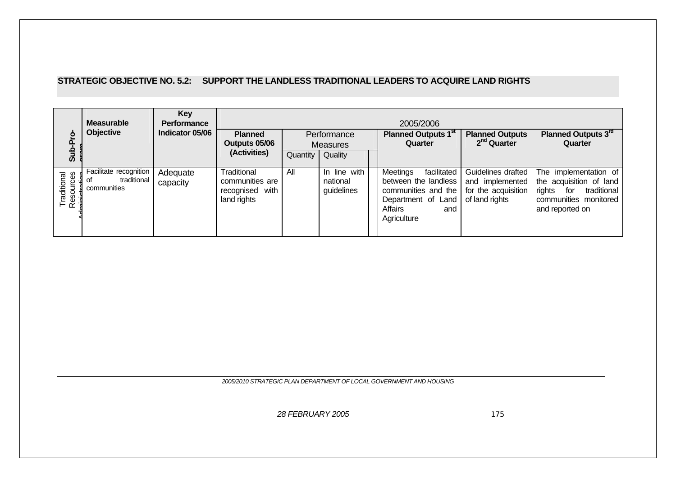### **STRATEGIC OBJECTIVE NO. 5.2: SUPPORT THE LANDLESS TRADITIONAL LEADERS TO ACQUIRE LAND RIGHTS**

| $\circ$<br>ൎ<br>을<br>ທ                   | <b>Measurable</b><br><b>Objective</b>                      | Key<br><b>Performance</b><br>Indicator 05/06 | <b>Planned</b><br>Outputs 05/06<br>(Activities)                  | Quantity | Performance<br><b>Measures</b><br>Quality | 2005/2006<br><b>Planned Outputs 1st</b><br>Quarter                                                                            | <b>Planned Outputs</b><br>2 <sup>nd</sup> Quarter                              | Planned Outputs 3rd<br>Quarter                                                                                               |
|------------------------------------------|------------------------------------------------------------|----------------------------------------------|------------------------------------------------------------------|----------|-------------------------------------------|-------------------------------------------------------------------------------------------------------------------------------|--------------------------------------------------------------------------------|------------------------------------------------------------------------------------------------------------------------------|
| Traditional<br>Resources<br>minictrotion | Facilitate recognition<br>traditional<br>οt<br>communities | Adequate<br>capacity                         | Traditional<br>communities are<br>recognised with<br>land rights | All      | In line with<br>national<br>guidelines    | facilitated<br>Meetings<br>between the landless<br>communities and the<br>Department of Land<br>Affairs<br>and<br>Agriculture | Guidelines drafted<br>and implemented<br>for the acquisition<br>of land rights | The implementation of<br>the acquisition of land<br>rights<br>traditional<br>for<br>communities monitored<br>and reported on |

*2005/2010 STRATEGIC PLAN DEPARTMENT OF LOCAL GOVERNMENT AND HOUSING*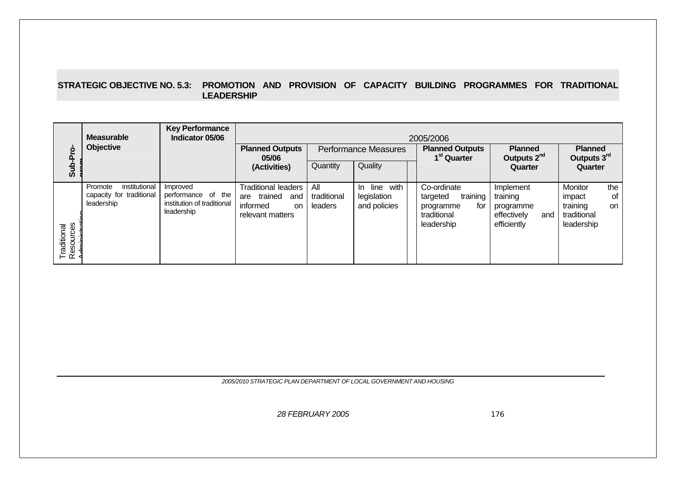#### **STRATEGIC OBJECTIVE NO. 5.3: PROMOTION AND PROVISION OF CAPACITY BUILDING PROGRAMMES FOR TRADITIONAL LEADERSHIP**

| <b>Key Performance</b><br><b>Measurable</b><br>Indicator 05/06<br>2005/2006 |                                                                    |                                                                            |                                                                                                  |                               |                                                 |                                                   |                                                                                      |                                                                         |                                                                               |
|-----------------------------------------------------------------------------|--------------------------------------------------------------------|----------------------------------------------------------------------------|--------------------------------------------------------------------------------------------------|-------------------------------|-------------------------------------------------|---------------------------------------------------|--------------------------------------------------------------------------------------|-------------------------------------------------------------------------|-------------------------------------------------------------------------------|
| ġ<br>ō                                                                      | Objective                                                          |                                                                            | <b>Planned Outputs</b><br>Performance Measures<br>05/06                                          |                               |                                                 | <b>Planned Outputs</b><br>1 <sup>st</sup> Quarter | <b>Planned</b><br>Outputs 2 <sup>nd</sup>                                            | <b>Planned</b><br>Outputs 3rd                                           |                                                                               |
| Sub                                                                         |                                                                    |                                                                            | (Activities)                                                                                     | Quantity                      | Quality                                         |                                                   |                                                                                      | Quarter                                                                 | Quarter                                                                       |
| Traditional<br>Resources<br>Administrat                                     | Promote<br>institutional<br>capacity for traditional<br>leadership | Improved<br>performance of the<br>institution of traditional<br>leadership | <b>Traditional leaders</b><br>trained<br>and<br>are<br>informed<br><b>on</b><br>relevant matters | All<br>traditional<br>leaders | line with<br>In.<br>legislation<br>and policies |                                                   | Co-ordinate<br>training<br>targeted<br>for<br>programme<br>traditional<br>leadership | Implement<br>training<br>programme<br>effectively<br>and<br>efficiently | Monitor<br>the<br>impact<br>οf<br>training<br>on<br>traditional<br>leadership |

*2005/2010 STRATEGIC PLAN DEPARTMENT OF LOCAL GOVERNMENT AND HOUSING*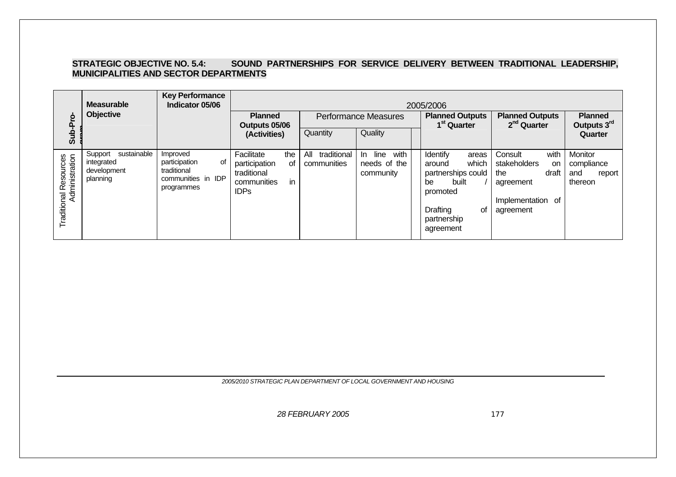#### STRATEGIC OBJECTIVE NO. 5.4: SOUND PARTNERSHIPS FOR SERVICE DELIVERY BETWEEN TRADITIONAL LEADERSHIP, **MUNICIPALITIES AND SECTOR DEPARTMENTS**

|                       | <b>Key Performance</b><br><b>Measurable</b><br>Indicator 05/06<br>2005/2006 |                                                                                    |                                                                                             |                                   |                                                  |                                                                                                                                     |                                                                                                      |                                                   |
|-----------------------|-----------------------------------------------------------------------------|------------------------------------------------------------------------------------|---------------------------------------------------------------------------------------------|-----------------------------------|--------------------------------------------------|-------------------------------------------------------------------------------------------------------------------------------------|------------------------------------------------------------------------------------------------------|---------------------------------------------------|
|                       | Objective                                                                   |                                                                                    | <b>Planned</b><br>Outputs 05/06                                                             |                                   | <b>Performance Measures</b>                      | <b>Planned Outputs</b><br>1 <sup>st</sup> Quarter                                                                                   | <b>Planned Outputs</b><br>2 <sup>nd</sup> Quarter                                                    | <b>Planned</b><br>Outputs 3 <sup>rd</sup>         |
| Sub-Pro               |                                                                             |                                                                                    | (Activities)                                                                                | Quantity                          | Quality                                          |                                                                                                                                     |                                                                                                      | Quarter                                           |
| Traditional Resources | sustainable<br>Support<br>integrated<br>development<br>planning             | Improved<br>participation<br>0f<br>traditional<br>communities in IDP<br>programmes | Facilitate<br>the<br>participation<br>of<br>traditional<br>in<br>communities<br><b>IDPs</b> | traditional<br>All<br>communities | line<br>with<br>In.<br>needs of the<br>community | Identify<br>areas<br>which<br>around<br>partnerships could<br>built<br>be<br>promoted<br>Drafting<br>οf<br>partnership<br>agreement | with<br>Consult<br>stakeholders<br>on<br>draft<br>the<br>agreement<br>Implementation of<br>agreement | Monitor<br>compliance<br>and<br>report<br>thereon |

*2005/2010 STRATEGIC PLAN DEPARTMENT OF LOCAL GOVERNMENT AND HOUSING*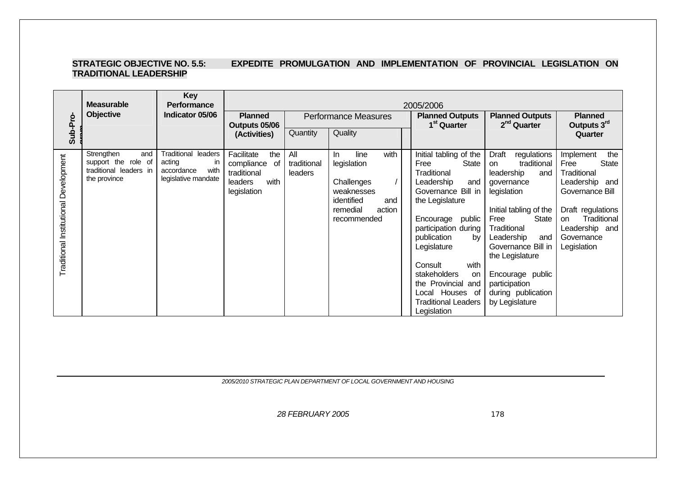#### **STRATEGIC OBJECTIVE NO. 5.5: EXPEDITE PROMULGATION AND IMPLEMENTATION OF PROVINCIAL LEGISLATION ON TRADITIONAL LEADERSHIP**

|                                       | <b>Measurable</b>                                                                  | <b>Key</b><br><b>Performance</b>                                                        | 2005/2006                                                                                     |                               |                                                                                                                          |  |                                                                                                                                                                                                                                                                                                                                            |                                                                                                                                                                                                                                                                                                                    |                                                                                                                                                                                              |  |
|---------------------------------------|------------------------------------------------------------------------------------|-----------------------------------------------------------------------------------------|-----------------------------------------------------------------------------------------------|-------------------------------|--------------------------------------------------------------------------------------------------------------------------|--|--------------------------------------------------------------------------------------------------------------------------------------------------------------------------------------------------------------------------------------------------------------------------------------------------------------------------------------------|--------------------------------------------------------------------------------------------------------------------------------------------------------------------------------------------------------------------------------------------------------------------------------------------------------------------|----------------------------------------------------------------------------------------------------------------------------------------------------------------------------------------------|--|
|                                       | <b>Objective</b>                                                                   | Indicator 05/06                                                                         | <b>Planned</b><br>Outputs 05/06                                                               |                               | <b>Performance Measures</b>                                                                                              |  | <b>Planned Outputs</b><br>1 <sup>st</sup> Quarter                                                                                                                                                                                                                                                                                          | <b>Planned Outputs</b><br>2 <sup>nd</sup> Quarter                                                                                                                                                                                                                                                                  | <b>Planned</b><br>Outputs 3rd                                                                                                                                                                |  |
| Sub-Pro-                              |                                                                                    |                                                                                         | (Activities)                                                                                  | Quantity                      | Quality                                                                                                                  |  |                                                                                                                                                                                                                                                                                                                                            |                                                                                                                                                                                                                                                                                                                    | Quarter                                                                                                                                                                                      |  |
| Traditional Institutional Development | Strengthen<br>and<br>support the role of<br>traditional leaders in<br>the province | <b>Traditional leaders</b><br>acting<br>ın<br>with<br>accordance<br>legislative mandate | Facilitate<br>the<br>compliance<br>0f<br>traditional<br>with<br><b>leaders</b><br>legislation | All<br>traditional<br>leaders | with<br>line<br>In.<br>legislation<br>Challenges<br>weaknesses<br>identified<br>and<br>remedial<br>action<br>recommended |  | Initial tabling of the<br><b>State</b><br>Free<br>Traditional<br>Leadership<br>and<br>Governance Bill in<br>the Legislature<br>Encourage public<br>participation during<br>publication<br>bv<br>Legislature<br>Consult<br>with<br>stakeholders<br>on<br>the Provincial and<br>Local Houses of<br><b>Traditional Leaders</b><br>Legislation | Draft<br>regulations<br>traditional<br><sub>on</sub><br>leadership<br>and<br>governance<br>legislation<br>Initial tabling of the<br><b>State</b><br>Free<br>Traditional<br>Leadership<br>and<br>Governance Bill in<br>the Legislature<br>Encourage public<br>participation<br>during publication<br>by Legislature | the<br>Implement<br>Free<br><b>State</b><br>Traditional<br>Leadership and<br>Governance Bill<br>Draft regulations<br>Traditional<br><b>on</b><br>Leadership and<br>Governance<br>Legislation |  |

*2005/2010 STRATEGIC PLAN DEPARTMENT OF LOCAL GOVERNMENT AND HOUSING*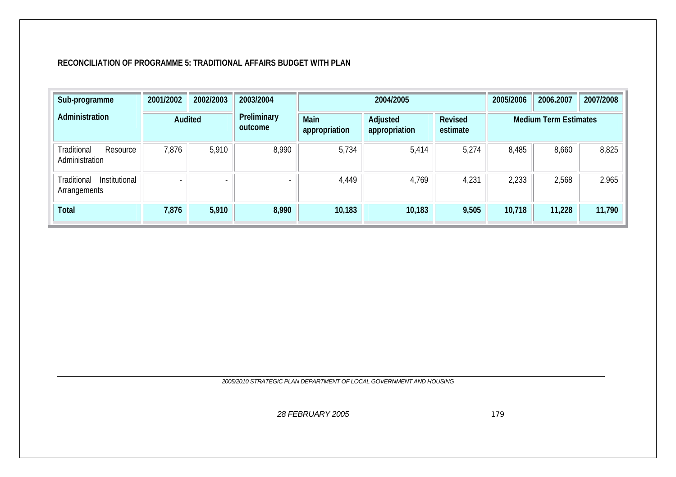#### **RECONCILIATION OF PROGRAMME 5: TRADITIONAL AFFAIRS BUDGET WITH PLAN**

| Sub-programme                                | 2001/2002 | 2002/2003 | 2003/2004              |                       | 2004/2005                 |                     | 2005/2006                    | 2006.2007 | 2007/2008 |  |
|----------------------------------------------|-----------|-----------|------------------------|-----------------------|---------------------------|---------------------|------------------------------|-----------|-----------|--|
| Administration                               | Audited   |           | Preliminary<br>outcome | Main<br>appropriation | Adjusted<br>appropriation | Revised<br>estimate | <b>Medium Term Estimates</b> |           |           |  |
| Traditional<br>Resource<br>Administration    | 7,876     | 5,910     | 8,990                  | 5,734                 | 5,414                     | 5,274               | 8,485                        | 8,660     | 8,825     |  |
| Institutional<br>Traditional<br>Arrangements |           |           |                        | 4,449                 | 4,769                     | 4,231               | 2,233                        | 2,568     | 2,965     |  |
| <b>Total</b>                                 | 7,876     | 5,910     | 8,990                  | 10,183                | 10,183                    | 9,505               | 10,718                       | 11,228    | 11,790    |  |

*2005/2010 STRATEGIC PLAN DEPARTMENT OF LOCAL GOVERNMENT AND HOUSING*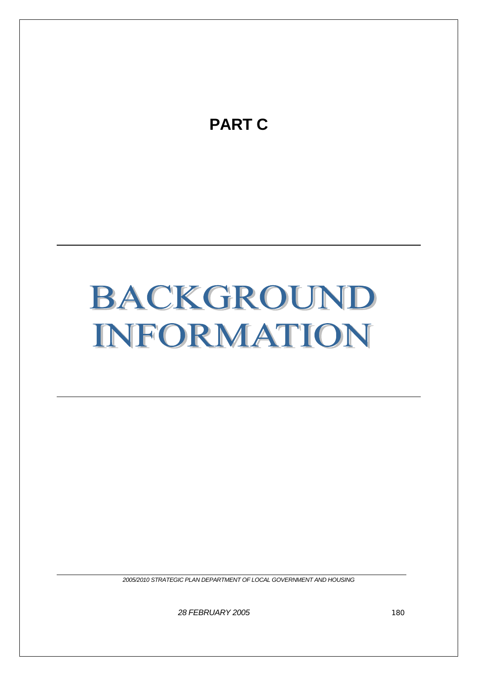

# BACKGROUND INFORMATION

*2005/2010 STRATEGIC PLAN DEPARTMENT OF LOCAL GOVERNMENT AND HOUSING*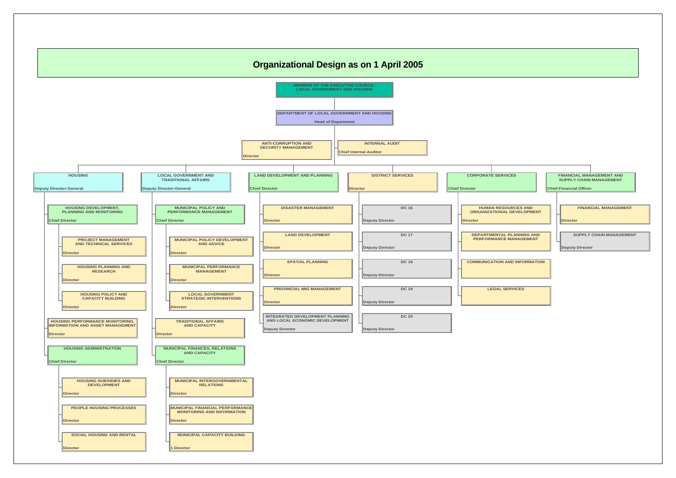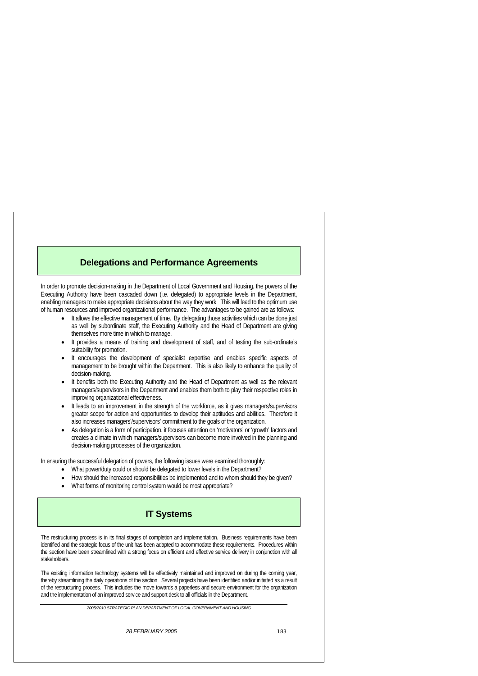*28 FEBRUARY 2005* 183

# **Delegations and Performance Agreements**

In order to promote decision-making in the Department of Local Government and Housing, the powers of the Executing Authority have been cascaded down (i.e. delegated) to appropriate levels in the Department, enabling managers to make appropriate decisions about the way they work This will lead to the optimum use of human resources and improved organizational performance. The advantages to be gained are as follows:

- It allows the effective management of time. By delegating those activities which can be done just as well by subordinate staff, the Executing Authority and the Head of Department are giving themselves more time in which to manage.
- It provides a means of training and development of staff, and of testing the sub-ordinate's suitability for promotion.
- It encourages the development of specialist expertise and enables specific aspects of management to be brought within the Department. This is also likely to enhance the quality of decision-making.
- It benefits both the Executing Authority and the Head of Department as well as the relevant managers/supervisors in the Department and enables them both to play their respective roles in improving organizational effectiveness.
- It leads to an improvement in the strength of the workforce, as it gives managers/supervisors greater scope for action and opportunities to develop their aptitudes and abilities. Therefore it also increases managers'/supervisors' commitment to the goals of the organization.
- As delegation is a form of participation, it focuses attention on 'motivators' or 'growth' factors and creates a climate in which managers/supervisors can become more involved in the planning and decision-making processes of the organization.

- What power/duty could or should be delegated to lower levels in the Department?
- How should the increased responsibilities be implemented and to whom should they be given?
- What forms of monitoring control system would be most appropriate?

In ensuring the successful delegation of powers, the following issues were examined thoroughly:

## **IT Systems**

The restructuring process is in its final stages of completion and implementation. Business requirements have been identified and the strategic focus of the unit has been adapted to accommodate these requirements. Procedures within the section have been streamlined with a strong focus on efficient and effective service delivery in conjunction with all stakeholders.

The existing information technology systems will be effectively maintained and improved on during the coming year, thereby streamlining the daily operations of the section. Several projects have been identified and/or initiated as a result of the restructuring process. This includes the move towards a paperless and secure environment for the organization and the implementation of an improved service and support desk to all officials in the Department.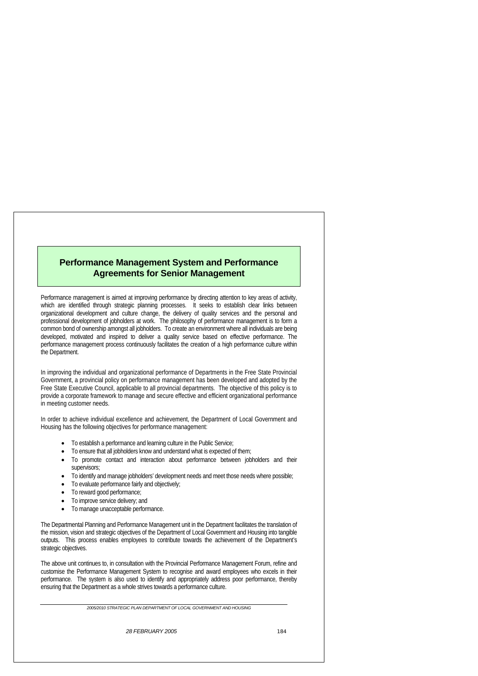*28 FEBRUARY 2005* 184

## **Performance Management System and Performance Agreements for Senior Management**

Performance management is aimed at improving performance by directing attention to key areas of activity, which are identified through strategic planning processes. It seeks to establish clear links between organizational development and culture change, the delivery of quality services and the personal and professional development of jobholders at work. The philosophy of performance management is to form a common bond of ownership amongst all jobholders. To create an environment where all individuals are being developed, motivated and inspired to deliver a quality service based on effective performance. The performance management process continuously facilitates the creation of a high performance culture within the Department.

- To establish a performance and learning culture in the Public Service;
- To ensure that all jobholders know and understand what is expected of them;
- To promote contact and interaction about performance between jobholders and their supervisors;
- To identify and manage jobholders' development needs and meet those needs where possible;
- To evaluate performance fairly and objectively;
- To reward good performance;
- To improve service delivery; and
- To manage unacceptable performance.

In improving the individual and organizational performance of Departments in the Free State Provincial Government, a provincial policy on performance management has been developed and adopted by the Free State Executive Council, applicable to all provincial departments. The objective of this policy is to provide a corporate framework to manage and secure effective and efficient organizational performance in meeting customer needs.

In order to achieve individual excellence and achievement, the Department of Local Government and Housing has the following objectives for performance management:

The Departmental Planning and Performance Management unit in the Department facilitates the translation of the mission, vision and strategic objectives of the Department of Local Government and Housing into tangible outputs. This process enables employees to contribute towards the achievement of the Department's strategic objectives.

The above unit continues to, in consultation with the Provincial Performance Management Forum, refine and customise the Performance Management System to recognise and award employees who excels in their performance. The system is also used to identify and appropriately address poor performance, thereby ensuring that the Department as a whole strives towards a performance culture.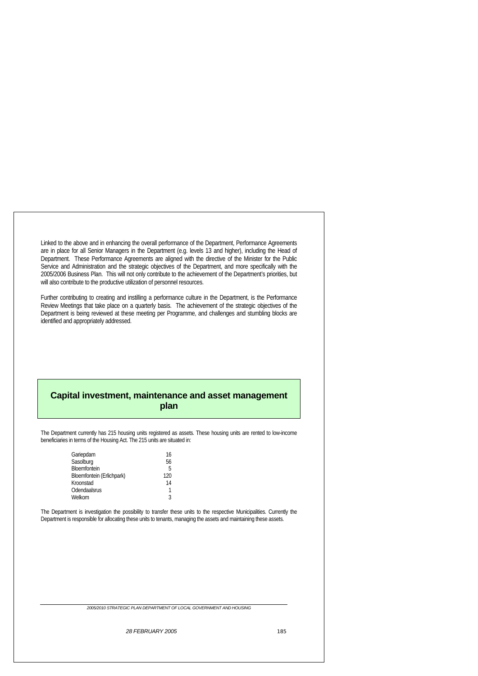Linked to the above and in enhancing the overall performance of the Department, Performance Agreements are in place for all Senior Managers in the Department (e.g. levels 13 and higher), including the Head of Department. These Performance Agreements are aligned with the directive of the Minister for the Public Service and Administration and the strategic objectives of the Department, and more specifically with the 2005/2006 Business Plan. This will not only contribute to the achievement of the Department's priorities, but will also contribute to the productive utilization of personnel resources.

 *28 FEBRUARY 2005* 185

Further contributing to creating and instilling a performance culture in the Department, is the Performance Review Meetings that take place on a quarterly basis. The achievement of the strategic objectives of the Department is being reviewed at these meeting per Programme, and challenges and stumbling blocks are identified and appropriately addressed.

# **Capital investment, maintenance and asset management plan**

The Department currently has 215 housing units registered as assets. These housing units are rented to low-income beneficiaries in terms of the Housing Act. The 215 units are situated in:

| Gariepdam                 | 16  |
|---------------------------|-----|
| Sasolburg                 | 56  |
| Bloemfontein              | 5   |
| Bloemfontein (Erlichpark) | 120 |
| Kroonstad                 | 14  |
| Odendaalsrus              | 1   |
| Welkom                    | ર   |

The Department is investigation the possibility to transfer these units to the respective Municipalities. Currently the Department is responsible for allocating these units to tenants, managing the assets and maintaining these assets.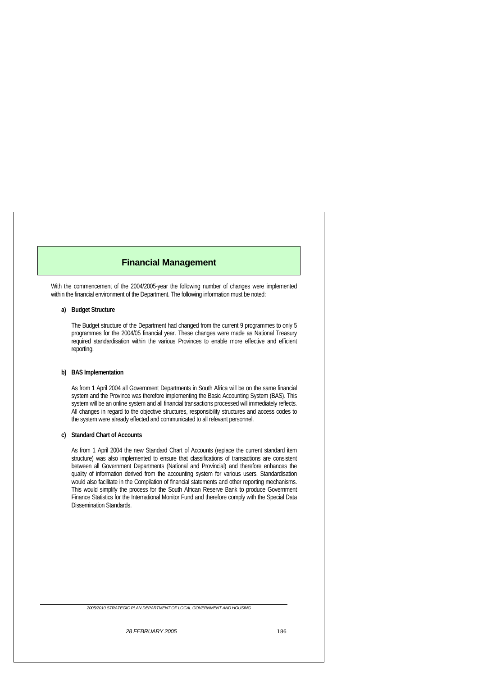*28 FEBRUARY 2005* 186

## **Financial Management**

With the commencement of the 2004/2005-year the following number of changes were implemented within the financial environment of the Department. The following information must be noted:

#### **a) Budget Structure**

The Budget structure of the Department had changed from the current 9 programmes to only 5 programmes for the 2004/05 financial year. These changes were made as National Treasury required standardisation within the various Provinces to enable more effective and efficient reporting.

### **b) BAS Implementation**

As from 1 April 2004 all Government Departments in South Africa will be on the same financial system and the Province was therefore implementing the Basic Accounting System (BAS). This system will be an online system and all financial transactions processed will immediately reflects. All changes in regard to the objective structures, responsibility structures and access codes to the system were already effected and communicated to all relevant personnel.

#### **c) Standard Chart of Accounts**

As from 1 April 2004 the new Standard Chart of Accounts (replace the current standard item structure) was also implemented to ensure that classifications of transactions are consistent between all Government Departments (National and Provincial) and therefore enhances the quality of information derived from the accounting system for various users. Standardisation would also facilitate in the Compilation of financial statements and other reporting mechanisms. This would simplify the process for the South African Reserve Bank to produce Government Finance Statistics for the International Monitor Fund and therefore comply with the Special Data Dissemination Standards.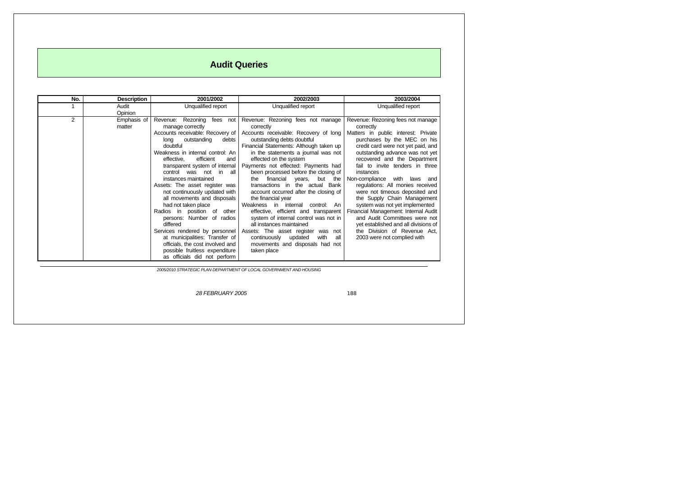*28 FEBRUARY 2005* 188

188

# **Audit Queries**

| No.            | <b>Description</b>                                                         | 2001/2002                                                | 2002/2003                                                     | 2003/2004                                    |  |
|----------------|----------------------------------------------------------------------------|----------------------------------------------------------|---------------------------------------------------------------|----------------------------------------------|--|
|                | Audit                                                                      | Unqualified report                                       | Unqualified report                                            | Unqualified report                           |  |
|                | Opinion                                                                    |                                                          |                                                               |                                              |  |
| $\overline{2}$ | Emphasis of                                                                | Revenue: Rezoning<br>fees<br>not                         | Revenue: Rezoning fees not manage                             | Revenue: Rezoning fees not manage            |  |
|                | matter                                                                     | manage correctly                                         | correctly                                                     | correctly                                    |  |
|                |                                                                            | Accounts receivable: Recovery of                         | Accounts receivable: Recovery of long                         | Matters in public interest: Private          |  |
|                |                                                                            | debts<br>outstanding<br>long                             | outstanding debts doubtful                                    | purchases by the MEC on his                  |  |
|                |                                                                            | doubtful                                                 | Financial Statements: Although taken up                       | credit card were not yet paid, and           |  |
|                |                                                                            | Weakness in internal control: An                         | in the statements a journal was not                           | outstanding advance was not yet              |  |
|                |                                                                            | efficient<br>effective,<br>and                           | effected on the system<br>Payments not effected: Payments had | recovered and the Department                 |  |
|                |                                                                            | transparent system of internal<br>control was not in all | been processed before the closing of                          | fail to invite tenders in three<br>instances |  |
|                |                                                                            | instances maintained                                     | the financial<br>but the                                      | Non-compliance with laws and                 |  |
|                |                                                                            | Assets: The asset register was                           | years,<br>Bank<br>transactions in the actual                  | regulations: All monies received             |  |
|                |                                                                            | not continuously updated with                            | account occurred after the closing of                         | were not timeous deposited and               |  |
|                |                                                                            | all movements and disposals                              | the financial year                                            | the Supply Chain Management                  |  |
|                |                                                                            | had not taken place                                      | Weakness in internal<br>control: An                           | system was not yet implemented               |  |
|                |                                                                            | Radios in position of<br>other                           | effective, efficient and transparent                          | Financial Management: Internal Audit         |  |
|                |                                                                            | persons: Number of radios                                | system of internal control was not in                         | and Audit Committees were not                |  |
|                |                                                                            | differed                                                 | all instances maintained                                      | yet established and all divisions of         |  |
|                |                                                                            | Services rendered by personnel                           | Assets: The asset register was not                            | the Division of Revenue Act,                 |  |
|                |                                                                            | at municipalities: Transfer of                           | all<br>continuously updated<br>with                           | 2003 were not complied with                  |  |
|                |                                                                            | officials, the cost involved and                         | movements and disposals had not                               |                                              |  |
|                |                                                                            | possible fruitless expenditure                           | taken place                                                   |                                              |  |
|                |                                                                            | as officials did not perform                             |                                                               |                                              |  |
|                | 2005/2010 CTDATECIC DI ANI DEDADTAJENT OF LOCAL CONFONDATIVIT AND HOLIGING |                                                          |                                                               |                                              |  |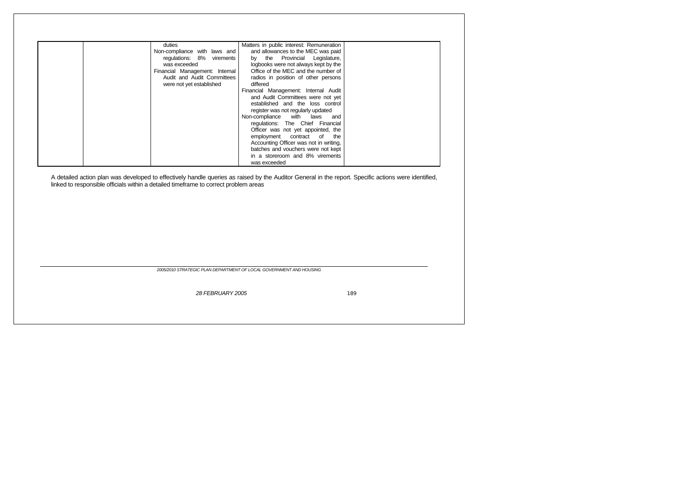*28 FEBRUARY 2005* 189

189

| duties<br>Non-compliance with laws and<br>regulations: 8% virements<br>was exceeded<br>Financial Management: Internal<br>Audit and Audit Committees<br>were not yet established | Matters in public interest: Remuneration<br>and allowances to the MEC was paid<br>by the Provincial Legislature,<br>logbooks were not always kept by the<br>Office of the MEC and the number of<br>radios in position of other persons<br>differed<br>Financial Management: Internal Audit<br>and Audit Committees were not yet<br>established and the loss control<br>register was not regularly updated<br>Non-compliance with laws and<br>regulations: The Chief Financial<br>Officer was not yet appointed, the<br>employment contract of the<br>Accounting Officer was not in writing,<br>batches and vouchers were not kept<br>in a storeroom and 8% virements<br>was exceeded |  |
|---------------------------------------------------------------------------------------------------------------------------------------------------------------------------------|--------------------------------------------------------------------------------------------------------------------------------------------------------------------------------------------------------------------------------------------------------------------------------------------------------------------------------------------------------------------------------------------------------------------------------------------------------------------------------------------------------------------------------------------------------------------------------------------------------------------------------------------------------------------------------------|--|

A detailed action plan was developed to effectively handle queries as raised by the Auditor General in the report. Specific actions were identified, linked to responsible officials within a detailed timeframe to correct problem areas